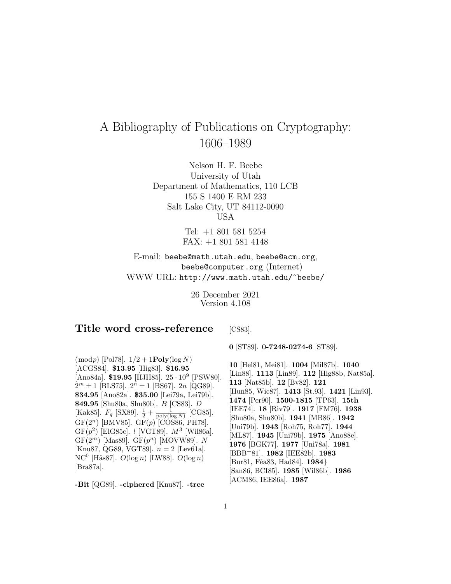# A Bibliography of Publications on Cryptography: 1606–1989

Nelson H. F. Beebe University of Utah Department of Mathematics, 110 LCB 155 S 1400 E RM 233 Salt Lake City, UT 84112-0090 USA

> Tel: +1 801 581 5254 FAX: +1 801 581 4148

E-mail: beebe@math.utah.edu, beebe@acm.org, beebe@computer.org (Internet) WWW URL: http://www.math.utah.edu/~beebe/

> 26 December 2021 Version 4.108

# **Title word cross-reference**

[CS83].

 $(mod p)$  [Pol78].  $1/2 + 1$ **Poly**(log N) [ACGS84]. **\$13.95** [Hig83]. **\$16.95** [Ano84a]. **\$19.95** [HJH85]. 25 · 10<sup>9</sup> [PSW80].  $2^m \pm 1$  [BLS75].  $2^n \pm 1$  [BS67].  $2n$  [QG89]. **\$34.95** [Ano82a]. **\$35.00** [Lei79a, Lei79b]. **\$49.95** [Shu80a, Shu80b]. B [CS83]. D [Kak85].  $F_q$  [SX89].  $\frac{1}{2} + \frac{1}{\text{poly}(\log N)}$  [CG85].  $GF(2^n)$  [BMV85].  $GF(p)$  [COS86, PH78]. GF $(p^2)$  [ElG85c]. *l* [VGT89].  $M^3$  [Wil86a]. GF $(2^m)$  [Mas89]. GF $(p^n)$  [MOVW89]. N [Knu87, QG89, VGT89].  $n = 2$  [Lev61a]. NC<sup>0</sup> [Hås87].  $O(\log n)$  [LW88].  $O(\log n)$ [Bra87a].

**-Bit** [QG89]. **-ciphered** [Knu87]. **-tree**

**0** [ST89]. **0-7248-0274-6** [ST89].

**10** [Hel81, Mei81]. **1004** [Mil87b]. **1040** [Lin88]. **1113** [Lin89]. **112** [Hig88b, Nat85a]. **113** [Nat85b]. **12** [Bv82]. **121** [Hun85, Wic87]. **1413** [St.93]. **1421** [Lin93]. **1474** [Per90]. **1500-1815** [TP63]. **15th** [IEE74]. **18** [Riv79]. **1917** [FM76]. **1938** [Shu80a, Shu80b]. **1941** [MB86]. **1942** [Uni79b]. **1943** [Roh75, Roh77]. **1944** [ML87]. **1945** [Uni79b]. **1975** [Ano88e]. **1976** [BGK77]. **1977** [Uni78a]. **1981** [BBB<sup>+</sup>81]. **1982** [IEE82b]. **1983** [Bur81, Fˆea83, Had84]. **1984**} [San86, BCI85]. **1985** [Wil86b]. **1986** [ACM86, IEE86a]. **1987**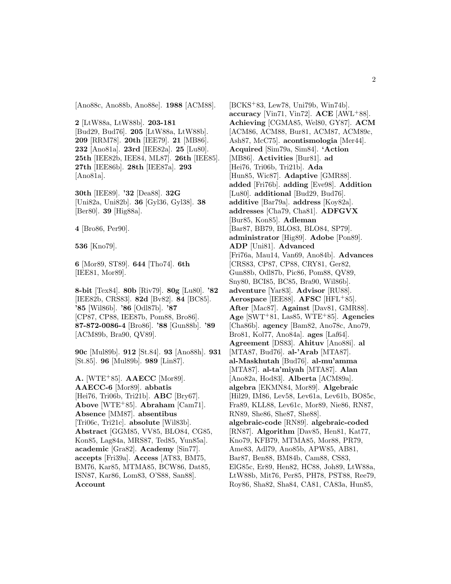[Ano88c, Ano88b, Ano88e]. **1988** [ACM88].

**2** [LtW88a, LtW88b]. **203-181** [Bud29, Bud76]. **205** [LtW88a, LtW88b]. **209** [RRM78]. **20th** [IEE79]. **21** [MB86]. **232** [Ano81a]. **23rd** [IEE82a]. **25** [Lu80]. **25th** [IEE82b, IEE84, ML87]. **26th** [IEE85]. **27th** [IEE86b]. **28th** [IEE87a]. **293** [Ano81a].

**30th** [IEE89]. **'32** [Dea88]. **32G** [Uni82a, Uni82b]. **36** [Gyl36, Gyl38]. **38** [Ber80]. **39** [Hig88a].

**4** [Bro86, Per90].

**536** [Kno79].

**6** [Mor89, ST89]. **644** [Tho74]. **6th** [IEE81, Mor89].

**8-bit** [Tex84]. **80b** [Riv79]. **80g** [Lu80]. **'82** [IEE82b, CRS83]. **82d** [Bv82]. **84** [BC85]. **'85** [Wil86b]. **'86** [Odl87b]. **'87** [CP87, CP88, IEE87b, Pom88, Bro86]. **87-872-0086-4** [Bro86]. **'88** [Gun88b]. **'89** [ACM89b, Bra90, QV89].

**90c** [Mul89b]. **912** [St.84]. **93** [Ano88h]. **931** [St.85]. **96** [Mul89b]. **989** [Lin87].

**A.** [WTE<sup>+</sup>85]. **AAECC** [Mor89]. **AAECC-6** [Mor89]. **abbatis** [Hei76, Tri06b, Tri21b]. **ABC** [Bry67]. **Above** [WTE<sup>+</sup>85]. **Abraham** [Cam71]. **Absence** [MM87]. **absentibus** [Tri06c, Tri21c]. **absolute** [Wil83b]. **Abstract** [GGM85, VV85, BLO84, CG85, Kon85, Lag84a, MRS87, Ted85, Yun85a]. **academic** [Gra82]. **Academy** [Sin77]. **accepts** [Fri39a]. **Access** [AT83, BM75, BM76, Kar85, MTMA85, BCW86, Dat85, ISN87, Kar86, Lom83, O'S88, San88]. **Account**

[BCKS<sup>+</sup>83, Lew78, Uni79b, Win74b]. **accuracy** [Vin71, Vin72]. **ACE** [AWL<sup>+</sup>88]. **Achieving** [CGMA85, Wel80, GY87]. **ACM** [ACM86, ACM88, Bur81, ACM87, ACM89c, Ash87, McC75]. **acontismologia** [Mer44]. **Acquired** [Sim79a, Sim84]. **'Action** [MB86]. **Activities** [Bur81]. **ad** [Hei76, Tri06b, Tri21b]. **Ada** [Hun85, Wic87]. **Adaptive** [GMR88]. **added** [Fri76b]. **adding** [Eve98]. **Addition** [Lu80]. **additional** [Bud29, Bud76]. **additive** [Bar79a]. **address** [Koy82a]. **addresses** [Cha79, Cha81]. **ADFGVX** [Bur85, Kon85]. **Adleman** [Bar87, BB79, BLO83, BLO84, SP79]. **administrator** [Hig89]. **Adobe** [Pon89]. **ADP** [Uni81]. **Advanced** [Fri76a, Mau14, Van69, Ano84b]. **Advances** [CRS83, CP87, CP88, CRY81, Ger82, Gun88b, Odl87b, Pic86, Pom88, QV89, Sny80, BCI85, BC85, Bra90, Wil86b]. **adventure** [Yar83]. **Advisor** [RU88]. **Aerospace** [IEE88]. **AFSC** [HFL<sup>+</sup>85]. **After** [Mac87]. **Against** [Dav81, GMR88]. **Age** [SWT<sup>+</sup>81, Las85, WTE<sup>+</sup>85]. **Agencies** [Cha86b]. **agency** [Bam82, Ano78c, Ano79, Bro81, Kol77, Ano84a]. **ages** [Laf64]. **Agreement** [DS83]. **Ahituv** [Ano88i]. **al** [MTA87, Bud76]. **al-'Arab** [MTA87]. **al-Maskhutah** [Bud76]. **al-mu'amma** [MTA87]. **al-ta'miyah** [MTA87]. **Alan** [Ano82a, Hod83]. **Alberta** [ACM89a]. **algebra** [EKMN84, Mor89]. **Algebraic** [Hil29, IM86, Lev58, Lev61a, Lev61b, BO85c, Fra89, KLL88, Lev61c, Mor89, Nie86, RN87, RN89, She86, She87, She88]. **algebraic-code** [RN89]. **algebraic-coded** [RN87]. **Algorithm** [Dav85, Hen81, Kat77, Kno79, KFB79, MTMA85, Mor88, PR79, Ame83, Adl79, Ano85b, APW85, AB81, Bar87, Ben88, BM84b, Cam88, CS83, ElG85c, Er89, Hen82, HC88, Joh89, LtW88a, LtW88b, Mit76, Per85, PH78, PST88, Ree79, Roy86, Sha82, Sha84, CA81, CA83a, Hun85,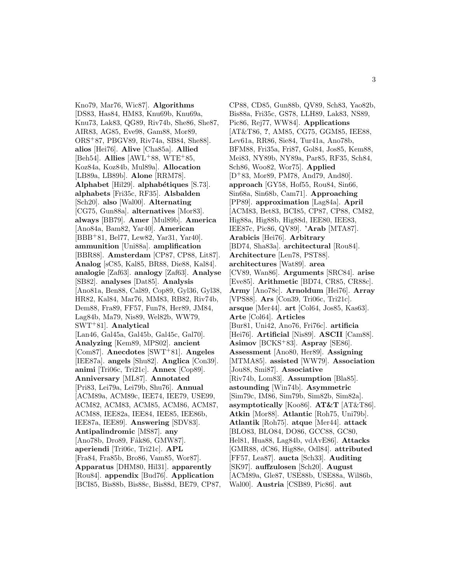Kno79, Mar76, Wic87]. **Algorithms** [DS83, Has84, HM83, Knu69b, Knu69a, Knu73, Lak83, QG89, Riv74b, She86, She87, AIR83, AG85, Eve98, Gam88, Mor89, ORS<sup>+</sup>87, PBGV89, Riv74a, SB84, She88]. **alios** [Hei76]. **Alive** [Cha85a]. **Allied** [Beh54]. **Allies** [AWL<sup>+</sup>88, WTE<sup>+</sup>85, Koz84a, Koz84b, Mul89a]. **Allocation** [LB89a, LB89b]. **Alone** [RRM78]. **Alphabet** [Hil29]. **alphab´etiques** [S.73]. **alphabets** [Fri35c, RF35]. **Alsbalden** [Sch20]. **also** [Wal00]. **Alternating** [CG75, Gun88a]. **alternatives** [Mor83]. **always** [BB79]. **Amer** [Mul89b]. **America** [Ano84a, Bam82, Yar40]. **American** [BBB<sup>+</sup>81, Bel77, Lew82, Yar31, Yar40]. **ammunition** [Uni88a]. **amplification** [BBR88]. **Amsterdam** [CP87, CP88, Lit87]. **Analog** [sC85, Kal85, BR88, Die88, Kal84]. **analogie** [Zaf63]. **analogy** [Zaf63]. **Analyse** [SB82]. **analyses** [Dat85]. **Analysis** [Ano81a, Ben88, Cal89, Cop89, Gyl36, Gyl38, HR82, Kal84, Mar76, MM83, RB82, Riv74b, Dem88, Fra89, FF57, Fun78, Her89, JM84, Lag84b, Ma79, Nis89, Wel82b, WW79, SWT<sup>+</sup>81]. **Analytical** [Lan46, Gal45a, Gal45b, Gal45c, Gal70]. **Analyzing** [Kem89, MPS02]. **ancient** [Com87]. **Anecdotes** [SWT<sup>+</sup>81]. **Angeles** [IEE87a]. **angels** [Shu82]. **Anglica** [Con39]. **animi** [Tri06c, Tri21c]. **Annex** [Cop89]. **Anniversary** [ML87]. **Annotated** [Pri83, Lei79a, Lei79b, Shu76]. **Annual** [ACM89a, ACM89c, IEE74, IEE79, USE99, ACM82, ACM83, ACM85, ACM86, ACM87, ACM88, IEE82a, IEE84, IEE85, IEE86b, IEE87a, IEE89]. **Answering** [SDV83]. **Antipalindromic** [MS87]. **any** [Ano78b, Dro89, Fåk86, GMW87]. **aperiendi** [Tri06c, Tri21c]. **APL** [Fra84, Fra85b, Bro86, Vam85, Wor87]. **Apparatus** [DHM80, Hil31]. **apparently** [Rou84]. **appendix** [Bud76]. **Application** [BCI85, Bis88b, Bis88c, Bis88d, BE79, CP87,

CP88, CD85, Gun88b, QV89, Sch83, Yao82b, Bis88a, Fri35c, GS78, LLH89, Lak83, NS89, Pic86, Rej77, WW84]. **Applications** [AT&T86, **?**, AM85, CG75, GGM85, IEE88, Lev61a, RR86, Sie84, Tur41a, Ano78b, BFM88, Fri35a, Fri87, Gol84, Jos85, Kem88, Mei83, NY89b, NY89a, Par85, RF35, Sch84, Sch86, Woo82, Wor75]. **Applied** [D<sup>+</sup>83, Mor89, PM78, And79, And80]. **approach** [GY58, Hof55, Rou84, Sin66, Sin68a, Sin68b, Cam71]. **Approaching** [PP89]. **approximation** [Lag84a]. **April** [ACM83, Bet83, BCI85, CP87, CP88, CM82, Hig88a, Hig88b, Hig88d, IEE80, IEE83, IEE87c, Pic86, QV89]. **'Arab** [MTA87]. **Arabicis** [Hei76]. **Arbitrary** [BD74, Sha83a]. **architectural** [Rou84]. **Architecture** [Len78, PST88]. **architectures** [Wat89]. **area** [CV89, Wan86]. **Arguments** [SRC84]. **arise** [Eve85]. **Arithmetic** [BD74, CR85, CR88c]. **Army** [Ano78c]. **Arnoldum** [Hei76]. **Array** [VPS88]. **Ars** [Con39, Tri06c, Tri21c]. **arsque** [Mer44]. **art** [Col64, Jos85, Kas63]. **Arte** [Col64]. **Articles** [Bur81, Uni42, Ano76, Fri76c]. **artificia** [Hei76]. **Artificial** [Nis89]. **ASCII** [Cam88]. **Asimov** [BCKS<sup>+</sup>83]. **Aspray** [SE86]. **Assessment** [Ano80, Her89]. **Assigning** [MTMA85]. **assisted** [WW79]. **Association** [Jou88, Smi87]. **Associative** [Riv74b, Lom83]. **Assumption** [Bla85]. **astounding** [Win74b]. **Asymmetric** [Sim79c, IM86, Sim79b, Sim82b, Sim82a]. **asymptotically** [Koo86]. **AT&T** [AT&T86]. **Atkin** [Mor88]. **Atlantic** [Roh75, Uni79b]. **Atlantik** [Roh75]. **atque** [Mer44]. **attack** [BLO83, BLO84, DO86, GCC88, GC80, Hel81, Hua88, Lag84b, vdAvE86]. **Attacks** [GMR88, dC86, Hig88e, Odl84]. **attributed** [FF57, Lea87]. **aucta** [Sch33]. **Auditing** [SK97]. **auffzulosen** [Sch20]. **August** [ACM89a, Gle87, USE88b, USE88a, Wil86b, Wal00]. **Austria** [CSB89, Pic86]. **aut**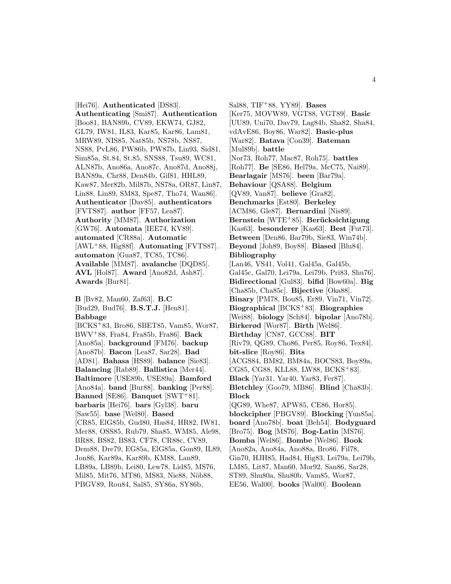[Hei76]. **Authenticated** [DS83]. **Authenticating** [Smi87]. **Authentication** [Boo81, BAN89b, CV89, EKW74, GJ82, GL79, IW81, IL83, Kar85, Kar86, Lam81, MRW89, NIS85, Nat85b, NS78b, NS87, NS88, PvL86, PW86b, PW87b, Lin93, Sid81, Sim85a, St.84, St.85, SNS88, Tsu89, WC81, ALN87b, Ano86a, Ano87c, Ano87d, Ano88j, BAN89a, Chr88, Den84b, Gif81, HHL89, Kaw87, Mer82b, Mil87b, NS78a, OR87, Lin87, Lin88, Lin89, SM83, Spe87, Tho74, Wan86]. **Authenticator** [Dav85]. **authenticators** [FVTS87]. **author** [FF57, Lea87]. **Authority** [MM87]. **Authorization** [GW76]. **Automata** [IEE74, KV89]. **automated** [CR88a]. **Automatic** [AWL<sup>+</sup>88, Hig88f]. **Automating** [FVTS87]. **automaton** [Gua87, TC85, TC86]. **Available** [MM87]. **avalanche** [DQD85]. **AVL** [Hol87]. **Award** [Ano82d, Ash87]. **Awards** [Bur81].

**B** [Bv82, Man60, Zaf63]. **B.C** [Bud29, Bud76]. **B.S.T.J.** [Hen81]. **Babbage**

[BCKS<sup>+</sup>83, Bro86, SBET85, Vam85, Wor87, BWV<sup>+</sup>88, Fra84, Fra85b, Fra86]. **Back** [Ano85a]. **background** [FM76]. **backup** [Ano87b]. **Bacon** [Lea87, Sar28]. **Bad** [AD81]. **Bahasa** [HS89]. **balance** [Sie83]. **Balancing** [Rab89]. **Ballistica** [Mer44]. **Baltimore** [USE89b, USE89a]. **Bamford** [Ano84a]. **band** [Bur88]. **banking** [Per88]. **Banned** [SE86]. **Banquet** [SWT<sup>+</sup>81]. **barbaris** [Hei76]. **bars** [Gyl38]. **baru** [Saw55]. **base** [Wel80]. **Based** [CR85, ElG85b, Gud80, Has84, HR82, IW81, Mer88, OSS85, Rub79, Sha85, WM85, Ale98, BR88, BS82, BS83, CF78, CR88c, CV89, Dem88, Dre79, EG85a, ElG85a, Gon89, IL89, Jon86, Kar89a, Kar89b, KM88, Lan89, LB89a, LB89b, Lei80, Lew78, Lid85, MS76, Mil85, Mit76, MT86, MS83, Nie88, Nöb88, PBGV89, Rou84, Sal85, SY86a, SY86b,

Sal88, TIF<sup>+</sup>88, YY89]. **Bases** [Ker75, MOVW89, VGT88, VGT89]. **Basic** [UU89, Uni70, Dav79, Lag84b, Sha82, Sha84, vdAvE86, Boy86, War82]. **Basic-plus** [War82]. **Batava** [Con39]. **Bateman** [Mul89b]. **battle** [Nor73, Roh77, Mac87, Roh75]. **battles** [Roh77]. **Be** [SE86, Hel79a, McC75, Nai89]. **Bearlagair** [MS76]. **been** [Bar79a]. **Behaviour** [QSA88]. **Belgium** [QV89, Van87]. **believe** [Gra82]. **Benchmarks** [Est80]. **Berkeley** [ACM86, Gle87]. **Bernardini** [Nis89]. **Bernstein** [WTE<sup>+</sup>85]. **Berücksichtigung** [Kas63]. **besonderer** [Kas63]. **Best** [Fut73]. **Between** [Den86, Bar79b, Sie83, Win74b]. **Beyond** [Joh89, Boy88]. **Biased** [Blu84]. **Bibliography** [Lan46, VS41, Vol41, Gal45a, Gal45b, Gal45c, Gal70, Lei79a, Lei79b, Pri83, Shu76]. **Bidirectional** [Gul83]. **bifid** [Bow60a]. **Big** [Cha85b, Cha85c]. **Bijective** [Oka88]. **Binary** [PM78, Bou85, Er89, Vin71, Vin72]. **Biographical** [BCKS<sup>+</sup>83]. **Biographies** [Wei88]. **biology** [Sch84]. **bipolar** [Ano78b]. **Birkerød** [Wor87]. **Birth** [Wel86]. **Birthday** [CN87, GCC88]. **BIT** [Riv79, QG89, Cho86, Per85, Roy86, Tex84]. **bit-slice** [Roy86]. **Bits** [ACGS84, BM82, BM84a, BOCS83, Boy89a, CG85, CG88, KLL88, LW88, BCKS<sup>+</sup>83]. **Black** [Yar31, Yar40, Yar83, Fer87]. **Bletchley** [Goo79, MB86]. **Blind** [Cha83b]. **Block** [QG89, Whe87, APW85, CE86, Hor85]. **blockcipher** [PBGV89]. **Blocking** [Yun85a]. **board** [Ano78b]. **boat** [Beh54]. **Bodyguard** [Bro75]. **Bog** [MS76]. **Bog-Latin** [MS76]. **Bomba** [Wel86]. **Bombe** [Wel86]. **Book** [Ano82a, Ano84a, Ano88a, Bro86, Fil78, Gin70, HJH85, Had84, Hig83, Lei79a, Lei79b, LM85, Lit87, Man60, Mor92, San86, Sar28, ST89, Shu80a, Shu80b, Vam85, Wor87, EE56, Wal00]. **books** [Wal00]. **Boolean**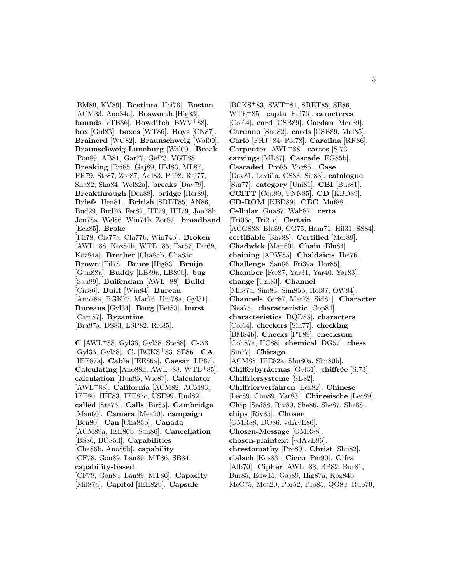[BM89, KV89]. **Bostium** [Hei76]. **Boston** [ACM83, Ano84a]. **Bosworth** [Hig83]. **bounds** [vTB86]. **Bowditch** [BWV<sup>+</sup>88]. **box** [Gul83]. **boxes** [WT86]. **Boys** [CN87]. **Brainerd** [WG82]. **Braunschweig** [Wal00]. **Braunschweig-Luneburg** [Wal00]. **Break** [Pon89, AB81, Gar77, Gef73, VGT88]. **Breaking** [Bri85, Gaj89, HM83, ML87, PR79, Str87, Zor87, Adl83, Pli98, Rej77, Sha82, Sha84, Wel82a]. **breaks** [Dav79]. **Breakthrough** [Dea88]. **bridge** [Her89]. **Briefs** [Hen81]. **British** [SBET85, AN86, Bud29, Bud76, Fer87, HT79, HH79, Jon78b, Jon78a, Wel86, Win74b, Zor87]. **broadband** [Eck85]. **Broke** [Fil78, Cla77a, Cla77b, Win74b]. **Broken**  $[AWL+88, Koz84b, WTE+85, Far67, Far69,$ Koz84a]. **Brother** [Cha85b, Cha85c]. **Brown** [Fil78]. **Bruce** [Hig83]. **Bruijn** [Gun88a]. **Buddy** [LB89a, LB89b]. **bug** [Sau89]. **Buifendam** [AWL<sup>+</sup>88]. **Build** [Cia86]. **Built** [Win84]. **Bureau** [Ano78a, BGK77, Mar76, Uni78a, Gyl31]. **Bureaus** [Gyl34]. **Burg** [Bet83]. **burst** [Cam87]. **Byzantine** [Bra87a, DS83, LSP82, Rei85].

**C** [AWL<sup>+</sup>88, Gyl36, Gyl38, Ste88]. **C-36** [Gyl36, Gyl38]. **C.** [BCKS<sup>+</sup>83, SE86]. **CA** [IEE87a]. **Cable** [IEE86a]. **Caesar** [LP87]. **Calculating** [Ano88h, AWL<sup>+</sup>88, WTE<sup>+</sup>85]. **calculation** [Hun85, Wic87]. **Calculator** [AWL<sup>+</sup>88]. **California** [ACM82, ACM86, IEE80, IEE83, IEE87c, USE99, Rud82]. **called** [Ste76]. **Calls** [Bir85]. **Cambridge** [Man60]. **Camera** [Mea20]. **campaign** [Ben80]. **Can** [Cha85b]. **Canada** [ACM89a, IEE86b, San86]. **Cancellation** [BS86, BO85d]. **Capabilities** [Cha86b, Ano86b]. **capability** [CF78, Gon89, Lan89, MT86, SB84]. **capability-based** [CF78, Gon89, Lan89, MT86]. **Capacity** [Mil87a]. **Capitol** [IEE82b]. **Capsule**

[BCKS<sup>+</sup>83, SWT<sup>+</sup>81, SBET85, SE86, WTE<sup>+</sup>85]. **capta** [Hei76]. **caracteres** [Col64]. **card** [CSB89]. **Cardan** [Men39]. **Cardano** [Shu82]. **cards** [CSB89, McI85]. **Carlo** [FHJ<sup>+</sup>84, Pol78]. **Carolina** [RR86]. **Carpenter** [AWL<sup>+</sup>88]. **cartes** [S.73]. **carvings** [ML67]. **Cascade** [EG85b]. **Cascaded** [Pro85, Vog85]. **Case** [Dav81, Lev61a, CS83, Sie83]. **catalogue** [Sin77]. **category** [Uni81]. **CBI** [Bur81]. **CCITT** [Cop89, UNN85]. **CD** [KBD89]. **CD-ROM** [KBD89]. **CEC** [Muf88]. **Cellular** [Gua87, Wab87]. **certa** [Tri06c, Tri21c]. **Certain** [ACGS88, Bla89, CG75, Ham71, Hil31, SS84]. **certifiable** [Sha88]. **Certified** [Mer89]. **Chadwick** [Man60]. **Chain** [Blu84]. **chaining** [APW85]. **Chaldaicis** [Hei76]. **Challenge** [San86, Fri39a, Hor85]. **Chamber** [Fer87, Yar31, Yar40, Yar83]. **change** [Uni83]. **Channel** [Mil87a, Sim83, Sim85b, Hol87, OW84]. **Channels** [Gir87, Mer78, Sid81]. **Character** [Nea75]. **characteristic** [Cop84]. **characteristics** [DQD85]. **characters** [Col64]. **checkers** [Sin77]. **checking** [BM84b]. **Checks** [PT89]. **checksum** [Coh87a, HC88]. **chemical** [DG57]. **chess** [Sin77]. **Chicago** [ACM88, IEE82a, Shu80a, Shu80b]. **Chifferbyråernas** [Gyl31]. **chiffrée** [S.73]. **Chiffriersysteme** [SB82]. **Chiffrierverfahren** [Eck82]. **Chinese** [Lec89, Chu89, Yar83]. **Chinesische** [Lec89]. **Chip** [Sed88, Riv80, She86, She87, She88]. **chips** [Riv85]. **Chosen** [GMR88, DO86, vdAvE86]. **Chosen-Message** [GMR88]. **chosen-plaintext** [vdAvE86]. **chrestomathy** [Pro80]. **Christ** [Shu82]. **cialach** [Kos83]. **Cicco** [Per90]. **Cifra** [Alb70]. **Cipher** [AWL<sup>+</sup>88, BP82, Bur81, Bur85, Edw15, Gaj89, Hig87a, Koz84b, McC75, Mea20, Por52, Pro85, QG89, Rub79,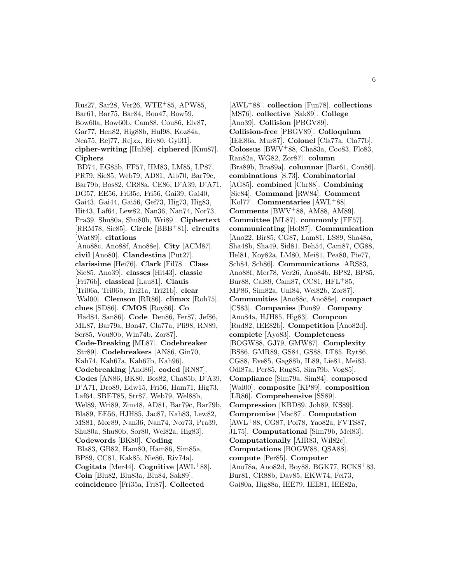Rus27, Sar28, Ver26, WTE<sup>+</sup>85, APW85, Bar61, Bar75, Bar84, Bon47, Bow59, Bow60a, Bow60b, Cam88, Cou86, Elv87, Gar77, Hen82, Hig88b, Hul98, Koz84a, Nea75, Rej77, Rejxx, Riv80, Gyl31]. **cipher-writing** [Hul98]. **ciphered** [Knu87]. **Ciphers** [BD74, EG85b, FF57, HM83, LM85, LP87, PR79, Sie85, Web79, AD81, Alb70, Bar79c, Bar79b, Bos82, CR88a, CE86, D'A39, D'A71, DG57, EE56, Fri35c, Fri56, Gai39, Gai40, Gai43, Gai44, Gai56, Gef73, Hig73, Hig83, Hit43, Laf64, Lew82, Nan36, Nan74, Nor73, Pra39, Shu80a, Shu80b, Wri89]. **Ciphertext** [RRM78, Sie85]. **Circle** [BBB<sup>+</sup>81]. **circuits** [Wat89]. **citations** [Ano88c, Ano88f, Ano88e]. **City** [ACM87]. **civil** [Ano80]. **Clandestina** [Put27]. **clarissime** [Hei76]. **Clark** [Fil78]. **Class** [Sie85, Ano39]. **classes** [Hit43]. **classic** [Fri76b]. **classical** [Lau81]. **Clauis** [Tri06a, Tri06b, Tri21a, Tri21b]. **clear** [Wal00]. **Clemson** [RR86]. **climax** [Roh75]. **clues** [SD86]. **CMOS** [Roy86]. **Co** [Had84, San86]. **Code** [Den86, Fer87, Jef86, ML87, Bar79a, Bon47, Cla77a, Pli98, RN89, Ser85, Vou80b, Win74b, Zor87]. **Code-Breaking** [ML87]. **Codebreaker** [Str89]. **Codebreakers** [AN86, Gin70, Kah74, Kah67a, Kah67b, Kah96]. **Codebreaking** [And86]. **coded** [RN87]. **Codes** [AN86, BK80, Bos82, Cha85b, D'A39, D'A71, Dro89, Edw15, Fri56, Ham71, Hig73, Laf64, SBET85, Str87, Web79, Wel88b, Wel89, Wri89, Zim48, AD81, Bar79c, Bar79b, Bla89, EE56, HJH85, Jac87, Kah83, Lew82, MS81, Mor89, Nan36, Nan74, Nor73, Pra39, Shu80a, Shu80b, Sor80, Wel82a, Hig83]. **Codewords** [BK80]. **Coding** [Bla83, GB82, Ham80, Ham86, Sim85a, BP89, CC81, Kak85, Nie86, Riv74a]. **Cogitata** [Mer44]. **Cognitive** [AWL<sup>+</sup>88]. **Coin** [Blu82, Blu83a, Blu84, Sak89]. **coincidence** [Fri35a, Fri87]. **Collected**

[AWL<sup>+</sup>88]. **collection** [Fun78]. **collections** [MS76]. **collective** [Sak89]. **College** [Ano39]. **Collision** [PBGV89]. **Collision-free** [PBGV89]. **Colloquium** [IEE86a, Mur87]. **Colonel** [Cla77a, Cla77b]. **Colossus** [BWV<sup>+</sup>88, Cha83a, Coo83, Flo83, Ran82a, WG82, Zor87]. **column** [Bra89b, Bra89a]. **columnar** [Bar61, Cou86]. **combinations** [S.73]. **Combinatorial** [AG85]. **combined** [Chr88]. **Combining** [Sie84]. **Command** [RW84]. **Comment** [Kol77]. **Commentaries** [AWL<sup>+</sup>88]. **Comments** [BWV<sup>+</sup>88, AM88, AM89]. **Committee** [ML87]. **commonly** [FF57]. **communicating** [Hol87]. **Communication** [Ano22, Bir85, CG87, Lam81, LS89, Sha48a, Sha48b, Sha49, Sid81, Beh54, Cam87, CG88, Hel81, Koy82a, LM80, Mei81, Pea80, Pie77, Sch84, Sch86]. **Communications** [ARS83, Ano88f, Mer78, Ver26, Ano84b, BP82, BP85, Bur88, Cal89, Cam87, CC81, HFL<sup>+</sup>85, MP86, Sim82a, Uni84, Wel82b, Zor87]. **Communities** [Ano88c, Ano88e]. **compact** [CS83]. **Companies** [Pon89]. **Company** [Ano84a, HJH85, Hig83]. **Compcon** [Rud82, IEE82b]. **Competition** [Ano82d]. **complete** [Ayo83]. **Completeness** [BOGW88, GJ79, GMW87]. **Complexity** [BS86, GMR89, GS84, GS88, LT85, Ryt86, CG88, Eve85, Gag88b, IL89, Lie81, Mei83, Odl87a, Per85, Rug85, Sim79b, Vog85]. **Compliance** [Sim79a, Sim84]. **composed** [Wal00]. **composite** [KP89]. **composition** [LR86]. **Comprehensive** [SS89]. **Compression** [KBD89, Joh89, KS89]. **Compromise** [Mac87]. **Computation** [AWL<sup>+</sup>88, CG87, Pol78, Yao82a, FVTS87, JL75]. **Computational** [Sim79b, Mei83]. **Computationally** [AIR83, Wil82c]. **Computations** [BOGW88, QSA88]. **compute** [Per85]. **Computer** [Ano78a, Ano82d, Boy88, BGK77, BCKS<sup>+</sup>83, Bur81, CR88b, Dav85, EKW74, Fei73, Gai80a, Hig88a, IEE79, IEE81, IEE82a,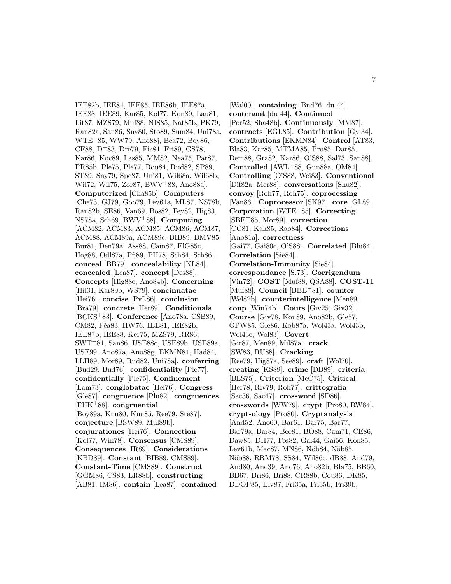IEE82b, IEE84, IEE85, IEE86b, IEE87a, IEE88, IEE89, Kar85, Kol77, Kon89, Lau81, Lit87, MZS79, Muf88, NIS85, Nat85b, PK79, Ran82a, San86, Sny80, Sto89, Sum84, Uni78a, WTE<sup>+</sup>85, WW79, Ano88j, Bea72, Boy86, CF88, D<sup>+</sup>83, Dre79, Fis84, Fit89, GS78, Kar86, Koc89, Las85, MM82, Nea75, Pat87, PR85b, Ple75, Ple77, Rou84, Rud82, SP89, ST89, Sny79, Spe87, Uni81, Wil68a, Wil68b, Wil72, Wil75, Zor87, BWV<sup>+</sup>88, Ano88a]. **Computerized** [Cha85b]. **Computers** [Che73, GJ79, Goo79, Lev61a, ML87, NS78b, Ran82b, SE86, Van69, Bos82, Fey82, Hig83, NS78a, Sch69, BWV<sup>+</sup>88]. **Computing** [ACM82, ACM83, ACM85, ACM86, ACM87, ACM88, ACM89a, ACM89c, BIB89, BMV85, Bur81, Den79a, Ass88, Cam87, ElG85c, Hog88, Odl87a, Pfl89, PH78, Sch84, Sch86]. **conceal** [BB79]. **concealability** [KL84]. **concealed** [Lea87]. **concept** [Des88]. **Concepts** [Hig88c, Ano84b]. **Concerning** [Hil31, Kar89b, WS79]. **concinnatae** [Hei76]. **concise** [PvL86]. **conclusion** [Bra79]. **concrete** [Her89]. **Conditionals** [BCKS<sup>+</sup>83]. **Conference** [Ano78a, CSB89, CM82, Fêa83, HW76, IEE81, IEE82b, IEE87b, IEE88, Ker75, MZS79, RR86, SWT<sup>+</sup>81, San86, USE88c, USE89b, USE89a, USE99, Ano87a, Ano88g, EKMN84, Had84, LLH89, Mor89, Rud82, Uni78a]. **conferring** [Bud29, Bud76]. **confidentiality** [Ple77]. **confidentially** [Ple75]. **Confinement** [Lam73]. **conglobatae** [Hei76]. **Congress** [Gle87]. **congruence** [Plu82]. **congruences** [FHK<sup>+</sup>88]. **congruential** [Boy89a, Knu80, Knu85, Ree79, Ste87]. **conjecture** [BSW89, Mul89b]. **conjurationes** [Hei76]. **Connection** [Kol77, Win78]. **Consensus** [CMS89]. **Consequences** [IR89]. **Considerations** [KBD89]. **Constant** [BIB89, CMS89]. **Constant-Time** [CMS89]. **Construct** [GGM86, CS83, LR88b]. **constructing** [AB81, IM86]. **contain** [Lea87]. **contained**

[Wal00]. **containing** [Bud76, du 44]. **contenant** [du 44]. **Continued** [Por52, Sha48b]. **Continuously** [MM87]. **contracts** [EGL85]. **Contribution** [Gyl34]. **Contributions** [EKMN84]. **Control** [AT83, Bla83, Kar85, MTMA85, Pro85, Dat85, Dem88, Gra82, Kar86, O'S88, Sal73, San88]. **Controlled** [AWL<sup>+</sup>88, Gun88a, OM84]. **Controlling** [O'S88, Wei83]. **Conventional** [Dif82a, Mer88]. **conversations** [Shu82]. **convoy** [Roh77, Roh75]. **coprocessing** [Van86]. **Coprocessor** [SK97]. **core** [GL89]. **Corporation** [WTE<sup>+</sup>85]. **Correcting** [SBET85, Mor89]. **correction** [CC81, Kak85, Rao84]. **Corrections** [Ano81a]. **correctness** [Gai77, Gai80c, O'S88]. **Correlated** [Blu84]. **Correlation** [Sie84]. **Correlation-Immunity** [Sie84]. **correspondance** [S.73]. **Corrigendum** [Vin72]. **COST** [Muf88, QSA88]. **COST-11** [Muf88]. **Council** [BBB<sup>+</sup>81]. **counter** [Wel82b]. **counterintelligence** [Men89]. **coup** [Win74b]. **Cours** [Giv25, Giv32]. **Course** [Giv78, Kon89, Ano82b, Gle57, GPW85, Gle86, Kob87a, Wol43a, Wol43b, Wol43c, Wol83]. **Covert** [Gir87, Men89, Mil87a]. **crack** [SW83, RU88]. **Cracking** [Ree79, Hig87a, See89]. **craft** [Wol70]. **creating** [KS89]. **crime** [DB89]. **criteria** [BLS75]. **Criterion** [McC75]. **Critical** [Her78, Riv79, Roh77]. **crittografia** [Sac36, Sac47]. **crossword** [SD86]. **crosswords** [WW79]. **crypt** [Pro80, RW84]. **crypt-ology** [Pro80]. **Cryptanalysis** [And52, Ano60, Bar61, Bar75, Bar77, Bar79a, Bar84, Bee81, BO88, Cam71, CE86, Daw85, DH77, Fos82, Gai44, Gai56, Kon85, Lev61b, Mac87, MN86, Nöb84, Nöb85, Nöb88, RRM78, SS84, Wil86c, dB88, And79, And80, Ano39, Ano76, Ano82b, Bla75, BB60, BB67, Bri86, Bri88, CR88b, Cou86, DK85, DDOP85, Elv87, Fri35a, Fri35b, Fri39b,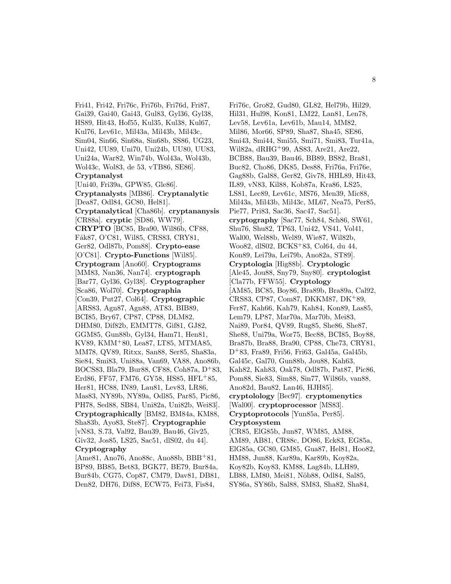Fri41, Fri42, Fri76c, Fri76b, Fri76d, Fri87, Gai39, Gai40, Gai43, Gul83, Gyl36, Gyl38, HS89, Hit43, Hof55, Kul35, Kul38, Kul67, Kul76, Lev61c, Mil43a, Mil43b, Mil43c, Sim04, Sin66, Sin68a, Sin68b, SS86, UG23, Uni42, UU89, Uni70, Uni24b, UU80, UU83, Uni24a, War82, Win74b, Wol43a, Wol43b, Wol43c, Wol83, de 53, vTB86, SE86]. **Cryptanalyst** [Uni40, Fri39a, GPW85, Gle86]. **Cryptanalysts** [MB86]. **Cryptanalytic** [Dea87, Odl84, GC80, Hel81]. **Cryptanalytical** [Cha86b]. **cryptananysis** [CR88a]. **cryptic** [SD86, WW79]. **CRYPTO** [BC85, Bra90, Wil86b, CF88, Fåk87, O'C81, Wil85, CRS83, CRY81, Ger82, Odl87b, Pom88]. **Crypto-ease** [O'C81]. **Crypto-Functions** [Wil85]. **Cryptogram** [Ano60]. **Cryptograms** [MM83, Nan36, Nan74]. **cryptograph** [Bar77, Gyl36, Gyl38]. **Cryptographer** [Sca86, Wol70]. **Cryptographia** [Con39, Put27, Col64]. **Cryptographic** [ARS83, Agn87, Agn88, AT83, BIB89, BCI85, Bry67, CP87, CP88, DLM82, DHM80, Dif82b, EMMT78, Gif81, GJ82, GGM85, Gun88b, Gyl34, Ham71, Hen81, KV89, KMM<sup>+</sup>80, Lea87, LT85, MTMA85, MM78, QV89, Ritxx, San88, Ser85, Sha83a, Sie84, Smi83, Uni88a, Van69, VA88, Ano86b, BOCS83, Bla79, Bur88, CF88, Coh87a, D<sup>+</sup>83, Erd86, FF57, FM76, GY58, HS85, HFL<sup>+</sup>85, Her81, HC88, IN89, Lau81, Lev83, LR86, Mas83, NY89b, NY89a, Odl85, Par85, Pic86, PH78, Sed88, SB84, Uni82a, Uni82b, Wei83]. **Cryptographically** [BM82, BM84a, KM88, Sha83b, Ayo83, Ste87]. **Cryptographie** [vN83, S.73, Val92, Bau39, Bau46, Giv25, Giv32, Jos85, LS25, Sac51, dlS02, du 44]. **Cryptography**

[Ame81, Ano76, Ano88c, Ano88b, BBB<sup>+</sup>81, BP89, BB85, Bet83, BGK77, BE79, Bur84a, Bur84b, CG75, Cop87, CM79, Dav81, DB81, Den82, DH76, Dif88, ECW75, Fei73, Fis84,

Fri76c, Gro82, Gud80, GL82, Hel79b, Hil29, Hil31, Hul98, Kon81, LM22, Lan81, Len78, Lev58, Lev61a, Lev61b, Mau14, MM82, Mil86, Mor66, SP89, Sha87, Sha45, SE86, Smi43, Smi44, Smi55, Smi71, Smi83, Tur41a, Wil82a, dRHG<sup>+</sup>99, AS83, Are21, Are22, BCB88, Bau39, Bau46, BB89, BS82, Bra81, Buc82, Cho86, DK85, Des88, Fri76a, Fri76e, Gag88b, Gal88, Ger82, Giv78, HHL89, Hit43, IL89, vN83, Kil88, Kob87a, Kra86, LS25, LS81, Lec89, Lev61c, MS76, Men39, Mic88, Mil43a, Mil43b, Mil43c, ML67, Nea75, Per85, Pie77, Pri83, Sac36, Sac47, Sac51]. **cryptography** [Sac77, Sch84, Sch86, SW61, Shu76, Shu82, TP63, Uni42, VS41, Vol41, Wal00, Wel88b, Wel89, Wie87, Wil82b, Woo82, dlS02, BCKS<sup>+</sup>83, Col64, du 44, Kon89, Lei79a, Lei79b, Ano82a, ST89]. **Cryptologia** [Hig88b]. **Cryptologic** [Ale45, Jou88, Sny79, Sny80]. **cryptologist** [Cla77b, FFW55]. **Cryptology** [AM85, BC85, Boy86, Bra89b, Bra89a, Cal92, CRS83, CP87, Com87, DKKM87, DK<sup>+</sup>89, Fer87, Kah66, Kah79, Kah84, Kon89, Las85, Lem79, LP87, Mar70a, Mar70b, Mei83, Nai89, Por84, QV89, Rug85, She86, She87, She88, Uni79a, Wor75, Bec88, BCI85, Boy88, Bra87b, Bra88, Bra90, CP88, Che73, CRY81, D<sup>+</sup>83, Fra89, Fri56, Fri63, Gal45a, Gal45b, Gal45c, Gal70, Gun88b, Jou88, Kah63, Kah82, Kah83, Oak78, Odl87b, Pat87, Pic86, Pom88, Sie83, Sim88, Sin77, Wil86b, van88, Ano82d, Bau82, Lan46, HJH85]. **cryptolology** [Bec97]. **cryptomenytics** [Wal00]. **cryptoprocessor** [MS83]. **Cryptoprotocols** [Yun85a, Per85]. **Cryptosystem** [CR85, ElG85b, Jun87, WM85, AM88, AM89, AB81, CR88c, DO86, Eck83, EG85a, ElG85a, GC80, GM85, Gua87, Hel81, Hoo82, HM88, Jun88, Kar89a, Kar89b, Koy82a,

Koy82b, Koy83, KM88, Lag84b, LLH89, LB88, LM80, Mei81, Nöb88, Odl84, Sal85,

SY86a, SY86b, Sal88, SM83, Sha82, Sha84,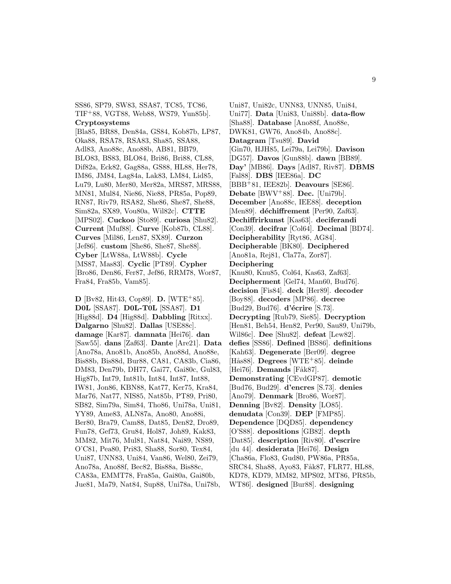SS86, SP79, SW83, SSA87, TC85, TC86, TIF<sup>+</sup>88, VGT88, Web88, WS79, Yun85b].

### **Cryptosystems**

[Bla85, BR88, Den84a, GS84, Kob87b, LP87, Oka88, RSA78, RSA83, Sha85, SSA88, Adl83, Ano88c, Ano88b, AB81, BB79, BLO83, BS83, BLO84, Bri86, Bri88, CL88, Dif82a, Eck82, Gag88a, GS88, HL88, Her78, IM86, JM84, Lag84a, Lak83, LM84, Lid85, Lu79, Lu80, Mer80, Mer82a, MRS87, MRS88, MN81, Mul84, Nie86, Nie88, PR85a, Pop89, RN87, Riv79, RSA82, She86, She87, She88, Sim82a, SX89, Vou80a, Wil82c]. **CTTE** [MPS02]. **Cuckoo** [Sto89]. **curiosa** [Shu82]. **Current** [Muf88]. **Curve** [Kob87b, CL88]. **Curves** [Mil86, Len87, SX89]. **Curzon** [Jef86]. **custom** [She86, She87, She88]. **Cyber** [LtW88a, LtW88b]. **Cycle** [MS87, Mas83]. **Cyclic** [PT89]. **Cypher** [Bro86, Den86, Fer87, Jef86, RRM78, Wor87, Fra84, Fra85b, Vam85].

**D** [Bv82, Hit43, Cop89]. **D.** [WTE<sup>+</sup>85]. **D0L** [SSA87]. **D0L-T0L** [SSA87]. **D1** [Hig88d]. **D4** [Hig88d]. **Dabbling** [Ritxx]. **Dalgarno** [Shu82]. **Dallas** [USE88c]. **damage** [Kar87]. **damnata** [Hei76]. **dan** [Saw55]. **dans** [Zaf63]. **Dante** [Are21]. **Data** [Ano78a, Ano81b, Ano85b, Ano88d, Ano88e, Bis88b, Bis88d, Bur88, CA81, CA83b, Cia86, DM83, Den79b, DH77, Gai77, Gai80c, Gul83, Hig87b, Int79, Int81b, Int84, Int87, Int88, IW81, Jon86, KBN88, Kat77, Ker75, Kra84, Mar76, Nat77, NIS85, Nat85b, PT89, Pri80, SB82, Sim79a, Sim84, Tho86, Uni78a, Uni81, YY89, Ame83, ALN87a, Ano80, Ano88i, Ber80, Bra79, Cam88, Dat85, Den82, Dro89, Fun78, Gef73, Gru84, Hol87, Joh89, Kak83, MM82, Mit76, Mul81, Nat84, Nai89, NS89, O'C81, Pea80, Pri83, Sha88, Sor80, Tex84, Uni87, UNN83, Uni84, Van86, Wel80, Zei79, Ano78a, Ano88f, Bec82, Bis88a, Bis88c, CA83a, EMMT78, Fra85a, Gai80a, Gai80b, Jue81, Ma79, Nat84, Sup88, Uni78a, Uni78b,

Uni87, Uni82c, UNN83, UNN85, Uni84, Uni77]. **Data** [Uni83, Uni88b]. **data-flow** [Sha88]. **Database** [Ano88f, Ano88e, DWK81, GW76, Ano84b, Ano88c]. **Datagram** [Tsu89]. **David** [Gin70, HJH85, Lei79a, Lei79b]. **Davison** [DG57]. **Davos** [Gun88b]. **dawn** [BB89]. **Day'** [MB86]. **Days** [Adl87, Riv87]. **DBMS** [Fal88]. **DBS** [IEE86a]. **DC** [BBB<sup>+</sup>81, IEE82b]. **Deavours** [SE86]. **Debate** [BWV<sup>+</sup>88]. **Dec.** [Uni79b]. **December** [Ano88c, IEE88]. **deception** [Men89]. **déchiffrement** [Per90, Zaf63]. **Dechiffrirkunst** [Kas63]. **deciferandi** [Con39]. **decifrar** [Col64]. **Decimal** [BD74]. **Decipherability** [Ryt86, AG84]. **Decipherable** [BK80]. **Deciphered** [Ano81a, Rej81, Cla77a, Zor87]. **Deciphering** [Knu80, Knu85, Col64, Kas63, Zaf63]. **Decipherment** [Gel74, Man60, Bud76]. **decision** [Fis84]. **deck** [Her89]. **decoder** [Boy88]. **decoders** [MP86]. **decree** [Bud29, Bud76]. **d'écrire** [S.73]. **Decrypting** [Rub79, Sie85]. **Decryption** [Hen81, Beh54, Hen82, Per90, Sau89, Uni79b, Wil86c]. **Dee** [Shu82]. **defeat** [Lew82]. **defies** [SS86]. **Defined** [BS86]. **definitions** [Kah63]. **Degenerate** [Ber09]. **degree** [Hås88]. **Degrees** [WTE<sup>+</sup>85]. deinde [Hei76]. **Demands** [Fåk87]. **Demonstrating** [CEvdGP87]. **demotic** [Bud76, Bud29]. **d'encres** [S.73]. **denies** [Ano79]. **Denmark** [Bro86, Wor87]. **Denning** [Bv82]. **Density** [LO85]. **denudata** [Con39]. **DEP** [FMP85]. **Dependence** [DQD85]. **dependency** [O'S88]. **depositions** [GB82]. **depth** [Dat85]. **description** [Riv80]. **d'escrire** [du 44]. **desiderata** [Hei76]. **Design** [Cha86a, Flo83, Gud80, PW86a, PR85a, SRC84, Sha88, Ayo83, Fåk87, FLR77, HL88, KD78, KD79, MM82, MPS02, MT86, PR85b, WT86]. **designed** [Bur88]. **designing**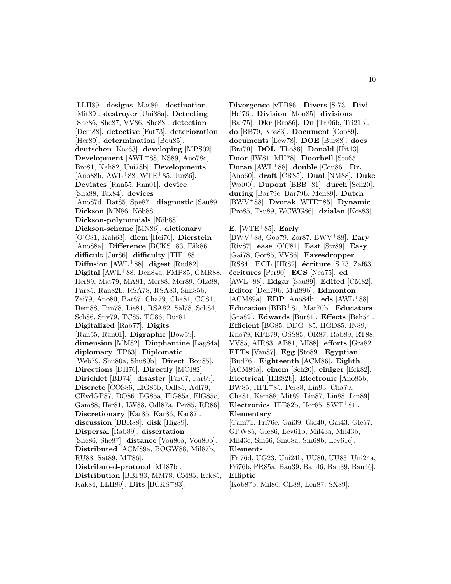[LLH89]. **designs** [Mas89]. **destination** [Mit89]. **destroyer** [Uni88a]. **Detecting** [She86, She87, VV86, She88]. **detection** [Dem88]. **detective** [Fut73]. **deterioration** [Her89]. **determination** [Bou85]. **deutschen** [Kas63]. **developing** [MPS02]. **Development** [AWL<sup>+</sup>88, NS89, Ano78c, Bro81, Kah82, Uni78b]. **Developments**  $[Ano88h, AWL+88, WTE+85, Jur86].$ **Deviates** [Ran55, Ran01]. **device** [Sha88, Tex84]. **devices** [Ano87d, Dat85, Spe87]. **diagnostic** [Sau89]. Dickson<sup>[MN86, Nöb88].</sup> **Dickson-polynomials** [Nöb88]. **Dickson-scheme** [MN86]. **dictionary** [O'C81, Kah63]. **diem** [Hei76]. **Dierstein** [Ano88a]. **Difference** [BCKS<sup>+</sup>83, Fåk86]. **difficult** [Jur86]. **difficulty** [TIF<sup>+</sup>88]. **Diffusion** [AWL<sup>+</sup>88]. **digest** [Rud82]. **Digital** [AWL<sup>+</sup>88, Den84a, FMP85, GMR88, Her89, Mat79, MA81, Mer88, Mer89, Oka88, Par85, Ran82b, RSA78, RSA83, Sim85b, Zei79, Ano80, Bar87, Cha79, Cha81, CC81, Dem88, Fun78, Lie81, RSA82, Sal78, Sch84, Sch86, Sny79, TC85, TC86, Bur81]. **Digitalized** [Rab77]. **Digits** [Ran55, Ran01]. **Digraphic** [Bow59]. **dimension** [MM82]. **Diophantine** [Lag84a]. **diplomacy** [TP63]. **Diplomatic** [Web79, Shu80a, Shu80b]. **Direct** [Bou85]. **Directions** [DH76]. **Directly** [MOI82]. **Dirichlet** [BD74]. **disaster** [Far67, Far69]. **Discrete** [COS86, ElG85b, Odl85, Adl79, CEvdGP87, DO86, EG85a, ElG85a, ElG85c, Gam88, Her81, LW88, Odl87a, Per85, RR86]. **Discretionary** [Kar85, Kar86, Kar87]. **discussion** [BBR88]. **disk** [Hig89]. **Dispersal** [Rab89]. **dissertation** [She86, She87]. **distance** [Vou80a, Vou80b]. **Distributed** [ACM89a, BOGW88, Mil87b, RU88, Sat89, MT86]. **Distributed-protocol** [Mil87b]. **Distribution** [BBF83, MM78, CM85, Eck85,

Kak84, LLH89]. **Dits** [BCKS<sup>+</sup>83].

**Divergence** [vTB86]. **Divers** [S.73]. **Divi** [Hei76]. **Division** [Mon85]. **divisions** [Bar75]. **Dkr** [Bro86]. **Dn** [Tri06b, Tri21b]. **do** [BB79, Kos83]. **Document** [Cop89]. **documents** [Lew78]. **DOE** [Bur88]. **does** [Bra79]. **DOL** [Tho86]. **Donald** [Hit43]. **Door** [IW81, MH78]. **Doorbell** [Sto65]. **Doran** [AWL<sup>+</sup>88]. **double** [Cou86]. **Dr.** [Ano60]. **draft** [CR85]. **Dual** [NM88]. **Duke** [Wal00]. **Dupont** [BBB<sup>+</sup>81]. **durch** [Sch20]. **during** [Bar79c, Bar79b, Men89]. **Dutch** [BWV<sup>+</sup>88]. **Dvorak** [WTE<sup>+</sup>85]. **Dynamic** [Pro85, Tsu89, WCWG86]. **dzialan** [Kos83].

**E.** [WTE<sup>+</sup>85]. **Early**

[BWV<sup>+</sup>88, Goo79, Zor87, BWV<sup>+</sup>88]. **Eary** [Riv87]. **ease** [O'C81]. **East** [Str89]. **Easy** [Gai78, Gor85, VV86]. **Eavesdropper** [RS84]. **ECL** [HR82]. **écriture** [S.73, Zaf63]. **´ecritures** [Per90]. **ECS** [Nea75]. **ed** [AWL<sup>+</sup>88]. **Edgar** [Sau89]. **Edited** [CM82]. **Editor** [Den79b, Mul89b]. **Edmonton** [ACM89a]. **EDP** [Ano84b]. **eds** [AWL<sup>+</sup>88]. **Education** [BBB<sup>+</sup>81, Mar70b]. **Educators** [Gra82]. **Edwards** [Bur81]. **Effects** [Beh54]. **Efficient** [BG85, DDG<sup>+</sup>85, HGD85, IN89, Kno79, KFB79, OSS85, OR87, Rab89, RT88, VV85, AIR83, AB81, MI88]. **efforts** [Gra82]. **EFTs** [Van87]. **Egg** [Sto89]. **Egyptian** [Bud76]. **Eighteenth** [ACM86]. **Eighth** [ACM89a]. **einem** [Sch20]. **einiger** [Eck82]. **Electrical** [IEE82b]. **Electronic** [Ano85b, BW85, HFL<sup>+</sup>85, Per88, Lin93, Cha79, Cha81, Kem88, Mit89, Lin87, Lin88, Lin89]. **Electronics** [IEE82b, Hor85, SWT<sup>+</sup>81]. **Elementary** [Cam71, Fri76e, Gai39, Gai40, Gai43, Gle57,

GPW85, Gle86, Lev61b, Mil43a, Mil43b, Mil43c, Sin66, Sin68a, Sin68b, Lev61c]. **Elements**

[Fri76d, UG23, Uni24b, UU80, UU83, Uni24a, Fri76b, PR85a, Bau39, Bau46, Bau39, Bau46]. **Elliptic**

[Kob87b, Mil86, CL88, Len87, SX89].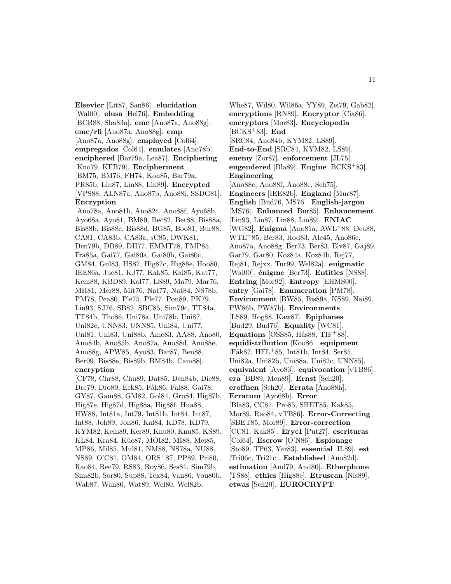**Elsevier** [Lit87, San86]. **elucidation** [Wal00]. **elusa** [Hei76]. **Embedding** [BCB88, Sha83a]. **emc** [Ano87a, Ano88g]. **emc/rfi** [Ano87a, Ano88g]. **emp** [Ano87a, Ano88g]. **employed** [Col64]. **empregados** [Col64]. **emulates** [Ano78b]. **enciphered** [Bar79a, Lea87]. **Enciphering** [Kno79, KFB79]. **Encipherment** [BM75, BM76, FH74, Kon85, Bar79a, PR85b, Lin87, Lin88, Lin89]. **Encrypted** [VPS88, ALN87a, Ano87b, Ano88i, SSDG81]. **Encryption**

[Ano78a, Ano81b, Ano82c, Ano88f, Ayo68b, Ayo68a, Ayo81, BM89, Bec82, Bet88, Bis88a, Bis88b, Bis88c, Bis88d, BG85, Boo81, Bur88, CA81, CA83b, CA83a, sC85, DWK81, Den79b, DB89, DH77, EMMT78, FMP85, Fra85a, Gai77, Gai80a, Gai80b, Gai80c, GM84, Gul83, HS87, Hig87c, Hig88e, Hoo80, IEE86a, Jue81, KJ77, Kak85, Kal85, Kat77, Kem88, KBD89, Kol77, LS89, Ma79, Mar76, MH81, Mer88, Mit76, Nat77, Nat84, NS78b, PM78, Pea80, Ple75, Ple77, Pon89, PK79, Lin93, SJ76, SB82, SBC85, Sim79c, TT84a, TT84b, Tho86, Uni78a, Uni78b, Uni87, Uni82c, UNN83, UNN85, Uni84, Uni77, Uni81, Uni83, Uni88b, Ame83, AA88, Ano80, Ano84b, Ano85b, Ano87a, Ano88d, Ano88e, Ano88g, APW85, Ayo83, Bar87, Ben88, Ber09, Bis88e, Bis89b, BM84b, Cam88]. **encryption**

[CF78, Chr88, Chu89, Dat85, Den84b, Die88, Dre79, Dro89, Eck85, Fåk86, Fal88, Gai78, GY87, Gam88, GM82, Gol84, Gru84, Hig87b, Hig87e, Hig87d, Hig88a, Hig88f, Hua88, HW88, Int81a, Int79, Int81b, Int84, Int87, Int88, Joh89, Jon86, Kal84, KD78, KD79, KYM82, Kem89, Ker89, Knu80, Knu85, KS89, KL84, Kra84, Küc87, MOI82, MI88, Mei85, MP86, Mil85, Mul81, NM88, NS78a, NU88, NS89, O'C81, OM84, ORS<sup>+</sup>87, PP89, Pri80, Rao84, Ree79, RS83, Roy86, Ses81, Sim79b, Sim82b, Sor80, Sup88, Tex84, Van86, Vou80b, Wab87, Wan86, Wat89, Wel80, Wel82b,

Whe87, Wil80, Wil86a, YY89, Zei79, Gab82]. **encryptions** [RN89]. **Encryptor** [Cia86]. **encryptors** [Mor83]. **Encyclopedia** [BCKS<sup>+</sup>83]. **End** [SRC84, Ano84b, KYM82, LS89]. **End-to-End** [SRC84, KYM82, LS89]. **enemy** [Zor87]. **enforcement** [JL75]. **engendered** [Bla89]. **Engine** [BCKS<sup>+</sup>83]. **Engineering** [Ano88c, Ano88f, Ano88e, Sch75]. **Engineers** [IEE82b]. **England** [Mur87]. **English** [Bud76, MS76]. **English-jargon** [MS76]. **Enhanced** [Bur85]. **Enhancement** [Lin93, Lin87, Lin88, Lin89]. **ENIAC** [WG82]. **Enigma** [Ano81a, AWL<sup>+</sup>88, Dea88, WTE<sup>+</sup>85, Ber83, Hod83, Ale45, Ano86c, Ano87a, Ano88g, Ber73, Ber83, Elv87, Gaj89, Gar79, Gar80, Koz84a, Koz84b, Rej77, Rej81, Rejxx, Tur99, Wel82a]. **enigmatic** [Wal00]. **énigme** [Ber73]. **Entities** [NS88]. **Entring** [Mor92]. **Entropy** [EHMS00]. **entry** [Gai78]. **Enumeration** [PM78]. **Environment** [BW85, Bis89a, KS89, Nai89, PW86b, PW87b]. **Environments** [LS89, Hog88, Kaw87]. **Epiphanes** [Bud29, Bud76]. **Equality** [WC81]. **Equations** [OSS85, H $\hat{a}$ s88, TIF<sup>+</sup>88]. **equidistribution** [Koo86]. **equipment** [Fåk87, HFL+85, Int81b, Int84, Ser85, Uni82a, Uni82b, Uni88a, Uni82c, UNN85]. **equivalent** [Ayo83]. **equivocation** [vTB86]. **era** [BB89, Men89]. **Ernst** [Sch20]. **eroffnen** [Sch20]. **Errata** [Ano88h]. **Erratum** [Ayo68b]. **Error** [Bla83, CC81, Pro85, SBET85, Kak85, Mor89, Rao84, vTB86]. **Error-Correcting** [SBET85, Mor89]. **Error-correction** [CC81, Kak85]. **ErycI** [Put27]. **escrituras** [Col64]. **Escrow** [O'N86]. **Espionage** [Sto89, TP63, Yar83]. **essential** [IL89]. **est** [Tri06c, Tri21c]. **Established** [Ano82d]. **estimation** [And79, And80]. **Etherphone** [TS88]. **ethics** [Hig88e]. **Etruscan** [Nis89]. **etwas** [Sch20]. **EUROCRYPT**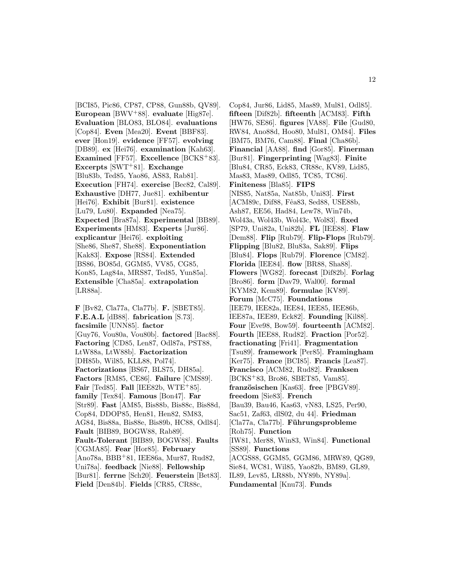[BCI85, Pic86, CP87, CP88, Gun88b, QV89]. **European** [BWV<sup>+</sup>88]. **evaluate** [Hig87e]. **Evaluation** [BLO83, BLO84]. **evaluations** [Cop84]. **Even** [Mea20]. **Event** [BBF83]. **ever** [Hon19]. **evidence** [FF57]. **evolving** [DB89]. **ex** [Hei76]. **examination** [Kah63]. **Examined** [FF57]. **Excellence** [BCKS<sup>+</sup>83]. **Excerpts** [SWT<sup>+</sup>81]. **Exchange** [Blu83b, Ted85, Yao86, AS83, Rab81]. **Execution** [FH74]. **exercise** [Bec82, Cal89]. **Exhaustive** [DH77, Jue81]. **exhibentur** [Hei76]. **Exhibit** [Bur81]. **existence** [Lu79, Lu80]. **Expanded** [Nea75]. **Expected** [Bra87a]. **Experimental** [BB89]. **Experiments** [HM83]. **Experts** [Jur86]. **explicantur** [Hei76]. **exploiting** [She86, She87, She88]. **Exponentiation** [Kak83]. **Expose** [RS84]. **Extended** [BS86, BO85d, GGM85, VV85, CG85, Kon85, Lag84a, MRS87, Ted85, Yun85a]. **Extensible** [Cha85a]. **extrapolation** [LR88a].

**F** [Bv82, Cla77a, Cla77b]. **F.** [SBET85]. **F.E.A.L** [dB88]. **fabrication** [S.73]. **facsimile** [UNN85]. **factor** [Guy76, Vou80a, Vou80b]. **factored** [Bac88]. **Factoring** [CD85, Len87, Odl87a, PST88, LtW88a, LtW88b]. **Factorization** [DH85b, Wil85, KLL88, Pol74]. **Factorizations** [BS67, BLS75, DH85a]. **Factors** [RM85, CE86]. **Failure** [CMS89]. **Fair** [Ted85]. **Fall** [IEE82b, WTE<sup>+</sup>85]. **family** [Tex84]. **Famous** [Bon47]. **Far** [Str89]. **Fast** [AM85, Bis88b, Bis88c, Bis88d, Cop84, DDOP85, Hen81, Hen82, SM83, AG84, Bis88a, Bis88e, Bis89b, HC88, Odl84]. **Fault** [BIB89, BOGW88, Rab89]. **Fault-Tolerant** [BIB89, BOGW88]. **Faults** [CGMA85]. **Fear** [Hor85]. **February** [Ano78a, BBB<sup>+</sup>81, IEE86a, Mur87, Rud82, Uni78a]. **feedback** [Nie88]. **Fellowship** [Bur81]. **ferrne** [Sch20]. **Feuerstein** [Bet83]. **Field** [Den84b]. **Fields** [CR85, CR88c,

Cop84, Jur86, Lid85, Mas89, Mul81, Odl85]. **fifteen** [Dif82b]. **fifteenth** [ACM83]. **Fifth** [HW76, SE86]. **figures** [VA88]. **File** [Gud80, RW84, Ano88d, Hoo80, Mul81, OM84]. **Files** [BM75, BM76, Cam88]. **Final** [Cha86b]. **Financial** [AA88]. **find** [Gor85]. **Finerman** [Bur81]. **Fingerprinting** [Wag83]. **Finite** [Blu84, CR85, Eck83, CR88c, KV89, Lid85, Mas83, Mas89, Odl85, TC85, TC86]. **Finiteness** [Bla85]. **FIPS** [NIS85, Nat85a, Nat85b, Uni83]. **First** [ACM89c, Dif88, Fêa83, Sed88, USE88b, Ash87, EE56, Had84, Lew78, Win74b, Wol43a, Wol43b, Wol43c, Wol83]. **fixed** [SP79, Uni82a, Uni82b]. **FL** [IEE88]. **Flaw** [Dem88]. **Flip** [Rub79]. **Flip-Flops** [Rub79]. **Flipping** [Blu82, Blu83a, Sak89]. **Flips** [Blu84]. **Flops** [Rub79]. **Florence** [CM82]. **Florida** [IEE84]. **flow** [BR88, Sha88]. **Flowers** [WG82]. **forecast** [Dif82b]. **Forlag** [Bro86]. **form** [Dav79, Wal00]. **formal** [KYM82, Kem89]. **formulae** [KV89]. **Forum** [McC75]. **Foundations** [IEE79, IEE82a, IEE84, IEE85, IEE86b, IEE87a, IEE89, Eck82]. **Founding** [Kil88]. **Four** [Eve98, Bow59]. **fourteenth** [ACM82]. **Fourth** [IEE88, Rud82]. **Fraction** [Por52]. **fractionating** [Fri41]. **Fragmentation** [Tsu89]. **framework** [Per85]. **Framingham** [Ker75]. **France** [BCI85]. **Francis** [Lea87]. **Francisco** [ACM82, Rud82]. **Franksen** [BCKS<sup>+</sup>83, Bro86, SBET85, Vam85]. **franz¨osischen** [Kas63]. **free** [PBGV89]. **freedom** [Sie83]. **French** [Bau39, Bau46, Kas63, vN83, LS25, Per90, Sac51, Zaf63, dlS02, du 44]. **Friedman** [Cla77a, Cla77b]. **F¨uhrungsprobleme** [Roh75]. **Function** [IW81, Mer88, Win83, Win84]. **Functional** [SS89]. **Functions** [ACGS88, GGM85, GGM86, MRW89, QG89, Sie84, WC81, Wil85, Yao82b, BM89, GL89, IL89, Lev85, LR88b, NY89b, NY89a]. **Fundamental** [Knu73]. **Funds**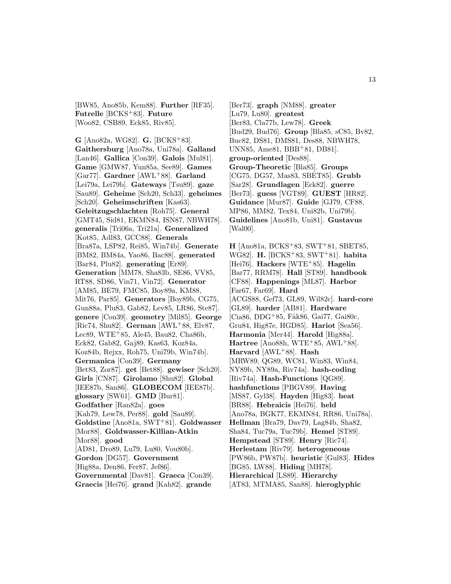[BW85, Ano85b, Kem88]. **Further** [RF35]. **Futrelle** [BCKS<sup>+</sup>83]. **Future** [Woo82, CSB89, Eck85, Riv85].

**G** [Ano82a, WG82]. **G.** [BCKS<sup>+</sup>83]. **Gaithersburg** [Ano78a, Uni78a]. **Galland** [Lan46]. **Gallica** [Con39]. **Galois** [Mul81]. **Game** [GMW87, Yun85a, See89]. **Games** [Gar77]. **Gardner** [AWL<sup>+</sup>88]. **Garland** [Lei79a, Lei79b]. **Gateways** [Tsu89]. **gaze** [Sau89]. **Geheime** [Sch20, Sch33]. **geheimes** [Sch20]. **Geheimschriften** [Kas63]. **Geleitzugschlachten** [Roh75]. **General** [GMT45, Sid81, EKMN84, ISN87, NBWH78]. **generalis** [Tri06a, Tri21a]. **Generalized** [Kot85, Adl83, GCC88]. **Generals** [Bra87a, LSP82, Rei85, Win74b]. **Generate** [BM82, BM84a, Yao86, Bac88]. **generated** [Bar84, Plu82]. **generating** [Er89]. **Generation** [MM78, Sha83b, SE86, VV85, RT88, SD86, Vin71, Vin72]. **Generator** [AM85, BE79, FMC85, Boy89a, KM88, Mit76, Par85]. **Generators** [Boy89b, CG75, Gun88a, Plu83, Gab82, Lev85, LR86, Ste87]. **genere** [Con39]. **geometry** [Mil85]. **George** [Ric74, Shu82]. **German** [AWL<sup>+</sup>88, Elv87, Lec89, WTE<sup>+</sup>85, Ale45, Bau82, Cha86b, Eck82, Gab82, Gaj89, Kas63, Koz84a, Koz84b, Rejxx, Roh75, Uni79b, Win74b]. **Germanica** [Con39]. **Germany** [Bet83, Zor87]. **get** [Bet88]. **gewiser** [Sch20]. **Girls** [CN87]. **Girolamo** [Shu82]. **Global** [IEE87b, San86]. **GLOBECOM** [IEE87b]. **glossary** [SW61]. **GMD** [Bur81]. **Godfather** [Ran82a]. **goes** [Kah79, Lew78, Per88]. **gold** [Sau89]. **Goldstine** [Ano81a, SWT<sup>+</sup>81]. **Goldwasser** [Mor88]. **Goldwasser-Killian-Atkin** [Mor88]. **good** [AD81, Dro89, Lu79, Lu80, Vou80b]. **Gordon** [DG57]. **Government** [Hig88a, Den86, Fer87, Jef86]. **Governmental** [Dav81]. **Graeca** [Con39].

**Graecis** [Hei76]. **grand** [Kah82]. **grande**

[Ber73]. **graph** [NM88]. **greater** [Lu79, Lu80]. **greatest** [Ber83, Cla77b, Lew78]. **Greek** [Bud29, Bud76]. **Group** [Bla85, sC85, Bv82, Buc82, DS81, DMS81, Des88, NBWH78, UNN85, Ame81, BBB<sup>+</sup>81, DB81]. **group-oriented** [Des88]. **Group-Theoretic** [Bla85]. **Groups** [CG75, DG57, Mas83, SBET85]. **Grubb** [Sar28]. **Grundlagen** [Eck82]. **guerre** [Ber73]. **guess** [VGT89]. **GUEST** [HR82]. **Guidance** [Mur87]. **Guide** [GJ79, CF88, MP86, MM82, Tex84, Uni82b, Uni79b]. **Guidelines** [Ano81b, Uni81]. **Gustavus** [Wal00].

**H** [Ano81a, BCKS<sup>+</sup>83, SWT<sup>+</sup>81, SBET85, WG82]. **H.** [BCKS<sup>+</sup>83, SWT<sup>+</sup>81]. **habita** [Hei76]. **Hackers** [WTE<sup>+</sup>85]. **Hagelin** [Bar77, RRM78]. **Hall** [ST89]. **handbook** [CF88]. **Happenings** [ML87]. **Harbor** [Far67, Far69]. **Hard** [ACGS88, Gef73, GL89, Wil82c]. **hard-core** [GL89]. **harder** [AB81]. **Hardware** [Cia86, DDG<sup>+</sup>85, Fåk86, Gai77, Gai80c, Gru84, Hig87e, HGD85]. **Hariot** [Sea56]. **Harmonia** [Mer44]. **Harold** [Hig88a]. **Hartree** [Ano88h, WTE+85, AWL+88]. **Harvard** [AWL<sup>+</sup>88]. **Hash** [MRW89, QG89, WC81, Win83, Win84, NY89b, NY89a, Riv74a]. **hash-coding** [Riv74a]. **Hash-Functions** [QG89]. **hashfunctions** [PBGV89]. **Having** [MS87, Gyl38]. **Hayden** [Hig83]. **heat** [BR88]. **Hebraicis** [Hei76]. **held** [Ano78a, BGK77, EKMN84, RR86, Uni78a]. **Hellman** [Bra79, Dav79, Lag84b, Sha82, Sha84, Tuc79a, Tuc79b]. **Hemel** [ST89]. **Hempstead** [ST89]. **Henry** [Ric74]. **Herlestam** [Riv79]. **heterogeneous** [PW86b, PW87b]. **heuristic** [Gul83]. **Hides** [BG85, LW88]. **Hiding** [MH78]. **Hierarchical** [LS89]. **Hierarchy** [AT83, MTMA85, San88]. **hieroglyphic**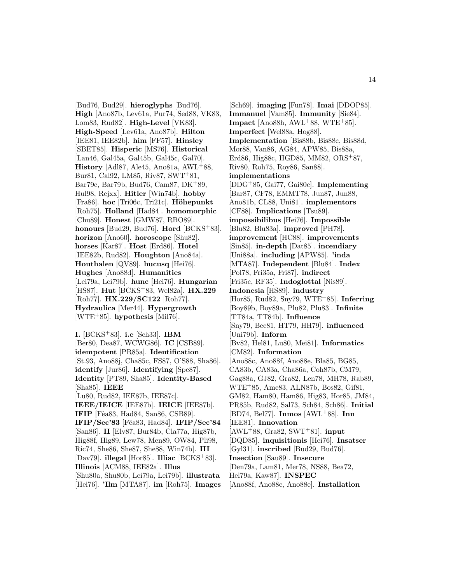[Bud76, Bud29]. **hieroglyphs** [Bud76]. **High** [Ano87b, Lev61a, Pur74, Sed88, VK83, Lom83, Rud82]. **High-Level** [VK83]. **High-Speed** [Lev61a, Ano87b]. **Hilton** [IEE81, IEE82b]. **him** [FF57]. **Hinsley** [SBET85]. **Hisperic** [MS76]. **Historical** [Lan46, Gal45a, Gal45b, Gal45c, Gal70]. **History** [Adl87, Ale45, Ano81a, AWL<sup>+</sup>88, Bur81, Cal92, LM85, Riv87, SWT<sup>+</sup>81, Bar79c, Bar79b, Bud76, Cam87, DK<sup>+</sup>89, Hul98, Rejxx]. **Hitler** [Win74b]. **hobby** [Fra86]. **hoc** [Tri06c, Tri21c]. **Höhepunkt** [Roh75]. **Holland** [Had84]. **homomorphic** [Chu89]. **Honest** [GMW87, RBO89]. **honours** [Bud29, Bud76]. **Hord** [BCKS<sup>+</sup>83]. **horizon** [Ano60]. **horoscope** [Shu82]. **horses** [Kar87]. **Host** [Erd86]. **Hotel** [IEE82b, Rud82]. **Houghton** [Ano84a]. **Houthalen** [QV89]. **hucusq** [Hei76]. **Hughes** [Ano88d]. **Humanities** [Lei79a, Lei79b]. **hunc** [Hei76]. **Hungarian** [HS87]. **Hut** [BCKS<sup>+</sup>83, Wel82a]. **HX.229** [Roh77]. **HX.229/SC122** [Roh77]. **Hydraulica** [Mer44]. **Hypergrowth** [WTE<sup>+</sup>85]. **hypothesis** [Mil76].

**I.** [BCKS<sup>+</sup>83]. **i.e** [Sch33]. **IBM** [Ber80, Dea87, WCWG86]. **IC** [CSB89]. **idempotent** [PR85a]. **Identification** [St.93, Ano88j, Cha85c, FS87, O'S88, Sha86]. **identify** [Jur86]. **Identifying** [Spe87]. **Identity** [PT89, Sha85]. **Identity-Based** [Sha85]. **IEEE** [Lu80, Rud82, IEE87b, IEE87c]. **IEEE/IEICE** [IEE87b]. **IEICE** [IEE87b]. **IFIP** [Fêa83, Had84, San86, CSB89]. **IFIP/Sec'83** [Fˆea83, Had84]. **IFIP/Sec'84** [San86]. **II** [Elv87, Bur84b, Cla77a, Hig87b, Hig88f, Hig89, Lew78, Men89, OW84, Pli98, Ric74, She86, She87, She88, Win74b]. **III** [Dav79]. **illegal** [Hor85]. **Illiac** [BCKS<sup>+</sup>83]. **Illinois** [ACM88, IEE82a]. **Illus** [Shu80a, Shu80b, Lei79a, Lei79b]. **illustrata** [Hei76]. **'Ilm** [MTA87]. **im** [Roh75]. **Images**

[Sch69]. **imaging** [Fun78]. **Imai** [DDOP85]. **Immanuel** [Vam85]. **Immunity** [Sie84]. **Impact** [Ano88h, AWL+88, WTE+85]. **Imperfect** [Wel88a, Hog88]. **Implementation** [Bis88b, Bis88c, Bis88d, Mor88, Van86, AG84, APW85, Bis88a, Erd86, Hig88c, HGD85, MM82, ORS<sup>+</sup>87, Riv80, Roh75, Roy86, San88]. **implementations** [DDG<sup>+</sup>85, Gai77, Gai80c]. **Implementing** [Bar87, CF78, EMMT78, Jun87, Jun88, Ano81b, CL88, Uni81]. **implementors** [CF88]. **Implications** [Tsu89]. **impossibilibus** [Hei76]. **Impossible** [Blu82, Blu83a]. **improved** [PH78]. **improvement** [HC88]. **improvements** [Sin85]. **in-depth** [Dat85]. **incendiary** [Uni88a]. **including** [APW85]. **'inda** [MTA87]. **Independent** [Blu84]. **Index** [Pol78, Fri35a, Fri87]. **indirect** [Fri35c, RF35]. **Indoglottal** [Nis89]. **Indonesia** [HS89]. **industry** [Hor85, Rud82, Sny79, WTE<sup>+</sup>85]. **Inferring** [Boy89b, Boy89a, Plu82, Plu83]. **Infinite** [TT84a, TT84b]. **Influence** [Sny79, Bee81, HT79, HH79]. **influenced** [Uni79b]. **Inform** [Bv82, Hel81, Lu80, Mei81]. **Informatics** [CM82]. **Information** [Ano88c, Ano88f, Ano88e, Bla85, BG85, CA83b, CA83a, Cha86a, Coh87b, CM79, Gag88a, GJ82, Gra82, Len78, MH78, Rab89, WTE<sup>+</sup>85, Ame83, ALN87b, Bos82, Gif81, GM82, Ham80, Ham86, Hig83, Hor85, JM84, PR85b, Rud82, Sal73, Sch84, Sch86]. **Initial** [BD74, Bel77]. **Inmos** [AWL<sup>+</sup>88]. **Inn** [IEE81]. **Innovation** [AWL<sup>+</sup>88, Gra82, SWT<sup>+</sup>81]. **input** [DQD85]. **inquisitionis** [Hei76]. **Insatser** [Gyl31]. **inscribed** [Bud29, Bud76]. **Insection** [Sau89]. **Insecure** [Den79a, Lam81, Mer78, NS88, Bea72, Hel79a, Kaw87]. **INSPEC**

[Ano88f, Ano88c, Ano88e]. **Installation**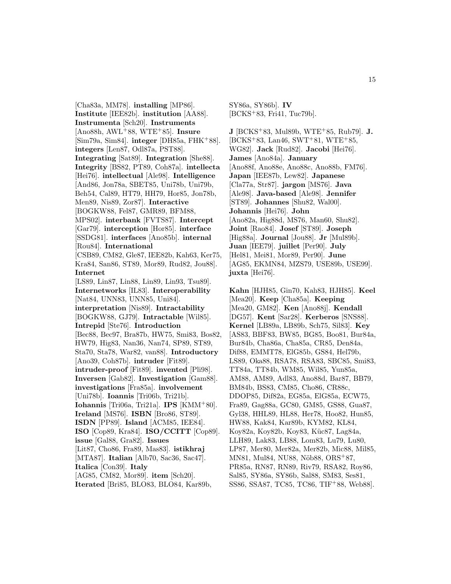[Cha83a, MM78]. **installing** [MP86]. **Institute** [IEE82b]. **institution** [AA88]. **Instrumenta** [Sch20]. **Instruments** [Ano88h, AWL<sup>+</sup>88, WTE<sup>+</sup>85]. **Insure** [Sim79a, Sim84]. **integer** [DH85a, FHK<sup>+</sup>88]. **integers** [Len87, Odl87a, PST88]. **Integrating** [Sat89]. **Integration** [She88]. **Integrity** [BS82, PT89, Coh87a]. **intellecta** [Hei76]. **intellectual** [Ale98]. **Intelligence** [And86, Jon78a, SBET85, Uni78b, Uni79b, Beh54, Cal89, HT79, HH79, Hor85, Jon78b, Men89, Nis89, Zor87]. **Interactive** [BOGKW88, Fel87, GMR89, BFM88, MPS02]. **interbank** [FVTS87]. **Intercept** [Gar79]. **interception** [Hor85]. **interface** [SSDG81]. **interfaces** [Ano85b]. **internal** [Rou84]. **International** [CSB89, CM82, Gle87, IEE82b, Kah63, Ker75, Kra84, San86, ST89, Mor89, Rud82, Jou88]. **Internet** [LS89, Lin87, Lin88, Lin89, Lin93, Tsu89]. **Internetworks** [IL83]. **Interoperability** [Nat84, UNN83, UNN85, Uni84]. **interpretation** [Nis89]. **Intractability** [BOGKW88, GJ79]. **Intractable** [Wil85]. **Intrepid** [Ste76]. **Introduction** [Bec88, Bec97, Bra87b, HW75, Smi83, Bos82, HW79, Hig83, Nan36, Nan74, SP89, ST89, Sta70, Sta78, War82, van88]. **Introductory** [Ano39, Coh87b]. **intruder** [Fit89]. **intruder-proof** [Fit89]. **invented** [Pli98]. **Inversen** [Gab82]. **Investigation** [Gam88]. **investigations** [Fra85a]. **involvement** [Uni78b]. **Ioannis** [Tri06b, Tri21b]. **Iohannis** [Tri06a, Tri21a]. **IPS** [KMM<sup>+</sup>80]. **Ireland** [MS76]. **ISBN** [Bro86, ST89]. **ISDN** [PP89]. **Island** [ACM85, IEE84]. **ISO** [Cop89, Kra84]. **ISO/CCITT** [Cop89]. **issue** [Gal88, Gra82]. **Issues** [Lit87, Cho86, Fra89, Mas83]. **istikhraj** [MTA87]. **Italian** [Alb70, Sac36, Sac47]. **Italica** [Con39]. **Italy** [AG85, CM82, Mor89]. **item** [Sch20]. **Iterated** [Bri85, BLO83, BLO84, Kar89b,

SY86a, SY86b]. **IV** [BCKS<sup>+</sup>83, Fri41, Tuc79b].

**J** [BCKS<sup>+</sup>83, Mul89b, WTE<sup>+</sup>85, Rub79]. **J.**  $[BCKS+83, Lan46, SWT+81, WTE+85,$ WG82]. **Jack** [Rud82]. **Jacobi** [Hei76]. **James** [Ano84a]. **January** [Ano88f, Ano88e, Ano88c, Ano88b, FM76]. **Japan** [IEE87b, Lew82]. **Japanese** [Cla77a, Str87]. **jargon** [MS76]. **Java** [Ale98]. **Java-based** [Ale98]. **Jennifer** [ST89]. **Johannes** [Shu82, Wal00]. **Johannis** [Hei76]. **John** [Ano82a, Hig88d, MS76, Man60, Shu82]. **Joint** [Rao84]. **Josef** [ST89]. **Joseph** [Hig88a]. **Journal** [Jou88]. **Jr** [Mul89b]. **Juan** [IEE79]. **juillet** [Per90]. **July** [Hel81, Mei81, Mor89, Per90]. **June** [AG85, EKMN84, MZS79, USE89b, USE99]. **juxta** [Hei76].

**Kahn** [HJH85, Gin70, Kah83, HJH85]. **Keel** [Mea20]. **Keep** [Cha85a]. **Keeping** [Mea20, GM82]. **Ken** [Ano88j]. **Kendall** [DG57]. **Kent** [Sar28]. **Kerberos** [SNS88]. **Kernel** [LB89a, LB89b, Sch75, Sil83]. **Key** [AS83, BBF83, BW85, BG85, Boo81, Bur84a, Bur84b, Cha86a, Cha85a, CR85, Den84a, Dif88, EMMT78, ElG85b, GS84, Hel79b, LS89, Oka88, RSA78, RSA83, SBC85, Smi83, TT84a, TT84b, WM85, Wil85, Yun85a, AM88, AM89, Adl83, Ano88d, Bar87, BB79, BM84b, BS83, CM85, Cho86, CR88c, DDOP85, Dif82a, EG85a, ElG85a, ECW75, Fra89, Gag88a, GC80, GM85, GS88, Gua87, Gyl38, HHL89, HL88, Her78, Hoo82, Hun85, HW88, Kak84, Kar89b, KYM82, KL84, Koy82a, Koy82b, Koy83, Küc87, Lag84a, LLH89, Lak83, LB88, Lom83, Lu79, Lu80, LP87, Mer80, Mer82a, Mer82b, Mic88, Mil85, MN81, Mul84, NU88, Nöb88, ORS<sup>+</sup>87, PR85a, RN87, RN89, Riv79, RSA82, Roy86, Sal85, SY86a, SY86b, Sal88, SM83, Ses81, SS86, SSA87, TC85, TC86, TIF<sup>+</sup>88, Web88].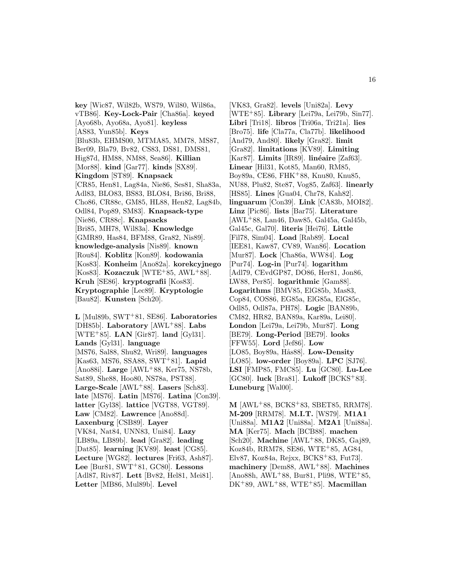**key** [Wic87, Wil82b, WS79, Wil80, Wil86a, vTB86]. **Key-Lock-Pair** [Cha86a]. **keyed** [Ayo68b, Ayo68a, Ayo81]. **keyless** [AS83, Yun85b]. **Keys** [Blu83b, EHMS00, MTMA85, MM78, MS87, Ber09, Bla79, Bv82, CS83, DS81, DMS81, Hig87d, HM88, NM88, Sea86]. **Killian** [Mor88]. **kind** [Gar77]. **kinds** [SX89]. **Kingdom** [ST89]. **Knapsack** [CR85, Hen81, Lag84a, Nie86, Ses81, Sha83a, Adl83, BLO83, BS83, BLO84, Bri86, Bri88, Cho86, CR88c, GM85, HL88, Hen82, Lag84b, Odl84, Pop89, SM83]. **Knapsack-type** [Nie86, CR88c]. **Knapsacks** [Bri85, MH78, Wil83a]. **Knowledge** [GMR89, Has84, BFM88, Gra82, Nis89]. **knowledge-analysis** [Nis89]. **known** [Rou84]. **Koblitz** [Kon89]. **kodowania** [Kos83]. **Konheim** [Ano82a]. **korekcyjnego** [Kos83]. **Kozaczuk** [WTE<sup>+</sup>85, AWL<sup>+</sup>88]. **Kruh** [SE86]. **kryptografii** [Kos83]. **Kryptographie** [Lec89]. **Kryptologie** [Bau82]. **Kunsten** [Sch20].

**L** [Mul89b, SWT<sup>+</sup>81, SE86]. **Laboratories** [DH85b]. **Laboratory** [AWL<sup>+</sup>88]. **Labs** [WTE<sup>+</sup>85]. **LAN** [Gir87]. **land** [Gyl31]. **Lands** [Gyl31]. **language** [MS76, Sal88, Shu82, Wri89]. **languages** [Kas63, MS76, SSA88, SWT<sup>+</sup>81]. **Lapid** [Ano88i]. **Large** [AWL<sup>+</sup>88, Ker75, NS78b, Sat89, She88, Hoo80, NS78a, PST88]. **Large-Scale** [AWL<sup>+</sup>88]. **Lasers** [Sch83]. **late** [MS76]. **Latin** [MS76]. **Latina** [Con39]. **latter** [Gyl38]. **lattice** [VGT88, VGT89]. **Law** [CM82]. **Lawrence** [Ano88d]. **Laxenburg** [CSB89]. **Layer** [VK84, Nat84, UNN83, Uni84]. **Lazy** [LB89a, LB89b]. **lead** [Gra82]. **leading** [Dat85]. **learning** [KV89]. **least** [CG85]. **Lecture** [WG82]. **lectures** [Fri63, Ash87]. **Lee** [Bur81, SWT<sup>+</sup>81, GC80]. **Lessons** [Adl87, Riv87]. **Lett** [Bv82, Hel81, Mei81]. **Letter** [MB86, Mul89b]. **Level**

[VK83, Gra82]. **levels** [Uni82a]. **Levy** [WTE<sup>+</sup>85]. **Library** [Lei79a, Lei79b, Sin77]. **Libri** [Tri18]. **libros** [Tri06a, Tri21a]. **lies** [Bro75]. **life** [Cla77a, Cla77b]. **likelihood** [And79, And80]. **likely** [Gra82]. **limit** [Gra82]. **limitations** [KV89]. **Limiting** [Kar87]. **Limits** [IR89]. **linéaire** [Zaf63]. **Linear** [Hil31, Kot85, Man60, RM85, Boy89a, CE86, FHK<sup>+</sup>88, Knu80, Knu85, NU88, Plu82, Ste87, Vog85, Zaf63]. **linearly** [HS85]. **Lines** [Gua04, Chr78, Kah82]. **linguarum** [Con39]. **Link** [CA83b, MOI82]. **Linz** [Pic86]. **lists** [Bar75]. **Literature** [AWL<sup>+</sup>88, Lan46, Daw85, Gal45a, Gal45b, Gal45c, Gal70]. **literis** [Hei76]. **Little** [Fil78, Sim04]. **Load** [Rab89]. **Local** [IEE81, Kaw87, CV89, Wan86]. **Location** [Mur87]. **Lock** [Cha86a, WW84]. **Log** [Pur74]. **Log-in** [Pur74]. **logarithm** [Adl79, CEvdGP87, DO86, Her81, Jon86, LW88, Per85]. **logarithmic** [Gam88]. **Logarithms** [BMV85, ElG85b, Mas83, Cop84, COS86, EG85a, ElG85a, ElG85c, Odl85, Odl87a, PH78]. **Logic** [BAN89b, CM82, HR82, BAN89a, Kar89a, Lei80]. **London** [Lei79a, Lei79b, Mur87]. **Long** [BE79]. **Long-Period** [BE79]. **looks** [FFW55]. **Lord** [Jef86]. **Low** [LO85, Boy89a, Hås88]. **Low-Density** [LO85]. **low-order** [Boy89a]. **LPC** [SJ76]. **LSI** [FMP85, FMC85]. **Lu** [GC80]. **Lu-Lee** [GC80]. **luck** [Bra81]. **Lukoff** [BCKS<sup>+</sup>83]. **Luneburg** [Wal00].

**M** [AWL<sup>+</sup>88, BCKS<sup>+</sup>83, SBET85, RRM78]. **M-209** [RRM78]. **M.I.T.** [WS79]. **M1A1** [Uni88a]. **M1A2** [Uni88a]. **M2A1** [Uni88a]. **MA** [Ker75]. **Mach** [BCB88]. **machen** [Sch20]. **Machine** [AWL<sup>+</sup>88, DK85, Gaj89, Koz84b, RRM78, SE86, WTE<sup>+</sup>85, AG84, Elv87, Koz84a, Rejxx, BCKS<sup>+</sup>83, Fut73. **machinery** [Dem88, AWL<sup>+</sup>88]. **Machines**  $[Ano88h, AWL+88, Bur81, Pil98, WTE+85,$ DK<sup>+</sup>89, AWL<sup>+</sup>88, WTE<sup>+</sup>85]. **Macmillan**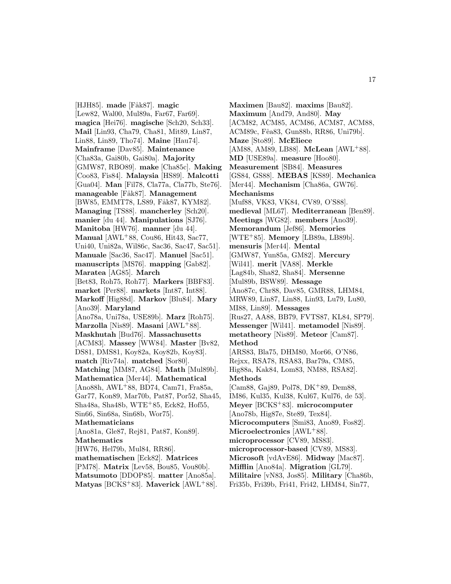[HJH85]. made [Fåk87]. magic [Lew82, Wal00, Mul89a, Far67, Far69]. **magica** [Hei76]. **magische** [Sch20, Sch33]. **Mail** [Lin93, Cha79, Cha81, Mit89, Lin87, Lin88, Lin89, Tho74]. **Maine** [Hau74]. **Mainframe** [Dav85]. **Maintenance** [Cha83a, Gai80b, Gai80a]. **Majority** [GMW87, RBO89]. **make** [Cha85c]. **Making** [Coo83, Fis84]. **Malaysia** [HS89]. **Malcotti** [Gua04]. **Man** [Fil78, Cla77a, Cla77b, Ste76]. **manageable** [F˚ak87]. **Management** [BW85, EMMT78, LS89, Fåk87, KYM82]. **Managing** [TS88]. **mancherley** [Sch20]. **manier** [du 44]. **Manipulations** [SJ76]. **Manitoba** [HW76]. **manner** [du 44]. **Manual** [AWL<sup>+</sup>88, Cou86, Hit43, Sac77, Uni40, Uni82a, Wil86c, Sac36, Sac47, Sac51]. **Manuale** [Sac36, Sac47]. **Manuel** [Sac51]. **manuscripts** [MS76]. **mapping** [Gab82]. **Maratea** [AG85]. **March** [Bet83, Roh75, Roh77]. **Markers** [BBF83]. **market** [Per88]. **markets** [Int87, Int88]. **Markoff** [Hig88d]. **Markov** [Blu84]. **Mary** [Ano39]. **Maryland** [Ano78a, Uni78a, USE89b]. **Marz** [Roh75]. **Marzolla** [Nis89]. **Masani** [AWL<sup>+</sup>88]. **Maskhutah** [Bud76]. **Massachusetts** [ACM83]. **Massey** [WW84]. **Master** [Bv82, DS81, DMS81, Koy82a, Koy82b, Koy83]. **match** [Riv74a]. **matched** [Sor80]. **Matching** [MM87, AG84]. **Math** [Mul89b]. **Mathematica** [Mer44]. **Mathematical** [Ano88h, AWL<sup>+</sup>88, BD74, Cam71, Fra85a, Gar77, Kon89, Mar70b, Pat87, Por52, Sha45, Sha48a, Sha48b, WTE<sup>+</sup>85, Eck82, Hof55, Sin66, Sin68a, Sin68b, Wor75]. **Mathematicians** [Ano81a, Gle87, Rej81, Pat87, Kon89]. **Mathematics** [HW76, Hel79b, Mul84, RR86]. **mathematischen** [Eck82]. **Matrices** [PM78]. **Matrix** [Lev58, Bou85, Vou80b]. **Matsumoto** [DDOP85]. **matter** [Ano85a]. **Matyas** [BCKS<sup>+</sup>83]. **Maverick** [AWL<sup>+</sup>88].

**Maximen** [Bau82]. **maxims** [Bau82]. **Maximum** [And79, And80]. **May** [ACM82, ACM85, ACM86, ACM87, ACM88, ACM89c, Fˆea83, Gun88b, RR86, Uni79b]. **Maze** [Sto89]. **McEliece** [AM88, AM89, LB88]. **McLean** [AWL<sup>+</sup>88]. **MD** [USE89a]. **measure** [Hoo80]. **Measurement** [SB84]. **Measures** [GS84, GS88]. **MEBAS** [KS89]. **Mechanica** [Mer44]. **Mechanism** [Cha86a, GW76]. **Mechanisms** [Muf88, VK83, VK84, CV89, O'S88]. **medieval** [ML67]. **Mediterranean** [Ben89]. **Meetings** [WG82]. **members** [Ano39]. **Memorandum** [Jef86]. **Memories** [WTE<sup>+</sup>85]. **Memory** [LB89a, LB89b]. **mensuris** [Mer44]. **Mental** [GMW87, Yun85a, GM82]. **Mercury** [Wil41]. **merit** [VA88]. **Merkle** [Lag84b, Sha82, Sha84]. **Mersenne** [Mul89b, BSW89]. **Message** [Ano87c, Chr88, Dav85, GMR88, LHM84, MRW89, Lin87, Lin88, Lin93, Lu79, Lu80, MI88, Lin89]. **Messages** [Rus27, AA88, BB79, FVTS87, KL84, SP79]. **Messenger** [Wil41]. **metamodel** [Nis89]. **metatheory** [Nis89]. **Meteor** [Cam87]. **Method** [ARS83, Bla75, DHM80, Mor66, O'N86, Rejxx, RSA78, RSA83, Bar79a, CM85, Hig88a, Kak84, Lom83, NM88, RSA82]. **Methods** [Cam88, Gaj89, Pol78, DK<sup>+</sup>89, Dem88, IM86, Kul35, Kul38, Kul67, Kul76, de 53]. **Meyer** [BCKS<sup>+</sup>83]. **microcomputer** [Ano78b, Hig87e, Ste89, Tex84]. **Microcomputers** [Smi83, Ano89, Fos82]. **Microelectronics** [AWL<sup>+</sup>88]. **microprocessor** [CV89, MS83]. **microprocessor-based** [CV89, MS83]. **Microsoft** [vdAvE86]. **Midway** [Mac87]. **Mifflin** [Ano84a]. **Migration** [GL79]. **Militaire** [vN83, Jos85]. **Military** [Cha86b, Fri35b, Fri39b, Fri41, Fri42, LHM84, Sin77,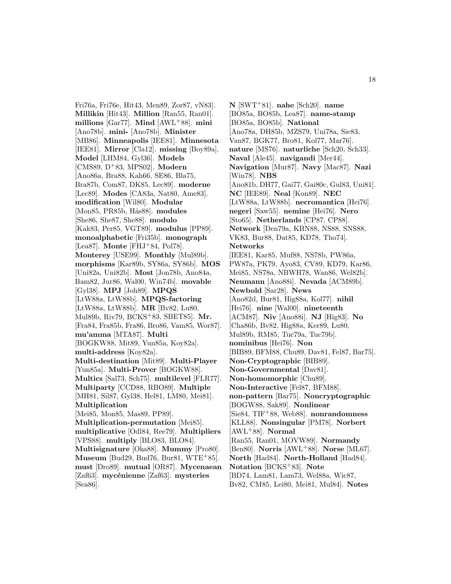Fri76a, Fri76e, Hit43, Men89, Zor87, vN83]. **Millikin** [Hit43]. **Million** [Ran55, Ran01]. **millions** [Gar77]. **Mind** [AWL<sup>+</sup>88]. **mini** [Ano78b]. **mini-** [Ano78b]. **Minister** [MB86]. **Minneapolis** [IEE81]. **Minnesota** [IEE81]. **Mirror** [Cla12]. **missing** [Boy89a]. **Model** [LHM84, Gyl36]. **Models** [CMS89, D<sup>+</sup>83, MPS02]. **Modern** [Ano86a, Bra88, Kah66, SE86, Bla75, Bra87b, Com87, DK85, Lec89]. **moderne** [Lec89]. **Modes** [CA83a, Nat80, Ame83]. **modification** [Wil80]. **Modular** [Mon85, PR85b, Hås88]. modules [She86, She87, She88]. **modulo** [Kak83, Per85, VGT89]. **modulus** [PP89]. **monoalphabetic** [Fri35b]. **monograph** [Lea87]. **Monte** [FHJ<sup>+</sup>84, Pol78]. **Monterey** [USE99]. **Monthly** [Mul89b]. **morphisms** [Kar89b, SY86a, SY86b]. **MOS** [Uni82a, Uni82b]. **Most** [Jon78b, Ano84a, Bam82, Jur86, Wal00, Win74b]. **movable** [Gyl38]. **MPJ** [Joh89]. **MPQS** [LtW88a, LtW88b]. **MPQS-factoring** [LtW88a, LtW88b]. **MR** [Bv82, Lu80, Mul89b, Riv79, BCKS<sup>+</sup>83, SBET85]. **Mr.** [Fra84, Fra85b, Fra86, Bro86, Vam85, Wor87]. **mu'amma** [MTA87]. **Multi** [BOGKW88, Mit89, Yun85a, Koy82a]. **multi-address** [Koy82a]. **Multi-destination** [Mit89]. **Multi-Player** [Yun85a]. **Multi-Prover** [BOGKW88]. **Multics** [Sal73, Sch75]. **multilevel** [FLR77]. **Multiparty** [CCD88, RBO89]. **Multiple** [MH81, Sil87, Gyl38, Hel81, LM80, Mei81]. **Multiplication** [Mei85, Mon85, Mas89, PP89]. **Multiplication-permutation** [Mei85]. **multiplicative** [Odl84, Ree79]. **Multipliers** [VPS88]. **multiply** [BLO83, BLO84]. **Multisignature** [Oka88]. **Mummy** [Pro80]. **Museum** [Bud29, Bud76, Bur81, WTE<sup>+</sup>85]. **must** [Dro89]. **mutual** [OR87]. **Mycenaean** [Zaf63]. **mycénienne** [Zaf63]. **mysteries** [Sea86].

**N** [SWT<sup>+</sup>81]. **nahe** [Sch20]. **name** [BO85a, BO85b, Lea87]. **name-stamp** [BO85a, BO85b]. **National** [Ano78a, DH85b, MZS79, Uni78a, Sie83, Van87, BGK77, Bro81, Kol77, Mar76]. **nature** [MS76]. **naturliche** [Sch20, Sch33]. **Naval** [Ale45]. **navigandi** [Mer44]. **Navigation** [Mur87]. **Navy** [Mac87]. **Nazi** [Win78]. **NBS** [Ano81b, DH77, Gai77, Gai80c, Gul83, Uni81]. **NC** [IEE89]. **Neal** [Kon89]. **NEC** [LtW88a, LtW88b]. **necromantica** [Hei76]. **negeri** [Saw55]. **nemine** [Hei76]. **Nero** [Sto65]. **Netherlands** [CP87, CP88]. **Network** [Den79a, KBN88, NS88, SNS88, VK83, Bur88, Dat85, KD78, Tho74]. **Networks** [IEE81, Kar85, Muf88, NS78b, PW86a, PW87a, PK79, Ayo83, CV89, KD79, Kar86, Mei85, NS78a, NBWH78, Wan86, Wel82b]. **Neumann** [Ano88i]. **Nevada** [ACM89b]. **Newbold** [Sar28]. **News** [Ano82d, Bur81, Hig88a, Kol77]. **nihil** [Hei76]. **nine** [Wal00]. **nineteenth** [ACM87]. **Niv** [Ano88i]. **NJ** [Hig83]. **No** [Cha86b, Bv82, Hig88a, Ker89, Lu80, Mul89b, RM85, Tuc79a, Tuc79b]. **nominibus** [Hei76]. **Non** [BIB89, BFM88, Chu89, Dav81, Fel87, Bar75]. **Non-Cryptographic** [BIB89]. **Non-Governmental** [Dav81]. **Non-homomorphic** [Chu89]. **Non-Interactive** [Fel87, BFM88]. **non-pattern** [Bar75]. **Noncryptographic** [BOGW88, Sak89]. **Nonlinear** [Sie84, TIF<sup>+</sup>88, Web88]. **nonrandomness** [KLL88]. **Nonsingular** [PM78]. **Norbert** [AWL<sup>+</sup>88]. **Normal** [Ran55, Ran01, MOVW89]. **Normandy** [Ben80]. **Norris** [AWL<sup>+</sup>88]. **Norse** [ML67]. **North** [Had84]. **North-Holland** [Had84]. **Notation** [BCKS<sup>+</sup>83]. **Note** [BD74, Lam81, Lam73, Wel88a, Wic87, Bv82, CM85, Lei80, Mei81, Mul84]. **Notes**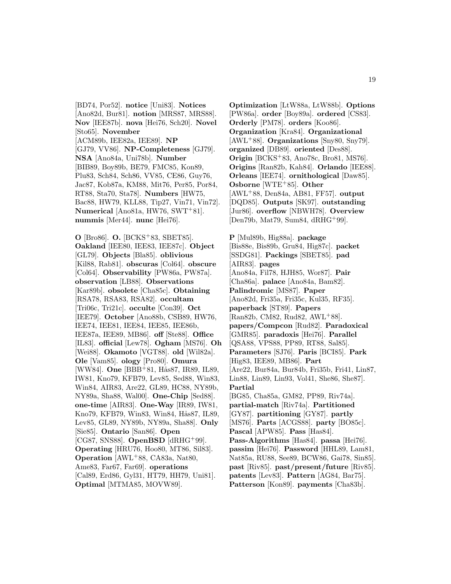[BD74, Por52]. **notice** [Uni83]. **Notices** [Ano82d, Bur81]. **notion** [MRS87, MRS88]. **Nov** [IEE87b]. **nova** [Hei76, Sch20]. **Novel** [Sto65]. **November** [ACM89b, IEE82a, IEE89]. **NP** [GJ79, VV86]. **NP-Completeness** [GJ79]. **NSA** [Ano84a, Uni78b]. **Number** [BIB89, Boy89b, BE79, FMC85, Kon89, Plu83, Sch84, Sch86, VV85, CE86, Guy76, Jac87, Kob87a, KM88, Mit76, Per85, Por84, RT88, Sta70, Sta78]. **Numbers** [HW75, Bac88, HW79, KLL88, Tip27, Vin71, Vin72]. **Numerical** [Ano81a, HW76, SWT<sup>+</sup>81]. **nummis** [Mer44]. **nunc** [Hei76].

**O** [Bro86]. **O.** [BCKS<sup>+</sup>83, SBET85]. **Oakland** [IEE80, IEE83, IEE87c]. **Object** [GL79]. **Objects** [Bla85]. **oblivious** [Kil88, Rab81]. **obscuras** [Col64]. **obscure** [Col64]. **Observability** [PW86a, PW87a]. **observation** [LB88]. **Observations** [Kar89b]. **obsolete** [Cha85c]. **Obtaining** [RSA78, RSA83, RSA82]. **occultam** [Tri06c, Tri21c]. **occulte** [Con39]. **Oct** [IEE79]. **October** [Ano88b, CSB89, HW76, IEE74, IEE81, IEE84, IEE85, IEE86b, IEE87a, IEE89, MB86]. **off** [Ste88]. **Office** [IL83]. **official** [Lew78]. **Ogham** [MS76]. **Oh** [Wei88]. **Okamoto** [VGT88]. **old** [Wil82a]. **Ole** [Vam85]. **ology** [Pro80]. **Omura** [WW84]. **One** [BBB<sup>+</sup>81, Hås87, IR89, IL89, IW81, Kno79, KFB79, Lev85, Sed88, Win83, Win84, AIR83, Are22, GL89, HC88, NY89b, NY89a, Sha88, Wal00]. **One-Chip** [Sed88]. **one-time** [AIR83]. **One-Way** [IR89, IW81, Kno79, KFB79, Win83, Win84, Hås87, IL89, Lev85, GL89, NY89b, NY89a, Sha88]. **Only** [Sie85]. **Ontario** [San86]. **Open** [CG87, SNS88]. **OpenBSD** [dRHG<sup>+</sup>99]. **Operating** [HRU76, Hoo80, MT86, Sil83]. **Operation** [AWL<sup>+</sup>88, CA83a, Nat80, Ame83, Far67, Far69]. **operations** [Cal89, Erd86, Gyl31, HT79, HH79, Uni81]. **Optimal** [MTMA85, MOVW89].

**Optimization** [LtW88a, LtW88b]. **Options** [PW86a]. **order** [Boy89a]. **ordered** [CS83]. **Orderly** [PM78]. **orders** [Koo86]. **Organization** [Kra84]. **Organizational** [AWL<sup>+</sup>88]. **Organizations** [Sny80, Sny79]. **organized** [DB89]. **oriented** [Des88]. **Origin** [BCKS<sup>+</sup>83, Ano78c, Bro81, MS76]. **Origins** [Ran82b, Kah84]. **Orlando** [IEE88]. **Orleans** [IEE74]. **ornithological** [Daw85]. **Osborne** [WTE<sup>+</sup>85]. **Other** [AWL<sup>+</sup>88, Den84a, AB81, FF57]. **output** [DQD85]. **Outputs** [SK97]. **outstanding** [Jur86]. **overflow** [NBWH78]. **Overview** [Den79b, Mat79, Sum84, dRHG<sup>+</sup>99].

**P** [Mul89b, Hig88a]. **package** [Bis88e, Bis89b, Gru84, Hig87c]. **packet** [SSDG81]. **Packings** [SBET85]. **pad** [AIR83]. **pages** [Ano84a, Fil78, HJH85, Wor87]. **Pair** [Cha86a]. **palace** [Ano84a, Bam82]. **Palindromic** [MS87]. **Paper** [Ano82d, Fri35a, Fri35c, Kul35, RF35]. **paperback** [ST89]. **Papers** [Ran82b, CM82, Rud82, AWL<sup>+</sup>88]. **papers/Compcon** [Rud82]. **Paradoxical** [GMR85]. **paradoxis** [Hei76]. **Parallel** [QSA88, VPS88, PP89, RT88, Sal85]. **Parameters** [SJ76]. **Paris** [BCI85]. **Park** [Hig83, IEE89, MB86]. **Part** [Are22, Bur84a, Bur84b, Fri35b, Fri41, Lin87, Lin88, Lin89, Lin93, Vol41, She86, She87]. **Partial** [BG85, Cha85a, GM82, PP89, Riv74a]. **partial-match** [Riv74a]. **Partitioned** [GY87]. **partitioning** [GY87]. **partly** [MS76]. **Parts** [ACGS88]. **party** [BO85c]. **Pascal** [APW85]. **Pass** [Has84]. **Pass-Algorithms** [Has84]. **passa** [Hei76]. **passim** [Hei76]. **Password** [HHL89, Lam81, Nat85a, RU88, See89, BCW86, Gai78, Sin85]. **past** [Riv85]. **past/present/future** [Riv85]. **patents** [Lev83]. **Pattern** [AG84, Bar75]. **Patterson** [Kon89]. **payments** [Cha83b].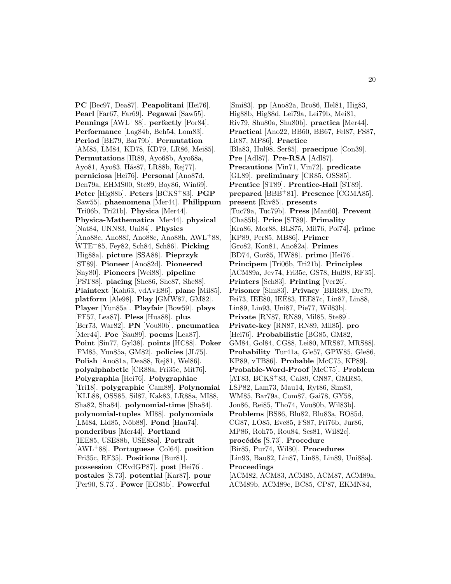**PC** [Bec97, Dea87]. **Peapolitani** [Hei76]. **Pearl** [Far67, Far69]. **Pegawai** [Saw55]. **Pennings** [AWL<sup>+</sup>88]. **perfectly** [Por84]. **Performance** [Lag84b, Beh54, Lom83]. **Period** [BE79, Bar79b]. **Permutation** [AM85, LM84, KD78, KD79, LR86, Mei85]. **Permutations** [IR89, Ayo68b, Ayo68a, Ayo81, Ayo83, Hås87, LR88b, Rej77. **perniciosa** [Hei76]. **Personal** [Ano87d, Den79a, EHMS00, Ste89, Boy86, Win69]. **Peter** [Hig88b]. **Peters** [BCKS<sup>+</sup>83]. **PGP** [Saw55]. **phaenomena** [Mer44]. **Philippum** [Tri06b, Tri21b]. **Physica** [Mer44]. **Physica-Mathematica** [Mer44]. **physical** [Nat84, UNN83, Uni84]. **Physics** [Ano88c, Ano88f, Ano88e, Ano88h, AWL<sup>+</sup>88, WTE<sup>+</sup>85, Fey82, Sch84, Sch86]. **Picking** [Hig88a]. **picture** [SSA88]. **Pieprzyk** [ST89]. **Pioneer** [Ano82d]. **Pioneered** [Sny80]. **Pioneers** [Wei88]. **pipeline** [PST88]. **placing** [She86, She87, She88]. **Plaintext** [Kah63, vdAvE86]. **plane** [Mil85]. **platform** [Ale98]. **Play** [GMW87, GM82]. **Player** [Yun85a]. **Playfair** [Bow59]. **plays** [FF57, Lea87]. **Pless** [Hua88]. **plus** [Ber73, War82]. **PN** [Vou80b]. **pneumatica** [Mer44]. **Poe** [Sau89]. **poems** [Lea87]. **Point** [Sin77, Gyl38]. **points** [HC88]. **Poker** [FM85, Yun85a, GM82]. **policies** [JL75]. **Polish** [Ano81a, Dea88, Rej81, Wel86]. **polyalphabetic** [CR88a, Fri35c, Mit76]. **Polygraphia** [Hei76]. **Polygraphiae** [Tri18]. **polygraphic** [Cam88]. **Polynomial** [KLL88, OSS85, Sil87, Kak83, LR88a, MI88, Sha82, Sha84]. **polynomial-time** [Sha84]. **polynomial-tuples** [MI88]. **polynomials** [LM84, Lid85, Nöb88]. **Pond** [Hau74]. **ponderibus** [Mer44]. **Portland** [IEE85, USE88b, USE88a]. **Portrait** [AWL<sup>+</sup>88]. **Portuguese** [Col64]. **position** [Fri35c, RF35]. **Positions** [Bur81]. **possession** [CEvdGP87]. **post** [Hei76]. **postales** [S.73]. **potential** [Kar87]. **pour** [Per90, S.73]. **Power** [EG85b]. **Powerful**

[Smi83]. **pp** [Ano82a, Bro86, Hel81, Hig83, Hig88b, Hig88d, Lei79a, Lei79b, Mei81, Riv79, Shu80a, Shu80b]. **practica** [Mer44]. **Practical** [Ano22, BB60, BB67, Fel87, FS87, Lit87, MP86]. **Practice** [Bla83, Hul98, Ser85]. **praecipue** [Con39]. **Pre** [Adl87]. **Pre-RSA** [Adl87]. **Precautions** [Vin71, Vin72]. **predicate** [GL89]. **preliminary** [CR85, OSS85]. **Prentice** [ST89]. **Prentice-Hall** [ST89]. **prepared** [BBB<sup>+</sup>81]. **Presence** [CGMA85]. **present** [Riv85]. **presents** [Tuc79a, Tuc79b]. **Press** [Man60]. **Prevent** [Cha85b]. **Price** [ST89]. **Primality** [Kra86, Mor88, BLS75, Mil76, Pol74]. **prime** [KP89, Per85, MB86]. **Primer** [Gro82, Kon81, Ano82a]. **Primes** [BD74, Gor85, HW88]. **primo** [Hei76]. **Principem** [Tri06b, Tri21b]. **Principles** [ACM89a, Jev74, Fri35c, GS78, Hul98, RF35]. **Printers** [Sch83]. **Printing** [Ver26]. **Prisoner** [Sim83]. **Privacy** [BBR88, Dre79, Fei73, IEE80, IEE83, IEE87c, Lin87, Lin88, Lin89, Lin93, Uni87, Pie77, Wil83b]. **Private** [RN87, RN89, Mil85, Ste89]. **Private-key** [RN87, RN89, Mil85]. **pro** [Hei76]. **Probabilistic** [BG85, GM82, GM84, Gol84, CG88, Lei80, MRS87, MRS88]. **Probability** [Tur41a, Gle57, GPW85, Gle86, KP89, vTB86]. **Probable** [McC75, KP89]. **Probable-Word-Proof** [McC75]. **Problem** [AT83, BCKS<sup>+</sup>83, Cal89, CN87, GMR85, LSP82, Lam73, Mau14, Ryt86, Sim83, WM85, Bar79a, Com87, Gai78, GY58, Jon86, Rei85, Tho74, Vou80b, Wil83b]. **Problems** [BS86, Blu82, Blu83a, BO85d, CG87, LO85, Eve85, FS87, Fri76b, Jur86, MP86, Roh75, Rou84, Ses81, Wil82c]. **proc´ed´es** [S.73]. **Procedure** [Bir85, Pur74, Wil80]. **Procedures** [Lin93, Bau82, Lin87, Lin88, Lin89, Uni88a]. **Proceedings** [ACM82, ACM83, ACM85, ACM87, ACM89a, ACM89b, ACM89c, BC85, CP87, EKMN84,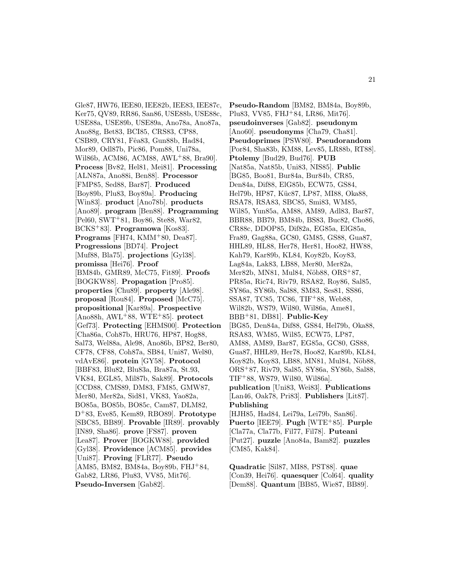Gle87, HW76, IEE80, IEE82b, IEE83, IEE87c, Ker75, QV89, RR86, San86, USE88b, USE88c, USE88a, USE89b, USE89a, Ano78a, Ano87a, Ano88g, Bet83, BCI85, CRS83, CP88, CSB89, CRY81, Fêa83, Gun88b, Had84, Mor89, Odl87b, Pic86, Pom88, Uni78a, Wil86b, ACM86, ACM88, AWL<sup>+</sup>88, Bra90]. **Process** [Bv82, Hel81, Mei81]. **Processing** [ALN87a, Ano88i, Ben88]. **Processor** [FMP85, Sed88, Bar87]. **Produced** [Boy89b, Plu83, Boy89a]. **Producing** [Win83]. **product** [Ano78b]. **products** [Ano89]. **program** [Ben88]. **Programming** [Pel60, SWT<sup>+</sup>81, Boy86, Ste88, War82, BCKS<sup>+</sup>83]. **Programowa** [Kos83]. **Programs** [FH74, KMM<sup>+</sup>80, Dea87]. **Progressions** [BD74]. **Project** [Muf88, Bla75]. **projections** [Gyl38]. **promissa** [Hei76]. **Proof** [BM84b, GMR89, McC75, Fit89]. **Proofs** [BOGKW88]. **Propagation** [Pro85]. **properties** [Chu89]. **property** [Ale98]. **proposal** [Rou84]. **Proposed** [McC75]. **propositional** [Kar89a]. **Prospective** [Ano88h, AWL<sup>+</sup>88, WTE<sup>+</sup>85]. **protect** [Gef73]. **Protecting** [EHMS00]. **Protection** [Cha86a, Coh87b, HRU76, HP87, Hog88, Sal73, Wel88a, Ale98, Ano86b, BP82, Ber80, CF78, CF88, Coh87a, SB84, Uni87, Wel80, vdAvE86]. **protein** [GY58]. **Protocol** [BBF83, Blu82, Blu83a, Bra87a, St.93, VK84, EGL85, Mil87b, Sak89]. **Protocols** [CCD88, CMS89, DM83, FM85, GMW87, Mer80, Mer82a, Sid81, VK83, Yao82a, BO85a, BO85b, BO85c, Cam87, DLM82, D<sup>+</sup>83, Eve85, Kem89, RBO89]. **Prototype** [SBC85, BB89]. **Provable** [IR89]. **provably** [IN89, Sha86]. **prove** [FS87]. **proven** [Lea87]. **Prover** [BOGKW88]. **provided** [Gyl38]. **Providence** [ACM85]. **provides** [Uni87]. **Proving** [FLR77]. **Pseudo** [AM85, BM82, BM84a, Boy89b, FHJ<sup>+</sup>84, Gab82, LR86, Plu83, VV85, Mit76]. **Pseudo-Inversen** [Gab82].

**Pseudo-Random** [BM82, BM84a, Boy89b, Plu83, VV85, FHJ<sup>+</sup>84, LR86, Mit76]. **pseudoinverses** [Gab82]. **pseudonym** [Ano60]. **pseudonyms** [Cha79, Cha81]. **Pseudoprimes** [PSW80]. **Pseudorandom** [Por84, Sha83b, KM88, Lev85, LR88b, RT88]. **Ptolemy** [Bud29, Bud76]. **PUB** [Nat85a, Nat85b, Uni83, NIS85]. **Public** [BG85, Boo81, Bur84a, Bur84b, CR85, Den84a, Dif88, ElG85b, ECW75, GS84, Hel79b, HP87, Küc87, LP87, MI88, Oka88, RSA78, RSA83, SBC85, Smi83, WM85, Wil85, Yun85a, AM88, AM89, Adl83, Bar87, BBR88, BB79, BM84b, BS83, Buc82, Cho86, CR88c, DDOP85, Dif82a, EG85a, ElG85a, Fra89, Gag88a, GC80, GM85, GS88, Gua87, HHL89, HL88, Her78, Her81, Hoo82, HW88, Kah79, Kar89b, KL84, Koy82b, Koy83, Lag84a, Lak83, LB88, Mer80, Mer82a, Mer82b, MN81, Mul84, Nöb88, ORS<sup>+</sup>87, PR85a, Ric74, Riv79, RSA82, Roy86, Sal85, SY86a, SY86b, Sal88, SM83, Ses81, SS86, SSA87, TC85, TC86, TIF<sup>+</sup>88, Web88, Wil82b, WS79, Wil80, Wil86a, Ame81, BBB<sup>+</sup>81, DB81]. **Public-Key** [BG85, Den84a, Dif88, GS84, Hel79b, Oka88, RSA83, WM85, Wil85, ECW75, LP87, AM88, AM89, Bar87, EG85a, GC80, GS88, Gua87, HHL89, Her78, Hoo82, Kar89b, KL84, Koy82b, Koy83, LB88, MN81, Mul84, Nöb88, ORS<sup>+</sup>87, Riv79, Sal85, SY86a, SY86b, Sal88, TIF<sup>+</sup>88, WS79, Wil80, Wil86a]. **publication** [Uni83, Wei83]. **Publications** [Lan46, Oak78, Pri83]. **Publishers** [Lit87]. **Publishing** [HJH85, Had84, Lei79a, Lei79b, San86]. **Puerto** [IEE79]. **Pugh** [WTE<sup>+</sup>85]. **Purple** [Cla77a, Cla77b, Fil77, Fil78]. **Puteani** [Put27]. **puzzle** [Ano84a, Bam82]. **puzzles** [CM85, Kak84].

**Quadratic** [Sil87, MI88, PST88]. **quae** [Con39, Hei76]. **quaesquer** [Col64]. **quality** [Dem88]. **Quantum** [BB85, Wie87, BB89].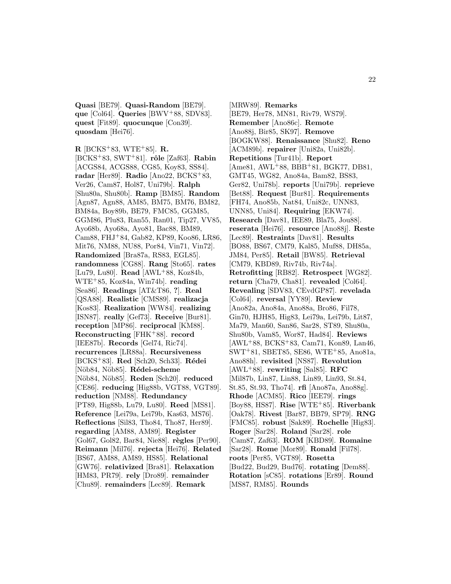**Quasi** [BE79]. **Quasi-Random** [BE79]. **que** [Col64]. **Queries** [BWV<sup>+</sup>88, SDV83]. **quest** [Fit89]. **quocunque** [Con39]. **quosdam** [Hei76].

**R** [BCKS<sup>+</sup>83, WTE<sup>+</sup>85]. **R.** [BCKS<sup>+</sup>83, SWT<sup>+</sup>81]. **rˆole** [Zaf63]. **Rabin** [ACGS84, ACGS88, CG85, Koy83, SS84]. **radar** [Her89]. **Radio** [Ano22, BCKS<sup>+</sup>83, Ver26, Cam87, Hol87, Uni79b]. **Ralph** [Shu80a, Shu80b]. **Ramp** [BM85]. **Random** [Agn87, Agn88, AM85, BM75, BM76, BM82, BM84a, Boy89b, BE79, FMC85, GGM85, GGM86, Plu83, Ran55, Ran01, Tip27, VV85, Ayo68b, Ayo68a, Ayo81, Bac88, BM89, Cam88, FHJ<sup>+</sup>84, Gab82, KP89, Koo86, LR86, Mit76, NM88, NU88, Por84, Vin71, Vin72]. **Randomized** [Bra87a, RS83, EGL85]. **randomness** [CG88]. **Rang** [Sto65]. **rates** [Lu79, Lu80]. **Read** [AWL<sup>+</sup>88, Koz84b, WTE<sup>+</sup>85, Koz84a, Win74b]. **reading** [Sea86]. **Readings** [AT&T86, **?**]. **Real** [QSA88]. **Realistic** [CMS89]. **realizacja** [Kos83]. **Realization** [WW84]. **realizing** [ISN87]. **really** [Gef73]. **Receive** [Bur81]. **reception** [MP86]. **reciprocal** [KM88]. **Reconstructing** [FHK<sup>+</sup>88]. **record** [IEE87b]. **Records** [Gel74, Ric74]. **recurrences** [LR88a]. **Recursiveness** [BCKS<sup>+</sup>83]. **Red** [Sch20, Sch33]. **Rédei** [Nöb84, Nöb85]. **Rédei-scheme** [N¨ob84, N¨ob85]. **Reden** [Sch20]. **reduced** [CE86]. **reducing** [Hig88b, VGT88, VGT89]. **reduction** [NM88]. **Redundancy** [PT89, Hig88b, Lu79, Lu80]. **Reed** [MS81]. **Reference** [Lei79a, Lei79b, Kas63, MS76]. **Reflections** [Sil83, Tho84, Tho87, Her89]. **regarding** [AM88, AM89]. **Register** [Gol67, Gol82, Bar84, Nie88]. **règles** [Per90]. **Reimann** [Mil76]. **rejecta** [Hei76]. **Related** [BS67, AM88, AM89, HS85]. **Relational** [GW76]. **relativized** [Bra81]. **Relaxation** [HM83, PR79]. **rely** [Dro89]. **remainder** [Chu89]. **remainders** [Lec89]. **Remark**

[MRW89]. **Remarks** [BE79, Her78, MN81, Riv79, WS79]. **Remember** [Ano86c]. **Remote** [Ano88j, Bir85, SK97]. **Remove** [BOGKW88]. **Renaissance** [Shu82]. **Reno** [ACM89b]. **repairer** [Uni82a, Uni82b]. **Repetitions** [Tur41b]. **Report** [Ame81, AWL<sup>+</sup>88, BBB<sup>+</sup>81, BGK77, DB81, GMT45, WG82, Ano84a, Bam82, BS83, Ger82, Uni78b]. **reports** [Uni79b]. **reprieve** [Bet88]. **Request** [Bur81]. **Requirements** [FH74, Ano85b, Nat84, Uni82c, UNN83, UNN85, Uni84]. **Requiring** [EKW74]. **Research** [Dav81, IEE89, Bla75, Jou88]. **reserata** [Hei76]. **resource** [Ano88j]. **Reste** [Lec89]. **Restraints** [Dav81]. **Results** [BO88, BS67, CM79, Kal85, Muf88, DH85a, JM84, Per85]. **Retail** [BW85]. **Retrieval** [CM79, KBD89, Riv74b, Riv74a]. **Retrofitting** [RB82]. **Retrospect** [WG82]. **return** [Cha79, Cha81]. **revealed** [Col64]. **Revealing** [SDV83, CEvdGP87]. **revelada** [Col64]. **reversal** [YY89]. **Review** [Ano82a, Ano84a, Ano88a, Bro86, Fil78, Gin70, HJH85, Hig83, Lei79a, Lei79b, Lit87, Ma79, Man60, San86, Sar28, ST89, Shu80a, Shu80b, Vam85, Wor87, Had84]. **Reviews** [AWL<sup>+</sup>88, BCKS<sup>+</sup>83, Cam71, Kon89, Lan46, SWT<sup>+</sup>81, SBET85, SE86, WTE<sup>+</sup>85, Ano81a, Ano88h]. **revisited** [NS87]. **Revolution** [AWL<sup>+</sup>88]. **rewriting** [Sal85]. **RFC** [Mil87b, Lin87, Lin88, Lin89, Lin93, St.84, St.85, St.93, Tho74]. **rfi** [Ano87a, Ano88g]. **Rhode** [ACM85]. **Rico** [IEE79]. **rings** [Boy88, HS87]. **Rise** [WTE<sup>+</sup>85]. **Riverbank** [Oak78]. **Rivest** [Bar87, BB79, SP79]. **RNG** [FMC85]. **robust** [Sak89]. **Rochelle** [Hig83]. **Roger** [Sar28]. **Roland** [Sar28]. **role** [Cam87, Zaf63]. **ROM** [KBD89]. **Romaine** [Sar28]. **Rome** [Mor89]. **Ronald** [Fil78]. **roots** [Per85, VGT89]. **Rosetta** [Bud22, Bud29, Bud76]. **rotating** [Dem88]. **Rotation** [sC85]. **rotations** [Er89]. **Round** [MS87, RM85]. **Rounds**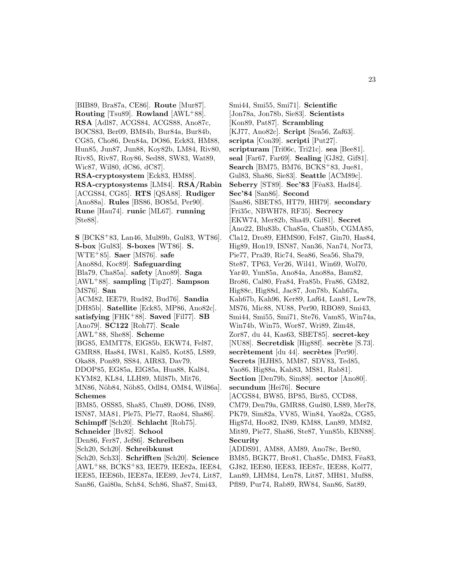[BIB89, Bra87a, CE86]. **Route** [Mur87]. **Routing** [Tsu89]. **Rowland** [AWL<sup>+</sup>88]. **RSA** [Adl87, ACGS84, ACGS88, Ano87c, BOCS83, Ber09, BM84b, Bur84a, Bur84b, CG85, Cho86, Den84a, DO86, Eck83, HM88, Hun85, Jun87, Jun88, Koy82b, LM84, Riv80, Riv85, Riv87, Roy86, Sed88, SW83, Wat89, Wic87, Wil80, dC86, dC87]. **RSA-cryptosystem** [Eck83, HM88]. **RSA-cryptosystems** [LM84]. **RSA/Rabin** [ACGS84, CG85]. **RTS** [QSA88]. **Rudiger** [Ano88a]. **Rules** [BS86, BO85d, Per90]. **Rune** [Hau74]. **runic** [ML67]. **running** [Ste88].

**S** [BCKS<sup>+</sup>83, Lan46, Mul89b, Gul83, WT86]. **S-box** [Gul83]. **S-boxes** [WT86]. **S.** [WTE<sup>+</sup>85]. **Saer** [MS76]. **safe** [Ano88d, Koc89]. **Safeguarding** [Bla79, Cha85a]. **safety** [Ano89]. **Saga** [AWL<sup>+</sup>88]. **sampling** [Tip27]. **Sampson** [MS76]. **San** [ACM82, IEE79, Rud82, Bud76]. **Sandia** [DH85b]. **Satellite** [Eck85, MP86, Ano82c]. **satisfying** [FHK<sup>+</sup>88]. **Saved** [Fil77]. **SB** [Ano79]. **SC122** [Roh77]. **Scale** [AWL<sup>+</sup>88, She88]. **Scheme** [BG85, EMMT78, ElG85b, EKW74, Fel87, GMR88, Has84, IW81, Kal85, Kot85, LS89, Oka88, Pon89, SS84, AIR83, Dav79, DDOP85, EG85a, ElG85a, Hua88, Kal84, KYM82, KL84, LLH89, Mil87b, Mit76, MN86, Nöb84, Nöb85, Odl84, OM84, Wil86a]. **Schemes** [BM85, OSS85, Sha85, Chu89, DO86, IN89, ISN87, MA81, Ple75, Ple77, Rao84, Sha86]. **Schimpff** [Sch20]. **Schlacht** [Roh75]. **Schneider** [Bv82]. **School** [Den86, Fer87, Jef86]. **Schreiben** [Sch20, Sch20]. **Schreibkunst** [Sch20, Sch33]. **Schrifften** [Sch20]. **Science** [AWL<sup>+</sup>88, BCKS<sup>+</sup>83, IEE79, IEE82a, IEE84, IEE85, IEE86b, IEE87a, IEE89, Jev74, Lit87,

San86, Gai80a, Sch84, Sch86, Sha87, Smi43,

Smi44, Smi55, Smi71]. **Scientific** [Jon78a, Jon78b, Sie83]. **Scientists** [Kon89, Pat87]. **Scrambling** [KJ77, Ano82c]. **Script** [Sea56, Zaf63]. **scripta** [Con39]. **scripti** [Put27]. **scripturam** [Tri06c, Tri21c]. **sea** [Bee81]. **seal** [Far67, Far69]. **Sealing** [GJ82, Gif81]. **Search** [BM75, BM76, BCKS<sup>+</sup>83, Jue81, Gul83, Sha86, Sie83]. **Seattle** [ACM89c]. **Seberry** [ST89]. **Sec'83** [Fêa83, Had84]. **Sec'84** [San86]. **Second** [San86, SBET85, HT79, HH79]. **secondary** [Fri35c, NBWH78, RF35]. **Secrecy** [EKW74, Mer82b, Sha49, Gif81]. **Secret** [Ano22, Blu83b, Cha85a, Cha85b, CGMA85, Cla12, Dro89, EHMS00, Fel87, Gin70, Has84, Hig89, Hon19, ISN87, Nan36, Nan74, Nor73, Pie77, Pra39, Ric74, Sea86, Sea56, Sha79, Ste87, TP63, Ver26, Wil41, Win69, Wol70, Yar40, Yun85a, Ano84a, Ano88a, Bam82, Bro86, Cal80, Fra84, Fra85b, Fra86, GM82, Hig88c, Hig88d, Jac87, Jon78b, Kah67a, Kah67b, Kah96, Ker89, Laf64, Lan81, Lew78, MS76, Mic88, NU88, Per90, RBO89, Smi43, Smi44, Smi55, Smi71, Ste76, Vam85, Win74a, Win74b, Win75, Wor87, Wri89, Zim48, Zor87, du 44, Kas63, SBET85]. **secret-key** [NU88]. **Secretdisk** [Hig88f]. **secrète** [S.73]. **secrètement** [du 44]. **secrètes** [Per90]. **Secrets** [HJH85, MM87, SDV83, Ted85, Yao86, Hig88a, Kah83, MS81, Rab81]. **Section** [Den79b, Sim88]. **sector** [Ano80]. **secundum** [Hei76]. **Secure** [ACGS84, BW85, BP85, Bir85, CCD88, CM79, Den79a, GMR88, Gud80, LS89, Mer78, PK79, Sim82a, VV85, Win84, Yao82a, CG85, Hig87d, Hoo82, IN89, KM88, Lan89, MM82, Mit89, Pie77, Sha86, Ste87, Yun85b, KBN88]. **Security** [ADDS91, AM88, AM89, Ano78c, Ber80, BM85, BGK77, Bro81, Cha85c, DM83, Fêa83, GJ82, IEE80, IEE83, IEE87c, IEE88, Kol77, Lan89, LHM84, Len78, Lit87, MH81, Muf88,

Pfl89, Pur74, Rab89, RW84, San86, Sat89,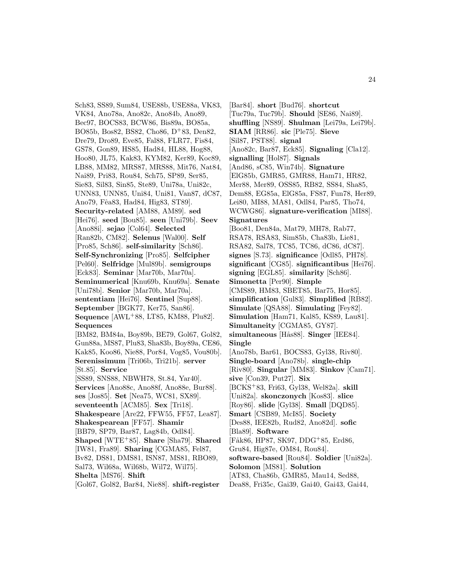Sch83, SS89, Sum84, USE88b, USE88a, VK83, VK84, Ano78a, Ano82c, Ano84b, Ano89, Bec97, BOCS83, BCW86, Bis89a, BO85a, BO85b, Bos82, BS82, Cho86, D<sup>+</sup>83, Den82, Dre79, Dro89, Eve85, Fal88, FLR77, Fis84, GS78, Gon89, HS85, Had84, HL88, Hog88, Hoo80, JL75, Kak83, KYM82, Ker89, Koc89, LB88, MM82, MRS87, MRS88, Mit76, Nat84, Nai89, Pri83, Rou84, Sch75, SP89, Ser85, Sie83, Sil83, Sin85, Ste89, Uni78a, Uni82c, UNN83, UNN85, Uni84, Uni81, Van87, dC87, Ano79, Fêa83, Had84, Hig83, ST89. **Security-related** [AM88, AM89]. **sed** [Hei76]. **seed** [Bou85]. **seen** [Uni79b]. **Seev** [Ano88i]. **sejao** [Col64]. **Selected** [Ran82b, CM82]. **Selenus** [Wal00]. **Self** [Pro85, Sch86]. **self-similarity** [Sch86]. **Self-Synchronizing** [Pro85]. **Selfcipher** [Pel60]. **Selfridge** [Mul89b]. **semigroups** [Eck83]. **Seminar** [Mar70b, Mar70a]. **Seminumerical** [Knu69b, Knu69a]. **Senate** [Uni78b]. **Senior** [Mar70b, Mar70a]. **sententiam** [Hei76]. **Sentinel** [Sup88]. **September** [BGK77, Ker75, San86]. **Sequence** [AWL<sup>+</sup>88, LT85, KM88, Plu82]. **Sequences** [BM82, BM84a, Boy89b, BE79, Gol67, Gol82, Gun88a, MS87, Plu83, Sha83b, Boy89a, CE86, Kak85, Koo86, Nie88, Por84, Vog85, Vou80b]. **Serenissimum** [Tri06b, Tri21b]. **server** [St.85]. **Service** [SS89, SNS88, NBWH78, St.84, Yar40]. **Services** [Ano88c, Ano88f, Ano88e, Bur88]. **ses** [Jos85]. **Set** [Nea75, WC81, SX89]. **seventeenth** [ACM85]. **Sex** [Tri18]. **Shakespeare** [Are22, FFW55, FF57, Lea87]. **Shakespearean** [FF57]. **Shamir** [BB79, SP79, Bar87, Lag84b, Odl84]. **Shaped** [WTE<sup>+</sup>85]. **Share** [Sha79]. **Shared** [IW81, Fra89]. **Sharing** [CGMA85, Fel87, Bv82, DS81, DMS81, ISN87, MS81, RBO89, Sal73, Wil68a, Wil68b, Wil72, Wil75]. **Shelta** [MS76]. **Shift**

[Gol67, Gol82, Bar84, Nie88]. **shift-register**

[Bar84]. **short** [Bud76]. **shortcut** [Tuc79a, Tuc79b]. **Should** [SE86, Nai89]. **shuffling** [NS89]. **Shulman** [Lei79a, Lei79b]. **SIAM** [RR86]. **sic** [Ple75]. **Sieve** [Sil87, PST88]. **signal** [Ano82c, Bar87, Eck85]. **Signaling** [Cla12]. **signalling** [Hol87]. **Signals** [And86, sC85, Win74b]. **Signature** [ElG85b, GMR85, GMR88, Ham71, HR82, Mer88, Mer89, OSS85, RB82, SS84, Sha85, Dem88, EG85a, ElG85a, FS87, Fun78, Her89, Lei80, MI88, MA81, Odl84, Par85, Tho74, WCWG86]. **signature-verification** [MI88]. **Signatures** [Boo81, Den84a, Mat79, MH78, Rab77, RSA78, RSA83, Sim85b, Cha83b, Lie81, RSA82, Sal78, TC85, TC86, dC86, dC87]. **signes** [S.73]. **significance** [Odl85, PH78]. **significant** [CG85]. **significantibus** [Hei76]. **signing** [EGL85]. **similarity** [Sch86]. **Simonetta** [Per90]. **Simple** [CMS89, HM83, SBET85, Bar75, Hor85]. **simplification** [Gul83]. **Simplified** [RB82]. **Simulate** [QSA88]. **Simulating** [Fey82]. **Simulation** [Ham71, Kal85, KS89, Lau81]. **Simultaneity** [CGMA85, GY87]. **simultaneous** [H˚as88]. **Singer** [IEE84]. **Single** [Ano78b, Bar61, BOCS83, Gyl38, Riv80]. **Single-board** [Ano78b]. **single-chip** [Riv80]. **Singular** [MM83]. **Sinkov** [Cam71]. **sive** [Con39, Put27]. **Six** [BCKS<sup>+</sup>83, Fri63, Gyl38, Wel82a]. **skill** [Uni82a]. **skonczonych** [Kos83]. **slice** [Roy86]. **slide** [Gyl38]. **Small** [DQD85]. **Smart** [CSB89, McI85]. **Society** [Des88, IEE82b, Rud82, Ano82d]. **sofic** [Bla89]. **Software** [Fåk86, HP87, SK97, DDG+85, Erd86, Gru84, Hig87e, OM84, Rou84]. **software-based** [Rou84]. **Soldier** [Uni82a]. **Solomon** [MS81]. **Solution** [AT83, Cha86b, GMR85, Mau14, Sed88, Dea88, Fri35c, Gai39, Gai40, Gai43, Gai44,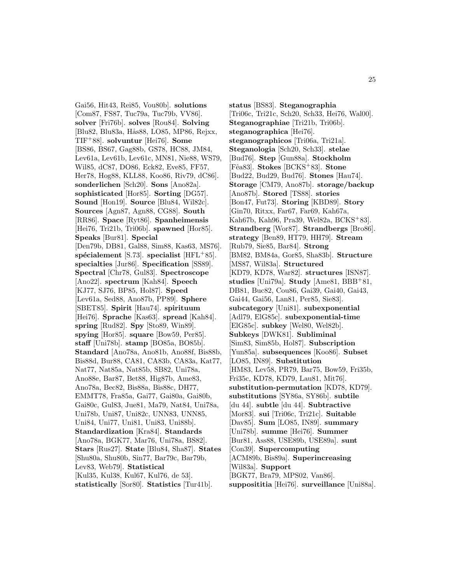Gai56, Hit43, Rei85, Vou80b]. **solutions** [Com87, FS87, Tuc79a, Tuc79b, VV86]. **solver** [Fri76b]. **solves** [Rou84]. **Solving** [Blu82, Blu83a, Hås88, LO85, MP86, Rejxx, TIF<sup>+</sup>88]. **solvuntur** [Hei76]. **Some** [BS86, BS67, Gag88b, GS78, HC88, JM84, Lev61a, Lev61b, Lev61c, MN81, Nie88, WS79, Wil85, dC87, DO86, Eck82, Eve85, FF57, Her78, Hog88, KLL88, Koo86, Riv79, dC86]. **sonderlichen** [Sch20]. **Sons** [Ano82a]. **sophisticated** [Hor85]. **Sorting** [DG57]. **Sound** [Hon19]. **Source** [Blu84, Wil82c]. **Sources** [Agn87, Agn88, CG88]. **South** [RR86]. **Space** [Ryt86]. **Spanheimensis** [Hei76, Tri21b, Tri06b]. **spawned** [Hor85]. **Speaks** [Bur81]. **Special** [Den79b, DB81, Gal88, Sim88, Kas63, MS76]. **sp´ecialement** [S.73]. **specialist** [HFL<sup>+</sup>85]. **specialties** [Jur86]. **Specification** [SS89]. **Spectral** [Chr78, Gul83]. **Spectroscope** [Ano22]. **spectrum** [Kah84]. **Speech** [KJ77, SJ76, BP85, Hol87]. **Speed** [Lev61a, Sed88, Ano87b, PP89]. **Sphere** [SBET85]. **Spirit** [Hau74]. **spirituum** [Hei76]. **Sprache** [Kas63]. **spread** [Kah84]. **spring** [Rud82]. **Spy** [Sto89, Win89]. **spying** [Hor85]. **square** [Bow59, Per85]. **staff** [Uni78b]. **stamp** [BO85a, BO85b]. **Standard** [Ano78a, Ano81b, Ano88f, Bis88b, Bis88d, Bur88, CA81, CA83b, CA83a, Kat77, Nat77, Nat85a, Nat85b, SB82, Uni78a, Ano88e, Bar87, Bet88, Hig87b, Ame83, Ano78a, Bec82, Bis88a, Bis88c, DH77, EMMT78, Fra85a, Gai77, Gai80a, Gai80b, Gai80c, Gul83, Jue81, Ma79, Nat84, Uni78a, Uni78b, Uni87, Uni82c, UNN83, UNN85, Uni84, Uni77, Uni81, Uni83, Uni88b]. **Standardization** [Kra84]. **Standards** [Ano78a, BGK77, Mar76, Uni78a, BS82]. **Stars** [Rus27]. **State** [Blu84, Sha87]. **States** [Shu80a, Shu80b, Sin77, Bar79c, Bar79b, Lev83, Web79]. **Statistical** [Kul35, Kul38, Kul67, Kul76, de 53]. **statistically** [Sor80]. **Statistics** [Tur41b].

**status** [BS83]. **Steganographia** [Tri06c, Tri21c, Sch20, Sch33, Hei76, Wal00]. **Steganographiae** [Tri21b, Tri06b]. **steganographica** [Hei76]. **steganographicos** [Tri06a, Tri21a]. **Steganologia** [Sch20, Sch33]. **stelae** [Bud76]. **Step** [Gun88a]. **Stockholm** [Fˆea83]. **Stokes** [BCKS<sup>+</sup>83]. **Stone** [Bud22, Bud29, Bud76]. **Stones** [Hau74]. **Storage** [CM79, Ano87b]. **storage/backup** [Ano87b]. **Stored** [TS88]. **stories** [Bon47, Fut73]. **Storing** [KBD89]. **Story** [Gin70, Ritxx, Far67, Far69, Kah67a, Kah67b, Kah96, Pra39, Wel82a, BCKS<sup>+</sup>83]. **Strandberg** [Wor87]. **Strandbergs** [Bro86]. **strategy** [Ben89, HT79, HH79]. **Stream** [Rub79, Sie85, Bar84]. **Strong** [BM82, BM84a, Gor85, Sha83b]. **Structure** [MS87, Wil83a]. **Structured** [KD79, KD78, War82]. **structures** [ISN87]. **studies** [Uni79a]. **Study** [Ame81, BBB<sup>+</sup>81, DB81, Buc82, Cou86, Gai39, Gai40, Gai43, Gai44, Gai56, Lan81, Per85, Sie83]. **subcategory** [Uni81]. **subexponential** [Adl79, ElG85c]. **subexponential-time** [ElG85c]. **subkey** [Wel80, Wel82b]. **Subkeys** [DWK81]. **Subliminal** [Sim83, Sim85b, Hol87]. **Subscription** [Yun85a]. **subsequences** [Koo86]. **Subset** [LO85, IN89]. **Substitution** [HM83, Lev58, PR79, Bar75, Bow59, Fri35b, Fri35c, KD78, KD79, Lau81, Mit76]. **substitution-permutation** [KD78, KD79]. **substitutions** [SY86a, SY86b]. **subtile** [du 44]. **subtle** [du 44]. **Subtractive** [Mor83]. **sui** [Tri06c, Tri21c]. **Suitable** [Dav85]. **Sum** [LO85, IN89]. **summary** [Uni78b]. **summe** [Hei76]. **Summer** [Bur81, Ass88, USE89b, USE89a]. **sunt** [Con39]. **Supercomputing** [ACM89b, Bis89a]. **Superincreasing** [Wil83a]. **Support** [BGK77, Bra79, MPS02, Van86]. **supposititia** [Hei76]. **surveillance** [Uni88a].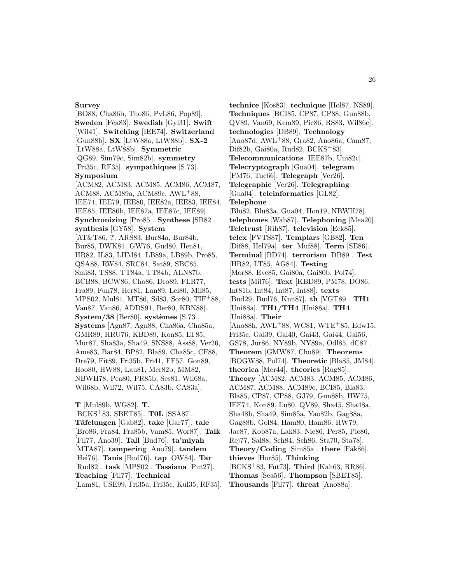#### **Survey**

[BO88, Cha86b, Tho86, PvL86, Pop89]. **Sweden** [Fˆea83]. **Swedish** [Gyl31]. **Swift** [Wil41]. **Switching** [IEE74]. **Switzerland** [Gun88b]. **SX** [LtW88a, LtW88b]. **SX-2** [LtW88a, LtW88b]. **Symmetric** [QG89, Sim79c, Sim82b]. **symmetry** [Fri35c, RF35]. **sympathiques** [S.73]. **Symposium** [ACM82, ACM83, ACM85, ACM86, ACM87, ACM88, ACM89a, ACM89c, AWL<sup>+</sup>88, IEE74, IEE79, IEE80, IEE82a, IEE83, IEE84, IEE85, IEE86b, IEE87a, IEE87c, IEE89]. **Synchronizing** [Pro85]. **Synthese** [SB82]. **synthesis** [GY58]. **System** [AT&T86, **?**, ARS83, Bur84a, Bur84b, Bur85, DWK81, GW76, Gud80, Hen81, HR82, IL83, LHM84, LB89a, LB89b, Pro85, QSA88, RW84, SRC84, Sat89, SBC85, Smi83, TS88, TT84a, TT84b, ALN87b, BCB88, BCW86, Cho86, Dro89, FLR77, Fra89, Fun78, Her81, Lan89, Lei80, Mil85, MPS02, Mul81, MT86, Sil83, Sor80, TIF<sup>+</sup>88, Van87, Van86, ADDS91, Ber80, KBN88].  $\text{System}/38$  [Ber80]. **systèmes** [S.73]. **Systems** [Agn87, Agn88, Cha86a, Cha85a, GMR89, HRU76, KBD89, Kon85, LT85, Mur87, Sha83a, Sha49, SNS88, Ass88, Ver26, Ame83, Bar84, BP82, Bla89, Cha85c, CF88, Dre79, Fit89, Fri35b, Fri41, FF57, Gon89, Hoo80, HW88, Lau81, Mer82b, MM82, NBWH78, Pea80, PR85b, Ses81, Wil68a, Wil68b, Wil72, Wil75, CA83b, CA83a].

**T** [Mul89b, WG82]. **T.** [BCKS<sup>+</sup>83, SBET85]. **T0L** [SSA87]. **T¨afelungen** [Gab82]. **take** [Gar77]. **tale** [Bro86, Fra84, Fra85b, Vam85, Wor87]. **Talk** [Fil77, Ano39]. **Tall** [Bud76]. **ta'miyah** [MTA87]. **tampering** [Ano79]. **tandem** [Hei76]. **Tanis** [Bud76]. **tap** [OW84]. **Tar** [Rud82]. **task** [MPS02]. **Tassiana** [Put27]. **Teaching** [Fil77]. **Technical** [Lam81, USE99, Fri35a, Fri35c, Kul35, RF35].

**technice** [Kos83]. **technique** [Hol87, NS89]. **Techniques** [BCI85, CP87, CP88, Gun88b, QV89, Van69, Kem89, Pic86, RS83, Wil86c]. **technologies** [DB89]. **Technology** [Ano87d, AWL<sup>+</sup>88, Gra82, Ano86a, Cam87, Dif82b, Gai80a, Rud82, BCKS<sup>+</sup>83]. **Telecommunications** [IEE87b, Uni82c]. **Telecryptograph** [Gua04]. **telegram** [FM76, Tuc66]. **Telegraph** [Ver26]. **Telegraphic** [Ver26]. **Telegraphing** [Gua04]. **teleinformatics** [GL82]. **Telephone** [Blu82, Blu83a, Gua04, Hon19, NBWH78]. **telephones** [Wab87]. **Telephoning** [Mea20]. **Teletrust** [Rih87]. **television** [Eck85]. **telex** [FVTS87]. **Templars** [GB82]. **Ten** [Dif88, Hel79a]. **ter** [Muf88]. **Term** [SE86]. **Terminal** [BD74]. **terrorism** [DB89]. **Test** [HR82, LT85, AG84]. **Testing** [Mor88, Eve85, Gai80a, Gai80b, Pol74]. **tests** [Mil76]. **Text** [KBD89, PM78, DO86, Int81b, Int84, Int87, Int88]. **texts** [Bud29, Bud76, Knu87]. **th** [VGT89]. **TH1** [Uni88a]. **TH1/TH4** [Uni88a]. **TH4** [Uni88a]. **Their** [Ano88h, AWL<sup>+</sup>88, WC81, WTE<sup>+</sup>85, Edw15, Fri35c, Gai39, Gai40, Gai43, Gai44, Gai56, GS78, Jur86, NY89b, NY89a, Odl85, dC87]. **Theorem** [GMW87, Chu89]. **Theorems** [BOGW88, Pol74]. **Theoretic** [Bla85, JM84]. **theorica** [Mer44]. **theories** [Rug85]. **Theory** [ACM82, ACM83, ACM85, ACM86, ACM87, ACM88, ACM89c, BCI85, Bla83, Bla85, CP87, CP88, GJ79, Gun88b, HW75, IEE74, Kon89, Lu80, QV89, Sha45, Sha48a, Sha48b, Sha49, Sim85a, Yao82b, Gag88a, Gag88b, Gol84, Ham80, Ham86, HW79, Jac87, Kob87a, Lak83, Nie86, Per85, Pic86, Rej77, Sal88, Sch84, Sch86, Sta70, Sta78]. Theory/Coding [Sim85a]. **there** [Fåk86]. **thieves** [Hor85]. **Thinking** [BCKS<sup>+</sup>83, Fut73]. **Third** [Kah63, RR86]. **Thomas** [Sea56]. **Thompson** [SBET85]. **Thousands** [Fil77]. **threat** [Ano88a].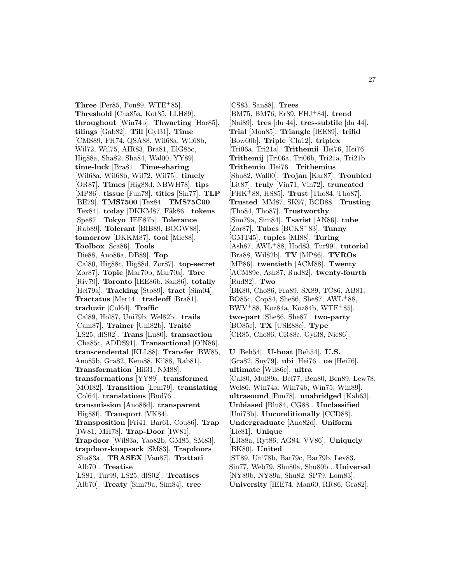**Three** [Per85, Pon89,  $WTE+85$ ]. **Threshold** [Cha85a, Kot85, LLH89]. **throughout** [Win74b]. **Thwarting** [Hor85]. **tilings** [Gab82]. **Till** [Gyl31]. **Time** [CMS89, FH74, QSA88, Wil68a, Wil68b, Wil72, Wil75, AIR83, Bra81, ElG85c, Hig88a, Sha82, Sha84, Wal00, YY89]. **time-luck** [Bra81]. **Time-sharing** [Wil68a, Wil68b, Wil72, Wil75]. **timely** [OR87]. **Times** [Hig88d, NBWH78]. **tips** [MP86]. **tissue** [Fun78]. **titles** [Sin77]. **TLP** [BE79]. **TMS7500** [Tex84]. **TMS75C00** [Tex84]. **today** [DKKM87, Fåk86]. **tokens** [Spe87]. **Tokyo** [IEE87b]. **Tolerance** [Rab89]. **Tolerant** [BIB89, BOGW88]. **tomorrow** [DKKM87]. **tool** [Mic88]. **Toolbox** [Sca86]. **Tools** [Die88, Ano86a, DB89]. **Top** [Cal80, Hig88c, Hig88d, Zor87]. **top-secret** [Zor87]. **Topic** [Mar70b, Mar70a]. **Tore** [Riv79]. **Toronto** [IEE86b, San86]. **totally** [Hel79a]. **Tracking** [Sto89]. **tract** [Sim04]. **Tractatus** [Mer44]. **tradeoff** [Bra81]. **traduzir** [Col64]. **Traffic** [Cal89, Hol87, Uni79b, Wel82b]. **trails** [Cam87]. **Trainer** [Uni82b]. **Traité** [LS25, dlS02]. **Trans** [Lu80]. **transaction** [Cha85c, ADDS91]. **Transactional** [O'N86]. **transcendental** [KLL88]. **Transfer** [BW85, Ano85b, Gra82, Kem88, Kil88, Rab81]. **Transformation** [Hil31, NM88]. **transformations** [YY89]. **transformed** [MOI82]. **Transition** [Lem79]. **translating** [Col64]. **translations** [Bud76]. **transmission** [Ano88d]. **transparent** [Hig88f]. **Transport** [VK84]. **Transposition** [Fri41, Bar61, Cou86]. **Trap** [IW81, MH78]. **Trap-Door** [IW81]. **Trapdoor** [Wil83a, Yao82b, GM85, SM83]. **trapdoor-knapsack** [SM83]. **Trapdoors** [Sha83a]. **TRASEX** [Van87]. **Trattati** [Alb70]. **Treatise** [LS81, Tur99, LS25, dlS02]. **Treatises** [Alb70]. **Treaty** [Sim79a, Sim84]. **tree**

[CS83, San88]. **Trees** [BM75, BM76, Er89, FHJ<sup>+</sup>84]. **trend** [Nai89]. **tres** [du 44]. **tres-subtile** [du 44]. **Trial** [Mon85]. **Triangle** [IEE89]. **trifid** [Bow60b]. **Triple** [Cla12]. **triplex** [Tri06a, Tri21a]. **Trithemii** [Hei76, Hei76]. **Trithemij** [Tri06a, Tri06b, Tri21a, Tri21b]. **Trithemio** [Hei76]. **Trithemius** [Shu82, Wal00]. **Trojan** [Kar87]. **Troubled** [Lit87]. **truly** [Vin71, Vin72]. **truncated** [FHK<sup>+</sup>88, HS85]. **Trust** [Tho84, Tho87]. **Trusted** [MM87, SK97, BCB88]. **Trusting** [Tho84, Tho87]. **Trustworthy** [Sim79a, Sim84]. **Tsarist** [AN86]. **tube** [Zor87]. **Tubes** [BCKS<sup>+</sup>83]. **Tunny** [GMT45]. **tuples** [MI88]. **Turing** [Ash87, AWL<sup>+</sup>88, Hod83, Tur99]. **tutorial** [Bra88, Wil82b]. **TV** [MP86]. **TVROs** [MP86]. **twentieth** [ACM88]. **Twenty** [ACM89c, Ash87, Rud82]. **twenty-fourth** [Rud82]. **Two** [BK80, Cho86, Fra89, SX89, TC86, AB81, BO85c, Cop84, She86, She87, AWL<sup>+</sup>88,  $BWV+88$ , Koz84a, Koz84b, WTE+85]. **two-part** [She86, She87]. **two-party** [BO85c]. **TX** [USE88c]. **Type** [CR85, Cho86, CR88c, Gyl38, Nie86]. **U** [Beh54]. **U-boat** [Beh54]. **U.S.** [Gra82, Sny79]. **ubi** [Hei76]. **ue** [Hei76].

**ultimate** [Wil86c]. **ultra** [Cal80, Mul89a, Bel77, Ben80, Ben89, Lew78, Wel86, Win74a, Win74b, Win75, Win89]. **ultrasound** [Fun78]. **unabridged** [Kah63]. **Unbiased** [Blu84, CG88]. **Unclassified** [Uni78b]. **Unconditionally** [CCD88]. **Undergraduate** [Ano82d]. **Uniform** [Lie81]. **Unique** [LR88a, Ryt86, AG84, VV86]. **Uniquely** [BK80]. **United** [ST89, Uni78b, Bar79c, Bar79b, Lev83, Sin77, Web79, Shu80a, Shu80b]. **Universal** [NY89b, NY89a, Shu82, SP79, Lom83]. **University** [IEE74, Man60, RR86, Gra82].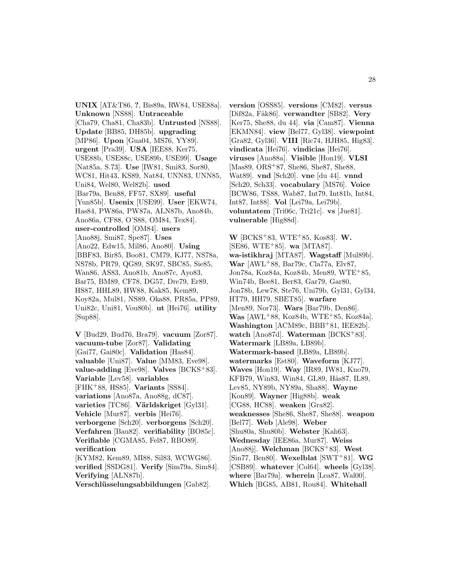**UNIX** [AT&T86, **?**, Bis89a, RW84, USE88a]. **Unknown** [NS88]. **Untraceable** [Cha79, Cha81, Cha83b]. **Untrusted** [NS88]. **Update** [BB85, DH85b]. **upgrading** [MP86]. **Upon** [Gua04, MS76, YY89]. **urgent** [Pra39]. **USA** [IEE88, Ker75, USE88b, USE88c, USE89b, USE99]. **Usage** [Nat85a, S.73]. **Use** [IW81, Smi83, Sor80, WC81, Hit43, KS89, Nat84, UNN83, UNN85, Uni84, Wel80, Wel82b]. **used** [Bar79a, Ben88, FF57, SX89]. **useful** [Yun85b]. **Usenix** [USE99]. **User** [EKW74, Has84, PW86a, PW87a, ALN87b, Ano84b, Ano86a, CF88, O'S88, OM84, Tex84]. **user-controlled** [OM84]. **users** [Ano88j, Smi87, Spe87]. **Uses** [Ano22, Edw15, Mil86, Ano80]. **Using** [BBF83, Bir85, Boo81, CM79, KJ77, NS78a, NS78b, PR79, QG89, SK97, SBC85, Sie85, Wan86, AS83, Ano81b, Ano87c, Ayo83, Bar75, BM89, CF78, DG57, Dre79, Er89, HS87, HHL89, HW88, Kak85, Kem89, Koy82a, Mul81, NS89, Oka88, PR85a, PP89, Uni82c, Uni81, Vou80b]. **ut** [Hei76]. **utility** [Sup88].

**V** [Bud29, Bud76, Bra79]. **vacuum** [Zor87]. **vacuum-tube** [Zor87]. **Validating** [Gai77, Gai80c]. **Validation** [Has84]. **valuable** [Uni87]. **Value** [MM83, Eve98]. **value-adding** [Eve98]. **Valves** [BCKS<sup>+</sup>83]. **Variable** [Lev58]. **variables** [FHK<sup>+</sup>88, HS85]. **Variants** [SS84]. **variations** [Ano87a, Ano88g, dC87]. **varieties** [TC86]. **Världskriget** [Gyl31]. **Vehicle** [Mur87]. **verbis** [Hei76]. **verborgene** [Sch20]. **verborgens** [Sch20]. **Verfahren** [Bau82]. **verifiability** [BO85c]. **Verifiable** [CGMA85, Fel87, RBO89]. **verification** [KYM82, Kem89, MI88, Sil83, WCWG86]. **verified** [SSDG81]. **Verify** [Sim79a, Sim84]. **Verifying** [ALN87b].

**Verschl¨usselungsabbildungen** [Gab82].

**version** [OSS85]. **versions** [CM82]. **versus** [Dif82a, Fåk86]. **verwandter** [SB82]. **Very** [Ker75, She88, du 44]. **via** [Cam87]. **Vienna** [EKMN84]. **view** [Bel77, Gyl38]. **viewpoint** [Gra82, Gyl36]. **VIII** [Ric74, HJH85, Hig83]. **vindicata** [Hei76]. **vindicias** [Hei76]. **viruses** [Ano88a]. **Visible** [Hon19]. **VLSI** [Mas89, ORS<sup>+</sup>87, She86, She87, She88, Wat89]. **vnd** [Sch20]. **vne** [du 44]. **vnnd** [Sch20, Sch33]. **vocabulary** [MS76]. **Voice** [BCW86, TS88, Wab87, Int79, Int81b, Int84, Int87, Int88]. **Vol** [Lei79a, Lei79b]. **voluntatem** [Tri06c, Tri21c]. **vs** [Jue81]. **vulnerable** [Hig88d].

**W** [BCKS<sup>+</sup>83, WTE<sup>+</sup>85, Kos83]. **W.** [SE86, WTE<sup>+</sup>85]. **wa** [MTA87]. **wa-istikhraj** [MTA87]. **Wagstaff** [Mul89b]. **War** [AWL<sup>+</sup>88, Bar79c, Cla77a, Elv87, Jon78a, Koz84a, Koz84b, Men89, WTE<sup>+</sup>85, Win74b, Bee81, Ber83, Gar79, Gar80, Jon78b, Lew78, Ste76, Uni79b, Gyl31, Gyl34, HT79, HH79, SBET85]. **warfare** [Men89, Nor73]. **Wars** [Bar79b, Den86]. **Was** [AWL<sup>+</sup>88, Koz84b, WTE<sup>+</sup>85, Koz84a]. **Washington** [ACM89c, BBB<sup>+</sup>81, IEE82b]. **watch** [Ano87d]. **Waterman** [BCKS<sup>+</sup>83]. **Watermark** [LB89a, LB89b]. **Watermark-based** [LB89a, LB89b]. **watermarks** [Est80]. **Waveform** [KJ77]. **Waves** [Hon19]. **Way** [IR89, IW81, Kno79, KFB79, Win83, Win84, GL89, Hås87, IL89, Lev85, NY89b, NY89a, Sha88]. **Wayne** [Kon89]. **Wayner** [Hig88b]. **weak** [CG88, HC88]. **weaken** [Gra82]. **weaknesses** [She86, She87, She88]. **weapon** [Bel77]. **Web** [Ale98]. **Weber** [Shu80a, Shu80b]. **Webster** [Kah63]. **Wednesday** [IEE86a, Mur87]. **Weiss** [Ano88j]. **Welchman** [BCKS<sup>+</sup>83]. **West** [Sin77, Ben80]. **Wexelblat** [SWT<sup>+</sup>81]. **WG** [CSB89]. **whatever** [Col64]. **wheels** [Gyl38]. **where** [Bar79a]. **wherein** [Lea87, Wal00]. **Which** [BG85, AB81, Rou84]. **Whitehall**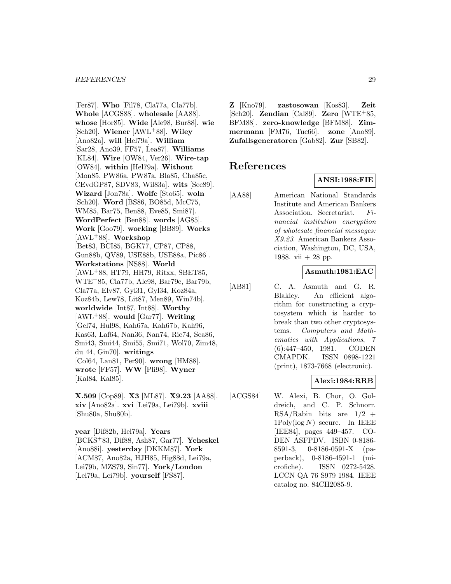[Fer87]. **Who** [Fil78, Cla77a, Cla77b]. **Whole** [ACGS88]. **wholesale** [AA88]. **whose** [Hor85]. **Wide** [Ale98, Bur88]. **wie** [Sch20]. **Wiener** [AWL<sup>+</sup>88]. **Wiley** [Ano82a]. **will** [Hel79a]. **William** [Sar28, Ano39, FF57, Lea87]. **Williams** [KL84]. **Wire** [OW84, Ver26]. **Wire-tap** [OW84]. **within** [Hel79a]. **Without** [Mon85, PW86a, PW87a, Bla85, Cha85c, CEvdGP87, SDV83, Wil83a]. **wits** [See89]. **Wizard** [Jon78a]. **Wolfe** [Sto65]. **woln** [Sch20]. **Word** [BS86, BO85d, McC75, WM85, Bar75, Ben88, Eve85, Smi87]. **WordPerfect** [Ben88]. **words** [AG85]. **Work** [Goo79]. **working** [BB89]. **Works** [AWL<sup>+</sup>88]. **Workshop** [Bet83, BCI85, BGK77, CP87, CP88, Gun88b, QV89, USE88b, USE88a, Pic86]. **Workstations** [NS88]. **World** [AWL<sup>+</sup>88, HT79, HH79, Ritxx, SBET85, WTE<sup>+</sup>85, Cla77b, Ale98, Bar79c, Bar79b, Cla77a, Elv87, Gyl31, Gyl34, Koz84a, Koz84b, Lew78, Lit87, Men89, Win74b]. **worldwide** [Int87, Int88]. **Worthy** [AWL<sup>+</sup>88]. **would** [Gar77]. **Writing** [Gel74, Hul98, Kah67a, Kah67b, Kah96, Kas63, Laf64, Nan36, Nan74, Ric74, Sea86, Smi43, Smi44, Smi55, Smi71, Wol70, Zim48, du 44, Gin70]. **writings** [Col64, Lan81, Per90]. **wrong** [HM88]. **wrote** [FF57]. **WW** [Pli98]. **Wyner** [Kal84, Kal85].

**X.509** [Cop89]. **X3** [ML87]. **X9.23** [AA88]. **xiv** [Ano82a]. **xvi** [Lei79a, Lei79b]. **xviii** [Shu80a, Shu80b].

**year** [Dif82b, Hel79a]. **Years** [BCKS<sup>+</sup>83, Dif88, Ash87, Gar77]. **Yeheskel** [Ano88i]. **yesterday** [DKKM87]. **York** [ACM87, Ano82a, HJH85, Hig88d, Lei79a, Lei79b, MZS79, Sin77]. **York/London** [Lei79a, Lei79b]. **yourself** [FS87].

**Z** [Kno79]. **zastosowan** [Kos83]. **Zeit** [Sch20]. **Zendian** [Cal89]. **Zero** [WTE<sup>+</sup>85, BFM88]. **zero-knowledge** [BFM88]. **Zimmermann** [FM76, Tuc66]. **zone** [Ano89]. **Zufallsgeneratoren** [Gab82]. **Zur** [SB82].

# **References**

# **ANSI:1988:FIE**

[AA88] American National Standards Institute and American Bankers Association. Secretariat. Financial institution encryption of wholesale financial messages: X9.23. American Bankers Association, Washington, DC, USA, 1988. vii  $+28$  pp.

### **Asmuth:1981:EAC**

[AB81] C. A. Asmuth and G. R. Blakley. An efficient algorithm for constructing a cryptosystem which is harder to break than two other cryptosystems. Computers and Mathematics with Applications, 7 (6):447–450, 1981. CODEN CMAPDK. ISSN 0898-1221 (print), 1873-7668 (electronic).

#### **Alexi:1984:RRB**

[ACGS84] W. Alexi, B. Chor, O. Goldreich, and C. P. Schnorr.  $RSA/Rabin$  bits are  $1/2$  +  $1 \text{Poly}(\log N)$  secure. In IEEE [IEE84], pages 449–457. CO-DEN ASFPDV. ISBN 0-8186- 8591-3, 0-8186-0591-X (paperback), 0-8186-4591-1 (microfiche). ISSN 0272-5428. LCCN QA 76 S979 1984. IEEE catalog no. 84CH2085-9.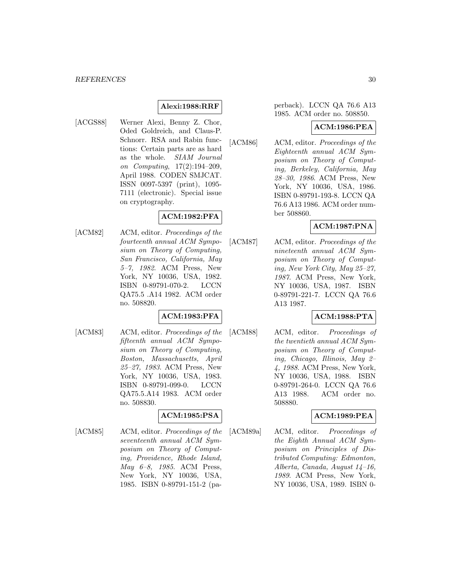#### **Alexi:1988:RRF**

[ACGS88] Werner Alexi, Benny Z. Chor, Oded Goldreich, and Claus-P. Schnorr. RSA and Rabin functions: Certain parts are as hard as the whole. SIAM Journal on Computing, 17(2):194–209, April 1988. CODEN SMJCAT. ISSN 0097-5397 (print), 1095- 7111 (electronic). Special issue on cryptography.

#### **ACM:1982:PFA**

[ACM82] ACM, editor. *Proceedings of the* fourteenth annual ACM Symposium on Theory of Computing, San Francisco, California, May 5–7, 1982. ACM Press, New York, NY 10036, USA, 1982. ISBN 0-89791-070-2. LCCN QA75.5 .A14 1982. ACM order no. 508820.

## **ACM:1983:PFA**

[ACM83] ACM, editor. Proceedings of the fifteenth annual ACM Symposium on Theory of Computing, Boston, Massachusetts, April 25–27, 1983. ACM Press, New York, NY 10036, USA, 1983. ISBN 0-89791-099-0. LCCN QA75.5.A14 1983. ACM order no. 508830.

#### **ACM:1985:PSA**

[ACM85] ACM, editor. Proceedings of the seventeenth annual ACM Symposium on Theory of Computing, Providence, Rhode Island, May 6–8, 1985. ACM Press, New York, NY 10036, USA, 1985. ISBN 0-89791-151-2 (pa-

#### perback). LCCN QA 76.6 A13 1985. ACM order no. 508850.

#### **ACM:1986:PEA**

[ACM86] ACM, editor. Proceedings of the Eighteenth annual ACM Symposium on Theory of Computing, Berkeley, California, May 28–30, 1986. ACM Press, New York, NY 10036, USA, 1986. ISBN 0-89791-193-8. LCCN QA 76.6 A13 1986. ACM order number 508860.

#### **ACM:1987:PNA**

[ACM87] ACM, editor. Proceedings of the nineteenth annual ACM Symposium on Theory of Computing, New York City, May 25–27, 1987. ACM Press, New York, NY 10036, USA, 1987. ISBN 0-89791-221-7. LCCN QA 76.6 A13 1987.

# **ACM:1988:PTA**

[ACM88] ACM, editor. Proceedings of the twentieth annual ACM Symposium on Theory of Computing, Chicago, Illinois, May 2– 4, 1988. ACM Press, New York, NY 10036, USA, 1988. ISBN 0-89791-264-0. LCCN QA 76.6 A13 1988. ACM order no. 508880.

# **ACM:1989:PEA**

[ACM89a] ACM, editor. Proceedings of the Eighth Annual ACM Symposium on Principles of Distributed Computing: Edmonton, Alberta, Canada, August 14–16, 1989. ACM Press, New York, NY 10036, USA, 1989. ISBN 0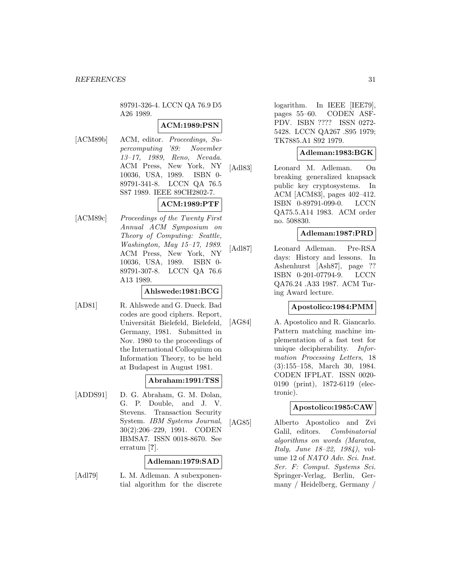89791-326-4. LCCN QA 76.9 D5 A26 1989.

#### **ACM:1989:PSN**

[ACM89b] ACM, editor. Proceedings, Supercomputing '89: November 13–17, 1989, Reno, Nevada. ACM Press, New York, NY 10036, USA, 1989. ISBN 0- 89791-341-8. LCCN QA 76.5 S87 1989. IEEE 89CH2802-7. **ACM:1989:PTF**

[ACM89c] Proceedings of the Twenty First Annual ACM Symposium on Theory of Computing: Seattle, Washington, May 15–17, 1989. ACM Press, New York, NY 10036, USA, 1989. ISBN 0- 89791-307-8. LCCN QA 76.6 A13 1989.

#### **Ahlswede:1981:BCG**

[AD81] R. Ahlswede and G. Dueck. Bad codes are good ciphers. Report, Universität Bielefeld, Bielefeld, Germany, 1981. Submitted in Nov. 1980 to the proceedings of the International Colloquium on Information Theory, to be held at Budapest in August 1981.

#### **Abraham:1991:TSS**

[ADDS91] D. G. Abraham, G. M. Dolan, G. P. Double, and J. V. Stevens. Transaction Security System. IBM Systems Journal, 30(2):206–229, 1991. CODEN IBMSA7. ISSN 0018-8670. See erratum [**?**].

#### **Adleman:1979:SAD**

[Adl79] L. M. Adleman. A subexponential algorithm for the discrete logarithm. In IEEE [IEE79], pages 55–60. CODEN ASF-PDV. ISBN ???? ISSN 0272- 5428. LCCN QA267 .S95 1979; TK7885.A1 S92 1979.

#### **Adleman:1983:BGK**

[Adl83] Leonard M. Adleman. On breaking generalized knapsack public key cryptosystems. In ACM [ACM83], pages 402–412. ISBN 0-89791-099-0. LCCN QA75.5.A14 1983. ACM order no. 508830.

#### **Adleman:1987:PRD**

[Adl87] Leonard Adleman. Pre-RSA days: History and lessons. In Ashenhurst [Ash87], page ?? ISBN 0-201-07794-9. LCCN QA76.24 .A33 1987. ACM Turing Award lecture.

#### **Apostolico:1984:PMM**

[AG84] A. Apostolico and R. Giancarlo. Pattern matching machine implementation of a fast test for unique decipherability. Information Processing Letters, 18 (3):155–158, March 30, 1984. CODEN IFPLAT. ISSN 0020- 0190 (print), 1872-6119 (electronic).

#### **Apostolico:1985:CAW**

[AG85] Alberto Apostolico and Zvi Galil, editors. Combinatorial algorithms on words (Maratea, Italy, June 18–22, 1984), volume 12 of NATO Adv. Sci. Inst. Ser. F: Comput. Systems Sci. Springer-Verlag, Berlin, Germany / Heidelberg, Germany /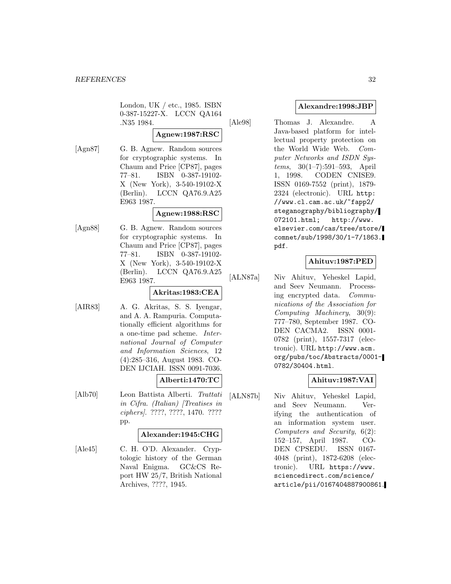London, UK / etc., 1985. ISBN 0-387-15227-X. LCCN QA164 .N35 1984.

# **Agnew:1987:RSC**

- 
- [Agn87] G. B. Agnew. Random sources for cryptographic systems. In Chaum and Price [CP87], pages 77–81. ISBN 0-387-19102- X (New York), 3-540-19102-X (Berlin). LCCN QA76.9.A25 E963 1987.

# **Agnew:1988:RSC**

[Agn88] G. B. Agnew. Random sources for cryptographic systems. In Chaum and Price [CP87], pages 77–81. ISBN 0-387-19102- X (New York), 3-540-19102-X (Berlin). LCCN QA76.9.A25 E963 1987.

# **Akritas:1983:CEA**

[AIR83] A. G. Akritas, S. S. Iyengar, and A. A. Rampuria. Computationally efficient algorithms for a one-time pad scheme. International Journal of Computer and Information Sciences, 12 (4):285–316, August 1983. CO-DEN IJCIAH. ISSN 0091-7036.

# **Alberti:1470:TC**

[Alb70] Leon Battista Alberti. Trattati in Cifra. (Italian) [Treatises in ciphers]. ????, ????, 1470. ???? pp.

#### **Alexander:1945:CHG**

[Ale45] C. H. O'D. Alexander. Cryptologic history of the German Naval Enigma. GC&CS Report HW 25/7, British National Archives, ????, 1945.

### **Alexandre:1998:JBP**

[Ale98] Thomas J. Alexandre. A Java-based platform for intellectual property protection on the World Wide Web. Computer Networks and ISDN Systems, 30(1–7):591–593, April 1, 1998. CODEN CNISE9. ISSN 0169-7552 (print), 1879- 2324 (electronic). URL http: //www.cl.cam.ac.uk/~fapp2/ steganography/bibliography/ 072101.html; http://www. elsevier.com/cas/tree/store/ comnet/sub/1998/30/1-7/1863. pdf.

# **Ahituv:1987:PED**

[ALN87a] Niv Ahituv, Yeheskel Lapid, and Seev Neumann. Processing encrypted data. Communications of the Association for Computing Machinery, 30(9): 777–780, September 1987. CO-DEN CACMA2. ISSN 0001- 0782 (print), 1557-7317 (electronic). URL http://www.acm. org/pubs/toc/Abstracts/0001- 0782/30404.html.

#### **Ahituv:1987:VAI**

[ALN87b] Niv Ahituv, Yeheskel Lapid, and Seev Neumann. Verifying the authentication of an information system user. Computers and Security, 6(2): 152–157, April 1987. CO-DEN CPSEDU. ISSN 0167- 4048 (print), 1872-6208 (electronic). URL https://www. sciencedirect.com/science/ article/pii/0167404887900861.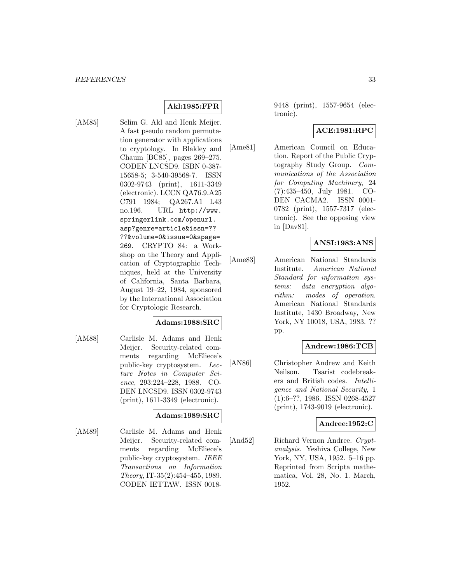# **Akl:1985:FPR**

[AM85] Selim G. Akl and Henk Meijer. A fast pseudo random permutation generator with applications to cryptology. In Blakley and Chaum [BC85], pages 269–275. CODEN LNCSD9. ISBN 0-387- 15658-5; 3-540-39568-7. ISSN 0302-9743 (print), 1611-3349 (electronic). LCCN QA76.9.A25 C791 1984; QA267.A1 L43 no.196. URL http://www. springerlink.com/openurl. asp?genre=article&issn=?? ??&volume=0&issue=0&spage= 269. CRYPTO 84: a Workshop on the Theory and Application of Cryptographic Techniques, held at the University of California, Santa Barbara, August 19–22, 1984, sponsored by the International Association for Cryptologic Research.

#### **Adams:1988:SRC**

[AM88] Carlisle M. Adams and Henk Meijer. Security-related comments regarding McEliece's public-key cryptosystem. Lecture Notes in Computer Science, 293:224–228, 1988. CO-DEN LNCSD9. ISSN 0302-9743 (print), 1611-3349 (electronic).

#### **Adams:1989:SRC**

[AM89] Carlisle M. Adams and Henk Meijer. Security-related comments regarding McEliece's public-key cryptosystem. IEEE Transactions on Information Theory, IT-35(2):454–455, 1989. CODEN IETTAW. ISSN 00189448 (print), 1557-9654 (electronic).

## **ACE:1981:RPC**

[Ame81] American Council on Education. Report of the Public Cryptography Study Group. Communications of the Association for Computing Machinery, 24 (7):435–450, July 1981. CO-DEN CACMA2. ISSN 0001- 0782 (print), 1557-7317 (electronic). See the opposing view in [Dav81].

# **ANSI:1983:ANS**

[Ame83] American National Standards Institute. American National Standard for information systems: data encryption algorithm: modes of operation. American National Standards Institute, 1430 Broadway, New York, NY 10018, USA, 1983. ?? pp.

#### **Andrew:1986:TCB**

[AN86] Christopher Andrew and Keith Neilson. Tsarist codebreakers and British codes. Intelligence and National Security, 1 (1):6–??, 1986. ISSN 0268-4527 (print), 1743-9019 (electronic).

#### **Andree:1952:C**

[And52] Richard Vernon Andree. Cryptanalysis. Yeshiva College, New York, NY, USA, 1952. 5–16 pp. Reprinted from Scripta mathematica, Vol. 28, No. 1. March, 1952.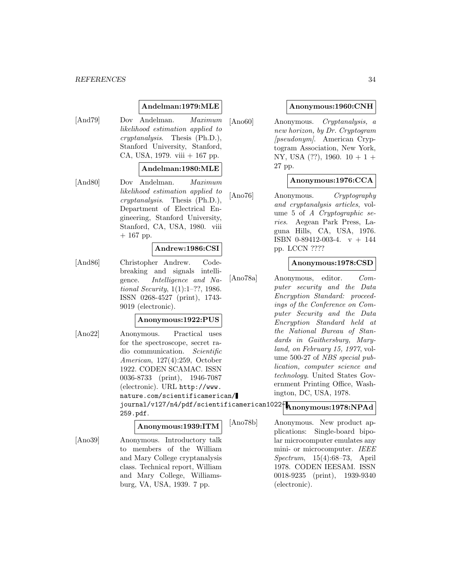#### *REFERENCES* 34

#### **Andelman:1979:MLE**

[And79] Dov Andelman. Maximum likelihood estimation applied to cryptanalysis. Thesis (Ph.D.), Stanford University, Stanford, CA, USA, 1979. viii  $+167$  pp.

#### **Andelman:1980:MLE**

[And80] Dov Andelman. Maximum likelihood estimation applied to cryptanalysis. Thesis (Ph.D.), Department of Electrical Engineering, Stanford University, Stanford, CA, USA, 1980. viii  $+ 167$  pp.

#### **Andrew:1986:CSI**

[And86] Christopher Andrew. Codebreaking and signals intelligence. Intelligence and National Security, 1(1):1–??, 1986. ISSN 0268-4527 (print), 1743- 9019 (electronic).

#### **Anonymous:1922:PUS**

[Ano22] Anonymous. Practical uses for the spectroscope, secret radio communication. Scientific American, 127(4):259, October 1922. CODEN SCAMAC. ISSN 0036-8733 (print), 1946-7087 (electronic). URL http://www. nature.com/scientificamerican/ journal/v127/n4/pdf/scientificamerican1022- **Anonymous:1978:NPAd** 259.pdf.

# **Anonymous:1939:ITM**

[Ano39] Anonymous. Introductory talk to members of the William and Mary College cryptanalysis class. Technical report, William and Mary College, Williamsburg, VA, USA, 1939. 7 pp.

### **Anonymous:1960:CNH**

[Ano60] Anonymous. Cryptanalysis, a new horizon, by Dr. Cryptogram [pseudonym]. American Cryptogram Association, New York, NY, USA  $(??)$ , 1960.  $10+1+$ 27 pp.

### **Anonymous:1976:CCA**

[Ano76] Anonymous. Cryptography and cryptanalysis articles, volume 5 of A Cryptographic series. Aegean Park Press, Laguna Hills, CA, USA, 1976. ISBN 0-89412-003-4. v + 144 pp. LCCN ????

#### **Anonymous:1978:CSD**

[Ano78a] Anonymous, editor. Computer security and the Data Encryption Standard: proceedings of the Conference on Computer Security and the Data Encryption Standard held at the National Bureau of Standards in Gaithersburg, Maryland, on February 15, 1977, volume 500-27 of NBS special publication, computer science and technology. United States Government Printing Office, Washington, DC, USA, 1978.

[Ano78b] Anonymous. New product applications: Single-board bipolar microcomputer emulates any mini- or microcomputer. IEEE Spectrum, 15(4):68–73, April 1978. CODEN IEESAM. ISSN 0018-9235 (print), 1939-9340 (electronic).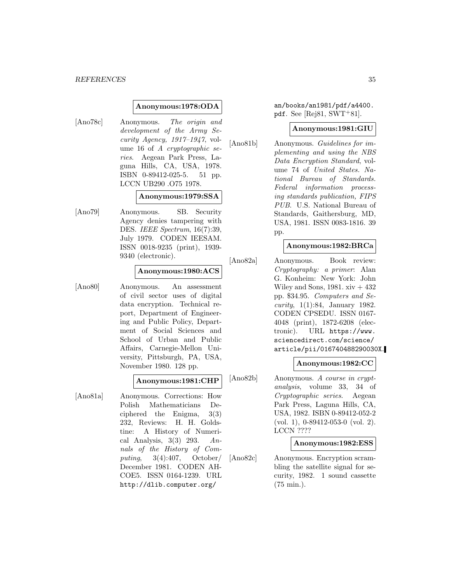#### **Anonymous:1978:ODA**

[Ano78c] Anonymous. The origin and development of the Army Security Agency,  $1917-1947$ , volume 16 of A cryptographic series. Aegean Park Press, Laguna Hills, CA, USA, 1978. ISBN 0-89412-025-5. 51 pp. LCCN UB290 .O75 1978.

#### **Anonymous:1979:SSA**

[Ano79] Anonymous. SB. Security Agency denies tampering with DES. IEEE Spectrum, 16(7):39, July 1979. CODEN IEESAM. ISSN 0018-9235 (print), 1939- 9340 (electronic).

#### **Anonymous:1980:ACS**

[Ano80] Anonymous. An assessment of civil sector uses of digital data encryption. Technical report, Department of Engineering and Public Policy, Department of Social Sciences and School of Urban and Public Affairs, Carnegie-Mellon University, Pittsburgh, PA, USA, November 1980. 128 pp.

### **Anonymous:1981:CHP**

[Ano81a] Anonymous. Corrections: How Polish Mathematicians Deciphered the Enigma, 3(3) 232, Reviews: H. H. Goldstine: A History of Numerical Analysis,  $3(3)$  293. Annals of the History of Computing, 3(4):407, October/ December 1981. CODEN AH-COE5. ISSN 0164-1239. URL http://dlib.computer.org/

an/books/an1981/pdf/a4400. pdf. See [Rej81,  $SWT+81$ ].

#### **Anonymous:1981:GIU**

[Ano81b] Anonymous. Guidelines for implementing and using the NBS Data Encryption Standard, volume 74 of United States. National Bureau of Standards. Federal information processing standards publication, FIPS PUB. U.S. National Bureau of Standards, Gaithersburg, MD, USA, 1981. ISSN 0083-1816. 39 pp.

#### **Anonymous:1982:BRCa**

[Ano82a] Anonymous. Book review: Cryptography: a primer: Alan G. Konheim: New York: John Wiley and Sons,  $1981. xiv + 432$ pp. \$34.95. Computers and Se*curity*,  $1(1):84$ , January 1982. CODEN CPSEDU. ISSN 0167- 4048 (print), 1872-6208 (electronic). URL https://www. sciencedirect.com/science/ article/pii/016740488290030X.

#### **Anonymous:1982:CC**

[Ano82b] Anonymous. A course in cryptanalysis, volume 33, 34 of Cryptographic series. Aegean Park Press, Laguna Hills, CA, USA, 1982. ISBN 0-89412-052-2 (vol. 1), 0-89412-053-0 (vol. 2). LCCN ????

#### **Anonymous:1982:ESS**

[Ano82c] Anonymous. Encryption scrambling the satellite signal for security, 1982. 1 sound cassette (75 min.).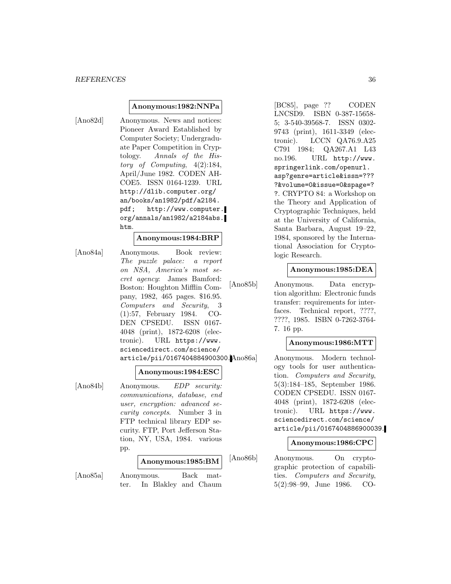#### **Anonymous:1982:NNPa**

[Ano82d] Anonymous. News and notices: Pioneer Award Established by Computer Society; Undergraduate Paper Competition in Cryptology. Annals of the History of Computing, 4(2):184, April/June 1982. CODEN AH-COE5. ISSN 0164-1239. URL http://dlib.computer.org/ an/books/an1982/pdf/a2184. pdf; http://www.computer. org/annals/an1982/a2184abs. htm.

#### **Anonymous:1984:BRP**

[Ano84a] Anonymous. Book review: The puzzle palace: a report on NSA, America's most secret agency: James Bamford: Boston: Houghton Mifflin Company, 1982, 465 pages. \$16.95. Computers and Security, 3 (1):57, February 1984. CO-DEN CPSEDU. ISSN 0167- 4048 (print), 1872-6208 (electronic). URL https://www. sciencedirect.com/science/ article/pii/0167404884900300.

#### **Anonymous:1984:ESC**

[Ano84b] Anonymous. EDP security: communications, database, end user, encryption: advanced security concepts. Number 3 in FTP technical library EDP security. FTP, Port Jefferson Station, NY, USA, 1984. various pp.

# **Anonymous:1985:BM**

[Ano85a] Anonymous. Back matter. In Blakley and Chaum

[BC85], page ?? CODEN LNCSD9. ISBN 0-387-15658- 5; 3-540-39568-7. ISSN 0302- 9743 (print), 1611-3349 (electronic). LCCN QA76.9.A25 C791 1984; QA267.A1 L43 no.196. URL http://www. springerlink.com/openurl. asp?genre=article&issn=??? ?&volume=0&issue=0&spage=? ?. CRYPTO 84: a Workshop on the Theory and Application of Cryptographic Techniques, held at the University of California, Santa Barbara, August 19–22, 1984, sponsored by the International Association for Cryptologic Research.

#### **Anonymous:1985:DEA**

[Ano85b] Anonymous. Data encryption algorithm: Electronic funds transfer: requirements for interfaces. Technical report, ????, ????, 1985. ISBN 0-7262-3764- 7. 16 pp.

### **Anonymous:1986:MTT**

Anonymous. Modern technology tools for user authentication. Computers and Security, 5(3):184–185, September 1986. CODEN CPSEDU. ISSN 0167- 4048 (print), 1872-6208 (electronic). URL https://www. sciencedirect.com/science/ article/pii/0167404886900039.

#### **Anonymous:1986:CPC**

[Ano86b] Anonymous. On cryptographic protection of capabilities. Computers and Security, 5(2):98–99, June 1986. CO-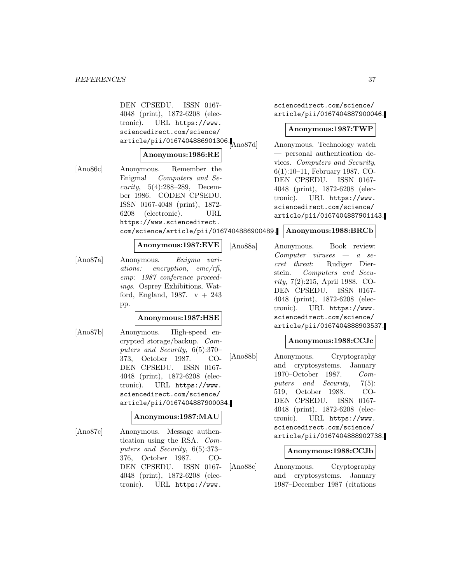DEN CPSEDU. ISSN 0167- 4048 (print), 1872-6208 (electronic). URL https://www. sciencedirect.com/science/ article/pii/0167404886901306.<br>Ano87d

#### **Anonymous:1986:RE**

[Ano86c] Anonymous. Remember the Enigma! Computers and Security, 5(4):288–289, December 1986. CODEN CPSEDU. ISSN 0167-4048 (print), 1872- 6208 (electronic). URL https://www.sciencedirect. com/science/article/pii/0167404886900489.

### **Anonymous:1987:EVE**

[Ano87a] Anonymous. Enigma variations: encryption, emc/rfi, emp: 1987 conference proceedings. Osprey Exhibitions, Watford, England, 1987.  $v + 243$ pp.

#### **Anonymous:1987:HSE**

[Ano87b] Anonymous. High-speed encrypted storage/backup. Computers and Security, 6(5):370– 373, October 1987. CO-DEN CPSEDU. ISSN 0167- 4048 (print), 1872-6208 (electronic). URL https://www. sciencedirect.com/science/ article/pii/0167404887900034.

#### **Anonymous:1987:MAU**

[Ano87c] Anonymous. Message authentication using the RSA. Computers and Security, 6(5):373– 376, October 1987. CO-DEN CPSEDU. ISSN 0167- 4048 (print), 1872-6208 (electronic). URL https://www.

sciencedirect.com/science/ article/pii/0167404887900046.

#### **Anonymous:1987:TWP**

Anonymous. Technology watch — personal authentication devices. Computers and Security, 6(1):10–11, February 1987. CO-DEN CPSEDU. ISSN 0167- 4048 (print), 1872-6208 (electronic). URL https://www. sciencedirect.com/science/ article/pii/0167404887901143.

#### **Anonymous:1988:BRCb**

[Ano88a] Anonymous. Book review: Computer viruses — a secret threat: Rudiger Dierstein. Computers and Security, 7(2):215, April 1988. CO-DEN CPSEDU. ISSN 0167- 4048 (print), 1872-6208 (electronic). URL https://www. sciencedirect.com/science/ article/pii/0167404888903537.

#### **Anonymous:1988:CCJc**

[Ano88b] Anonymous. Cryptography and cryptosystems. January 1970–October 1987. Computers and Security, 7(5): 519, October 1988. CO-DEN CPSEDU. ISSN 0167- 4048 (print), 1872-6208 (electronic). URL https://www. sciencedirect.com/science/ article/pii/0167404888902738.

#### **Anonymous:1988:CCJb**

[Ano88c] Anonymous. Cryptography and cryptosystems. January 1987–December 1987 (citations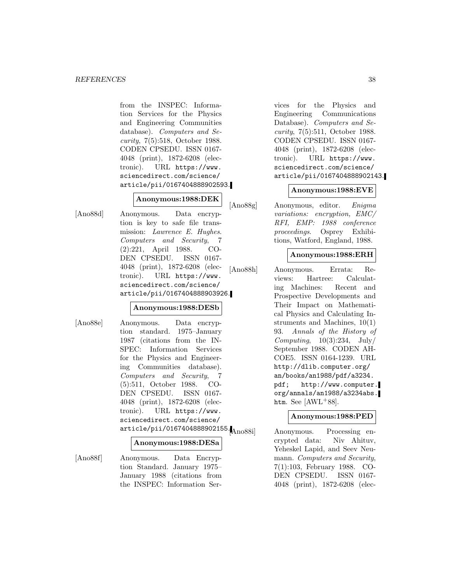from the INSPEC: Information Services for the Physics and Engineering Communities database). Computers and Security, 7(5):518, October 1988. CODEN CPSEDU. ISSN 0167- 4048 (print), 1872-6208 (electronic). URL https://www. sciencedirect.com/science/ article/pii/0167404888902593.

### **Anonymous:1988:DEK**

[Ano88d] Anonymous. Data encryption is key to safe file transmission: Lawrence E. Hughes. Computers and Security, 7 (2):221, April 1988. CO-DEN CPSEDU. ISSN 0167- 4048 (print), 1872-6208 (electronic). URL https://www. sciencedirect.com/science/ article/pii/0167404888903926.

#### **Anonymous:1988:DESb**

[Ano88e] Anonymous. Data encryption standard. 1975–January 1987 (citations from the IN-SPEC: Information Services for the Physics and Engineering Communities database). Computers and Security, 7 (5):511, October 1988. CO-DEN CPSEDU. ISSN 0167- 4048 (print), 1872-6208 (electronic). URL https://www. sciencedirect.com/science/ article/pii/0167404888902155.<br>Ano88il

#### **Anonymous:1988:DESa**

[Ano88f] Anonymous. Data Encryption Standard. January 1975– January 1988 (citations from the INSPEC: Information Ser-

vices for the Physics and Engineering Communications Database). Computers and Security, 7(5):511, October 1988. CODEN CPSEDU. ISSN 0167- 4048 (print), 1872-6208 (electronic). URL https://www. sciencedirect.com/science/ article/pii/0167404888902143.

#### **Anonymous:1988:EVE**

[Ano88g] Anonymous, editor. Enigma variations: encryption, EMC/ RFI, EMP: 1988 conference proceedings. Osprey Exhibitions, Watford, England, 1988.

#### **Anonymous:1988:ERH**

[Ano88h] Anonymous. Errata: Reviews: Hartree: Calculating Machines: Recent and Prospective Developments and Their Impact on Mathematical Physics and Calculating Instruments and Machines, 10(1) 93. Annals of the History of Computing,  $10(3):234$ ,  $\text{July}/$ September 1988. CODEN AH-COE5. ISSN 0164-1239. URL http://dlib.computer.org/ an/books/an1988/pdf/a3234. pdf; http://www.computer. org/annals/an1988/a3234abs. htm. See  $[AWL+88]$ .

#### **Anonymous:1988:PED**

Anonymous. Processing encrypted data: Niv Ahituv, Yeheskel Lapid, and Seev Neumann. Computers and Security, 7(1):103, February 1988. CO-DEN CPSEDU. ISSN 0167- 4048 (print), 1872-6208 (elec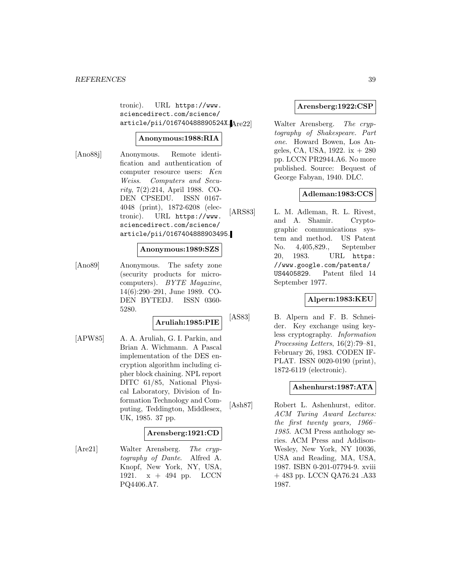tronic). URL https://www. sciencedirect.com/science/ article/pii/016740488890524X.

## **Anonymous:1988:RIA**

[Ano88j] Anonymous. Remote identification and authentication of computer resource users: Ken Weiss. Computers and Security, 7(2):214, April 1988. CO-DEN CPSEDU. ISSN 0167- 4048 (print), 1872-6208 (electronic). URL https://www. sciencedirect.com/science/ article/pii/0167404888903495.

#### **Anonymous:1989:SZS**

[Ano89] Anonymous. The safety zone (security products for microcomputers). BYTE Magazine, 14(6):290–291, June 1989. CO-DEN BYTEDJ. ISSN 0360- 5280.

# **Aruliah:1985:PIE**

[APW85] A. A. Aruliah, G. I. Parkin, and Brian A. Wichmann. A Pascal implementation of the DES encryption algorithm including cipher block chaining. NPL report DITC 61/85, National Physical Laboratory, Division of Information Technology and Computing, Teddington, Middlesex, UK, 1985. 37 pp.

#### **Arensberg:1921:CD**

[Are21] Walter Arensberg. The cryptography of Dante. Alfred A. Knopf, New York, NY, USA, 1921.  $x + 494$  pp. LCCN PQ4406.A7.

### **Arensberg:1922:CSP**

Walter Arensberg. The cryptography of Shakespeare. Part one. Howard Bowen, Los Angeles, CA, USA, 1922. ix + 280 pp. LCCN PR2944.A6. No more published. Source: Bequest of George Fabyan, 1940. DLC.

## **Adleman:1983:CCS**

[ARS83] L. M. Adleman, R. L. Rivest, and A. Shamir. Cryptographic communications system and method. US Patent No. 4,405,829., September 20, 1983. URL https: //www.google.com/patents/ US4405829. Patent filed 14 September 1977.

## **Alpern:1983:KEU**

[AS83] B. Alpern and F. B. Schneider. Key exchange using keyless cryptography. Information Processing Letters, 16(2):79–81, February 26, 1983. CODEN IF-PLAT. ISSN 0020-0190 (print), 1872-6119 (electronic).

## **Ashenhurst:1987:ATA**

[Ash87] Robert L. Ashenhurst, editor. ACM Turing Award Lectures: the first twenty years, 1966– 1985. ACM Press anthology series. ACM Press and Addison-Wesley, New York, NY 10036, USA and Reading, MA, USA, 1987. ISBN 0-201-07794-9. xviii + 483 pp. LCCN QA76.24 .A33 1987.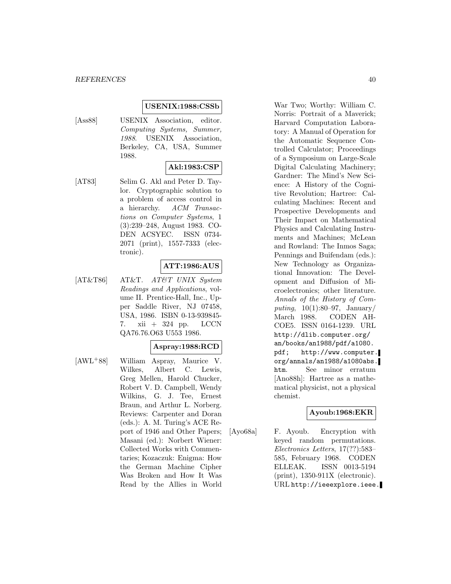#### **USENIX:1988:CSSb**

[Ass88] USENIX Association, editor. Computing Systems, Summer, 1988. USENIX Association, Berkeley, CA, USA, Summer 1988.

## **Akl:1983:CSP**

[AT83] Selim G. Akl and Peter D. Taylor. Cryptographic solution to a problem of access control in a hierarchy. ACM Transactions on Computer Systems, 1 (3):239–248, August 1983. CO-DEN ACSYEC. ISSN 0734- 2071 (print), 1557-7333 (electronic).

## **ATT:1986:AUS**

[AT&T86] AT&T. AT&T UNIX System Readings and Applications, volume II. Prentice-Hall, Inc., Upper Saddle River, NJ 07458, USA, 1986. ISBN 0-13-939845- 7. xii + 324 pp. LCCN QA76.76.O63 U553 1986.

#### **Aspray:1988:RCD**

[AWL<sup>+</sup>88] William Aspray, Maurice V. Wilkes, Albert C. Lewis, Greg Mellen, Harold Chucker, Robert V. D. Campbell, Wendy Wilkins, G. J. Tee, Ernest Braun, and Arthur L. Norberg. Reviews: Carpenter and Doran (eds.): A. M. Turing's ACE Report of 1946 and Other Papers; Masani (ed.): Norbert Wiener: Collected Works with Commentaries; Kozaczuk: Enigma: How the German Machine Cipher Was Broken and How It Was Read by the Allies in World

War Two; Worthy: William C. Norris: Portrait of a Maverick; Harvard Computation Laboratory: A Manual of Operation for the Automatic Sequence Controlled Calculator; Proceedings of a Symposium on Large-Scale Digital Calculating Machinery; Gardner: The Mind's New Science: A History of the Cognitive Revolution; Hartree: Calculating Machines: Recent and Prospective Developments and Their Impact on Mathematical Physics and Calculating Instruments and Machines; McLean and Rowland: The Inmos Saga; Pennings and Buifendam (eds.): New Technology as Organizational Innovation: The Development and Diffusion of Microelectronics; other literature. Annals of the History of Computing,  $10(1):80-97$ , January/ March 1988. CODEN AH-COE5. ISSN 0164-1239. URL http://dlib.computer.org/ an/books/an1988/pdf/a1080. pdf; http://www.computer. org/annals/an1988/a1080abs. htm. See minor erratum [Ano88h]: Hartree as a mathematical physicist, not a physical chemist.

#### **Ayoub:1968:EKR**

[Ayo68a] F. Ayoub. Encryption with keyed random permutations. Electronics Letters, 17(??):583– 585, February 1968. CODEN ELLEAK. ISSN 0013-5194 (print), 1350-911X (electronic). URL http://ieeexplore.ieee.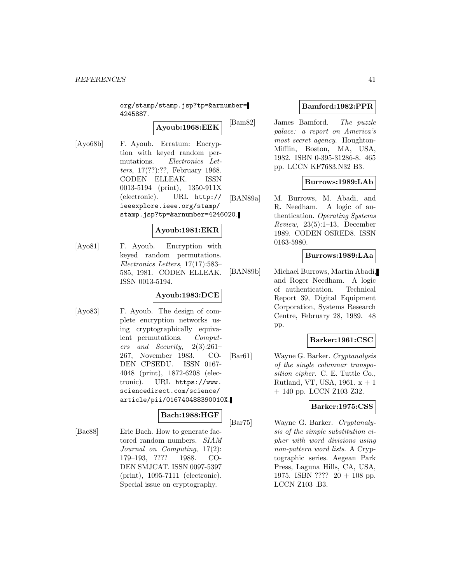org/stamp/stamp.jsp?tp=&arnumber= 4245887.

**Ayoub:1968:EEK**

[Ayo68b] F. Ayoub. Erratum: Encryption with keyed random permutations. Electronics Letters, 17(??):??, February 1968. CODEN ELLEAK. ISSN 0013-5194 (print), 1350-911X (electronic). URL http:// ieeexplore.ieee.org/stamp/ stamp.jsp?tp=&arnumber=4246020.

# **Ayoub:1981:EKR**

[Ayo81] F. Ayoub. Encryption with keyed random permutations. Electronics Letters, 17(17):583– 585, 1981. CODEN ELLEAK. ISSN 0013-5194.

# **Ayoub:1983:DCE**

[Ayo83] F. Ayoub. The design of complete encryption networks using cryptographically equivalent permutations. Computers and Security, 2(3):261– 267, November 1983. CO-DEN CPSEDU. ISSN 0167- 4048 (print), 1872-6208 (electronic). URL https://www. sciencedirect.com/science/ article/pii/016740488390010X.

#### **Bach:1988:HGF**

[Bac88] Eric Bach. How to generate factored random numbers. SIAM Journal on Computing, 17(2): 179–193, ???? 1988. CO-DEN SMJCAT. ISSN 0097-5397 (print), 1095-7111 (electronic). Special issue on cryptography.

### **Bamford:1982:PPR**

[Bam82] James Bamford. The puzzle palace: a report on America's most secret agency. Houghton-Mifflin, Boston, MA, USA, 1982. ISBN 0-395-31286-8. 465 pp. LCCN KF7683.N32 B3.

## **Burrows:1989:LAb**

[BAN89a] M. Burrows, M. Abadi, and R. Needham. A logic of authentication. Operating Systems  $Review, 23(5):1-13, December$ 1989. CODEN OSRED8. ISSN 0163-5980.

## **Burrows:1989:LAa**

[BAN89b] Michael Burrows, Martin Abadi, and Roger Needham. A logic of authentication. Technical Report 39, Digital Equipment Corporation, Systems Research Centre, February 28, 1989. 48 pp.

## **Barker:1961:CSC**

[Bar61] Wayne G. Barker. Cryptanalysis of the single columnar transposition cipher. C. E. Tuttle Co., Rutland, VT, USA, 1961.  $x + 1$ + 140 pp. LCCN Z103 Z32.

## **Barker:1975:CSS**

[Bar75] Wayne G. Barker. Cryptanalysis of the simple substitution cipher with word divisions using non-pattern word lists. A Cryptographic series. Aegean Park Press, Laguna Hills, CA, USA, 1975. ISBN ???? 20 + 108 pp. LCCN Z103 .B3.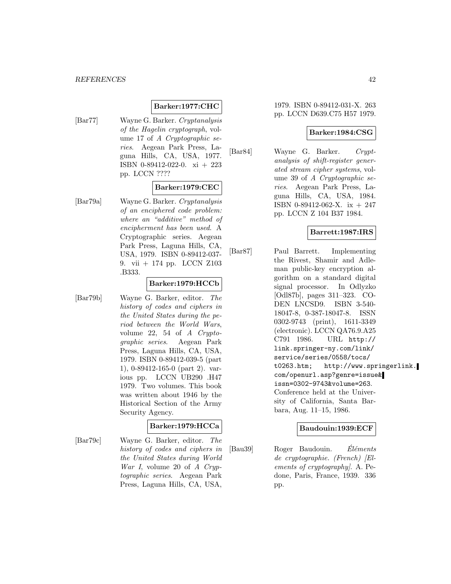# **Barker:1977:CHC**

[Bar77] Wayne G. Barker. Cryptanalysis of the Hagelin cryptograph, volume 17 of A Cryptographic series. Aegean Park Press, Laguna Hills, CA, USA, 1977. ISBN 0-89412-022-0. xi + 223 pp. LCCN ????

### **Barker:1979:CEC**

[Bar79a] Wayne G. Barker. Cryptanalysis of an enciphered code problem: where an "additive" method of encipherment has been used. A Cryptographic series. Aegean Park Press, Laguna Hills, CA, USA, 1979. ISBN 0-89412-037- 9. vii + 174 pp. LCCN Z103 .B333.

#### **Barker:1979:HCCb**

[Bar79b] Wayne G. Barker, editor. The history of codes and ciphers in the United States during the period between the World Wars, volume 22, 54 of A Cryptographic series. Aegean Park Press, Laguna Hills, CA, USA, 1979. ISBN 0-89412-039-5 (part 1), 0-89412-165-0 (part 2). various pp. LCCN UB290 .H47 1979. Two volumes. This book was written about 1946 by the Historical Section of the Army Security Agency.

## **Barker:1979:HCCa**

[Bar79c] Wayne G. Barker, editor. The history of codes and ciphers in the United States during World War I, volume 20 of A Cryptographic series. Aegean Park Press, Laguna Hills, CA, USA,

### 1979. ISBN 0-89412-031-X. 263 pp. LCCN D639.C75 H57 1979.

#### **Barker:1984:CSG**

[Bar84] Wayne G. Barker. Cryptanalysis of shift-register generated stream cipher systems, volume 39 of A Cryptographic series. Aegean Park Press, Laguna Hills, CA, USA, 1984. ISBN 0-89412-062-X. ix + 247 pp. LCCN Z 104 B37 1984.

### **Barrett:1987:IRS**

[Bar87] Paul Barrett. Implementing the Rivest, Shamir and Adleman public-key encryption algorithm on a standard digital signal processor. In Odlyzko [Odl87b], pages 311–323. CO-DEN LNCSD9. ISBN 3-540- 18047-8, 0-387-18047-8. ISSN 0302-9743 (print), 1611-3349 (electronic). LCCN QA76.9.A25 C791 1986. URL http:// link.springer-ny.com/link/ service/series/0558/tocs/ t0263.htm; http://www.springerlink. com/openurl.asp?genre=issue& issn=0302-9743&volume=263. Conference held at the University of California, Santa Barbara, Aug. 11–15, 1986.

### **Baudouin:1939:ECF**

 $[Bau39]$  Roger Baudouin. Eléments de cryptographie. (French) [Elements of cryptography]. A. Pedone, Paris, France, 1939. 336 pp.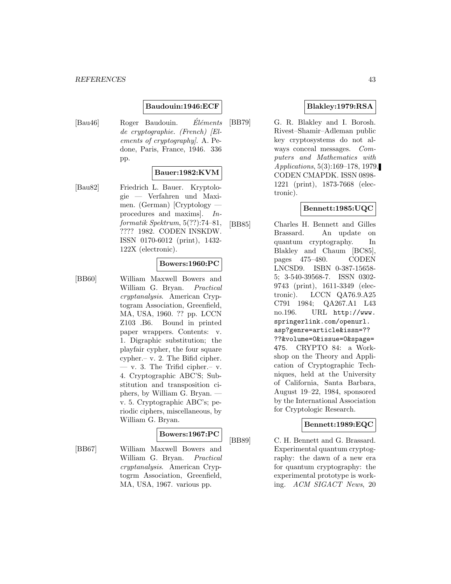#### **Baudouin:1946:ECF**

 $[Bau46]$  Roger Baudouin. Eléments de cryptographie. (French) [Elements of cryptography]. A. Pedone, Paris, France, 1946. 336 pp.

#### **Bauer:1982:KVM**

[Bau82] Friedrich L. Bauer. Kryptologie — Verfahren und Maximen. (German) [Cryptology procedures and maxims]. Informatik Spektrum, 5(??):74–81, ???? 1982. CODEN INSKDW. ISSN 0170-6012 (print), 1432- 122X (electronic).

### **Bowers:1960:PC**

[BB60] William Maxwell Bowers and William G. Bryan. Practical cryptanalysis. American Cryptogram Association, Greenfield, MA, USA, 1960. ?? pp. LCCN Z103 .B6. Bound in printed paper wrappers. Contents: v. 1. Digraphic substitution; the playfair cypher, the four square cypher.– v. 2. The Bifid cipher.  $-$  v. 3. The Trifid cipher.  $-$  v. 4. Cryptographic ABC'S; Substitution and transposition ciphers, by William G. Bryan. v. 5. Cryptographic ABC's; periodic ciphers, miscellaneous, by William G. Bryan.

#### **Bowers:1967:PC**

[BB67] William Maxwell Bowers and William G. Bryan. Practical cryptanalysis. American Cryptogrm Association, Greenfield, MA, USA, 1967. various pp.

### **Blakley:1979:RSA**

[BB79] G. R. Blakley and I. Borosh. Rivest–Shamir–Adleman public key cryptosystems do not always conceal messages. Computers and Mathematics with Applications, 5(3):169–178, 1979. CODEN CMAPDK. ISSN 0898- 1221 (print), 1873-7668 (electronic).

## **Bennett:1985:UQC**

[BB85] Charles H. Bennett and Gilles Brassard. An update on quantum cryptography. In Blakley and Chaum [BC85], pages 475–480. CODEN LNCSD9. ISBN 0-387-15658- 5; 3-540-39568-7. ISSN 0302- 9743 (print), 1611-3349 (electronic). LCCN QA76.9.A25 C791 1984; QA267.A1 L43 no.196. URL http://www. springerlink.com/openurl. asp?genre=article&issn=?? ??&volume=0&issue=0&spage= 475. CRYPTO 84: a Workshop on the Theory and Application of Cryptographic Techniques, held at the University of California, Santa Barbara, August 19–22, 1984, sponsored by the International Association for Cryptologic Research.

#### **Bennett:1989:EQC**

[BB89] C. H. Bennett and G. Brassard. Experimental quantum cryptography: the dawn of a new era for quantum cryptography: the experimental prototype is working. ACM SIGACT News, 20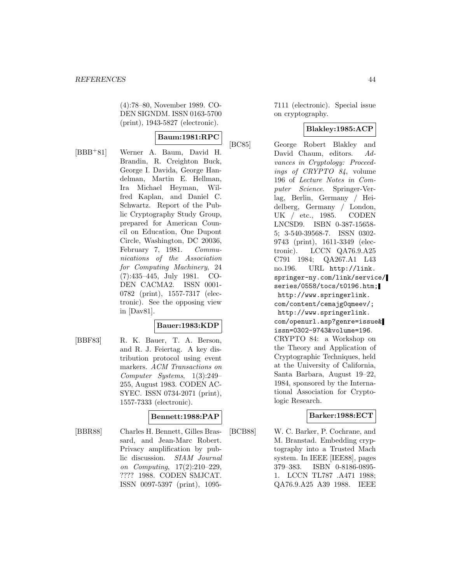(4):78–80, November 1989. CO-DEN SIGNDM. ISSN 0163-5700 (print), 1943-5827 (electronic).

### **Baum:1981:RPC**

[BBB<sup>+</sup>81] Werner A. Baum, David H. Brandin, R. Creighton Buck, George I. Davida, George Handelman, Martin E. Hellman, Ira Michael Heyman, Wilfred Kaplan, and Daniel C. Schwartz. Report of the Public Cryptography Study Group, prepared for American Council on Education, One Dupont Circle, Washington, DC 20036, February 7, 1981. Communications of the Association for Computing Machinery, 24 (7):435–445, July 1981. CO-DEN CACMA2. ISSN 0001- 0782 (print), 1557-7317 (electronic). See the opposing view in [Dav81].

## **Bauer:1983:KDP**

[BBF83] R. K. Bauer, T. A. Berson, and R. J. Feiertag. A key distribution protocol using event markers. ACM Transactions on Computer Systems, 1(3):249– 255, August 1983. CODEN AC-SYEC. ISSN 0734-2071 (print), 1557-7333 (electronic).

#### **Bennett:1988:PAP**

[BBR88] Charles H. Bennett, Gilles Brassard, and Jean-Marc Robert. Privacy amplification by public discussion. SIAM Journal on Computing, 17(2):210–229, ???? 1988. CODEN SMJCAT. ISSN 0097-5397 (print), 1095-

7111 (electronic). Special issue on cryptography.

## **Blakley:1985:ACP**

[BC85] George Robert Blakley and David Chaum, editors. Advances in Cryptology: Proceedings of CRYPTO 84, volume 196 of Lecture Notes in Computer Science. Springer-Verlag, Berlin, Germany / Heidelberg, Germany / London, UK / etc., 1985. CODEN LNCSD9. ISBN 0-387-15658- 5; 3-540-39568-7. ISSN 0302- 9743 (print), 1611-3349 (electronic). LCCN QA76.9.A25 C791 1984; QA267.A1 L43 no.196. URL http://link. springer-ny.com/link/service/ series/0558/tocs/t0196.htm; http://www.springerlink. com/content/cemajg0qmeev/; http://www.springerlink. com/openurl.asp?genre=issue& issn=0302-9743&volume=196. CRYPTO 84: a Workshop on the Theory and Application of Cryptographic Techniques, held at the University of California, Santa Barbara, August 19–22, 1984, sponsored by the International Association for Cryptologic Research.

## **Barker:1988:ECT**

[BCB88] W. C. Barker, P. Cochrane, and M. Branstad. Embedding cryptography into a Trusted Mach system. In IEEE [IEE88], pages 379–383. ISBN 0-8186-0895- 1. LCCN TL787 .A471 1988; QA76.9.A25 A39 1988. IEEE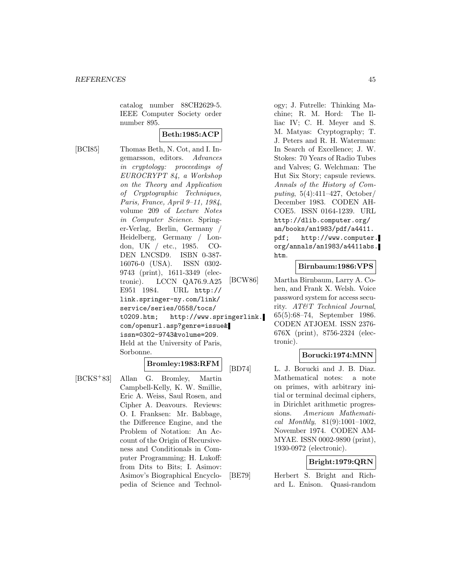catalog number 88CH2629-5. IEEE Computer Society order number 895.

## **Beth:1985:ACP**

[BCI85] Thomas Beth, N. Cot, and I. Ingemarsson, editors. Advances in cryptology: proceedings of EUROCRYPT 84, a Workshop on the Theory and Application of Cryptographic Techniques, Paris, France, April 9–11, 1984, volume 209 of Lecture Notes in Computer Science. Springer-Verlag, Berlin, Germany / Heidelberg, Germany / London, UK / etc., 1985. CO-DEN LNCSD9. ISBN 0-387- 16076-0 (USA). ISSN 0302- 9743 (print), 1611-3349 (electronic). LCCN QA76.9.A25 E951 1984. URL http:// link.springer-ny.com/link/ service/series/0558/tocs/ t0209.htm; http://www.springerlink. com/openurl.asp?genre=issue& issn=0302-9743&volume=209. Held at the University of Paris, Sorbonne.

### **Bromley:1983:RFM**

[BCKS<sup>+</sup>83] Allan G. Bromley, Martin Campbell-Kelly, K. W. Smillie, Eric A. Weiss, Saul Rosen, and Cipher A. Deavours. Reviews: O. I. Franksen: Mr. Babbage, the Difference Engine, and the Problem of Notation: An Account of the Origin of Recursiveness and Conditionals in Computer Programming; H. Lukoff: from Dits to Bits; I. Asimov: Asimov's Biographical Encyclopedia of Science and Technology; J. Futrelle: Thinking Machine; R. M. Hord: The Illiac IV; C. H. Meyer and S. M. Matyas: Cryptography; T. J. Peters and R. H. Waterman: In Search of Excellence; J. W. Stokes: 70 Years of Radio Tubes and Valves; G. Welchman: The Hut Six Story; capsule reviews. Annals of the History of Computing, 5(4):411–427, October/ December 1983. CODEN AH-COE5. ISSN 0164-1239. URL http://dlib.computer.org/ an/books/an1983/pdf/a4411. pdf; http://www.computer. org/annals/an1983/a4411abs. htm.

### **Birnbaum:1986:VPS**

[BCW86] Martha Birnbaum, Larry A. Cohen, and Frank X. Welsh. Voice password system for access security. AT&T Technical Journal, 65(5):68–74, September 1986. CODEN ATJOEM. ISSN 2376- 676X (print), 8756-2324 (electronic).

#### **Borucki:1974:MNN**

[BD74] L. J. Borucki and J. B. Diaz. Mathematical notes: a note on primes, with arbitrary initial or terminal decimal ciphers, in Dirichlet arithmetic progressions. American Mathematical Monthly, 81(9):1001–1002, November 1974. CODEN AM-MYAE. ISSN 0002-9890 (print), 1930-0972 (electronic).

## **Bright:1979:QRN**

[BE79] Herbert S. Bright and Richard L. Enison. Quasi-random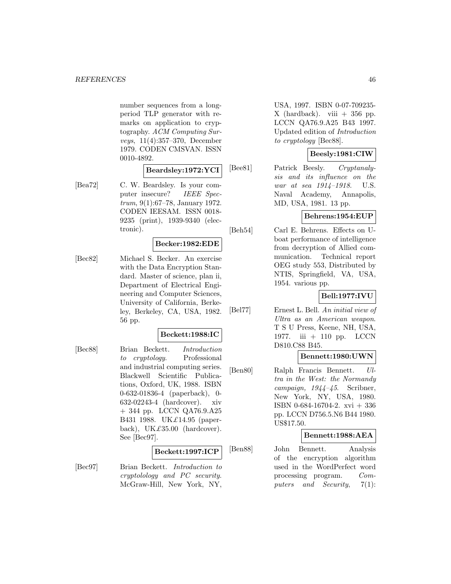number sequences from a longperiod TLP generator with remarks on application to cryptography. ACM Computing Surveys, 11(4):357–370, December 1979. CODEN CMSVAN. ISSN 0010-4892.

**Beardsley:1972:YCI**

[Bea72] C. W. Beardsley. Is your computer insecure? IEEE Spectrum, 9(1):67–78, January 1972. CODEN IEESAM. ISSN 0018- 9235 (print), 1939-9340 (electronic).

### **Becker:1982:EDE**

[Bec82] Michael S. Becker. An exercise with the Data Encryption Standard. Master of science, plan ii, Department of Electrical Engineering and Computer Sciences, University of California, Berkeley, Berkeley, CA, USA, 1982. 56 pp.

#### **Beckett:1988:IC**

[Bec88] Brian Beckett. Introduction to cryptology. Professional and industrial computing series. Blackwell Scientific Publications, Oxford, UK, 1988. ISBN 0-632-01836-4 (paperback), 0- 632-02243-4 (hardcover). xiv + 344 pp. LCCN QA76.9.A25 B431 1988. UK£14.95 (paperback), UK $\pounds$ 35.00 (hardcover). See [Bec97].

#### **Beckett:1997:ICP**

[Bec97] Brian Beckett. Introduction to cryptolology and PC security. McGraw-Hill, New York, NY,

USA, 1997. ISBN 0-07-709235-  $X$  (hardback). viii  $+356$  pp. LCCN QA76.9.A25 B43 1997. Updated edition of Introduction to cryptology [Bec88].

## **Beesly:1981:CIW**

[Bee81] Patrick Beesly. Cryptanalysis and its influence on the war at sea 1914–1918. U.S. Naval Academy, Annapolis, MD, USA, 1981. 13 pp.

## **Behrens:1954:EUP**

[Beh54] Carl E. Behrens. Effects on Uboat performance of intelligence from decryption of Allied communication. Technical report OEG study 553, Distributed by NTIS, Springfield, VA, USA, 1954. various pp.

# **Bell:1977:IVU**

[Bel77] Ernest L. Bell. An initial view of Ultra as an American weapon. T S U Press, Keene, NH, USA, 1977. iii + 110 pp. LCCN D810.C88 B45.

#### **Bennett:1980:UWN**

[Ben80] Ralph Francis Bennett. Ultra in the West: the Normandy campaign, 1944–45. Scribner, New York, NY, USA, 1980. ISBN 0-684-16704-2. xvi + 336 pp. LCCN D756.5.N6 B44 1980. US\$17.50.

#### **Bennett:1988:AEA**

[Ben88] John Bennett. Analysis of the encryption algorithm used in the WordPerfect word processing program. Computers and Security, 7(1):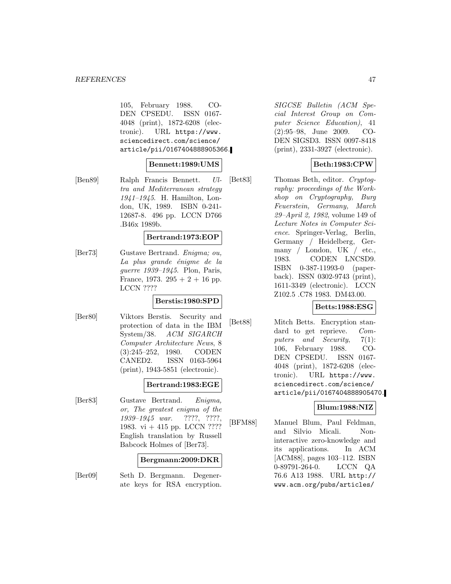105, February 1988. CO-DEN CPSEDU. ISSN 0167- 4048 (print), 1872-6208 (electronic). URL https://www. sciencedirect.com/science/ article/pii/0167404888905366.

#### **Bennett:1989:UMS**

[Ben89] Ralph Francis Bennett. Ultra and Mediterranean strategy 1941–1945. H. Hamilton, London, UK, 1989. ISBN 0-241- 12687-8. 496 pp. LCCN D766 .B46x 1989b.

#### **Bertrand:1973:EOP**

[Ber73] Gustave Bertrand. Enigma; ou, La plus grande énigme de la guerre 1939–1945. Plon, Paris, France, 1973.  $295 + 2 + 16$  pp. LCCN ????

#### **Berstis:1980:SPD**

[Ber80] Viktors Berstis. Security and protection of data in the IBM System/38. ACM SIGARCH Computer Architecture News, 8 (3):245–252, 1980. CODEN CANED2. ISSN 0163-5964 (print), 1943-5851 (electronic).

#### **Bertrand:1983:EGE**

[Ber83] Gustave Bertrand. Enigma, or, The greatest enigma of the 1939–1945 war. ????, ????, 1983. vi + 415 pp. LCCN ???? English translation by Russell Babcock Holmes of [Ber73].

#### **Bergmann:2009:DKR**

[Ber09] Seth D. Bergmann. Degenerate keys for RSA encryption.

SIGCSE Bulletin (ACM Special Interest Group on Computer Science Education), 41 (2):95–98, June 2009. CO-DEN SIGSD3. ISSN 0097-8418 (print), 2331-3927 (electronic).

### **Beth:1983:CPW**

[Bet83] Thomas Beth, editor. Cryptography: proceedings of the Workshop on Cryptography, Burg Feuerstein, Germany, March 29–April 2, 1982, volume 149 of Lecture Notes in Computer Science. Springer-Verlag, Berlin, Germany / Heidelberg, Germany / London, UK / etc., 1983. CODEN LNCSD9. ISBN 0-387-11993-0 (paperback). ISSN 0302-9743 (print), 1611-3349 (electronic). LCCN Z102.5 .C78 1983. DM43.00.

#### **Betts:1988:ESG**

[Bet88] Mitch Betts. Encryption standard to get reprieve. Computers and Security, 7(1): 106, February 1988. CO-DEN CPSEDU. ISSN 0167- 4048 (print), 1872-6208 (electronic). URL https://www. sciencedirect.com/science/ article/pii/0167404888905470.

## **Blum:1988:NIZ**

[BFM88] Manuel Blum, Paul Feldman, and Silvio Micali. Noninteractive zero-knowledge and its applications. In ACM [ACM88], pages 103–112. ISBN 0-89791-264-0. LCCN QA 76.6 A13 1988. URL http:// www.acm.org/pubs/articles/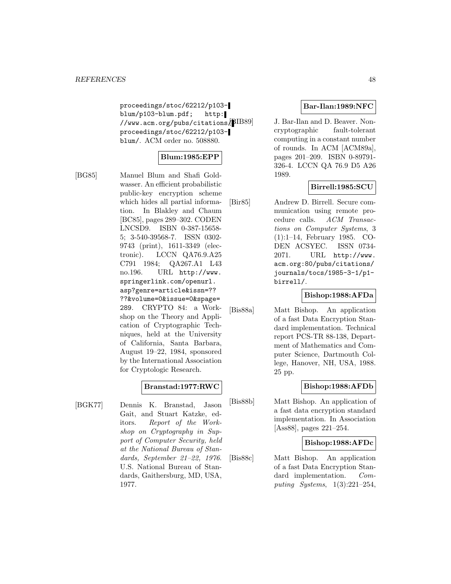proceedings/stoc/62212/p103 blum/p103-blum.pdf; http:  $\frac{1}{\text{WWW.arm.org}/\text{pubs}/\text{citations}}$ [BIB89] proceedings/stoc/62212/p103 blum/. ACM order no. 508880.

## **Blum:1985:EPP**

[BG85] Manuel Blum and Shafi Goldwasser. An efficient probabilistic public-key encryption scheme which hides all partial information. In Blakley and Chaum [BC85], pages 289–302. CODEN LNCSD9. ISBN 0-387-15658- 5; 3-540-39568-7. ISSN 0302- 9743 (print), 1611-3349 (electronic). LCCN QA76.9.A25 C791 1984; QA267.A1 L43 no.196. URL http://www. springerlink.com/openurl. asp?genre=article&issn=?? ??&volume=0&issue=0&spage= 289. CRYPTO 84: a Workshop on the Theory and Application of Cryptographic Techniques, held at the University of California, Santa Barbara, August 19–22, 1984, sponsored by the International Association for Cryptologic Research.

## **Branstad:1977:RWC**

[BGK77] Dennis K. Branstad, Jason Gait, and Stuart Katzke, editors. Report of the Workshop on Cryptography in Support of Computer Security, held at the National Bureau of Standards, September 21–22, 1976. U.S. National Bureau of Standards, Gaithersburg, MD, USA, 1977.

## **Bar-Ilan:1989:NFC**

J. Bar-Ilan and D. Beaver. Noncryptographic fault-tolerant computing in a constant number of rounds. In ACM [ACM89a], pages 201–209. ISBN 0-89791- 326-4. LCCN QA 76.9 D5 A26 1989.

### **Birrell:1985:SCU**

[Bir85] Andrew D. Birrell. Secure communication using remote procedure calls. ACM Transactions on Computer Systems, 3 (1):1–14, February 1985. CO-DEN ACSYEC. ISSN 0734- 2071. URL http://www. acm.org:80/pubs/citations/ journals/tocs/1985-3-1/p1 birrell/.

#### **Bishop:1988:AFDa**

[Bis88a] Matt Bishop. An application of a fast Data Encryption Standard implementation. Technical report PCS-TR 88-138, Department of Mathematics and Computer Science, Dartmouth College, Hanover, NH, USA, 1988. 25 pp.

## **Bishop:1988:AFDb**

[Bis88b] Matt Bishop. An application of a fast data encryption standard implementation. In Association [Ass88], pages 221–254.

### **Bishop:1988:AFDc**

[Bis88c] Matt Bishop. An application of a fast Data Encryption Standard implementation. Computing Systems, 1(3):221–254,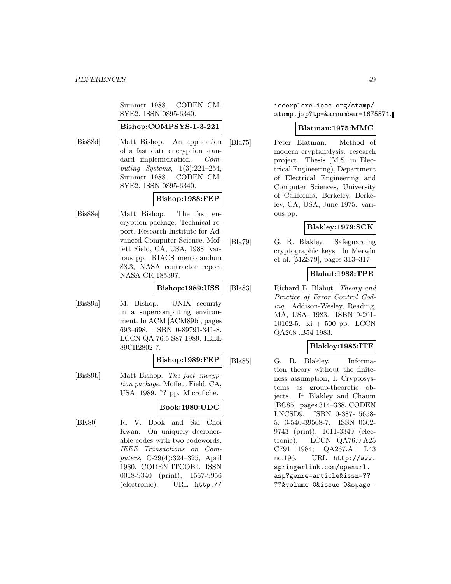Summer 1988. CODEN CM-SYE2. ISSN 0895-6340.

#### **Bishop:COMPSYS-1-3-221**

[Bis88d] Matt Bishop. An application of a fast data encryption standard implementation. Computing Systems, 1(3):221–254, Summer 1988. CODEN CM-SYE2. ISSN 0895-6340.

### **Bishop:1988:FEP**

[Bis88e] Matt Bishop. The fast encryption package. Technical report, Research Institute for Advanced Computer Science, Moffett Field, CA, USA, 1988. various pp. RIACS memorandum 88.3, NASA contractor report NASA CR-185397.

## **Bishop:1989:USS**

[Bis89a] M. Bishop. UNIX security in a supercomputing environment. In ACM [ACM89b], pages 693–698. ISBN 0-89791-341-8. LCCN QA 76.5 S87 1989. IEEE 89CH2802-7.

### **Bishop:1989:FEP**

[Bis89b] Matt Bishop. The fast encryption package. Moffett Field, CA, USA, 1989. ?? pp. Microfiche.

## **Book:1980:UDC**

[BK80] R. V. Book and Sai Choi Kwan. On uniquely decipherable codes with two codewords. IEEE Transactions on Computers, C-29(4):324–325, April 1980. CODEN ITCOB4. ISSN 0018-9340 (print), 1557-9956 (electronic). URL http://

### ieeexplore.ieee.org/stamp/ stamp.jsp?tp=&arnumber=1675571.

## **Blatman:1975:MMC**

[Bla75] Peter Blatman. Method of modern cryptanalysis: research project. Thesis (M.S. in Electrical Engineering), Department of Electrical Engineering and Computer Sciences, University of California, Berkeley, Berkeley, CA, USA, June 1975. various pp.

## **Blakley:1979:SCK**

[Bla79] G. R. Blakley. Safeguarding cryptographic keys. In Merwin et al. [MZS79], pages 313–317.

## **Blahut:1983:TPE**

[Bla83] Richard E. Blahut. Theory and Practice of Error Control Coding. Addison-Wesley, Reading, MA, USA, 1983. ISBN 0-201- 10102-5. xi + 500 pp. LCCN QA268 .B54 1983.

#### **Blakley:1985:ITF**

[Bla85] G. R. Blakley. Information theory without the finiteness assumption, I: Cryptosystems as group-theoretic objects. In Blakley and Chaum [BC85], pages 314–338. CODEN LNCSD9. ISBN 0-387-15658- 5; 3-540-39568-7. ISSN 0302- 9743 (print), 1611-3349 (electronic). LCCN QA76.9.A25 C791 1984; QA267.A1 L43 no.196. URL http://www. springerlink.com/openurl. asp?genre=article&issn=?? ??&volume=0&issue=0&spage=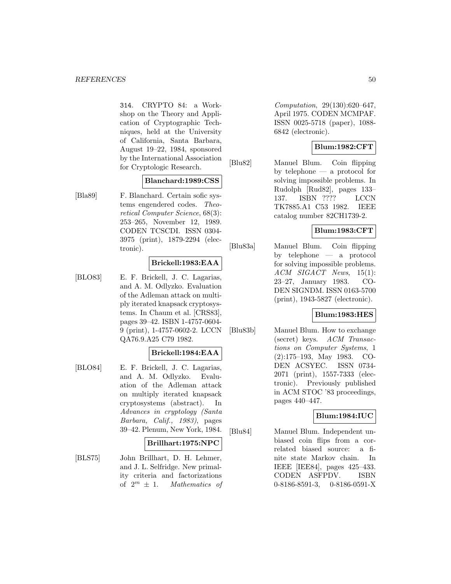314. CRYPTO 84: a Workshop on the Theory and Application of Cryptographic Techniques, held at the University of California, Santa Barbara, August 19–22, 1984, sponsored by the International Association for Cryptologic Research.

#### **Blanchard:1989:CSS**

[Bla89] F. Blanchard. Certain sofic systems engendered codes. Theoretical Computer Science, 68(3): 253–265, November 12, 1989. CODEN TCSCDI. ISSN 0304- 3975 (print), 1879-2294 (electronic).

#### **Brickell:1983:EAA**

[BLO83] E. F. Brickell, J. C. Lagarias, and A. M. Odlyzko. Evaluation of the Adleman attack on multiply iterated knapsack cryptosystems. In Chaum et al. [CRS83], pages 39–42. ISBN 1-4757-0604- 9 (print), 1-4757-0602-2. LCCN QA76.9.A25 C79 1982.

### **Brickell:1984:EAA**

[BLO84] E. F. Brickell, J. C. Lagarias, and A. M. Odlyzko. Evaluation of the Adleman attack on multiply iterated knapsack cryptosystems (abstract). In Advances in cryptology (Santa Barbara, Calif., 1983), pages 39–42. Plenum, New York, 1984.

#### **Brillhart:1975:NPC**

[BLS75] John Brillhart, D. H. Lehmer, and J. L. Selfridge. New primality criteria and factorizations of  $2^m \pm 1$ . Mathematics of

Computation, 29(130):620–647, April 1975. CODEN MCMPAF. ISSN 0025-5718 (paper), 1088- 6842 (electronic).

## **Blum:1982:CFT**

[Blu82] Manuel Blum. Coin flipping by telephone — a protocol for solving impossible problems. In Rudolph [Rud82], pages 133– 137. ISBN ???? LCCN TK7885.A1 C53 1982. IEEE catalog number 82CH1739-2.

# **Blum:1983:CFT**

[Blu83a] Manuel Blum. Coin flipping by telephone — a protocol for solving impossible problems. ACM SIGACT News, 15(1): 23–27, January 1983. CO-DEN SIGNDM. ISSN 0163-5700 (print), 1943-5827 (electronic).

#### **Blum:1983:HES**

[Blu83b] Manuel Blum. How to exchange (secret) keys. ACM Transactions on Computer Systems, 1 (2):175–193, May 1983. CO-DEN ACSYEC. ISSN 0734- 2071 (print), 1557-7333 (electronic). Previously published in ACM STOC '83 proceedings, pages 440–447.

#### **Blum:1984:IUC**

[Blu84] Manuel Blum. Independent unbiased coin flips from a correlated biased source: a finite state Markov chain. In IEEE [IEE84], pages 425–433. CODEN ASFPDV. ISBN 0-8186-8591-3, 0-8186-0591-X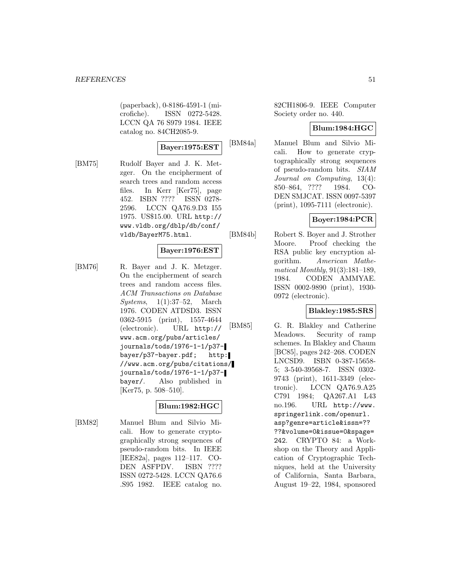(paperback), 0-8186-4591-1 (microfiche). ISSN 0272-5428. LCCN QA 76 S979 1984. IEEE catalog no. 84CH2085-9.

### **Bayer:1975:EST**

[BM75] Rudolf Bayer and J. K. Metzger. On the encipherment of search trees and random access files. In Kerr [Ker75], page 452. ISBN ???? ISSN 0278- 2596. LCCN QA76.9.D3 I55 1975. US\$15.00. URL http:// www.vldb.org/dblp/db/conf/ vldb/BayerM75.html.

#### **Bayer:1976:EST**

[BM76] R. Bayer and J. K. Metzger. On the encipherment of search trees and random access files. ACM Transactions on Database Systems, 1(1):37–52, March 1976. CODEN ATDSD3. ISSN 0362-5915 (print), 1557-4644 (electronic). URL http:// www.acm.org/pubs/articles/ journals/tods/1976-1-1/p37 bayer/p37-bayer.pdf; http: //www.acm.org/pubs/citations/ journals/tods/1976-1-1/p37 bayer/. Also published in [Ker75, p. 508–510].

# **Blum:1982:HGC**

[BM82] Manuel Blum and Silvio Micali. How to generate cryptographically strong sequences of pseudo-random bits. In IEEE [IEE82a], pages 112–117. CO-DEN ASFPDV. ISBN ???? ISSN 0272-5428. LCCN QA76.6 .S95 1982. IEEE catalog no.

82CH1806-9. IEEE Computer Society order no. 440.

## **Blum:1984:HGC**

[BM84a] Manuel Blum and Silvio Micali. How to generate cryptographically strong sequences of pseudo-random bits. SIAM Journal on Computing, 13(4): 850–864, ???? 1984. CO-DEN SMJCAT. ISSN 0097-5397 (print), 1095-7111 (electronic).

### **Boyer:1984:PCR**

[BM84b] Robert S. Boyer and J. Strother Moore. Proof checking the RSA public key encryption algorithm. American Mathematical Monthly, 91(3):181–189, 1984. CODEN AMMYAE. ISSN 0002-9890 (print), 1930- 0972 (electronic).

## **Blakley:1985:SRS**

[BM85] G. R. Blakley and Catherine Meadows. Security of ramp schemes. In Blakley and Chaum [BC85], pages 242–268. CODEN LNCSD9. ISBN 0-387-15658- 5; 3-540-39568-7. ISSN 0302- 9743 (print), 1611-3349 (electronic). LCCN QA76.9.A25 C791 1984; QA267.A1 L43 no.196. URL http://www. springerlink.com/openurl. asp?genre=article&issn=?? ??&volume=0&issue=0&spage= 242. CRYPTO 84: a Workshop on the Theory and Application of Cryptographic Techniques, held at the University of California, Santa Barbara, August 19–22, 1984, sponsored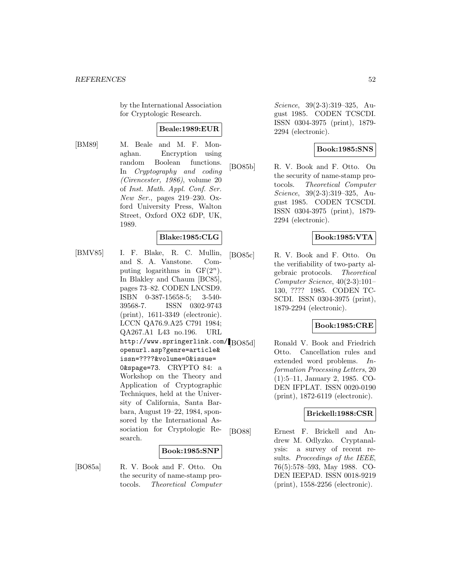by the International Association for Cryptologic Research.

### **Beale:1989:EUR**

[BM89] M. Beale and M. F. Monaghan. Encryption using random Boolean functions. In Cryptography and coding (Cirencester, 1986), volume 20 of Inst. Math. Appl. Conf. Ser. New Ser., pages 219–230. Oxford University Press, Walton Street, Oxford OX2 6DP, UK, 1989.

#### **Blake:1985:CLG**

[BMV85] I. F. Blake, R. C. Mullin, and S. A. Vanstone. Computing logarithms in  $GF(2<sup>n</sup>)$ . In Blakley and Chaum [BC85], pages 73–82. CODEN LNCSD9. ISBN 0-387-15658-5; 3-540- 39568-7. ISSN 0302-9743 (print), 1611-3349 (electronic). LCCN QA76.9.A25 C791 1984; QA267.A1 L43 no.196. URL http://www.springerlink.com/ BO85d] openurl.asp?genre=article& issn=????&volume=0&issue= 0&spage=73. CRYPTO 84: a Workshop on the Theory and Application of Cryptographic Techniques, held at the University of California, Santa Barbara, August 19–22, 1984, sponsored by the International Association for Cryptologic Research.

#### **Book:1985:SNP**

[BO85a] R. V. Book and F. Otto. On the security of name-stamp protocols. Theoretical Computer

Science, 39(2-3):319–325, August 1985. CODEN TCSCDI. ISSN 0304-3975 (print), 1879- 2294 (electronic).

## **Book:1985:SNS**

[BO85b] R. V. Book and F. Otto. On the security of name-stamp protocols. Theoretical Computer Science, 39(2-3):319–325, August 1985. CODEN TCSCDI. ISSN 0304-3975 (print), 1879- 2294 (electronic).

### **Book:1985:VTA**

[BO85c] R. V. Book and F. Otto. On the verifiability of two-party algebraic protocols. Theoretical Computer Science, 40(2-3):101– 130, ???? 1985. CODEN TC-SCDI. ISSN 0304-3975 (print), 1879-2294 (electronic).

#### **Book:1985:CRE**

Ronald V. Book and Friedrich Otto. Cancellation rules and extended word problems. Information Processing Letters, 20 (1):5–11, January 2, 1985. CO-DEN IFPLAT. ISSN 0020-0190 (print), 1872-6119 (electronic).

## **Brickell:1988:CSR**

[BO88] Ernest F. Brickell and Andrew M. Odlyzko. Cryptanalysis: a survey of recent results. Proceedings of the IEEE, 76(5):578–593, May 1988. CO-DEN IEEPAD. ISSN 0018-9219 (print), 1558-2256 (electronic).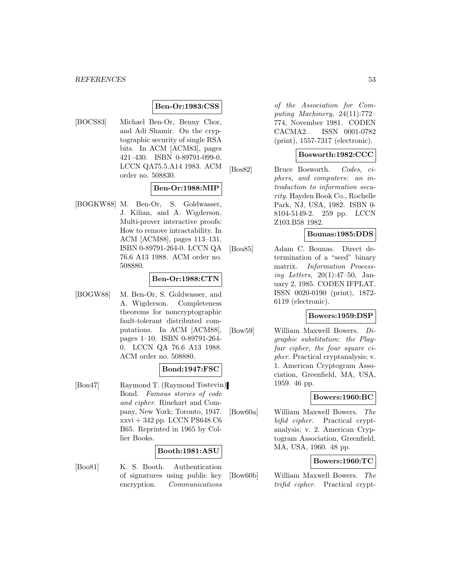#### **Ben-Or:1983:CSS**

[BOCS83] Michael Ben-Or, Benny Chor, and Adi Shamir. On the cryptographic security of single RSA bits. In ACM [ACM83], pages 421–430. ISBN 0-89791-099-0. LCCN QA75.5.A14 1983. ACM order no. 508830.

### **Ben-Or:1988:MIP**

[BOGKW88] M. Ben-Or, S. Goldwasser, J. Kilian, and A. Wigderson. Multi-prover interactive proofs: How to remove intractability. In ACM [ACM88], pages 113–131. ISBN 0-89791-264-0. LCCN QA 76.6 A13 1988. ACM order no. 508880.

#### **Ben-Or:1988:CTN**

[BOGW88] M. Ben-Or, S. Goldwasser, and A. Wigderson. Completeness theorems for noncryptographic fault-tolerant distributed computations. In ACM [ACM88], pages 1–10. ISBN 0-89791-264- 0. LCCN QA 76.6 A13 1988. ACM order no. 508880.

#### **Bond:1947:FSC**

[Bon47] Raymond T. (Raymond Tostevin) Bond. Famous stories of code and cipher. Rinehart and Company, New York; Toronto, 1947. xxvi + 342 pp. LCCN PS648.C6 B65. Reprinted in 1965 by Collier Books.

#### **Booth:1981:ASU**

[Boo81] K. S. Booth. Authentication of signatures using public key encryption. Communications

of the Association for Computing Machinery, 24(11):772– 774, November 1981. CODEN CACMA2. ISSN 0001-0782 (print), 1557-7317 (electronic).

#### **Bosworth:1982:CCC**

[Bos82] Bruce Bosworth. Codes, ciphers, and computers: an introduction to information security. Hayden Book Co., Rochelle Park, NJ, USA, 1982. ISBN 0- 8104-5149-2. 259 pp. LCCN Z103.B58 1982.

### **Bounas:1985:DDS**

[Bou85] Adam C. Bounas. Direct determination of a "seed" binary matrix. Information Processing Letters, 20(1):47–50, January 2, 1985. CODEN IFPLAT. ISSN 0020-0190 (print), 1872- 6119 (electronic).

### **Bowers:1959:DSP**

[Bow59] William Maxwell Bowers. Digraphic substitution: the Playfair cipher, the four square cipher. Practical cryptanalysis; v. 1. American Cryptogram Association, Greenfield, MA, USA, 1959. 46 pp.

### **Bowers:1960:BC**

[Bow60a] William Maxwell Bowers. The bifid cipher. Practical cryptanalysis; v. 2. American Cryptogram Association, Greenfield, MA, USA, 1960. 48 pp.

#### **Bowers:1960:TC**

[Bow60b] William Maxwell Bowers. The trifid cipher. Practical crypt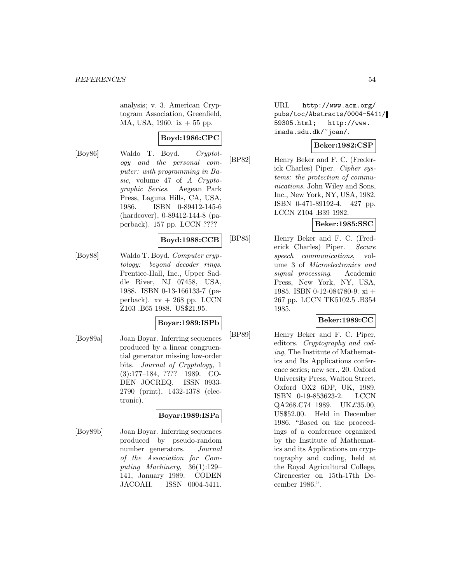analysis; v. 3. American Cryptogram Association, Greenfield, MA, USA, 1960. ix + 55 pp.

## **Boyd:1986:CPC**

[Boy86] Waldo T. Boyd. Cryptology and the personal computer: with programming in Basic, volume 47 of A Cryptographic Series. Aegean Park Press, Laguna Hills, CA, USA, 1986. ISBN 0-89412-145-6 (hardcover), 0-89412-144-8 (paperback). 157 pp. LCCN ????

#### **Boyd:1988:CCB**

[Boy88] Waldo T. Boyd. Computer cryptology: beyond decoder rings. Prentice-Hall, Inc., Upper Saddle River, NJ 07458, USA, 1988. ISBN 0-13-166133-7 (paperback).  $xy + 268$  pp. LCCN Z103 .B65 1988. US\$21.95.

#### **Boyar:1989:ISPb**

[Boy89a] Joan Boyar. Inferring sequences produced by a linear congruential generator missing low-order bits. Journal of Cryptology, 1 (3):177–184, ???? 1989. CO-DEN JOCREQ. ISSN 0933- 2790 (print), 1432-1378 (electronic).

## **Boyar:1989:ISPa**

[Boy89b] Joan Boyar. Inferring sequences produced by pseudo-random number generators. Journal of the Association for Computing Machinery, 36(1):129– 141, January 1989. CODEN JACOAH. ISSN 0004-5411.

URL http://www.acm.org/ pubs/toc/Abstracts/0004-5411/ 59305.html; http://www. imada.sdu.dk/~joan/.

## **Beker:1982:CSP**

[BP82] Henry Beker and F. C. (Frederick Charles) Piper. Cipher systems: the protection of communications. John Wiley and Sons, Inc., New York, NY, USA, 1982. ISBN 0-471-89192-4. 427 pp. LCCN Z104 .B39 1982.

#### **Beker:1985:SSC**

[BP85] Henry Beker and F. C. (Frederick Charles) Piper. Secure speech communications, volume 3 of Microelectronics and signal processing. Academic Press, New York, NY, USA, 1985. ISBN 0-12-084780-9. xi + 267 pp. LCCN TK5102.5 .B354 1985.

## **Beker:1989:CC**

[BP89] Henry Beker and F. C. Piper, editors. Cryptography and coding, The Institute of Mathematics and Its Applications conference series; new ser., 20. Oxford University Press, Walton Street, Oxford OX2 6DP, UK, 1989. ISBN 0-19-853623-2. LCCN QA268.C74 1989. UK£35.00, US\$52.00. Held in December 1986. "Based on the proceedings of a conference organized by the Institute of Mathematics and its Applications on cryptography and coding, held at the Royal Agricultural College, Cirencester on 15th-17th December 1986.".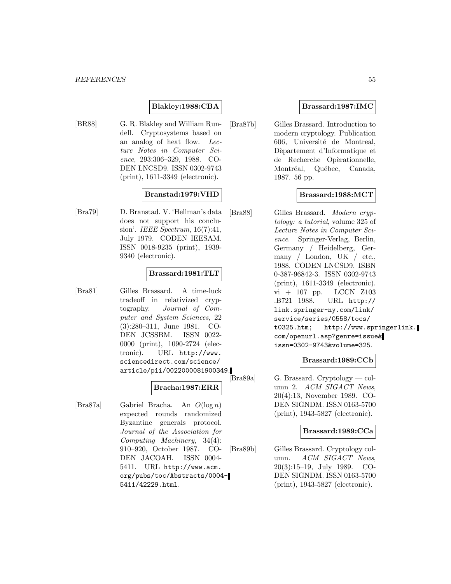#### **Blakley:1988:CBA**

[BR88] G. R. Blakley and William Rundell. Cryptosystems based on an analog of heat flow. Lecture Notes in Computer Science, 293:306–329, 1988. CO-DEN LNCSD9. ISSN 0302-9743 (print), 1611-3349 (electronic).

#### **Branstad:1979:VHD**

[Bra79] D. Branstad. V. 'Hellman's data does not support his conclusion'. IEEE Spectrum, 16(7):41, July 1979. CODEN IEESAM. ISSN 0018-9235 (print), 1939- 9340 (electronic).

#### **Brassard:1981:TLT**

[Bra81] Gilles Brassard. A time-luck tradeoff in relativized cryptography. Journal of Computer and System Sciences, 22 (3):280–311, June 1981. CO-DEN JCSSBM. ISSN 0022- 0000 (print), 1090-2724 (electronic). URL http://www. sciencedirect.com/science/ article/pii/0022000081900349.

#### **Bracha:1987:ERR**

[Bra87a] Gabriel Bracha. An O(log n) expected rounds randomized Byzantine generals protocol. Journal of the Association for Computing Machinery, 34(4): 910–920, October 1987. CO-DEN JACOAH. ISSN 0004- 5411. URL http://www.acm. org/pubs/toc/Abstracts/0004- 5411/42229.html.

#### **Brassard:1987:IMC**

[Bra87b] Gilles Brassard. Introduction to modern cryptology. Publication 606, Université de Montreal, Dèpartement d'Informatique et de Recherche Opèrationnelle, Montréal, Québec, Canada, 1987. 56 pp.

### **Brassard:1988:MCT**

[Bra88] Gilles Brassard. Modern cryptology: a tutorial, volume 325 of Lecture Notes in Computer Science. Springer-Verlag, Berlin, Germany / Heidelberg, Germany / London, UK / etc., 1988. CODEN LNCSD9. ISBN 0-387-96842-3. ISSN 0302-9743 (print), 1611-3349 (electronic). vi + 107 pp. LCCN Z103 .B721 1988. URL http:// link.springer-ny.com/link/ service/series/0558/tocs/ t0325.htm; http://www.springerlink. com/openurl.asp?genre=issue& issn=0302-9743&volume=325.

#### **Brassard:1989:CCb**

 $G.$  Brassard. Cryptology — column 2. ACM SIGACT News, 20(4):13, November 1989. CO-DEN SIGNDM. ISSN 0163-5700 (print), 1943-5827 (electronic).

#### **Brassard:1989:CCa**

[Bra89b] Gilles Brassard. Cryptology column. ACM SIGACT News, 20(3):15–19, July 1989. CO-DEN SIGNDM. ISSN 0163-5700 (print), 1943-5827 (electronic).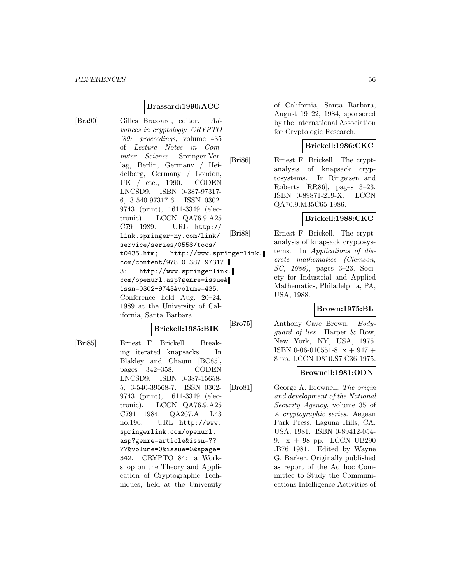#### **Brassard:1990:ACC**

[Bra90] Gilles Brassard, editor. Advances in cryptology: CRYPTO '89: proceedings, volume 435 of Lecture Notes in Computer Science. Springer-Verlag, Berlin, Germany / Heidelberg, Germany / London, UK / etc., 1990. CODEN LNCSD9. ISBN 0-387-97317- 6, 3-540-97317-6. ISSN 0302- 9743 (print), 1611-3349 (electronic). LCCN QA76.9.A25 C79 1989. URL http:// link.springer-ny.com/link/ service/series/0558/tocs/ t0435.htm; http://www.springerlink. com/content/978-0-387-97317- 3; http://www.springerlink. com/openurl.asp?genre=issue& issn=0302-9743&volume=435. Conference held Aug. 20–24, 1989 at the University of California, Santa Barbara.

# **Brickell:1985:BIK**

[Bri85] Ernest F. Brickell. Breaking iterated knapsacks. In Blakley and Chaum [BC85], pages 342–358. CODEN LNCSD9. ISBN 0-387-15658- 5; 3-540-39568-7. ISSN 0302- 9743 (print), 1611-3349 (electronic). LCCN QA76.9.A25 C791 1984; QA267.A1 L43 no.196. URL http://www. springerlink.com/openurl. asp?genre=article&issn=?? ??&volume=0&issue=0&spage= 342. CRYPTO 84: a Workshop on the Theory and Application of Cryptographic Techniques, held at the University of California, Santa Barbara, August 19–22, 1984, sponsored by the International Association for Cryptologic Research.

### **Brickell:1986:CKC**

[Bri86] Ernest F. Brickell. The cryptanalysis of knapsack cryptosystems. In Ringeisen and Roberts [RR86], pages 3–23. ISBN 0-89871-219-X. LCCN QA76.9.M35C65 1986.

### **Brickell:1988:CKC**

[Bri88] Ernest F. Brickell. The cryptanalysis of knapsack cryptosystems. In Applications of discrete mathematics (Clemson, SC, 1986), pages 3–23. Society for Industrial and Applied Mathematics, Philadelphia, PA, USA, 1988.

#### **Brown:1975:BL**

[Bro75] Anthony Cave Brown. Bodyguard of lies. Harper & Row, New York, NY, USA, 1975. ISBN 0-06-010551-8. x + 947 + 8 pp. LCCN D810.S7 C36 1975.

#### **Brownell:1981:ODN**

[Bro81] George A. Brownell. The origin and development of the National Security Agency, volume 35 of A cryptographic series. Aegean Park Press, Laguna Hills, CA, USA, 1981. ISBN 0-89412-054- 9. x + 98 pp. LCCN UB290 .B76 1981. Edited by Wayne G. Barker. Originally published as report of the Ad hoc Committee to Study the Communications Intelligence Activities of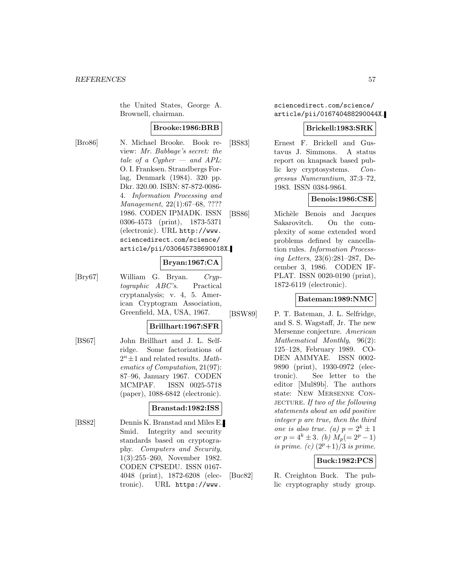the United States, George A. Brownell, chairman.

### **Brooke:1986:BRB**

[Bro86] N. Michael Brooke. Book review: Mr. Babbage's secret: the tale of a Cypher  $-$  and APL: O. I. Franksen. Strandbergs Forlag, Denmark (1984). 320 pp. Dkr. 320.00. ISBN: 87-872-0086- 4. Information Processing and Management, 22(1):67–68, ???? 1986. CODEN IPMADK. ISSN 0306-4573 (print), 1873-5371 (electronic). URL http://www. sciencedirect.com/science/ article/pii/030645738690018X.

#### **Bryan:1967:CA**

[Bry67] William G. Bryan. Cryptographic ABC's. Practical cryptanalysis; v. 4, 5. American Cryptogram Association, Greenfield, MA, USA, 1967.

#### **Brillhart:1967:SFR**

[BS67] John Brillhart and J. L. Selfridge. Some factorizations of  $2<sup>n</sup> \pm 1$  and related results. Mathematics of Computation, 21(97): 87–96, January 1967. CODEN MCMPAF. ISSN 0025-5718 (paper), 1088-6842 (electronic).

#### **Branstad:1982:ISS**

[BS82] Dennis K. Branstad and Miles E. Smid. Integrity and security standards based on cryptography. Computers and Security, 1(3):255–260, November 1982. CODEN CPSEDU. ISSN 0167- 4048 (print), 1872-6208 (electronic). URL https://www.

sciencedirect.com/science/ article/pii/016740488290044X.

#### **Brickell:1983:SRK**

[BS83] Ernest F. Brickell and Gustavus J. Simmons. A status report on knapsack based public key cryptosystems. Congressus Numerantium, 37:3–72, 1983. ISSN 0384-9864.

### **Benois:1986:CSE**

[BS86] Michèle Benois and Jacques Sakarovitch. On the complexity of some extended word problems defined by cancellation rules. Information Processing Letters, 23(6):281–287, December 3, 1986. CODEN IF-PLAT. ISSN 0020-0190 (print), 1872-6119 (electronic).

## **Bateman:1989:NMC**

[BSW89] P. T. Bateman, J. L. Selfridge, and S. S. Wagstaff, Jr. The new Mersenne conjecture. American Mathematical Monthly, 96(2): 125–128, February 1989. CO-DEN AMMYAE. ISSN 0002- 9890 (print), 1930-0972 (electronic). See letter to the editor [Mul89b]. The authors state: New Mersenne Con-JECTURE. If two of the following statements about an odd positive integer p are true, then the third one is also true. (a)  $p = 2^k \pm 1$ or  $p = 4^k \pm 3$ . (b)  $M_p (= 2^p - 1)$ is prime. (c)  $(2^p+1)/3$  is prime.

## **Buck:1982:PCS**

[Buc82] R. Creighton Buck. The public cryptography study group.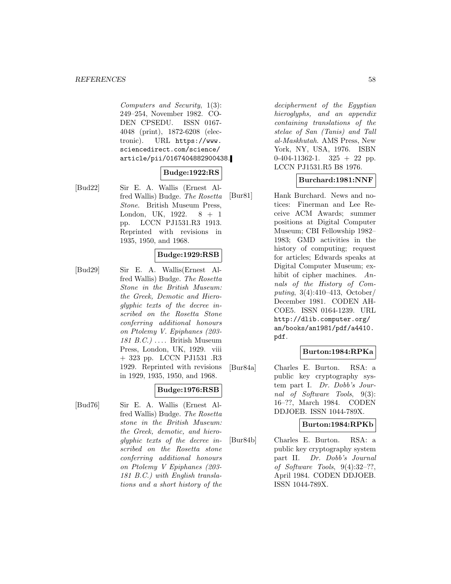Computers and Security, 1(3): 249–254, November 1982. CO-DEN CPSEDU. ISSN 0167- 4048 (print), 1872-6208 (electronic). URL https://www. sciencedirect.com/science/ article/pii/0167404882900438.

# **Budge:1922:RS**

[Bud22] Sir E. A. Wallis (Ernest Alfred Wallis) Budge. The Rosetta Stone. British Museum Press, London, UK, 1922. 8 + 1 pp. LCCN PJ1531.R3 1913. Reprinted with revisions in 1935, 1950, and 1968.

## **Budge:1929:RSB**

[Bud29] Sir E. A. Wallis(Ernest Alfred Wallis) Budge. The Rosetta Stone in the British Museum: the Greek, Demotic and Hieroglyphic texts of the decree inscribed on the Rosetta Stone conferring additional honours on Ptolemy V. Epiphanes (203- 181 B.C.)  $\ldots$  British Museum Press, London, UK, 1929. viii + 323 pp. LCCN PJ1531 .R3 1929. Reprinted with revisions in 1929, 1935, 1950, and 1968.

## **Budge:1976:RSB**

[Bud76] Sir E. A. Wallis (Ernest Alfred Wallis) Budge. The Rosetta stone in the British Museum: the Greek, demotic, and hieroglyphic texts of the decree inscribed on the Rosetta stone conferring additional honours on Ptolemy V Epiphanes (203- 181 B.C.) with English translations and a short history of the

decipherment of the Egyptian hieroglyphs, and an appendix containing translations of the stelae of San (Tanis) and Tall al-Maskhutah. AMS Press, New York, NY, USA, 1976. ISBN  $0-404-11362-1$ .  $325 + 22$  pp. LCCN PJ1531.R5 B8 1976.

### **Burchard:1981:NNF**

[Bur81] Hank Burchard. News and notices: Finerman and Lee Receive ACM Awards; summer positions at Digital Computer Museum; CBI Fellowship 1982– 1983; GMD activities in the history of computing; request for articles; Edwards speaks at Digital Computer Museum; exhibit of cipher machines. Annals of the History of Computing, 3(4):410–413, October/ December 1981. CODEN AH-COE5. ISSN 0164-1239. URL http://dlib.computer.org/ an/books/an1981/pdf/a4410. pdf.

#### **Burton:1984:RPKa**

[Bur84a] Charles E. Burton. RSA: a public key cryptography system part I. Dr. Dobb's Journal of Software Tools, 9(3): 16–??, March 1984. CODEN DDJOEB. ISSN 1044-789X.

#### **Burton:1984:RPKb**

[Bur84b] Charles E. Burton. RSA: a public key cryptography system part II. Dr. Dobb's Journal of Software Tools, 9(4):32–??, April 1984. CODEN DDJOEB. ISSN 1044-789X.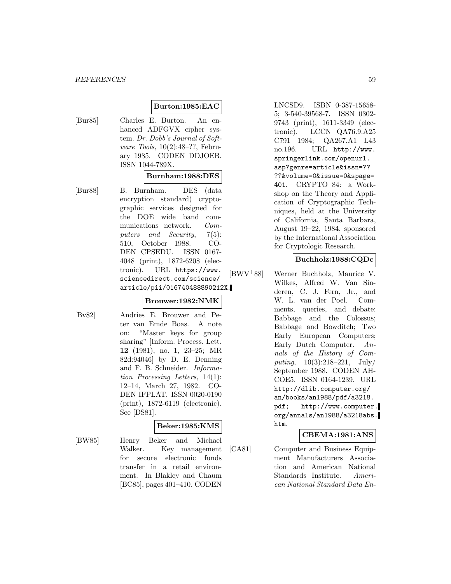## **Burton:1985:EAC**

[Bur85] Charles E. Burton. An enhanced ADFGVX cipher system. Dr. Dobb's Journal of Software Tools, 10(2):48–??, February 1985. CODEN DDJOEB. ISSN 1044-789X.

#### **Burnham:1988:DES**

[Bur88] B. Burnham. DES (data encryption standard) cryptographic services designed for the DOE wide band communications network. Computers and Security, 7(5): 510, October 1988. CO-DEN CPSEDU. ISSN 0167- 4048 (print), 1872-6208 (electronic). URL https://www. sciencedirect.com/science/ article/pii/016740488890212X.

#### **Brouwer:1982:NMK**

[Bv82] Andries E. Brouwer and Peter van Emde Boas. A note on: "Master keys for group sharing" [Inform. Process. Lett. **12** (1981), no. 1, 23–25; MR 82d:94046] by D. E. Denning and F. B. Schneider. Information Processing Letters, 14(1): 12–14, March 27, 1982. CO-DEN IFPLAT. ISSN 0020-0190 (print), 1872-6119 (electronic). See [DS81].

### **Beker:1985:KMS**

[BW85] Henry Beker and Michael Walker. Key management for secure electronic funds transfer in a retail environment. In Blakley and Chaum [BC85], pages 401–410. CODEN

LNCSD9. ISBN 0-387-15658- 5; 3-540-39568-7. ISSN 0302- 9743 (print), 1611-3349 (electronic). LCCN QA76.9.A25 C791 1984; QA267.A1 L43 no.196. URL http://www. springerlink.com/openurl. asp?genre=article&issn=?? ??&volume=0&issue=0&spage= 401. CRYPTO 84: a Workshop on the Theory and Application of Cryptographic Techniques, held at the University of California, Santa Barbara, August 19–22, 1984, sponsored by the International Association for Cryptologic Research.

## **Buchholz:1988:CQDc**

[BWV<sup>+</sup>88] Werner Buchholz, Maurice V. Wilkes, Alfred W. Van Sinderen, C. J. Fern, Jr., and W. L. van der Poel. Comments, queries, and debate: Babbage and the Colossus; Babbage and Bowditch; Two Early European Computers; Early Dutch Computer. Annals of the History of Computing,  $10(3):218-221$ ,  $\text{July}/$ September 1988. CODEN AH-COE5. ISSN 0164-1239. URL http://dlib.computer.org/ an/books/an1988/pdf/a3218. pdf; http://www.computer. org/annals/an1988/a3218abs. htm.

#### **CBEMA:1981:ANS**

[CA81] Computer and Business Equipment Manufacturers Association and American National Standards Institute. American National Standard Data En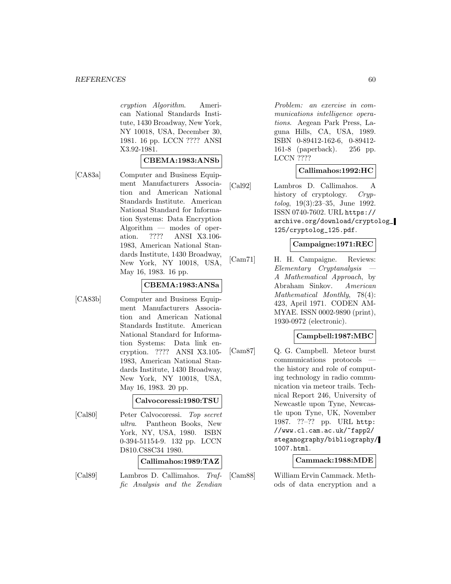cryption Algorithm. American National Standards Institute, 1430 Broadway, New York, NY 10018, USA, December 30, 1981. 16 pp. LCCN ???? ANSI X3.92-1981.

#### **CBEMA:1983:ANSb**

[CA83a] Computer and Business Equipment Manufacturers Association and American National Standards Institute. American National Standard for Information Systems: Data Encryption Algorithm — modes of operation. ???? ANSI X3.106ation. ???? ANSI X3.106- 1983, American National Standards Institute, 1430 Broadway, New York, NY 10018, USA, May 16, 1983. 16 pp.

#### **CBEMA:1983:ANSa**

[CA83b] Computer and Business Equipment Manufacturers Association and American National Standards Institute. American National Standard for Information Systems: Data link encryption. ???? ANSI X3.105- 1983, American National Standards Institute, 1430 Broadway, New York, NY 10018, USA, May 16, 1983. 20 pp.

**Calvocoressi:1980:TSU**

[Cal80] Peter Calvocoressi. Top secret ultra. Pantheon Books, New York, NY, USA, 1980. ISBN 0-394-51154-9. 132 pp. LCCN D810.C88C34 1980.

**Callimahos:1989:TAZ**

[Cal89] Lambros D. Callimahos. Traffic Analysis and the Zendian

Problem: an exercise in communications intelligence operations. Aegean Park Press, Laguna Hills, CA, USA, 1989. ISBN 0-89412-162-6, 0-89412- 161-8 (paperback). 256 pp. LCCN ????

#### **Callimahos:1992:HC**

[Cal92] Lambros D. Callimahos. A history of cryptology. Cryptolog, 19(3):23–35, June 1992. ISSN 0740-7602. URL https:// archive.org/download/cryptolog\_ 125/cryptolog\_125.pdf.

#### **Campaigne:1971:REC**

[Cam71] H. H. Campaigne. Reviews: Elementary Cryptanalysis — A Mathematical Approach, by Abraham Sinkov. American Mathematical Monthly, 78(4): 423, April 1971. CODEN AM-MYAE. ISSN 0002-9890 (print), 1930-0972 (electronic).

#### **Campbell:1987:MBC**

[Cam87] Q. G. Campbell. Meteor burst communications protocols the history and role of computing technology in radio communication via meteor trails. Technical Report 246, University of Newcastle upon Tyne, Newcastle upon Tyne, UK, November 1987. ??–?? pp. URL http: //www.cl.cam.ac.uk/~fapp2/ steganography/bibliography/ 1007.html.

#### **Cammack:1988:MDE**

[Cam88] William Ervin Cammack. Methods of data encryption and a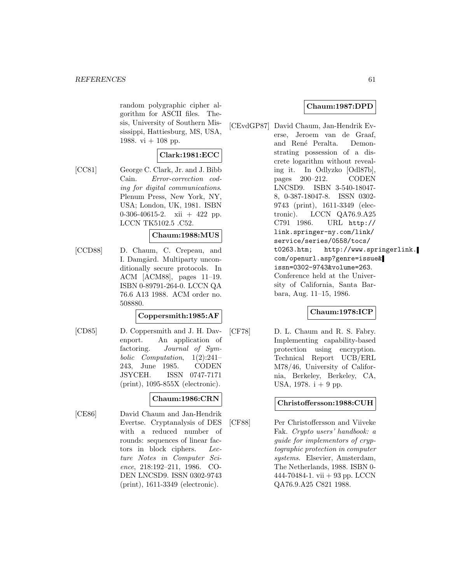random polygraphic cipher algorithm for ASCII files. Thesis, University of Southern Mississippi, Hattiesburg, MS, USA, 1988. vi  $+$  108 pp.

# **Clark:1981:ECC**

[CC81] George C. Clark, Jr. and J. Bibb Cain. Error-correction coding for digital communications. Plenum Press, New York, NY, USA; London, UK, 1981. ISBN 0-306-40615-2. xii  $+$  422 pp. LCCN TK5102.5 .C52.

#### **Chaum:1988:MUS**

[CCD88] D. Chaum, C. Crepeau, and I. Damgård. Multiparty unconditionally secure protocols. In ACM [ACM88], pages 11–19. ISBN 0-89791-264-0. LCCN QA 76.6 A13 1988. ACM order no. 508880.

### **Coppersmith:1985:AF**

[CD85] D. Coppersmith and J. H. Davenport. An application of factoring. Journal of Symbolic Computation, 1(2):241– 243, June 1985. CODEN JSYCEH. ISSN 0747-7171 (print), 1095-855X (electronic).

#### **Chaum:1986:CRN**

[CE86] David Chaum and Jan-Hendrik Evertse. Cryptanalysis of DES with a reduced number of rounds: sequences of linear factors in block ciphers. Lecture Notes in Computer Science, 218:192–211, 1986. CO-DEN LNCSD9. ISSN 0302-9743 (print), 1611-3349 (electronic).

## **Chaum:1987:DPD**

[CEvdGP87] David Chaum, Jan-Hendrik Everse, Jeroem van de Graaf, and René Peralta. Demonstrating possession of a discrete logarithm without revealing it. In Odlyzko [Odl87b], pages 200–212. CODEN LNCSD9. ISBN 3-540-18047- 8, 0-387-18047-8. ISSN 0302- 9743 (print), 1611-3349 (electronic). LCCN QA76.9.A25 C791 1986. URL http:// link.springer-ny.com/link/ service/series/0558/tocs/ t0263.htm; http://www.springerlink. com/openurl.asp?genre=issue& issn=0302-9743&volume=263. Conference held at the University of California, Santa Barbara, Aug. 11–15, 1986.

## **Chaum:1978:ICP**

[CF78] D. L. Chaum and R. S. Fabry. Implementing capability-based protection using encryption. Technical Report UCB/ERL M78/46, University of California, Berkeley, Berkeley, CA, USA,  $1978. i + 9$  pp.

### **Christoffersson:1988:CUH**

[CF88] Per Christoffersson and Viiveke Fak. Crypto users' handbook: a guide for implementors of cryptographic protection in computer systems. Elsevier, Amsterdam, The Netherlands, 1988. ISBN 0- 444-70484-1. vii  $+93$  pp. LCCN QA76.9.A25 C821 1988.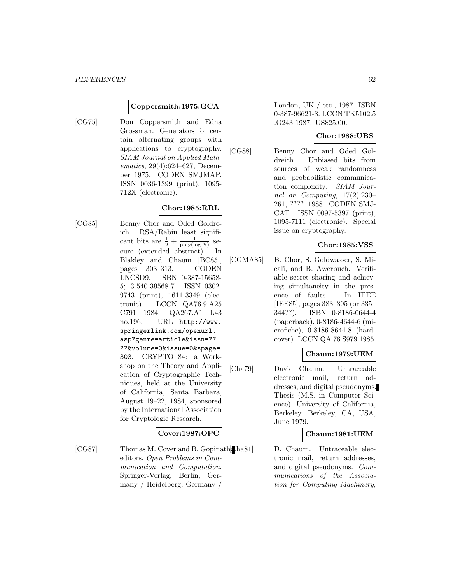#### **Coppersmith:1975:GCA**

[CG75] Don Coppersmith and Edna Grossman. Generators for certain alternating groups with applications to cryptography. SIAM Journal on Applied Mathematics, 29(4):624–627, December 1975. CODEN SMJMAP. ISSN 0036-1399 (print), 1095- 712X (electronic).

## **Chor:1985:RRL**

[CG85] Benny Chor and Oded Goldreich. RSA/Rabin least significant bits are  $\frac{1}{2} + \frac{1}{\text{poly}(\log N)}$  secure (extended abstract). In Blakley and Chaum [BC85], pages 303–313. CODEN LNCSD9. ISBN 0-387-15658- 5; 3-540-39568-7. ISSN 0302- 9743 (print), 1611-3349 (electronic). LCCN QA76.9.A25 C791 1984; QA267.A1 L43 no.196. URL http://www. springerlink.com/openurl. asp?genre=article&issn=?? ??&volume=0&issue=0&spage= 303. CRYPTO 84: a Workshop on the Theory and Application of Cryptographic Techniques, held at the University of California, Santa Barbara, August 19–22, 1984, sponsored by the International Association for Cryptologic Research.

#### **Cover:1987:OPC**

[CG87] Thomas M. Cover and B. Gopinath, Chase 1] editors. Open Problems in Communication and Computation. Springer-Verlag, Berlin, Germany / Heidelberg, Germany /

London, UK / etc., 1987. ISBN 0-387-96621-8. LCCN TK5102.5 .O243 1987. US\$25.00.

#### **Chor:1988:UBS**

[CG88] Benny Chor and Oded Goldreich. Unbiased bits from sources of weak randomness and probabilistic communication complexity. SIAM Journal on Computing, 17(2):230– 261, ???? 1988. CODEN SMJ-CAT. ISSN 0097-5397 (print), 1095-7111 (electronic). Special issue on cryptography.

### **Chor:1985:VSS**

[CGMA85] B. Chor, S. Goldwasser, S. Micali, and B. Awerbuch. Verifiable secret sharing and achieving simultaneity in the presence of faults. In IEEE [IEE85], pages 383–395 (or 335– 344??). ISBN 0-8186-0644-4 (paperback), 0-8186-4644-6 (microfiche), 0-8186-8644-8 (hardcover). LCCN QA 76 S979 1985.

### **Chaum:1979:UEM**

[Cha79] David Chaum. Untraceable electronic mail, return addresses, and digital pseudonyms. Thesis (M.S. in Computer Science), University of California, Berkeley, Berkeley, CA, USA, June 1979.

#### **Chaum:1981:UEM**

D. Chaum. Untraceable electronic mail, return addresses, and digital pseudonyms. Communications of the Association for Computing Machinery,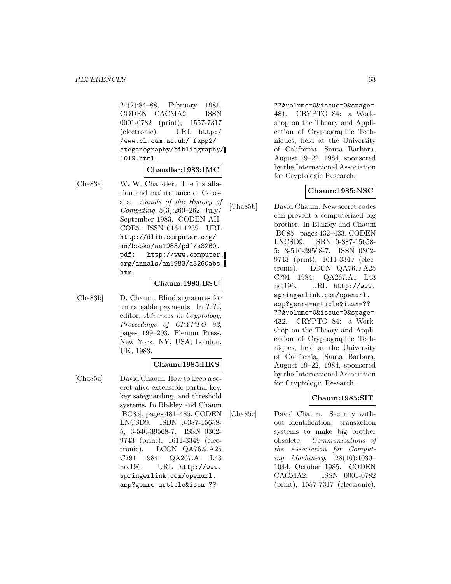24(2):84–88, February 1981. CODEN CACMA2. ISSN 0001-0782 (print), 1557-7317 (electronic). URL http:/ /www.cl.cam.ac.uk/~fapp2/ steganography/bibliography/ 1019.html.

#### **Chandler:1983:IMC**

[Cha83a] W. W. Chandler. The installation and maintenance of Colossus. Annals of the History of Computing,  $5(3):260-262$ , July September 1983. CODEN AH-COE5. ISSN 0164-1239. URL http://dlib.computer.org/ an/books/an1983/pdf/a3260. pdf; http://www.computer. org/annals/an1983/a3260abs. htm.

#### **Chaum:1983:BSU**

[Cha83b] D. Chaum. Blind signatures for untraceable payments. In ????, editor, Advances in Cryptology, Proceedings of CRYPTO 82, pages 199–203. Plenum Press, New York, NY, USA; London, UK, 1983.

#### **Chaum:1985:HKS**

[Cha85a] David Chaum. How to keep a secret alive extensible partial key, key safeguarding, and threshold systems. In Blakley and Chaum [BC85], pages 481–485. CODEN LNCSD9. ISBN 0-387-15658- 5; 3-540-39568-7. ISSN 0302- 9743 (print), 1611-3349 (electronic). LCCN QA76.9.A25 C791 1984; QA267.A1 L43 no.196. URL http://www. springerlink.com/openurl. asp?genre=article&issn=??

??&volume=0&issue=0&spage= 481. CRYPTO 84: a Workshop on the Theory and Application of Cryptographic Techniques, held at the University of California, Santa Barbara, August 19–22, 1984, sponsored by the International Association for Cryptologic Research.

#### **Chaum:1985:NSC**

[Cha85b] David Chaum. New secret codes can prevent a computerized big brother. In Blakley and Chaum [BC85], pages 432–433. CODEN LNCSD9. ISBN 0-387-15658- 5; 3-540-39568-7. ISSN 0302- 9743 (print), 1611-3349 (electronic). LCCN QA76.9.A25 C791 1984; QA267.A1 L43 no.196. URL http://www. springerlink.com/openurl. asp?genre=article&issn=?? ??&volume=0&issue=0&spage= 432. CRYPTO 84: a Workshop on the Theory and Application of Cryptographic Techniques, held at the University of California, Santa Barbara, August 19–22, 1984, sponsored by the International Association for Cryptologic Research.

#### **Chaum:1985:SIT**

[Cha85c] David Chaum. Security without identification: transaction systems to make big brother obsolete. Communications of the Association for Computing Machinery, 28(10):1030– 1044, October 1985. CODEN CACMA2. ISSN 0001-0782 (print), 1557-7317 (electronic).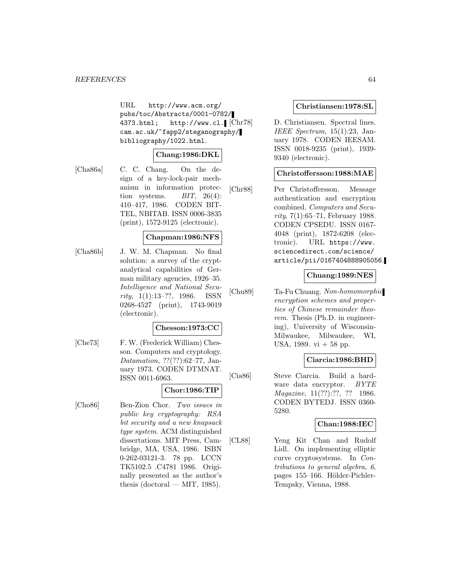URL http://www.acm.org/ pubs/toc/Abstracts/0001-0782/ 4373.html; http://www.cl.  $\left[ \text{Chr78} \right]$ cam.ac.uk/~fapp2/steganography/ bibliography/1022.html.

## **Chang:1986:DKL**

[Cha86a] C. C. Chang. On the design of a key-lock-pair mechanism in information protection systems.  $BIT, 26(4)$ : 410–417, 1986. CODEN BIT-TEL, NBITAB. ISSN 0006-3835 (print), 1572-9125 (electronic).

### **Chapman:1986:NFS**

[Cha86b] J. W. M. Chapman. No final solution: a survey of the cryptanalytical capabilities of German military agencies, 1926–35. Intelligence and National Security, 1(1):13–??, 1986. ISSN 0268-4527 (print), 1743-9019 (electronic).

## **Chesson:1973:CC**

[Che73] F. W. (Frederick William) Chesson. Computers and cryptology. Datamation, ??(??):62–77, January 1973. CODEN DTMNAT. ISSN 0011-6963.

#### **Chor:1986:TIP**

[Cho86] Ben-Zion Chor. Two issues in public key cryptography: RSA bit security and a new knapsack type system. ACM distinguished dissertations. MIT Press, Cambridge, MA, USA, 1986. ISBN 0-262-03121-3. 78 pp. LCCN TK5102.5 .C4781 1986. Originally presented as the author's thesis (doctoral — MIT, 1985).

### **Christiansen:1978:SL**

D. Christiansen. Spectral lines. IEEE Spectrum,  $15(1):23$ , January 1978. CODEN IEESAM. ISSN 0018-9235 (print), 1939- 9340 (electronic).

#### **Christoffersson:1988:MAE**

[Chr88] Per Christoffersson. Message authentication and encryption combined. Computers and Security,  $7(1):65-71$ , February 1988. CODEN CPSEDU. ISSN 0167- 4048 (print), 1872-6208 (electronic). URL https://www. sciencedirect.com/science/ article/pii/0167404888905056.

### **Chuang:1989:NES**

[Chu89] Ta-Fu Chuang. Non-homomorphic encryption schemes and properties of Chinese remainder theorem. Thesis (Ph.D. in engineering), University of Wisconsin-Milwaukee, Milwaukee, WI, USA, 1989. vi  $+58$  pp.

#### **Ciarcia:1986:BHD**

[Cia86] Steve Ciarcia. Build a hardware data encryptor. BYTE Magazine, 11(??):??, ?? 1986. CODEN BYTEDJ. ISSN 0360- 5280.

#### **Chan:1988:IEC**

[CL88] Yeng Kit Chan and Rudolf Lidl. On implementing elliptic curve cryptosystems. In Contributions to general algebra, 6, pages 155–166. Hölder-Pichler-Tempsky, Vienna, 1988.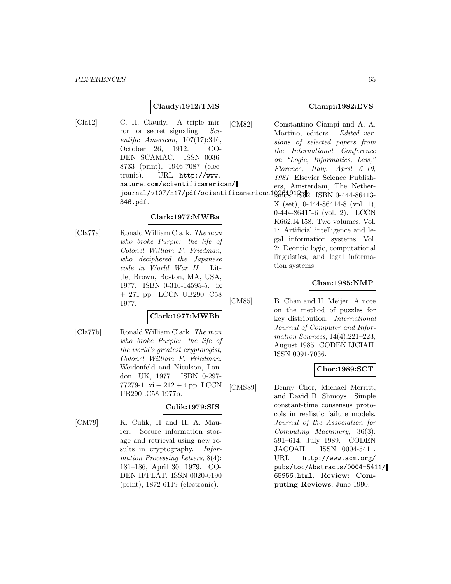# **Claudy:1912:TMS**

[Cla12] C. H. Claudy. A triple mirror for secret signaling. Scientific American, 107(17):346, October 26, 1912. CO-DEN SCAMAC. ISSN 0036- 8733 (print), 1946-7087 (electronic). URL http://www. nature.com/scientificamerican/ journal/v107/n17/pdf/scientificamerican102619123b2. ISBN 0-444-86413-346.pdf.

#### **Clark:1977:MWBa**

[Cla77a] Ronald William Clark. The man who broke Purple: the life of Colonel William F. Friedman, who deciphered the Japanese code in World War II. Little, Brown, Boston, MA, USA, 1977. ISBN 0-316-14595-5. ix + 271 pp. LCCN UB290 .C58 1977.

### **Clark:1977:MWBb**

[Cla77b] Ronald William Clark. The man who broke Purple: the life of the world's greatest cryptologist, Colonel William F. Friedman. Weidenfeld and Nicolson, London, UK, 1977. ISBN 0-297- 77279-1.  $xi + 212 + 4$  pp. LCCN UB290 .C58 1977b.

## **Culik:1979:SIS**

[CM79] K. Culik, II and H. A. Maurer. Secure information storage and retrieval using new results in cryptography. *Infor*mation Processing Letters, 8(4): 181–186, April 30, 1979. CO-DEN IFPLAT. ISSN 0020-0190 (print), 1872-6119 (electronic).

### **Ciampi:1982:EVS**

[CM82] Constantino Ciampi and A. A. Martino, editors. Edited versions of selected papers from the International Conference on "Logic, Informatics, Law," Florence, Italy, April  $6-10$ , 1981. Elsevier Science Publishers, Amsterdam, The Nether-

X (set), 0-444-86414-8 (vol. 1), 0-444-86415-6 (vol. 2). LCCN K662.I4 I58. Two volumes. Vol. 1: Artificial intelligence and legal information systems. Vol. 2: Deontic logic, computational linguistics, and legal information systems.

### **Chan:1985:NMP**

[CM85] B. Chan and H. Meijer. A note on the method of puzzles for key distribution. International Journal of Computer and Information Sciences, 14(4):221–223, August 1985. CODEN IJCIAH. ISSN 0091-7036.

### **Chor:1989:SCT**

[CMS89] Benny Chor, Michael Merritt, and David B. Shmoys. Simple constant-time consensus protocols in realistic failure models. Journal of the Association for Computing Machinery, 36(3): 591–614, July 1989. CODEN JACOAH. ISSN 0004-5411. URL http://www.acm.org/ pubs/toc/Abstracts/0004-5411/ 65956.html. **Review: Computing Reviews**, June 1990.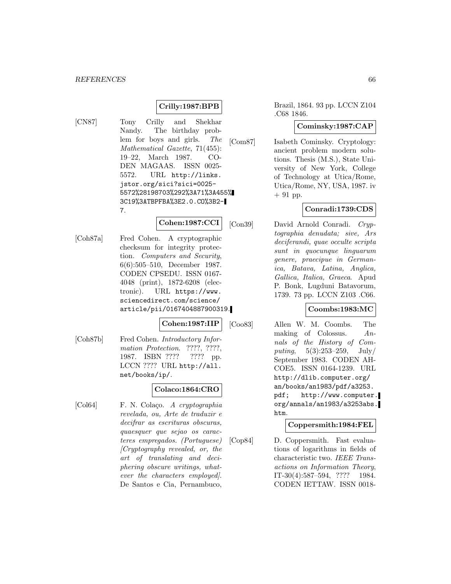# **Crilly:1987:BPB**

[CN87] Tony Crilly and Shekhar Nandy. The birthday problem for boys and girls. The Mathematical Gazette, 71(455): 19–22, March 1987. CO-DEN MAGAAS. ISSN 0025- 5572. URL http://links. jstor.org/sici?sici=0025- 5572%28198703%292%3A71%3A455% 3C19%3ATBPFBA%3E2.0.CO%3B2- 7.

#### **Cohen:1987:CCI**

[Coh87a] Fred Cohen. A cryptographic checksum for integrity protection. Computers and Security, 6(6):505–510, December 1987. CODEN CPSEDU. ISSN 0167- 4048 (print), 1872-6208 (electronic). URL https://www. sciencedirect.com/science/ article/pii/0167404887900319.

#### **Cohen:1987:IIP**

[Coh87b] Fred Cohen. *Introductory Infor*mation Protection. ????, ????, 1987. ISBN ???? ???? pp. LCCN ???? URL http://all. net/books/ip/.

## **Colaco:1864:CRO**

[Col64] F. N. Colaço. A cryptographia revelada, ou, Arte de traduzir e decifrar as escrituras obscuras, quaesquer que sejao os caracteres empregados. (Portuguese) [Cryptography revealed, or, the art of translating and deciphering obscure writings, whatever the characters employed]. De Santos e Cia, Pernambuco,

Brazil, 1864. 93 pp. LCCN Z104 .C68 1846.

#### **Cominsky:1987:CAP**

[Com87] Isabeth Cominsky. Cryptology: ancient problem modern solutions. Thesis (M.S.), State University of New York, College of Technology at Utica/Rome, Utica/Rome, NY, USA, 1987. iv + 91 pp.

# **Conradi:1739:CDS**

[Con39] David Arnold Conradi. Cryptographia denudata; sive, Ars deciferandi, quae occulte scripta sunt in quocunque linguarum genere, praecipue in Germanica, Batava, Latina, Anglica, Gallica, Italica, Graeca. Apud P. Bonk, Lugduni Batavorum, 1739. 73 pp. LCCN Z103 .C66.

#### **Coombs:1983:MC**

[Coo83] Allen W. M. Coombs. The making of Colossus. Annals of the History of Computing,  $5(3):253-259$ ,  $July/$ September 1983. CODEN AH-COE5. ISSN 0164-1239. URL http://dlib.computer.org/ an/books/an1983/pdf/a3253. pdf; http://www.computer. org/annals/an1983/a3253abs. htm.

## **Coppersmith:1984:FEL**

[Cop84] D. Coppersmith. Fast evaluations of logarithms in fields of characteristic two. IEEE Transactions on Information Theory, IT-30(4):587–594, ???? 1984. CODEN IETTAW. ISSN 0018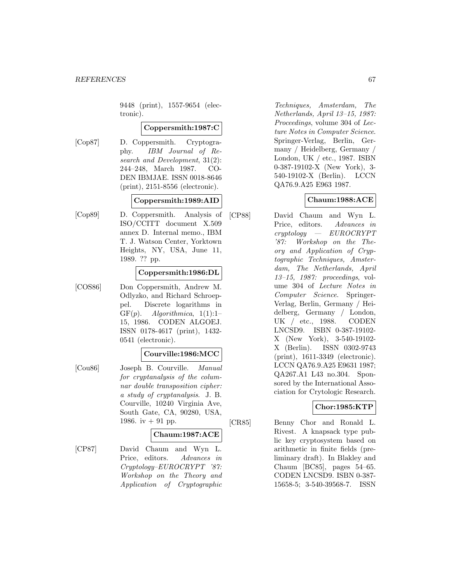9448 (print), 1557-9654 (electronic).

#### **Coppersmith:1987:C**

[Cop87] D. Coppersmith. Cryptography. IBM Journal of Research and Development, 31(2): 244–248, March 1987. CO-DEN IBMJAE. ISSN 0018-8646 (print), 2151-8556 (electronic).

#### **Coppersmith:1989:AID**

[Cop89] D. Coppersmith. Analysis of ISO/CCITT document X.509 annex D. Internal memo., IBM T. J. Watson Center, Yorktown Heights, NY, USA, June 11, 1989. ?? pp.

#### **Coppersmith:1986:DL**

[COS86] Don Coppersmith, Andrew M. Odlyzko, and Richard Schroeppel. Discrete logarithms in  $GF(p)$ . Algorithmica, 1(1):1– 15, 1986. CODEN ALGOEJ. ISSN 0178-4617 (print), 1432- 0541 (electronic).

## **Courville:1986:MCC**

[Cou86] Joseph B. Courville. Manual for cryptanalysis of the columnar double transposition cipher: a study of cryptanalysis. J. B. Courville, 10240 Virginia Ave, South Gate, CA, 90280, USA, 1986. iv  $+$  91 pp.

#### **Chaum:1987:ACE**

[CP87] David Chaum and Wyn L. Price, editors. Advances in Cryptology–EUROCRYPT '87: Workshop on the Theory and Application of Cryptographic

Techniques, Amsterdam, The Netherlands, April 13–15, 1987: Proceedings, volume 304 of Lecture Notes in Computer Science. Springer-Verlag, Berlin, Germany / Heidelberg, Germany / London, UK / etc., 1987. ISBN 0-387-19102-X (New York), 3- 540-19102-X (Berlin). LCCN QA76.9.A25 E963 1987.

### **Chaum:1988:ACE**

[CP88] David Chaum and Wyn L. Price, editors. Advances in cryptology — EUROCRYPT '87: Workshop on the Theory and Application of Cryptographic Techniques, Amsterdam, The Netherlands, April 13–15, 1987: proceedings, volume 304 of Lecture Notes in Computer Science. Springer-Verlag, Berlin, Germany / Heidelberg, Germany / London, UK / etc., 1988. CODEN LNCSD9. ISBN 0-387-19102- X (New York), 3-540-19102- X (Berlin). ISSN 0302-9743 (print), 1611-3349 (electronic). LCCN QA76.9.A25 E9631 1987; QA267.A1 L43 no.304. Sponsored by the International Association for Crytologic Research.

## **Chor:1985:KTP**

[CR85] Benny Chor and Ronald L. Rivest. A knapsack type public key cryptosystem based on arithmetic in finite fields (preliminary draft). In Blakley and Chaum [BC85], pages 54–65. CODEN LNCSD9. ISBN 0-387- 15658-5; 3-540-39568-7. ISSN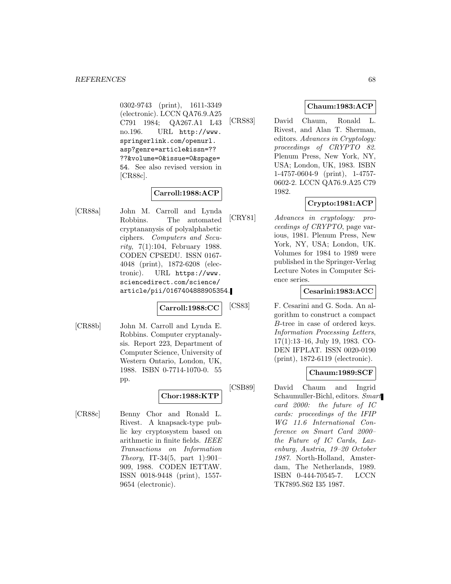0302-9743 (print), 1611-3349 (electronic). LCCN QA76.9.A25 C791 1984; QA267.A1 L43 no.196. URL http://www. springerlink.com/openurl. asp?genre=article&issn=?? ??&volume=0&issue=0&spage= 54. See also revised version in [CR88c].

# **Carroll:1988:ACP**

[CR88a] John M. Carroll and Lynda Robbins. The automated cryptananysis of polyalphabetic ciphers. Computers and Security, 7(1):104, February 1988. CODEN CPSEDU. ISSN 0167- 4048 (print), 1872-6208 (electronic). URL https://www. sciencedirect.com/science/ article/pii/0167404888905354.

**Carroll:1988:CC**

[CR88b] John M. Carroll and Lynda E. Robbins. Computer cryptanalysis. Report 223, Department of Computer Science, University of Western Ontario, London, UK, 1988. ISBN 0-7714-1070-0. 55 pp.

# **Chor:1988:KTP**

[CR88c] Benny Chor and Ronald L. Rivest. A knapsack-type public key cryptosystem based on arithmetic in finite fields. IEEE Transactions on Information Theory, IT-34(5, part 1):901– 909, 1988. CODEN IETTAW. ISSN 0018-9448 (print), 1557- 9654 (electronic).

## **Chaum:1983:ACP**

[CRS83] David Chaum, Ronald L. Rivest, and Alan T. Sherman, editors. Advances in Cryptology: proceedings of CRYPTO 82. Plenum Press, New York, NY, USA; London, UK, 1983. ISBN 1-4757-0604-9 (print), 1-4757- 0602-2. LCCN QA76.9.A25 C79 1982.

# **Crypto:1981:ACP**

[CRY81] Advances in cryptology: proceedings of CRYPTO, page various, 1981. Plenum Press, New York, NY, USA; London, UK. Volumes for 1984 to 1989 were published in the Springer-Verlag Lecture Notes in Computer Science series.

# **Cesarini:1983:ACC**

[CS83] F. Cesarini and G. Soda. An algorithm to construct a compact B-tree in case of ordered keys. Information Processing Letters, 17(1):13–16, July 19, 1983. CO-DEN IFPLAT. ISSN 0020-0190 (print), 1872-6119 (electronic).

# **Chaum:1989:SCF**

[CSB89] David Chaum and Ingrid Schaumuller-Bichl, editors. Smart card 2000: the future of IC cards: proceedings of the IFIP WG 11.6 International Conference on Smart Card 2000– the Future of IC Cards, Laxenburg, Austria, 19–20 October 1987. North-Holland, Amsterdam, The Netherlands, 1989. ISBN 0-444-70545-7. LCCN TK7895.S62 I35 1987.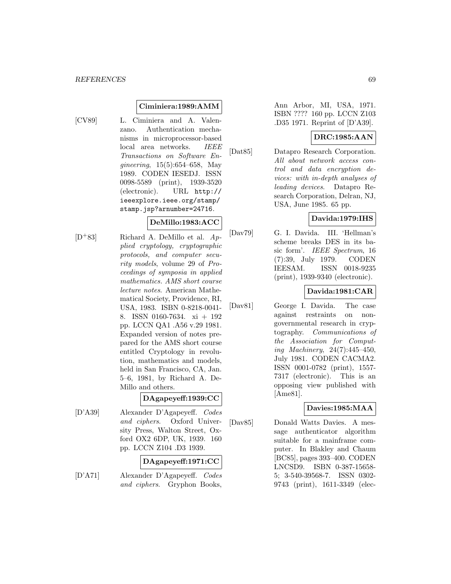### **Ciminiera:1989:AMM**

- 
- [CV89] L. Ciminiera and A. Valenzano. Authentication mechanisms in microprocessor-based local area networks. IEEE Transactions on Software Engineering, 15(5):654–658, May 1989. CODEN IESEDJ. ISSN 0098-5589 (print), 1939-3520 (electronic). URL http:// ieeexplore.ieee.org/stamp/ stamp.jsp?arnumber=24716.

#### **DeMillo:1983:ACC**

 $[D+83]$  Richard A. DeMillo et al.  $Ap$ plied cryptology, cryptographic protocols, and computer security models, volume 29 of Proceedings of symposia in applied mathematics. AMS short course lecture notes. American Mathematical Society, Providence, RI, USA, 1983. ISBN 0-8218-0041- 8. ISSN 0160-7634. xi + 192 pp. LCCN QA1 .A56 v.29 1981. Expanded version of notes prepared for the AMS short course entitled Cryptology in revolution, mathematics and models, held in San Francisco, CA, Jan. 5–6, 1981, by Richard A. De-Millo and others.

#### **DAgapeyeff:1939:CC**

[D'A39] Alexander D'Agapeyeff. Codes and ciphers. Oxford University Press, Walton Street, Oxford OX2 6DP, UK, 1939. 160 pp. LCCN Z104 .D3 1939.

### **DAgapeyeff:1971:CC**

[D'A71] Alexander D'Agapeyeff. Codes and ciphers. Gryphon Books,

Ann Arbor, MI, USA, 1971. ISBN ???? 160 pp. LCCN Z103 .D35 1971. Reprint of [D'A39].

### **DRC:1985:AAN**

[Dat85] Datapro Research Corporation. All about network access control and data encryption devices: with in-depth analyses of leading devices. Datapro Research Corporation, Delran, NJ, USA, June 1985. 65 pp.

### **Davida:1979:IHS**

[Dav79] G. I. Davida. III. 'Hellman's scheme breaks DES in its basic form'. IEEE Spectrum, 16 (7):39, July 1979. CODEN IEESAM. ISSN 0018-9235 (print), 1939-9340 (electronic).

# **Davida:1981:CAR**

[Dav81] George I. Davida. The case against restraints on nongovernmental research in cryptography. Communications of the Association for Computing Machinery, 24(7):445–450, July 1981. CODEN CACMA2. ISSN 0001-0782 (print), 1557- 7317 (electronic). This is an opposing view published with [Ame81].

## **Davies:1985:MAA**

[Dav85] Donald Watts Davies. A message authenticator algorithm suitable for a mainframe computer. In Blakley and Chaum [BC85], pages 393–400. CODEN LNCSD9. ISBN 0-387-15658- 5; 3-540-39568-7. ISSN 0302- 9743 (print), 1611-3349 (elec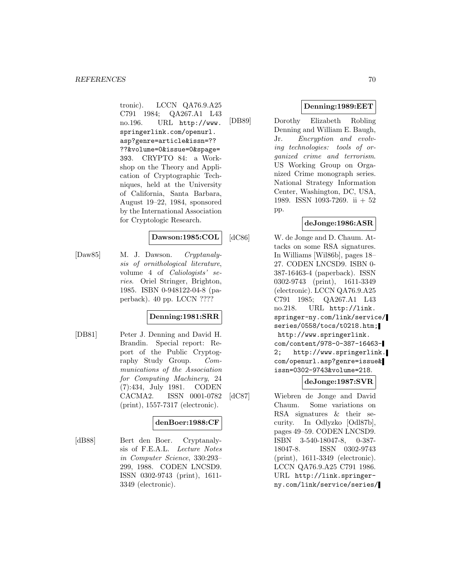tronic). LCCN QA76.9.A25 C791 1984; QA267.A1 L43 no.196. URL http://www. springerlink.com/openurl. asp?genre=article&issn=?? ??&volume=0&issue=0&spage= 393. CRYPTO 84: a Workshop on the Theory and Application of Cryptographic Techniques, held at the University of California, Santa Barbara, August 19–22, 1984, sponsored by the International Association for Cryptologic Research.

### **Dawson:1985:COL**

[Daw85] M. J. Dawson. Cryptanalysis of ornithological literature, volume 4 of Caliologists' series. Oriel Stringer, Brighton, 1985. ISBN 0-948122-04-8 (paperback). 40 pp. LCCN ????

## **Denning:1981:SRR**

[DB81] Peter J. Denning and David H. Brandin. Special report: Report of the Public Cryptography Study Group. Communications of the Association for Computing Machinery, 24 (7):434, July 1981. CODEN CACMA2. ISSN 0001-0782 (print), 1557-7317 (electronic).

## **denBoer:1988:CF**

[dB88] Bert den Boer. Cryptanalysis of F.E.A.L. Lecture Notes in Computer Science, 330:293– 299, 1988. CODEN LNCSD9. ISSN 0302-9743 (print), 1611- 3349 (electronic).

# **Denning:1989:EET**

[DB89] Dorothy Elizabeth Robling Denning and William E. Baugh, Jr. Encryption and evolving technologies: tools of organized crime and terrorism. US Working Group on Organized Crime monograph series. National Strategy Information Center, Washington, DC, USA, 1989. ISSN 1093-7269. ii + 52 pp.

### **deJonge:1986:ASR**

[dC86] W. de Jonge and D. Chaum. Attacks on some RSA signatures. In Williams [Wil86b], pages 18– 27. CODEN LNCSD9. ISBN 0- 387-16463-4 (paperback). ISSN 0302-9743 (print), 1611-3349 (electronic). LCCN QA76.9.A25 C791 1985; QA267.A1 L43 no.218. URL http://link. springer-ny.com/link/service/ series/0558/tocs/t0218.htm; http://www.springerlink. com/content/978-0-387-16463- 2; http://www.springerlink. com/openurl.asp?genre=issue& issn=0302-9743&volume=218.

#### **deJonge:1987:SVR**

[dC87] Wiebren de Jonge and David Chaum. Some variations on RSA signatures & their security. In Odlyzko [Odl87b], pages 49–59. CODEN LNCSD9. ISBN 3-540-18047-8, 0-387- 18047-8. ISSN 0302-9743 (print), 1611-3349 (electronic). LCCN QA76.9.A25 C791 1986. URL http://link.springerny.com/link/service/series/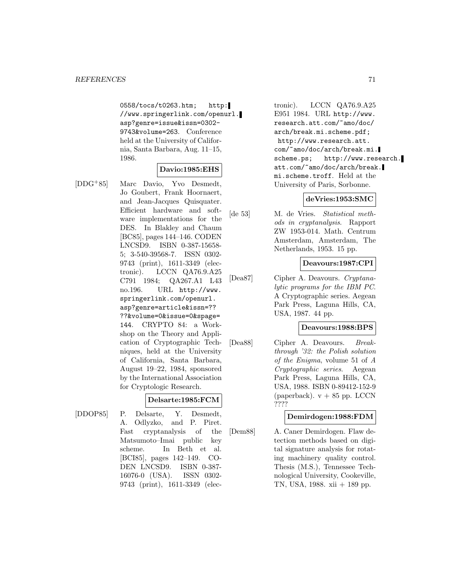0558/tocs/t0263.htm; http: //www.springerlink.com/openurl. asp?genre=issue&issn=0302- 9743&volume=263. Conference held at the University of California, Santa Barbara, Aug. 11–15, 1986.

#### **Davio:1985:EHS**

[DDG<sup>+</sup>85] Marc Davio, Yvo Desmedt, Jo Goubert, Frank Hoornaert, and Jean-Jacques Quisquater. Efficient hardware and software implementations for the DES. In Blakley and Chaum [BC85], pages 144–146. CODEN LNCSD9. ISBN 0-387-15658- 5; 3-540-39568-7. ISSN 0302- 9743 (print), 1611-3349 (electronic). LCCN QA76.9.A25 C791 1984; QA267.A1 L43 no.196. URL http://www. springerlink.com/openurl. asp?genre=article&issn=?? ??&volume=0&issue=0&spage= 144. CRYPTO 84: a Workshop on the Theory and Application of Cryptographic Techniques, held at the University of California, Santa Barbara, August 19–22, 1984, sponsored by the International Association for Cryptologic Research.

#### **Delsarte:1985:FCM**

[DDOP85] P. Delsarte, Y. Desmedt, A. Odlyzko, and P. Piret. Fast cryptanalysis of the Matsumoto–Imai public key scheme. In Beth et al. [BCI85], pages 142–149. CO-DEN LNCSD9. ISBN 0-387- 16076-0 (USA). ISSN 0302- 9743 (print), 1611-3349 (elec-

tronic). LCCN QA76.9.A25 E951 1984. URL http://www. research.att.com/~amo/doc/ arch/break.mi.scheme.pdf; http://www.research.att. com/~amo/doc/arch/break.mi. scheme.ps; http://www.research. att.com/~amo/doc/arch/break. mi.scheme.troff. Held at the University of Paris, Sorbonne.

#### **deVries:1953:SMC**

[de 53] M. de Vries. Statistical methods in cryptanalysis. Rapport ZW 1953-014. Math. Centrum Amsterdam, Amsterdam, The Netherlands, 1953. 15 pp.

#### **Deavours:1987:CPI**

[Dea87] Cipher A. Deavours. Cryptanalytic programs for the IBM PC. A Cryptographic series. Aegean Park Press, Laguna Hills, CA, USA, 1987. 44 pp.

#### **Deavours:1988:BPS**

[Dea88] Cipher A. Deavours. Breakthrough '32: the Polish solution of the Enigma, volume 51 of A Cryptographic series. Aegean Park Press, Laguna Hills, CA, USA, 1988. ISBN 0-89412-152-9 (paperback).  $v + 85$  pp. LCCN ????

#### **Demirdogen:1988:FDM**

[Dem88] A. Caner Demirdogen. Flaw detection methods based on digital signature analysis for rotating machinery quality control. Thesis (M.S.), Tennessee Technological University, Cookeville, TN, USA, 1988. xii + 189 pp.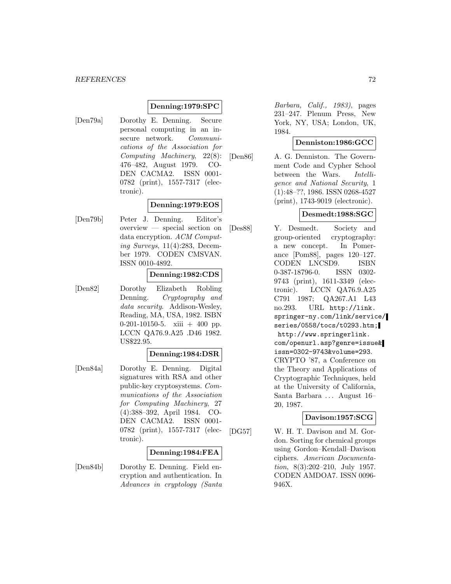#### **Denning:1979:SPC**

[Den79a] Dorothy E. Denning. Secure personal computing in an insecure network. Communications of the Association for Computing Machinery, 22(8): 476–482, August 1979. CO-DEN CACMA2. ISSN 0001- 0782 (print), 1557-7317 (electronic).

#### **Denning:1979:EOS**

[Den79b] Peter J. Denning. Editor's overview — special section on data encryption. ACM Computing Surveys, 11(4):283, December 1979. CODEN CMSVAN. ISSN 0010-4892.

#### **Denning:1982:CDS**

[Den82] Dorothy Elizabeth Robling Denning. Cryptography and data security. Addison-Wesley, Reading, MA, USA, 1982. ISBN 0-201-10150-5. xiii + 400 pp. LCCN QA76.9.A25 .D46 1982. US\$22.95.

#### **Denning:1984:DSR**

[Den84a] Dorothy E. Denning. Digital signatures with RSA and other public-key cryptosystems. Communications of the Association for Computing Machinery, 27 (4):388–392, April 1984. CO-DEN CACMA2. ISSN 0001- 0782 (print), 1557-7317 (electronic).

#### **Denning:1984:FEA**

[Den84b] Dorothy E. Denning. Field encryption and authentication. In Advances in cryptology (Santa

Barbara, Calif., 1983), pages 231–247. Plenum Press, New York, NY, USA; London, UK, 1984.

#### **Denniston:1986:GCC**

[Den86] A. G. Denniston. The Government Code and Cypher School between the Wars. Intelligence and National Security, 1 (1):48–??, 1986. ISSN 0268-4527 (print), 1743-9019 (electronic).

#### **Desmedt:1988:SGC**

[Des88] Y. Desmedt. Society and group-oriented cryptography: a new concept. In Pomerance [Pom88], pages 120–127. CODEN LNCSD9. ISBN 0-387-18796-0. ISSN 0302- 9743 (print), 1611-3349 (electronic). LCCN QA76.9.A25 C791 1987; QA267.A1 L43 no.293. URL http://link. springer-ny.com/link/service/ series/0558/tocs/t0293.htm; http://www.springerlink. com/openurl.asp?genre=issue& issn=0302-9743&volume=293. CRYPTO '87, a Conference on the Theory and Applications of Cryptographic Techniques, held at the University of California, Santa Barbara ... August 16– 20, 1987.

#### **Davison:1957:SCG**

[DG57] W. H. T. Davison and M. Gordon. Sorting for chemical groups using Gordon–Kendall–Davison ciphers. American Documentation, 8(3):202–210, July 1957. CODEN AMDOA7. ISSN 0096- 946X.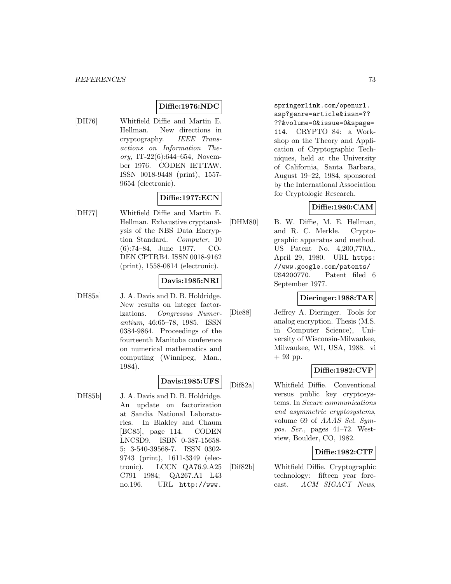# **Diffie:1976:NDC**

[DH76] Whitfield Diffie and Martin E. Hellman. New directions in cryptography. IEEE Transactions on Information Theory, IT-22 $(6)$ :644–654, November 1976. CODEN IETTAW. ISSN 0018-9448 (print), 1557- 9654 (electronic).

# **Diffie:1977:ECN**

[DH77] Whitfield Diffie and Martin E. Hellman. Exhaustive cryptanalysis of the NBS Data Encryption Standard. Computer, 10 (6):74–84, June 1977. CO-DEN CPTRB4. ISSN 0018-9162 (print), 1558-0814 (electronic).

### **Davis:1985:NRI**

[DH85a] J. A. Davis and D. B. Holdridge. New results on integer factorizations. Congressus Numerantium, 46:65–78, 1985. ISSN 0384-9864. Proceedings of the fourteenth Manitoba conference on numerical mathematics and computing (Winnipeg, Man., 1984).

### **Davis:1985:UFS**

[DH85b] J. A. Davis and D. B. Holdridge. An update on factorization at Sandia National Laboratories. In Blakley and Chaum [BC85], page 114. CODEN LNCSD9. ISBN 0-387-15658- 5; 3-540-39568-7. ISSN 0302- 9743 (print), 1611-3349 (electronic). LCCN QA76.9.A25 C791 1984; QA267.A1 L43 no.196. URL http://www.

springerlink.com/openurl. asp?genre=article&issn=?? ??&volume=0&issue=0&spage= 114. CRYPTO 84: a Workshop on the Theory and Application of Cryptographic Techniques, held at the University of California, Santa Barbara, August 19–22, 1984, sponsored by the International Association for Cryptologic Research.

## **Diffie:1980:CAM**

[DHM80] B. W. Diffie, M. E. Hellman, and R. C. Merkle. Cryptographic apparatus and method. US Patent No. 4,200,770A., April 29, 1980. URL https: //www.google.com/patents/ US4200770. Patent filed 6 September 1977.

### **Dieringer:1988:TAE**

[Die88] Jeffrey A. Dieringer. Tools for analog encryption. Thesis (M.S. in Computer Science), University of Wisconsin-Milwaukee, Milwaukee, WI, USA, 1988. vi + 93 pp.

## **Diffie:1982:CVP**

[Dif82a] Whitfield Diffie. Conventional versus public key cryptosystems. In Secure communications and asymmetric cryptosystems, volume 69 of AAAS Sel. Sympos. Ser., pages 41–72. Westview, Boulder, CO, 1982.

## **Diffie:1982:CTF**

[Dif82b] Whitfield Diffie. Cryptographic technology: fifteen year forecast. ACM SIGACT News,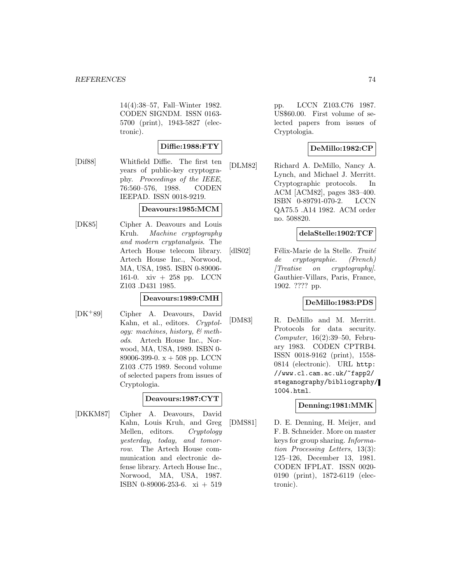14(4):38–57, Fall–Winter 1982. CODEN SIGNDM. ISSN 0163- 5700 (print), 1943-5827 (electronic).

# **Diffie:1988:FTY**

[Dif88] Whitfield Diffie. The first ten years of public-key cryptography. Proceedings of the IEEE, 76:560–576, 1988. CODEN IEEPAD. ISSN 0018-9219.

## **Deavours:1985:MCM**

[DK85] Cipher A. Deavours and Louis Kruh. Machine cryptography and modern cryptanalysis. The Artech House telecom library. Artech House Inc., Norwood, MA, USA, 1985. ISBN 0-89006- 161-0. xiv + 258 pp. LCCN Z103 .D431 1985.

### **Deavours:1989:CMH**

[DK<sup>+</sup>89] Cipher A. Deavours, David Kahn, et al., editors. Cryptology: machines, history, & methods. Artech House Inc., Norwood, MA, USA, 1989. ISBN 0- 89006-399-0.  $x + 508$  pp. LCCN Z103 .C75 1989. Second volume of selected papers from issues of Cryptologia.

## **Deavours:1987:CYT**

[DKKM87] Cipher A. Deavours, David Kahn, Louis Kruh, and Greg Mellen, editors. Cryptology yesterday, today, and tomorrow. The Artech House communication and electronic defense library. Artech House Inc., Norwood, MA, USA, 1987. ISBN 0-89006-253-6. xi + 519

pp. LCCN Z103.C76 1987. US\$60.00. First volume of selected papers from issues of Cryptologia.

## **DeMillo:1982:CP**

[DLM82] Richard A. DeMillo, Nancy A. Lynch, and Michael J. Merritt. Cryptographic protocols. In ACM [ACM82], pages 383–400. ISBN 0-89791-070-2. LCCN QA75.5 .A14 1982. ACM order no. 508820.

## **delaStelle:1902:TCF**

[dlS02] Félix-Marie de la Stelle. Traité de cryptographie. (French) [Treatise on cryptography]. Gauthier-Villars, Paris, France, 1902. ???? pp.

### **DeMillo:1983:PDS**

[DM83] R. DeMillo and M. Merritt. Protocols for data security. Computer, 16(2):39–50, February 1983. CODEN CPTRB4. ISSN 0018-9162 (print), 1558- 0814 (electronic). URL http: //www.cl.cam.ac.uk/~fapp2/ steganography/bibliography/ 1004.html.

## **Denning:1981:MMK**

[DMS81] D. E. Denning, H. Meijer, and F. B. Schneider. More on master keys for group sharing. Information Processing Letters, 13(3): 125–126, December 13, 1981. CODEN IFPLAT. ISSN 0020- 0190 (print), 1872-6119 (electronic).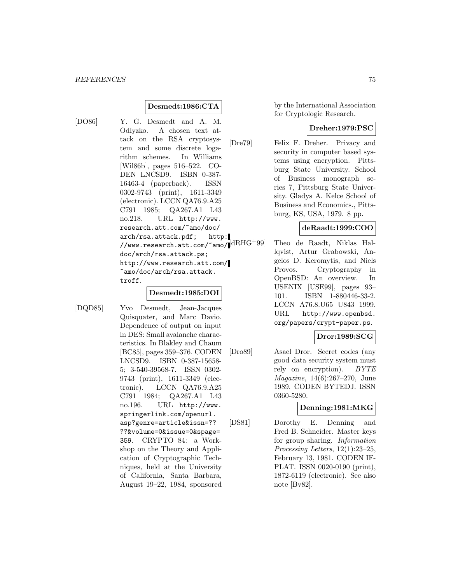## **Desmedt:1986:CTA**

[DO86] Y. G. Desmedt and A. M. Odlyzko. A chosen text attack on the RSA cryptosystem and some discrete logarithm schemes. In Williams [Wil86b], pages 516–522. CO-DEN LNCSD9. ISBN 0-387- 16463-4 (paperback). ISSN 0302-9743 (print), 1611-3349 (electronic). LCCN QA76.9.A25 C791 1985; QA267.A1 L43 no.218. URL http://www. research.att.com/~amo/doc/ arch/rsa.attack.pdf; http: //www.research.att.com/~amo/ $\rm{dRHG^{+}99}]$ doc/arch/rsa.attack.ps; http://www.research.att.com/ ~amo/doc/arch/rsa.attack. troff.

## **Desmedt:1985:DOI**

[DQD85] Yvo Desmedt, Jean-Jacques Quisquater, and Marc Davio. Dependence of output on input in DES: Small avalanche characteristics. In Blakley and Chaum [BC85], pages 359–376. CODEN LNCSD9. ISBN 0-387-15658- 5; 3-540-39568-7. ISSN 0302- 9743 (print), 1611-3349 (electronic). LCCN QA76.9.A25 C791 1984; QA267.A1 L43 no.196. URL http://www. springerlink.com/openurl. asp?genre=article&issn=?? ??&volume=0&issue=0&spage= 359. CRYPTO 84: a Workshop on the Theory and Application of Cryptographic Techniques, held at the University of California, Santa Barbara, August 19–22, 1984, sponsored

by the International Association for Cryptologic Research.

## **Dreher:1979:PSC**

[Dre79] Felix F. Dreher. Privacy and security in computer based systems using encryption. Pittsburg State University. School of Business monograph series 7, Pittsburg State University. Gladys A. Kelce School of Business and Economics., Pittsburg, KS, USA, 1979. 8 pp.

#### **deRaadt:1999:COO**

Theo de Raadt, Niklas Hallqvist, Artur Grabowski, Angelos D. Keromytis, and Niels Provos. Cryptography in OpenBSD: An overview. In USENIX [USE99], pages 93– 101. ISBN 1-880446-33-2. LCCN A76.8.U65 U843 1999. URL http://www.openbsd. org/papers/crypt-paper.ps.

## **Dror:1989:SCG**

[Dro89] Asael Dror. Secret codes (any good data security system must rely on encryption). BYTE Magazine, 14(6):267–270, June 1989. CODEN BYTEDJ. ISSN 0360-5280.

## **Denning:1981:MKG**

[DS81] Dorothy E. Denning and Fred B. Schneider. Master keys for group sharing. Information Processing Letters, 12(1):23–25, February 13, 1981. CODEN IF-PLAT. ISSN 0020-0190 (print), 1872-6119 (electronic). See also note [Bv82].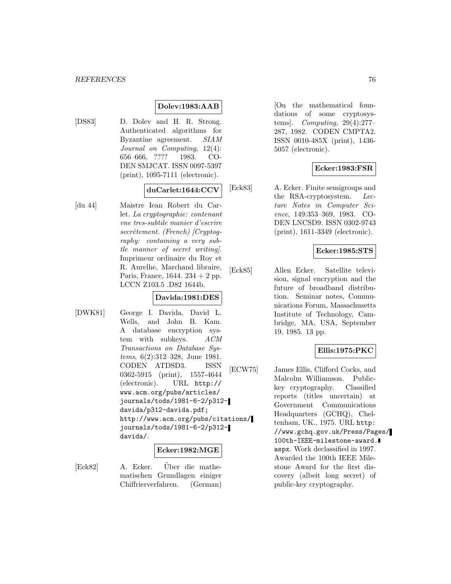## **Dolev:1983:AAB**

[DS83] D. Dolev and H. R. Strong. Authenticated algorithms for Byzantine agreement. SIAM Journal on Computing, 12(4): 656–666, ???? 1983. CO-DEN SMJCAT. ISSN 0097-5397 (print), 1095-7111 (electronic).

### **duCarlet:1644:CCV**

[du 44] Maistre Iean Robert du Carlet. La cryptographie: contenant vne tres-subtile manier d'escrire  $secretement.$  (French) [Cryptography: containing a very subtle manner of secret writing]. Imprimeur ordinaire du Roy et R. Aurelhe, Marchand libraire, Paris, France, 1644. 234 + 2 pp. LCCN Z103.5 .D82 1644b.

## **Davida:1981:DES**

[DWK81] George I. Davida, David L. Wells, and John B. Kam. A database encryption system with subkeys.  $ACM$ Transactions on Database Systems, 6(2):312–328, June 1981. CODEN ATDSD3. ISSN 0362-5915 (print), 1557-4644 (electronic). URL http:// www.acm.org/pubs/articles/ journals/tods/1981-6-2/p312 davida/p312-davida.pdf; http://www.acm.org/pubs/citations/ journals/tods/1981-6-2/p312 davida/.

## **Ecker:1982:MGE**

[Eck82] A. Ecker. Über die mathematischen Grundlagen einiger Chiffrierverfahren. (German)

[On the mathematical foundations of some cryptosystems]. Computing, 29(4):277– 287, 1982. CODEN CMPTA2. ISSN 0010-485X (print), 1436- 5057 (electronic).

## **Ecker:1983:FSR**

[Eck83] A. Ecker. Finite semigroups and the RSA-cryptosystem. Lecture Notes in Computer Science, 149:353–369, 1983. CO-DEN LNCSD9. ISSN 0302-9743 (print), 1611-3349 (electronic).

## **Ecker:1985:STS**

[Eck85] Allen Ecker. Satellite television, signal encryption and the future of broadband distribution. Seminar notes, Communications Forum, Massachusetts Institute of Technology, Cambridge, MA, USA, September 19, 1985. 13 pp.

## **Ellis:1975:PKC**

[ECW75] James Ellis, Clifford Cocks, and Malcolm Williamson. Publickey cryptography. Classified reports (titles uncertain) at Government Communications Headquarters (GCHQ), Cheltenham, UK., 1975. URL http: //www.gchq.gov.uk/Press/Pages/ 100th-IEEE-milestone-award. aspx. Work declassified in 1997. Awarded the 100th IEEE Milestone Award for the first discovery (albeit long secret) of public-key cryptography.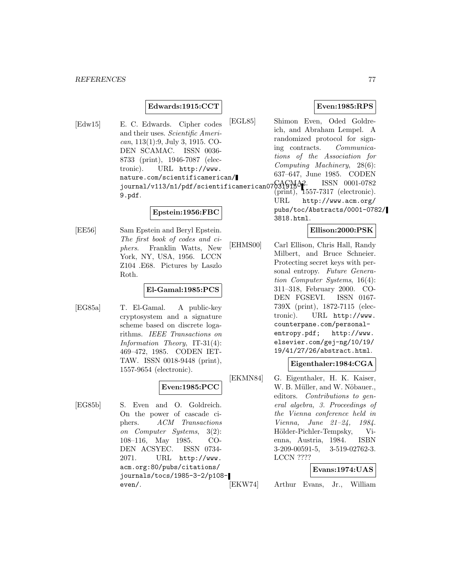### **Edwards:1915:CCT**

[Edw15] E. C. Edwards. Cipher codes and their uses. Scientific American, 113(1):9, July 3, 1915. CO-DEN SCAMAC. ISSN 0036- 8733 (print), 1946-7087 (electronic). URL http://www. nature.com/scientificamerican/ journal/v113/n1/pdf/scientificamerican07631915-1 9.pdf.

#### **Epstein:1956:FBC**

[EE56] Sam Epstein and Beryl Epstein. The first book of codes and ciphers. Franklin Watts, New York, NY, USA, 1956. LCCN Z104 .E68. Pictures by Laszlo Roth.

#### **El-Gamal:1985:PCS**

[EG85a] T. El-Gamal. A public-key cryptosystem and a signature scheme based on discrete logarithms. IEEE Transactions on Information Theory, IT-31(4): 469–472, 1985. CODEN IET-TAW. ISSN 0018-9448 (print), 1557-9654 (electronic).

# **Even:1985:PCC**

[EG85b] S. Even and O. Goldreich. On the power of cascade ciphers. ACM Transactions on Computer Systems, 3(2): 108–116, May 1985. CO-DEN ACSYEC. ISSN 0734- 2071. URL http://www. acm.org:80/pubs/citations/ journals/tocs/1985-3-2/p108 even/.

## **Even:1985:RPS**

[EGL85] Shimon Even, Oded Goldreich, and Abraham Lempel. A randomized protocol for signing contracts. Communications of the Association for Computing Machinery, 28(6): 637–647, June 1985. CODEN ISSN 0001-0782  $(\text{print})$ , 1557-7317 (electronic). URL http://www.acm.org/ pubs/toc/Abstracts/0001-0782/ 3818.html.

## **Ellison:2000:PSK**

[EHMS00] Carl Ellison, Chris Hall, Randy Milbert, and Bruce Schneier. Protecting secret keys with personal entropy. Future Generation Computer Systems, 16(4): 311–318, February 2000. CO-DEN FGSEVI. ISSN 0167- 739X (print), 1872-7115 (electronic). URL http://www. counterpane.com/personalentropy.pdf; http://www. elsevier.com/gej-ng/10/19/ 19/41/27/26/abstract.html.

#### **Eigenthaler:1984:CGA**

[EKMN84] G. Eigenthaler, H. K. Kaiser, W. B. Müller, and W. Nöbauer., editors. Contributions to general algebra, 3. Proceedings of the Vienna conference held in Vienna, June 21–24, 1984. Hölder-Pichler-Tempsky, Vienna, Austria, 1984. ISBN 3-209-00591-5, 3-519-02762-3. LCCN ????

## **Evans:1974:UAS**

[EKW74] Arthur Evans, Jr., William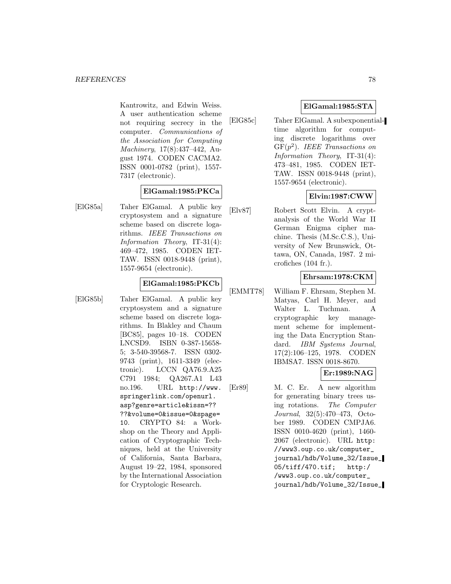Kantrowitz, and Edwin Weiss. A user authentication scheme not requiring secrecy in the computer. Communications of the Association for Computing Machinery, 17(8):437–442, August 1974. CODEN CACMA2. ISSN 0001-0782 (print), 1557- 7317 (electronic).

## **ElGamal:1985:PKCa**

[ElG85a] Taher ElGamal. A public key cryptosystem and a signature scheme based on discrete logarithms. IEEE Transactions on Information Theory, IT-31(4): 469–472, 1985. CODEN IET-TAW. ISSN 0018-9448 (print), 1557-9654 (electronic).

## **ElGamal:1985:PKCb**

[ElG85b] Taher ElGamal. A public key cryptosystem and a signature scheme based on discrete logarithms. In Blakley and Chaum [BC85], pages 10–18. CODEN LNCSD9. ISBN 0-387-15658- 5; 3-540-39568-7. ISSN 0302- 9743 (print), 1611-3349 (electronic). LCCN QA76.9.A25 C791 1984; QA267.A1 L43 no.196. URL http://www. springerlink.com/openurl. asp?genre=article&issn=?? ??&volume=0&issue=0&spage= 10. CRYPTO 84: a Workshop on the Theory and Application of Cryptographic Techniques, held at the University of California, Santa Barbara, August 19–22, 1984, sponsored by the International Association for Cryptologic Research.

## **ElGamal:1985:STA**

[ElG85c] Taher ElGamal. A subexponentialtime algorithm for computing discrete logarithms over  $GF(p^2)$ . IEEE Transactions on Information Theory, IT-31(4): 473–481, 1985. CODEN IET-TAW. ISSN 0018-9448 (print), 1557-9654 (electronic).

# **Elvin:1987:CWW**

[Elv87] Robert Scott Elvin. A cryptanalysis of the World War II German Enigma cipher machine. Thesis (M.Sc.C.S.), University of New Brunswick, Ottawa, ON, Canada, 1987. 2 microfiches (104 fr.).

## **Ehrsam:1978:CKM**

[EMMT78] William F. Ehrsam, Stephen M. Matyas, Carl H. Meyer, and Walter L. Tuchman. A cryptographic key management scheme for implementing the Data Encryption Standard. IBM Systems Journal, 17(2):106–125, 1978. CODEN IBMSA7. ISSN 0018-8670.

# **Er:1989:NAG**

[Er89] M. C. Er. A new algorithm for generating binary trees using rotations. The Computer Journal, 32(5):470–473, October 1989. CODEN CMPJA6. ISSN 0010-4620 (print), 1460- 2067 (electronic). URL http: //www3.oup.co.uk/computer\_ journal/hdb/Volume\_32/Issue\_ 05/tiff/470.tif; http:/ /www3.oup.co.uk/computer\_ journal/hdb/Volume\_32/Issue\_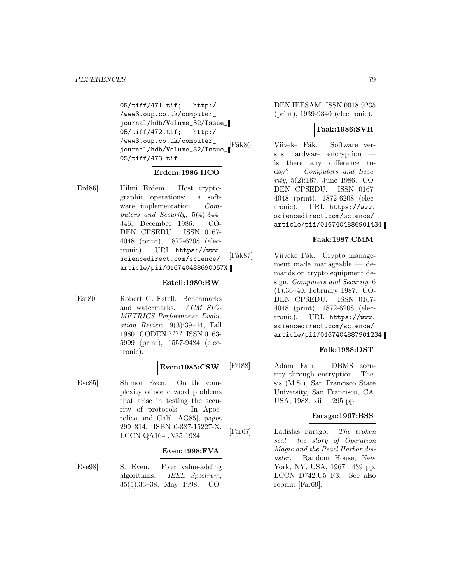05/tiff/471.tif; http:/ /www3.oup.co.uk/computer\_ journal/hdb/Volume\_32/Issue\_ 05/tiff/472.tif; http:/ /www3.oup.co.uk/computer\_ journal/hdb/Volume\_32/Issue\_ 05/tiff/473.tif.

# **Erdem:1986:HCO**

[Erd86] Hilmi Erdem. Host cryptographic operations: a software implementation. Computers and Security, 5(4):344– 346, December 1986. CO-DEN CPSEDU. ISSN 0167- 4048 (print), 1872-6208 (electronic). URL https://www. sciencedirect.com/science/ article/pii/016740488690057X.

#### **Estell:1980:BW**

[Est80] Robert G. Estell. Benchmarks and watermarks. ACM SIG-METRICS Performance Evaluation Review, 9(3):39–44, Fall 1980. CODEN ???? ISSN 0163- 5999 (print), 1557-9484 (electronic).

#### **Even:1985:CSW**

[Eve85] Shimon Even. On the complexity of some word problems that arise in testing the security of protocols. In Apostolico and Galil [AG85], pages 299–314. ISBN 0-387-15227-X. LCCN QA164 .N35 1984.

#### **Even:1998:FVA**

[Eve98] S. Even. Four value-adding algorithms. IEEE Spectrum, 35(5):33–38, May 1998. CO-

DEN IEESAM. ISSN 0018-9235 (print), 1939-9340 (electronic).

### **Faak:1986:SVH**

Fåk86] Viiveke Fåk. Software versus hardware encryption is there any difference today? Computers and Security, 5(2):167, June 1986. CO-DEN CPSEDU. ISSN 0167- 4048 (print), 1872-6208 (electronic). URL https://www. sciencedirect.com/science/ article/pii/0167404886901434.

## **Faak:1987:CMM**

[Fåk87] Viiveke Fåk. Crypto management made manageable — demands on crypto equipment design. Computers and Security, 6 (1):36–40, February 1987. CO-DEN CPSEDU. ISSN 0167- 4048 (print), 1872-6208 (electronic). URL https://www. sciencedirect.com/science/ article/pii/0167404887901234.

### **Falk:1988:DST**

[Fal88] Adam Falk. DBMS security through encryption. Thesis (M.S.), San Francisco State University, San Francisco, CA, USA, 1988. xii + 295 pp.

### **Farago:1967:BSS**

[Far67] Ladislas Farago. The broken seal: the story of Operation Magic and the Pearl Harbor disaster. Random House, New York, NY, USA, 1967. 439 pp. LCCN D742.U5 F3. See also reprint [Far69].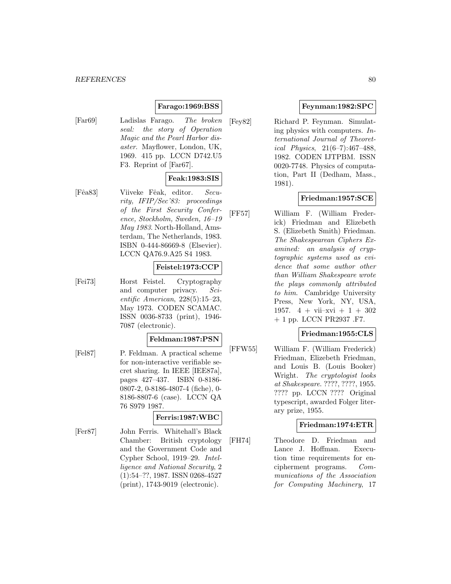## **Farago:1969:BSS**

[Far69] Ladislas Farago. The broken seal: the story of Operation Magic and the Pearl Harbor disaster. Mayflower, London, UK, 1969. 415 pp. LCCN D742.U5 F3. Reprint of [Far67].

# **Feak:1983:SIS**

[Fêa83] Viiveke Fêak, editor. Security, IFIP/Sec'83: proceedings of the First Security Conference, Stockholm, Sweden, 16–19 May 1983. North-Holland, Amsterdam, The Netherlands, 1983. ISBN 0-444-86669-8 (Elsevier). LCCN QA76.9.A25 S4 1983.

## **Feistel:1973:CCP**

[Fei73] Horst Feistel. Cryptography and computer privacy. Scientific American, 228(5):15–23, May 1973. CODEN SCAMAC. ISSN 0036-8733 (print), 1946- 7087 (electronic).

#### **Feldman:1987:PSN**

[Fel87] P. Feldman. A practical scheme for non-interactive verifiable secret sharing. In IEEE [IEE87a], pages 427–437. ISBN 0-8186- 0807-2, 0-8186-4807-4 (fiche), 0- 8186-8807-6 (case). LCCN QA 76 S979 1987.

## **Ferris:1987:WBC**

[Fer87] John Ferris. Whitehall's Black Chamber: British cryptology and the Government Code and Cypher School, 1919–29. Intelligence and National Security, 2 (1):54–??, 1987. ISSN 0268-4527 (print), 1743-9019 (electronic).

### **Feynman:1982:SPC**

[Fey82] Richard P. Feynman. Simulating physics with computers. International Journal of Theoretical Physics, 21(6–7):467–488, 1982. CODEN IJTPBM. ISSN 0020-7748. Physics of computation, Part II (Dedham, Mass., 1981).

## **Friedman:1957:SCE**

[FF57] William F. (William Frederick) Friedman and Elizebeth S. (Elizebeth Smith) Friedman. The Shakespearean Ciphers Examined: an analysis of cryptographic systems used as evidence that some author other than William Shakespeare wrote the plays commonly attributed to him. Cambridge University Press, New York, NY, USA, 1957.  $4 + \text{vii}-\text{xvi} + 1 + 302$ + 1 pp. LCCN PR2937 .F7.

## **Friedman:1955:CLS**

[FFW55] William F. (William Frederick) Friedman, Elizebeth Friedman, and Louis B. (Louis Booker) Wright. The cryptologist looks at Shakespeare. ????, ????, 1955. ???? pp. LCCN ???? Original typescript, awarded Folger literary prize, 1955.

### **Friedman:1974:ETR**

[FH74] Theodore D. Friedman and Lance J. Hoffman. Execution time requirements for encipherment programs. Communications of the Association for Computing Machinery, 17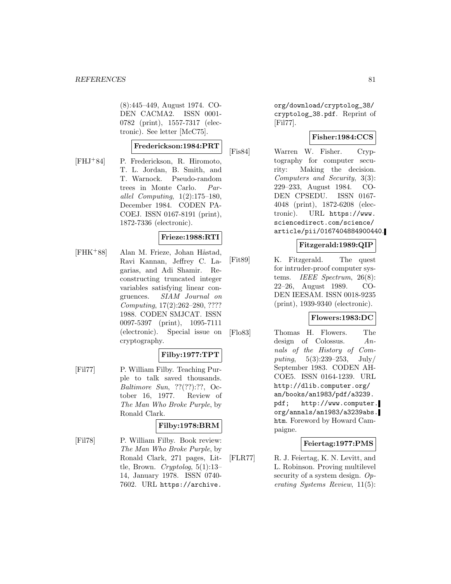(8):445–449, August 1974. CO-DEN CACMA2. ISSN 0001- 0782 (print), 1557-7317 (electronic). See letter [McC75].

### **Frederickson:1984:PRT**

[FHJ<sup>+</sup>84] P. Frederickson, R. Hiromoto, T. L. Jordan, B. Smith, and T. Warnock. Pseudo-random trees in Monte Carlo. Parallel Computing, 1(2):175–180, December 1984. CODEN PA-COEJ. ISSN 0167-8191 (print), 1872-7336 (electronic).

## **Frieze:1988:RTI**

[FHK<sup>+</sup>88] Alan M. Frieze, Johan Håstad, Ravi Kannan, Jeffrey C. Lagarias, and Adi Shamir. Reconstructing truncated integer variables satisfying linear congruences. SIAM Journal on Computing, 17(2):262–280, ???? 1988. CODEN SMJCAT. ISSN 0097-5397 (print), 1095-7111 (electronic). Special issue on cryptography.

## **Filby:1977:TPT**

[Fil77] P. William Filby. Teaching Purple to talk saved thousands. Baltimore Sun, ??(??):??, October 16, 1977. Review of The Man Who Broke Purple, by Ronald Clark.

## **Filby:1978:BRM**

[Fil78] P. William Filby. Book review: The Man Who Broke Purple, by Ronald Clark, 271 pages, Little, Brown. Cryptolog,  $5(1):13-$ 14, January 1978. ISSN 0740- 7602. URL https://archive.

org/download/cryptolog\_38/ cryptolog\_38.pdf. Reprint of [Fil77].

### **Fisher:1984:CCS**

[Fis84] Warren W. Fisher. Cryptography for computer security: Making the decision. Computers and Security, 3(3): 229–233, August 1984. CO-DEN CPSEDU. ISSN 0167- 4048 (print), 1872-6208 (electronic). URL https://www. sciencedirect.com/science/ article/pii/0167404884900440.

## **Fitzgerald:1989:QIP**

[Fit89] K. Fitzgerald. The quest for intruder-proof computer systems. IEEE Spectrum, 26(8): 22–26, August 1989. CO-DEN IEESAM. ISSN 0018-9235 (print), 1939-9340 (electronic).

### **Flowers:1983:DC**

[Flo83] Thomas H. Flowers. The design of Colossus. Annals of the History of Computing,  $5(3):239-253$ , July/ September 1983. CODEN AH-COE5. ISSN 0164-1239. URL http://dlib.computer.org/ an/books/an1983/pdf/a3239. pdf; http://www.computer. org/annals/an1983/a3239abs. htm. Foreword by Howard Campaigne.

### **Feiertag:1977:PMS**

[FLR77] R. J. Feiertag, K. N. Levitt, and L. Robinson. Proving multilevel security of a system design. Operating Systems Review, 11(5):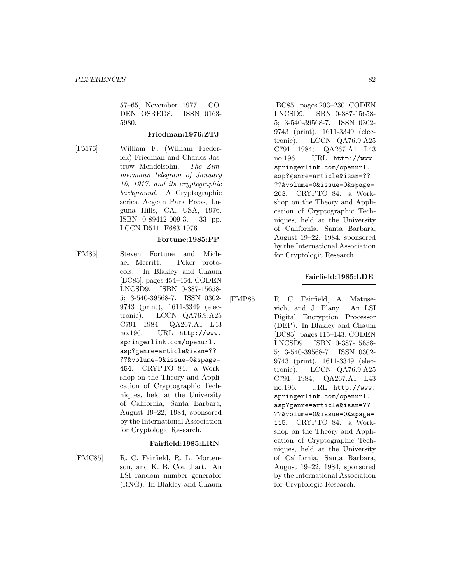57–65, November 1977. CO-DEN OSRED8. ISSN 0163- 5980.

## **Friedman:1976:ZTJ**

[FM76] William F. (William Frederick) Friedman and Charles Jastrow Mendelsohn. The Zimmermann telegram of January 16, 1917, and its cryptographic background. A Cryptographic series. Aegean Park Press, Laguna Hills, CA, USA, 1976. ISBN 0-89412-009-3. 33 pp. LCCN D511 .F683 1976.

# **Fortune:1985:PP**

[FM85] Steven Fortune and Michael Merritt. Poker protocols. In Blakley and Chaum [BC85], pages 454–464. CODEN LNCSD9. ISBN 0-387-15658- 5; 3-540-39568-7. ISSN 0302- 9743 (print), 1611-3349 (electronic). LCCN QA76.9.A25 C791 1984; QA267.A1 L43 no.196. URL http://www. springerlink.com/openurl. asp?genre=article&issn=?? ??&volume=0&issue=0&spage= 454. CRYPTO 84: a Workshop on the Theory and Application of Cryptographic Techniques, held at the University of California, Santa Barbara, August 19–22, 1984, sponsored by the International Association for Cryptologic Research.

### **Fairfield:1985:LRN**

[FMC85] R. C. Fairfield, R. L. Mortenson, and K. B. Coulthart. An LSI random number generator (RNG). In Blakley and Chaum

[BC85], pages 203–230. CODEN LNCSD9. ISBN 0-387-15658- 5; 3-540-39568-7. ISSN 0302- 9743 (print), 1611-3349 (electronic). LCCN QA76.9.A25 C791 1984; QA267.A1 L43 no.196. URL http://www. springerlink.com/openurl. asp?genre=article&issn=?? ??&volume=0&issue=0&spage= 203. CRYPTO 84: a Workshop on the Theory and Application of Cryptographic Techniques, held at the University of California, Santa Barbara, August 19–22, 1984, sponsored by the International Association for Cryptologic Research.

## **Fairfield:1985:LDE**

[FMP85] R. C. Fairfield, A. Matusevich, and J. Plany. An LSI Digital Encryption Processor (DEP). In Blakley and Chaum [BC85], pages 115–143. CODEN LNCSD9. ISBN 0-387-15658- 5; 3-540-39568-7. ISSN 0302- 9743 (print), 1611-3349 (electronic). LCCN QA76.9.A25 C791 1984; QA267.A1 L43 no.196. URL http://www. springerlink.com/openurl. asp?genre=article&issn=?? ??&volume=0&issue=0&spage= 115. CRYPTO 84: a Workshop on the Theory and Application of Cryptographic Techniques, held at the University of California, Santa Barbara, August 19–22, 1984, sponsored by the International Association for Cryptologic Research.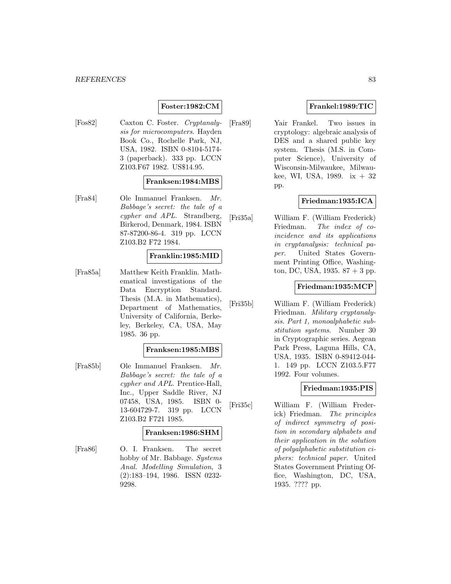## **Foster:1982:CM**

[Fos82] Caxton C. Foster. Cryptanalysis for microcomputers. Hayden Book Co., Rochelle Park, NJ, USA, 1982. ISBN 0-8104-5174- 3 (paperback). 333 pp. LCCN Z103.F67 1982. US\$14.95.

## **Franksen:1984:MBS**

[Fra84] Ole Immanuel Franksen. Mr. Babbage's secret: the tale of a cypher and APL. Strandberg, Birkerod, Denmark, 1984. ISBN 87-87200-86-4. 319 pp. LCCN Z103.B2 F72 1984.

## **Franklin:1985:MID**

[Fra85a] Matthew Keith Franklin. Mathematical investigations of the Data Encryption Standard. Thesis (M.A. in Mathematics), Department of Mathematics, University of California, Berkeley, Berkeley, CA, USA, May 1985. 36 pp.

#### **Franksen:1985:MBS**

[Fra85b] Ole Immanuel Franksen. Mr. Babbage's secret: the tale of a cypher and APL. Prentice-Hall, Inc., Upper Saddle River, NJ 07458, USA, 1985. ISBN 0- 13-604729-7. 319 pp. LCCN Z103.B2 F721 1985.

#### **Franksen:1986:SHM**

[Fra86] O. I. Franksen. The secret hobby of Mr. Babbage. Systems Anal. Modelling Simulation, 3 (2):183–194, 1986. ISSN 0232- 9298.

## **Frankel:1989:TIC**

[Fra89] Yair Frankel. Two issues in cryptology: algebraic analysis of DES and a shared public key system. Thesis (M.S. in Computer Science), University of Wisconsin-Milwaukee, Milwaukee, WI, USA, 1989. ix  $+32$ pp.

## **Friedman:1935:ICA**

[Fri35a] William F. (William Frederick) Friedman. The index of coincidence and its applications in cryptanalysis: technical paper. United States Government Printing Office, Washington, DC, USA, 1935.  $87 + 3$  pp.

### **Friedman:1935:MCP**

[Fri35b] William F. (William Frederick) Friedman. Military cryptanalysis. Part 1, monoalphabetic substitution systems. Number 30 in Cryptographic series. Aegean Park Press, Laguna Hills, CA, USA, 1935. ISBN 0-89412-044- 1. 149 pp. LCCN Z103.5.F77 1992. Four volumes.

## **Friedman:1935:PIS**

[Fri35c] William F. (William Frederick) Friedman. The principles of indirect symmetry of position in secondary alphabets and their application in the solution of polyalphabetic substitution ciphers: technical paper. United States Government Printing Office, Washington, DC, USA, 1935. ???? pp.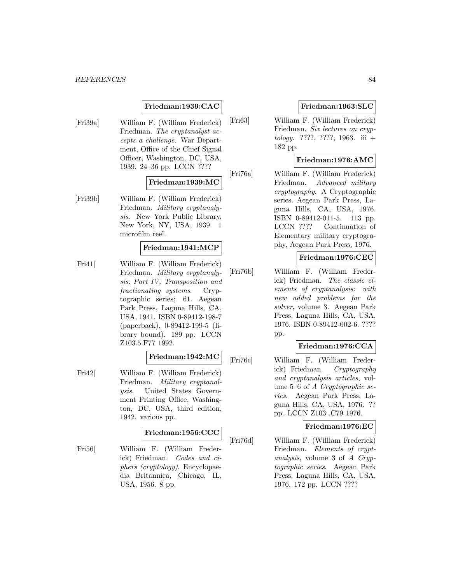#### *REFERENCES* 84

## **Friedman:1939:CAC**

[Fri39a] William F. (William Frederick) Friedman. The cryptanalyst accepts a challenge. War Department, Office of the Chief Signal Officer, Washington, DC, USA, 1939. 24–36 pp. LCCN ????

## **Friedman:1939:MC**

[Fri39b] William F. (William Frederick) Friedman. Military cryptanalysis. New York Public Library, New York, NY, USA, 1939. 1 microfilm reel.

#### **Friedman:1941:MCP**

[Fri41] William F. (William Frederick) Friedman. Military cryptanalysis. Part IV, Transposition and fractionating systems. Cryptographic series; 61. Aegean Park Press, Laguna Hills, CA, USA, 1941. ISBN 0-89412-198-7 (paperback), 0-89412-199-5 (library bound). 189 pp. LCCN Z103.5.F77 1992.

# **Friedman:1942:MC**

[Fri42] William F. (William Frederick) Friedman. Military cryptanalysis. United States Government Printing Office, Washington, DC, USA, third edition, 1942. various pp.

#### **Friedman:1956:CCC**

[Fri56] William F. (William Frederick) Friedman. Codes and ciphers (cryptology). Encyclopaedia Britannica, Chicago, IL, USA, 1956. 8 pp.

## **Friedman:1963:SLC**

[Fri63] William F. (William Frederick) Friedman. Six lectures on cryp $tology.$  ????, ????, 1963. iii + 182 pp.

### **Friedman:1976:AMC**

[Fri76a] William F. (William Frederick) Friedman. Advanced military cryptography. A Cryptographic series. Aegean Park Press, Laguna Hills, CA, USA, 1976. ISBN 0-89412-011-5. 113 pp. LCCN ???? Continuation of Elementary military cryptography, Aegean Park Press, 1976.

### **Friedman:1976:CEC**

[Fri76b] William F. (William Frederick) Friedman. The classic elements of cryptanalysis: with new added problems for the solver, volume 3. Aegean Park Press, Laguna Hills, CA, USA, 1976. ISBN 0-89412-002-6. ???? pp.

### **Friedman:1976:CCA**

[Fri76c] William F. (William Frederick) Friedman. Cryptography and cryptanalysis articles, volume 5–6 of A Cryptographic series. Aegean Park Press, Laguna Hills, CA, USA, 1976. ?? pp. LCCN Z103 .C79 1976.

## **Friedman:1976:EC**

[Fri76d] William F. (William Frederick) Friedman. Elements of cryptanalysis, volume 3 of A Cryptographic series. Aegean Park Press, Laguna Hills, CA, USA, 1976. 172 pp. LCCN ????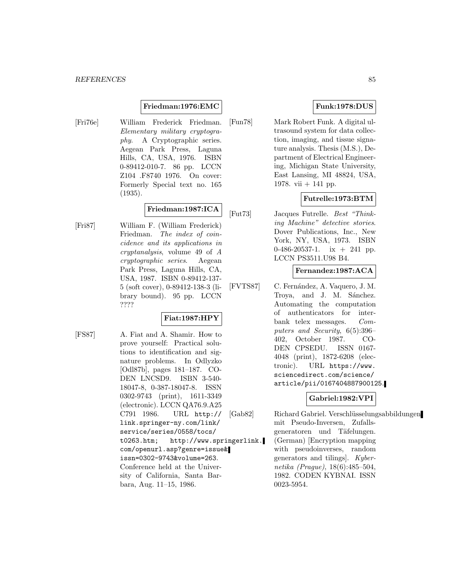### **Friedman:1976:EMC**

[Fri76e] William Frederick Friedman. Elementary military cryptography. A Cryptographic series. Aegean Park Press, Laguna Hills, CA, USA, 1976. ISBN 0-89412-010-7. 86 pp. LCCN Z104 .F8740 1976. On cover: Formerly Special text no. 165 (1935).

# **Friedman:1987:ICA**

[Fri87] William F. (William Frederick) Friedman. The index of coincidence and its applications in cryptanalysis, volume 49 of A cryptographic series. Aegean Park Press, Laguna Hills, CA, USA, 1987. ISBN 0-89412-137- 5 (soft cover), 0-89412-138-3 (library bound). 95 pp. LCCN ????

## **Fiat:1987:HPY**

[FS87] A. Fiat and A. Shamir. How to prove yourself: Practical solutions to identification and signature problems. In Odlyzko [Odl87b], pages 181–187. CO-DEN LNCSD9. ISBN 3-540- 18047-8, 0-387-18047-8. ISSN 0302-9743 (print), 1611-3349 (electronic). LCCN QA76.9.A25 C791 1986. URL http:// link.springer-ny.com/link/ service/series/0558/tocs/ t0263.htm; http://www.springerlink. com/openurl.asp?genre=issue& issn=0302-9743&volume=263. Conference held at the University of California, Santa Barbara, Aug. 11–15, 1986.

# **Funk:1978:DUS**

[Fun78] Mark Robert Funk. A digital ultrasound system for data collection, imaging, and tissue signature analysis. Thesis (M.S.), Department of Electrical Engineering, Michigan State University, East Lansing, MI 48824, USA, 1978. vii  $+$  141 pp.

## **Futrelle:1973:BTM**

[Fut73] Jacques Futrelle. Best "Thinking Machine" detective stories. Dover Publications, Inc., New York, NY, USA, 1973. ISBN 0-486-20537-1. ix  $+$  241 pp. LCCN PS3511.U98 B4.

## **Fernandez:1987:ACA**

[FVTS87] C. Fernández, A. Vaquero, J. M. Troya, and J. M. Sánchez. Automating the computation of authenticators for interbank telex messages. Computers and Security, 6(5):396– 402, October 1987. CO-DEN CPSEDU. ISSN 0167- 4048 (print), 1872-6208 (electronic). URL https://www. sciencedirect.com/science/ article/pii/0167404887900125.

## **Gabriel:1982:VPI**

[Gab82] Richard Gabriel. Verschlüsselungsabbildungen mit Pseudo-Inversen, Zufallsgeneratoren und Täfelungen. (German) [Encryption mapping with pseudoinverses, random generators and tilings]. Kybernetika (Prague), 18(6):485–504, 1982. CODEN KYBNAI. ISSN 0023-5954.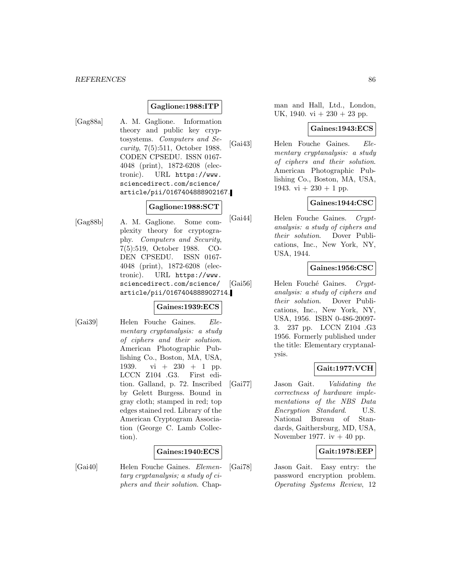### **Gaglione:1988:ITP**

[Gag88a] A. M. Gaglione. Information theory and public key cryptosystems. Computers and Security, 7(5):511, October 1988. CODEN CPSEDU. ISSN 0167- 4048 (print), 1872-6208 (electronic). URL https://www. sciencedirect.com/science/ article/pii/0167404888902167.

# **Gaglione:1988:SCT**

[Gag88b] A. M. Gaglione. Some complexity theory for cryptography. Computers and Security, 7(5):519, October 1988. CO-DEN CPSEDU. ISSN 0167- 4048 (print), 1872-6208 (electronic). URL https://www. sciencedirect.com/science/ article/pii/0167404888902714.

### **Gaines:1939:ECS**

[Gai39] Helen Fouche Gaines. Elementary cryptanalysis: a study of ciphers and their solution. American Photographic Publishing Co., Boston, MA, USA, 1939. vi + 230 + 1 pp. LCCN Z104 .G3. First edition. Galland, p. 72. Inscribed by Gelett Burgess. Bound in gray cloth; stamped in red; top edges stained red. Library of the American Cryptogram Association (George C. Lamb Collection).

## **Gaines:1940:ECS**

[Gai40] Helen Fouche Gaines. Elementary cryptanalysis; a study of ciphers and their solution. Chap-

man and Hall, Ltd., London, UK, 1940. vi  $+230 + 23$  pp.

#### **Gaines:1943:ECS**

[Gai43] Helen Fouche Gaines. Elementary cryptanalysis: a study of ciphers and their solution. American Photographic Publishing Co., Boston, MA, USA, 1943. vi  $+230 + 1$  pp.

## **Gaines:1944:CSC**

[Gai44] Helen Fouche Gaines. Cryptanalysis: a study of ciphers and their solution. Dover Publications, Inc., New York, NY, USA, 1944.

## **Gaines:1956:CSC**

[Gai56] Helen Fouché Gaines. Cryptanalysis: a study of ciphers and their solution. Dover Publications, Inc., New York, NY, USA, 1956. ISBN 0-486-20097- 3. 237 pp. LCCN Z104 .G3 1956. Formerly published under the title: Elementary cryptanalysis.

## **Gait:1977:VCH**

[Gai77] Jason Gait. Validating the correctness of hardware implementations of the NBS Data Encryption Standard. U.S. National Bureau of Standards, Gaithersburg, MD, USA, November 1977. iv  $+40$  pp.

## **Gait:1978:EEP**

[Gai78] Jason Gait. Easy entry: the password encryption problem. Operating Systems Review, 12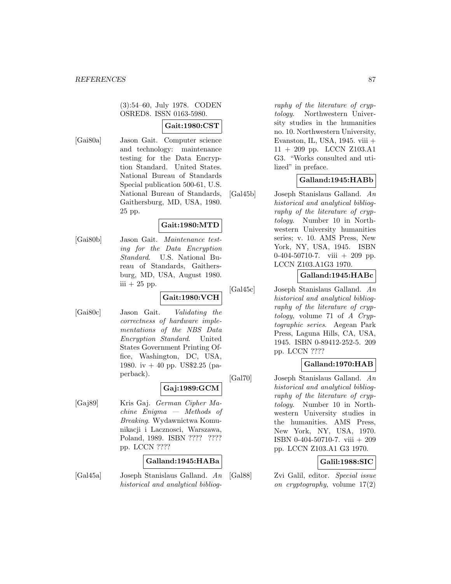(3):54–60, July 1978. CODEN OSRED8. ISSN 0163-5980.

# **Gait:1980:CST**

[Gai80a] Jason Gait. Computer science and technology: maintenance testing for the Data Encryption Standard. United States. National Bureau of Standards Special publication 500-61, U.S. National Bureau of Standards, Gaithersburg, MD, USA, 1980. 25 pp.

## **Gait:1980:MTD**

[Gai80b] Jason Gait. Maintenance testing for the Data Encryption Standard. U.S. National Bureau of Standards, Gaithersburg, MD, USA, August 1980. iii  $+25$  pp.

# **Gait:1980:VCH**

[Gai80c] Jason Gait. Validating the correctness of hardware implementations of the NBS Data Encryption Standard. United States Government Printing Office, Washington, DC, USA, 1980. iv + 40 pp. US\$2.25 (paperback).

### **Gaj:1989:GCM**

[Gaj89] Kris Gaj. German Cipher Machine Enigma — Methods of Breaking. Wydawnictwa Komunikacji i Lacznosci, Warszawa, Poland, 1989. ISBN ???? ???? pp. LCCN ????

### **Galland:1945:HABa**

[Gal45a] Joseph Stanislaus Galland. An historical and analytical bibliog-

raphy of the literature of cryptology. Northwestern University studies in the humanities no. 10. Northwestern University, Evanston, IL, USA, 1945. viii + 11 + 209 pp. LCCN Z103.A1 G3. "Works consulted and utilized" in preface.

## **Galland:1945:HABb**

[Gal45b] Joseph Stanislaus Galland. An historical and analytical bibliography of the literature of cryptology. Number 10 in Northwestern University humanities series; v. 10. AMS Press, New York, NY, USA, 1945. ISBN 0-404-50710-7. viii + 209 pp. LCCN Z103.A1G3 1970.

## **Galland:1945:HABc**

[Gal45c] Joseph Stanislaus Galland. An historical and analytical bibliography of the literature of cryptology, volume 71 of A Cryptographic series. Aegean Park Press, Laguna Hills, CA, USA, 1945. ISBN 0-89412-252-5. 209 pp. LCCN ????

## **Galland:1970:HAB**

[Gal70] Joseph Stanislaus Galland. An historical and analytical bibliography of the literature of cryptology. Number 10 in Northwestern University studies in the humanities. AMS Press, New York, NY, USA, 1970. ISBN 0-404-50710-7. viii + 209 pp. LCCN Z103.A1 G3 1970.

## **Galil:1988:SIC**

[Gal88] Zvi Galil, editor. Special issue on cryptography, volume 17(2)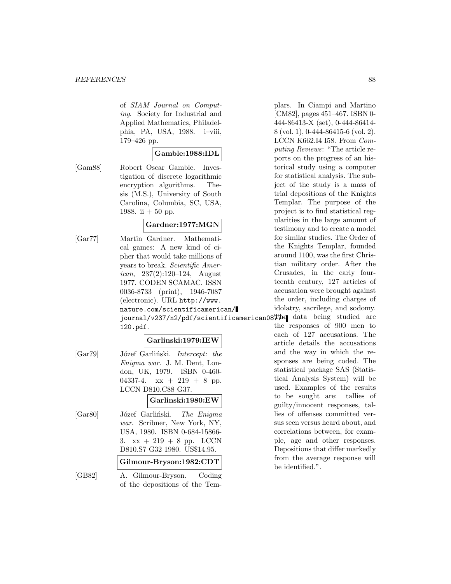#### *REFERENCES* 88

of SIAM Journal on Computing. Society for Industrial and Applied Mathematics, Philadelphia, PA, USA, 1988. i–viii, 179–426 pp.

## **Gamble:1988:IDL**

[Gam88] Robert Oscar Gamble. Investigation of discrete logarithmic encryption algorithms. Thesis (M.S.), University of South Carolina, Columbia, SC, USA, 1988. ii  $+50$  pp.

### **Gardner:1977:MGN**

[Gar77] Martin Gardner. Mathematical games: A new kind of cipher that would take millions of years to break. Scientific Amer*ican*,  $237(2):120-124$ , August 1977. CODEN SCAMAC. ISSN 0036-8733 (print), 1946-7087 (electronic). URL http://www. nature.com/scientificamerican/ journal/v237/n2/pdf/scientificamerican087714 data being studied are 120.pdf.

### **Garlinski:1979:IEW**

[Gar79] Józef Garliński. *Intercept: the* Enigma war. J. M. Dent, London, UK, 1979. ISBN 0-460- 04337-4.  $xx + 219 + 8$  pp. LCCN D810.C88 G37.

### **Garlinski:1980:EW**

[Gar80] Józef Garliński. The Enigma war. Scribner, New York, NY, USA, 1980. ISBN 0-684-15866- 3.  $xx + 219 + 8$  pp. LCCN D810.S7 G32 1980. US\$14.95. **Gilmour-Bryson:1982:CDT**

[GB82] A. Gilmour-Bryson. Coding

of the depositions of the Tem-

plars. In Ciampi and Martino [CM82], pages 451–467. ISBN 0- 444-86413-X (set), 0-444-86414- 8 (vol. 1), 0-444-86415-6 (vol. 2). LCCN K662.I4 I58. From Computing Reviews: "The article reports on the progress of an historical study using a computer for statistical analysis. The subject of the study is a mass of trial depositions of the Knights Templar. The purpose of the project is to find statistical regularities in the large amount of testimony and to create a model for similar studies. The Order of the Knights Templar, founded around 1100, was the first Christian military order. After the Crusades, in the early fourteenth century, 127 articles of accusation were brought against the order, including charges of idolatry, sacrilege, and sodomy.

the responses of 900 men to each of 127 accusations. The article details the accusations and the way in which the responses are being coded. The statistical package SAS (Statistical Analysis System) will be used. Examples of the results to be sought are: tallies of guilty/innocent responses, tallies of offenses committed versus seen versus heard about, and correlations between, for example, age and other responses. Depositions that differ markedly from the average response will be identified.".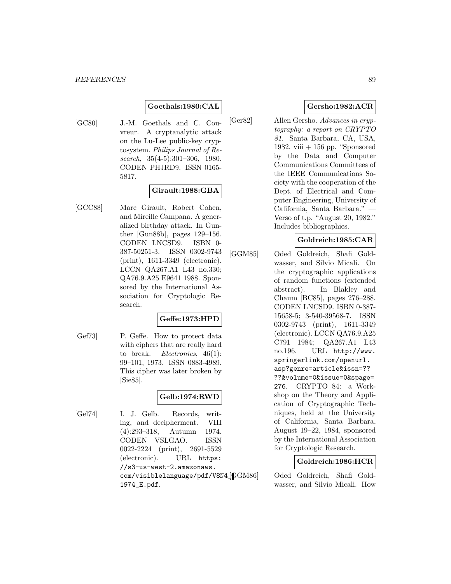## **Goethals:1980:CAL**

[GC80] J.-M. Goethals and C. Couvreur. A cryptanalytic attack on the Lu-Lee public-key cryptosystem. Philips Journal of Research, 35(4-5):301–306, 1980. CODEN PHJRD9. ISSN 0165- 5817.

### **Girault:1988:GBA**

[GCC88] Marc Girault, Robert Cohen, and Mireille Campana. A generalized birthday attack. In Gunther [Gun88b], pages 129–156. CODEN LNCSD9. ISBN 0- 387-50251-3. ISSN 0302-9743 (print), 1611-3349 (electronic). LCCN QA267.A1 L43 no.330; QA76.9.A25 E9641 1988. Sponsored by the International Association for Cryptologic Research.

## **Geffe:1973:HPD**

[Gef73] P. Geffe. How to protect data with ciphers that are really hard to break. *Electronics*,  $46(1)$ : 99–101, 1973. ISSN 0883-4989. This cipher was later broken by [Sie85].

## **Gelb:1974:RWD**

[Gel74] I. J. Gelb. Records, writing, and decipherment. VIII (4):293–318, Autumn 1974. CODEN VSLGAO. ISSN 0022-2224 (print), 2691-5529 (electronic). URL https: //s3-us-west-2.amazonaws. com/visiblelanguage/pdf/V8N4<sup>[CGM86]</sup> 1974\_E.pdf.

### **Gersho:1982:ACR**

[Ger82] Allen Gersho. Advances in cryptography: a report on CRYPTO 81. Santa Barbara, CA, USA, 1982. viii  $+156$  pp. "Sponsored by the Data and Computer Communications Committees of the IEEE Communications Society with the cooperation of the Dept. of Electrical and Computer Engineering, University of California, Santa Barbara." — Verso of t.p. "August 20, 1982." Includes bibliographies.

#### **Goldreich:1985:CAR**

[GGM85] Oded Goldreich, Shafi Goldwasser, and Silvio Micali. On the cryptographic applications of random functions (extended abstract). In Blakley and Chaum [BC85], pages 276–288. CODEN LNCSD9. ISBN 0-387- 15658-5; 3-540-39568-7. ISSN 0302-9743 (print), 1611-3349 (electronic). LCCN QA76.9.A25 C791 1984; QA267.A1 L43 no.196. URL http://www. springerlink.com/openurl. asp?genre=article&issn=?? ??&volume=0&issue=0&spage= 276. CRYPTO 84: a Workshop on the Theory and Application of Cryptographic Techniques, held at the University of California, Santa Barbara, August 19–22, 1984, sponsored by the International Association for Cryptologic Research.

## **Goldreich:1986:HCR**

Oded Goldreich, Shafi Goldwasser, and Silvio Micali. How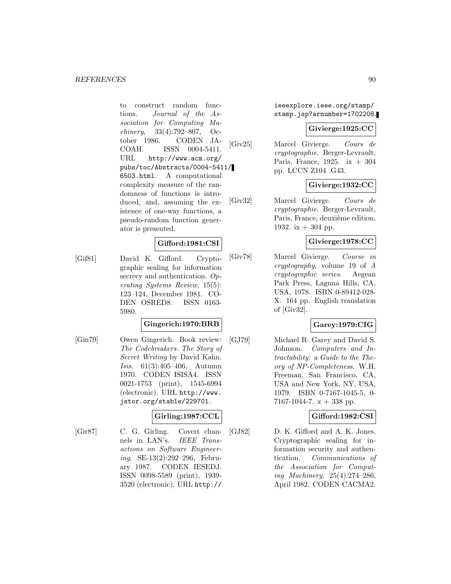to construct random functions. Journal of the Association for Computing Machinery, 33(4):792–807, October 1986. CODEN JA-COAH. ISSN 0004-5411. URL http://www.acm.org/ pubs/toc/Abstracts/0004-5411/ 6503.html. A computational complexity measure of the randomness of functions is introduced, and, assuming the existence of one-way functions, a pseudo-random function generator is presented.

## **Gifford:1981:CSI**

[Gif81] David K. Gifford. Cryptographic sealing for information secrecy and authentication. Operating Systems Review, 15(5): 123–124, December 1981. CO-DEN OSRED8. ISSN 0163- 5980.

## **Gingerich:1970:BRB**

[Gin70] Owen Gingerich. Book review: The Codebreakers. The Story of Secret Writing by David Kahn. Isis, 61(3):405–406, Autumn 1970. CODEN ISISA4. ISSN 0021-1753 (print), 1545-6994 (electronic). URL http://www. jstor.org/stable/229701.

## **Girling:1987:CCL**

[Gir87] C. G. Girling. Covert channels in LAN's. IEEE Transactions on Software Engineering, SE-13(2):292–296, February 1987. CODEN IESEDJ. ISSN 0098-5589 (print), 1939- 3520 (electronic). URL http://

ieeexplore.ieee.org/stamp/ stamp.jsp?arnumber=1702208.

## **Givierge:1925:CC**

[Giv25] Marcel Givierge. Cours de cryptographie. Berger-Levrault, Paris, France, 1925. ix  $+304$ pp. LCCN Z104 .G43.

# **Givierge:1932:CC**

[Giv32] Marcel Givierge. Cours de cryptographie. Berger-Levrault, Paris, France, deuxième edition, 1932. ix  $+$  304 pp.

## **Givierge:1978:CC**

[Giv78] Marcel Givierge. Course in cryptography, volume 19 of A cryptographic series. Aegean Park Press, Laguna Hills, CA, USA, 1978. ISBN 0-89412-028- X. 164 pp. English translation of [Giv32].

# **Garey:1979:CIG**

[GJ79] Michael R. Garey and David S. Johnson. Computers and Intractability: a Guide to the Theory of NP-Completeness. W.H. Freeman, San Francisco, CA, USA and New York, NY, USA, 1979. ISBN 0-7167-1045-5, 0- 7167-1044-7.  $x + 338$  pp.

### **Gifford:1982:CSI**

[GJ82] D. K. Gifford and A. K. Jones. Cryptographic sealing for information security and authentication. Communications of the Association for Computing Machinery, 25(4):274–286, April 1982. CODEN CACMA2.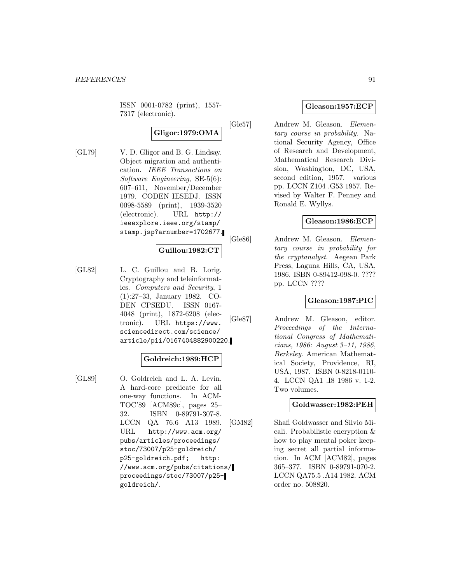ISSN 0001-0782 (print), 1557- 7317 (electronic).

# **Gligor:1979:OMA**

[GL79] V. D. Gligor and B. G. Lindsay. Object migration and authentication. IEEE Transactions on Software Engineering, SE-5(6): 607–611, November/December 1979. CODEN IESEDJ. ISSN 0098-5589 (print), 1939-3520 (electronic). URL http:// ieeexplore.ieee.org/stamp/ stamp.jsp?arnumber=1702677.

## **Guillou:1982:CT**

[GL82] L. C. Guillou and B. Lorig. Cryptography and teleinformatics. Computers and Security, 1 (1):27–33, January 1982. CO-DEN CPSEDU. ISSN 0167- 4048 (print), 1872-6208 (electronic). URL https://www. sciencedirect.com/science/ article/pii/0167404882900220.

### **Goldreich:1989:HCP**

[GL89] O. Goldreich and L. A. Levin. A hard-core predicate for all one-way functions. In ACM-TOC'89 [ACM89c], pages 25– 32. ISBN 0-89791-307-8. LCCN QA 76.6 A13 1989. URL http://www.acm.org/ pubs/articles/proceedings/ stoc/73007/p25-goldreich/ p25-goldreich.pdf; http: //www.acm.org/pubs/citations/ proceedings/stoc/73007/p25 goldreich/.

## **Gleason:1957:ECP**

[Gle57] Andrew M. Gleason. Elementary course in probability. National Security Agency, Office of Research and Development, Mathematical Research Division, Washington, DC, USA, second edition, 1957. various pp. LCCN Z104 .G53 1957. Revised by Walter F. Penney and Ronald E. Wyllys.

## **Gleason:1986:ECP**

[Gle86] Andrew M. Gleason. Elementary course in probability for the cryptanalyst. Aegean Park Press, Laguna Hills, CA, USA, 1986. ISBN 0-89412-098-0. ???? pp. LCCN ????

### **Gleason:1987:PIC**

[Gle87] Andrew M. Gleason, editor. Proceedings of the International Congress of Mathematicians, 1986: August 3–11, 1986, Berkeley. American Mathematical Society, Providence, RI, USA, 1987. ISBN 0-8218-0110- 4. LCCN QA1 .I8 1986 v. 1-2. Two volumes.

## **Goldwasser:1982:PEH**

[GM82] Shafi Goldwasser and Silvio Micali. Probabilistic encryption & how to play mental poker keeping secret all partial information. In ACM [ACM82], pages 365–377. ISBN 0-89791-070-2. LCCN QA75.5 .A14 1982. ACM order no. 508820.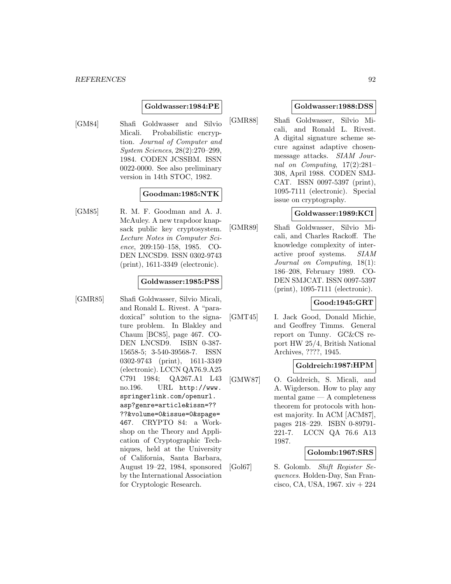### **Goldwasser:1984:PE**

[GM84] Shafi Goldwasser and Silvio Micali. Probabilistic encryption. Journal of Computer and System Sciences, 28(2):270–299, 1984. CODEN JCSSBM. ISSN 0022-0000. See also preliminary version in 14th STOC, 1982.

### **Goodman:1985:NTK**

[GM85] R. M. F. Goodman and A. J. McAuley. A new trapdoor knapsack public key cryptosystem. Lecture Notes in Computer Science, 209:150–158, 1985. CO-DEN LNCSD9. ISSN 0302-9743 (print), 1611-3349 (electronic).

#### **Goldwasser:1985:PSS**

[GMR85] Shafi Goldwasser, Silvio Micali, and Ronald L. Rivest. A "paradoxical" solution to the signature problem. In Blakley and Chaum [BC85], page 467. CO-DEN LNCSD9. ISBN 0-387- 15658-5; 3-540-39568-7. ISSN 0302-9743 (print), 1611-3349 (electronic). LCCN QA76.9.A25 C791 1984; QA267.A1 L43 no.196. URL http://www. springerlink.com/openurl. asp?genre=article&issn=?? ??&volume=0&issue=0&spage= 467. CRYPTO 84: a Workshop on the Theory and Application of Cryptographic Techniques, held at the University of California, Santa Barbara, August 19–22, 1984, sponsored by the International Association for Cryptologic Research.

#### **Goldwasser:1988:DSS**

[GMR88] Shafi Goldwasser, Silvio Micali, and Ronald L. Rivest. A digital signature scheme secure against adaptive chosenmessage attacks. SIAM Journal on Computing, 17(2):281– 308, April 1988. CODEN SMJ-CAT. ISSN 0097-5397 (print), 1095-7111 (electronic). Special issue on cryptography.

## **Goldwasser:1989:KCI**

[GMR89] Shafi Goldwasser, Silvio Micali, and Charles Rackoff. The knowledge complexity of interactive proof systems. SIAM Journal on Computing, 18(1): 186–208, February 1989. CO-DEN SMJCAT. ISSN 0097-5397 (print), 1095-7111 (electronic).

## **Good:1945:GRT**

[GMT45] I. Jack Good, Donald Michie, and Geoffrey Timms. General report on Tunny. GC&CS report HW 25/4, British National Archives, ????, 1945.

## **Goldreich:1987:HPM**

[GMW87] O. Goldreich, S. Micali, and A. Wigderson. How to play any mental game — A completeness theorem for protocols with honest majority. In ACM [ACM87], pages 218–229. ISBN 0-89791- 221-7. LCCN QA 76.6 A13 1987.

### **Golomb:1967:SRS**

[Gol67] S. Golomb. Shift Register Sequences. Holden-Day, San Francisco, CA, USA, 1967.  $xiv + 224$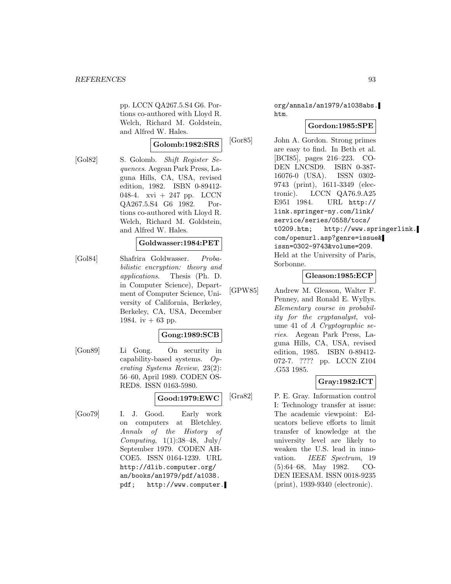pp. LCCN QA267.5.S4 G6. Portions co-authored with Lloyd R. Welch, Richard M. Goldstein, and Alfred W. Hales.

### **Golomb:1982:SRS**

[Gol82] S. Golomb. Shift Register Sequences. Aegean Park Press, Laguna Hills, CA, USA, revised edition, 1982. ISBN 0-89412- 048-4. xvi + 247 pp. LCCN QA267.5.S4 G6 1982. Portions co-authored with Lloyd R. Welch, Richard M. Goldstein, and Alfred W. Hales.

# **Goldwasser:1984:PET**

[Gol84] Shafrira Goldwasser. Probabilistic encryption: theory and applications. Thesis (Ph. D. in Computer Science), Department of Computer Science, University of California, Berkeley, Berkeley, CA, USA, December 1984. iv  $+ 63$  pp.

### **Gong:1989:SCB**

[Gon89] Li Gong. On security in capability-based systems. Operating Systems Review, 23(2): 56–60, April 1989. CODEN OS-RED8. ISSN 0163-5980.

## **Good:1979:EWC**

[Goo79] I. J. Good. Early work on computers at Bletchley. Annals of the History of Computing,  $1(1):38-48$ , July/ September 1979. CODEN AH-COE5. ISSN 0164-1239. URL http://dlib.computer.org/ an/books/an1979/pdf/a1038. pdf; http://www.computer.

org/annals/an1979/a1038abs. htm.

## **Gordon:1985:SPE**

[Gor85] John A. Gordon. Strong primes are easy to find. In Beth et al. [BCI85], pages 216–223. CO-DEN LNCSD9. ISBN 0-387- 16076-0 (USA). ISSN 0302- 9743 (print), 1611-3349 (electronic). LCCN QA76.9.A25 E951 1984. URL http:// link.springer-ny.com/link/ service/series/0558/tocs/ t0209.htm; http://www.springerlink. com/openurl.asp?genre=issue& issn=0302-9743&volume=209. Held at the University of Paris, Sorbonne.

## **Gleason:1985:ECP**

[GPW85] Andrew M. Gleason, Walter F. Penney, and Ronald E. Wyllys. Elementary course in probability for the cryptanalyst, volume 41 of A Cryptographic series. Aegean Park Press, Laguna Hills, CA, USA, revised edition, 1985. ISBN 0-89412- 072-7. ???? pp. LCCN Z104 .G53 1985.

### **Gray:1982:ICT**

[Gra82] P. E. Gray. Information control I: Technology transfer at issue: The academic viewpoint: Educators believe efforts to limit transfer of knowledge at the university level are likely to weaken the U.S. lead in innovation. IEEE Spectrum, 19 (5):64–68, May 1982. CO-DEN IEESAM. ISSN 0018-9235 (print), 1939-9340 (electronic).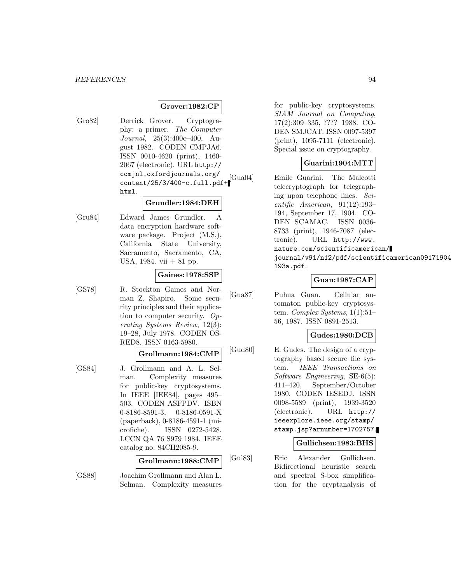#### **Grover:1982:CP**

[Gro82] Derrick Grover. Cryptography: a primer. The Computer Journal, 25(3):400c–400, August 1982. CODEN CMPJA6. ISSN 0010-4620 (print), 1460- 2067 (electronic). URL http:// comjnl.oxfordjournals.org/ content/25/3/400-c.full.pdf+ html.

## **Grundler:1984:DEH**

[Gru84] Edward James Grundler. A data encryption hardware software package. Project (M.S.), California State University, Sacramento, Sacramento, CA, USA,  $1984.$  vii  $+81$  pp.

## **Gaines:1978:SSP**

[GS78] R. Stockton Gaines and Norman Z. Shapiro. Some security principles and their application to computer security. Operating Systems Review, 12(3): 19–28, July 1978. CODEN OS-RED8. ISSN 0163-5980.

#### **Grollmann:1984:CMP**

[GS84] J. Grollmann and A. L. Selman. Complexity measures for public-key cryptosystems. In IEEE [IEE84], pages 495– 503. CODEN ASFPDV. ISBN 0-8186-8591-3, 0-8186-0591-X (paperback), 0-8186-4591-1 (microfiche). ISSN 0272-5428. LCCN QA 76 S979 1984. IEEE catalog no. 84CH2085-9.

#### **Grollmann:1988:CMP**

[GS88] Joachim Grollmann and Alan L. Selman. Complexity measures

for public-key cryptosystems. SIAM Journal on Computing, 17(2):309–335, ???? 1988. CO-DEN SMJCAT. ISSN 0097-5397 (print), 1095-7111 (electronic). Special issue on cryptography.

### **Guarini:1904:MTT**

[Gua04] Emile Guarini. The Malcotti telecryptograph for telegraphing upon telephone lines. Scientific American, 91(12):193– 194, September 17, 1904. CO-DEN SCAMAC. ISSN 0036- 8733 (print), 1946-7087 (electronic). URL http://www. nature.com/scientificamerican/ journal/v91/n12/pdf/scientificamerican09171904 193a.pdf.

## **Guan:1987:CAP**

[Gua87] Puhua Guan. Cellular automaton public-key cryptosystem. Complex Systems, 1(1):51– 56, 1987. ISSN 0891-2513.

#### **Gudes:1980:DCB**

[Gud80] E. Gudes. The design of a cryptography based secure file system. IEEE Transactions on Software Engineering, SE-6(5): 411–420, September/October 1980. CODEN IESEDJ. ISSN 0098-5589 (print), 1939-3520 (electronic). URL http:// ieeexplore.ieee.org/stamp/ stamp.jsp?arnumber=1702757.

#### **Gullichsen:1983:BHS**

[Gul83] Eric Alexander Gullichsen. Bidirectional heuristic search and spectral S-box simplification for the cryptanalysis of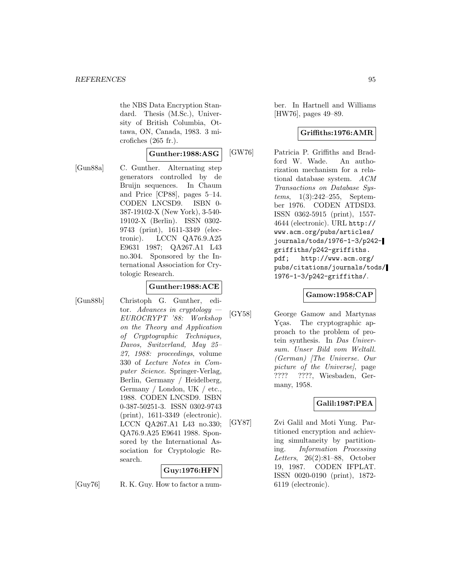the NBS Data Encryption Standard. Thesis (M.Sc.), University of British Columbia, Ottawa, ON, Canada, 1983. 3 microfiches (265 fr.).

### **Gunther:1988:ASG**

[Gun88a] C. Gunther. Alternating step generators controlled by de Bruijn sequences. In Chaum and Price [CP88], pages 5–14. CODEN LNCSD9. ISBN 0- 387-19102-X (New York), 3-540- 19102-X (Berlin). ISSN 0302- 9743 (print), 1611-3349 (electronic). LCCN QA76.9.A25 E9631 1987; QA267.A1 L43 no.304. Sponsored by the International Association for Crytologic Research.

### **Gunther:1988:ACE**

[Gun88b] Christoph G. Gunther, editor. Advances in cryptology EUROCRYPT '88: Workshop on the Theory and Application of Cryptographic Techniques, Davos, Switzerland, May 25– 27, 1988: proceedings, volume 330 of Lecture Notes in Computer Science. Springer-Verlag, Berlin, Germany / Heidelberg, Germany / London, UK / etc., 1988. CODEN LNCSD9. ISBN 0-387-50251-3. ISSN 0302-9743 (print), 1611-3349 (electronic). LCCN QA267.A1 L43 no.330; QA76.9.A25 E9641 1988. Sponsored by the International Association for Cryptologic Research.

# **Guy:1976:HFN**

[Guy76] R. K. Guy. How to factor a num-

ber. In Hartnell and Williams [HW76], pages 49–89.

### **Griffiths:1976:AMR**

[GW76] Patricia P. Griffiths and Bradford W. Wade. An authorization mechanism for a relational database system. ACM Transactions on Database Systems, 1(3):242–255, September 1976. CODEN ATDSD3. ISSN 0362-5915 (print), 1557- 4644 (electronic). URL http:// www.acm.org/pubs/articles/ journals/tods/1976-1-3/p242 griffiths/p242-griffiths. pdf; http://www.acm.org/ pubs/citations/journals/tods/ 1976-1-3/p242-griffiths/.

## **Gamow:1958:CAP**

[GY58] George Gamow and Martynas Ycas. The cryptographic approach to the problem of protein synthesis. In Das Universum. Unser Bild vom Weltall. (German) [The Universe. Our picture of the Universe], page ???? ????, Wiesbaden, Germany, 1958.

## **Galil:1987:PEA**

[GY87] Zvi Galil and Moti Yung. Partitioned encryption and achieving simultaneity by partitioning. Information Processing Letters, 26(2):81–88, October 19, 1987. CODEN IFPLAT. ISSN 0020-0190 (print), 1872- 6119 (electronic).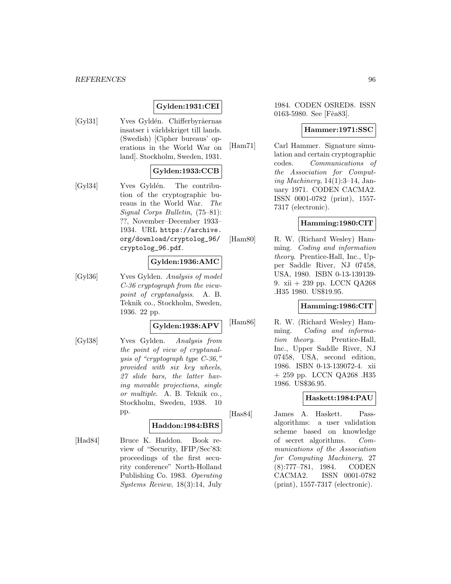# **Gylden:1931:CEI**

[Gyl31] Yves Gyldén. Chifferbyråernas insatser i världskriget till lands. (Swedish) [Cipher bureaus' operations in the World War on land]. Stockholm, Sweden, 1931.

## **Gylden:1933:CCB**

[Gyl34] Yves Gyldén. The contribution of the cryptographic bureaus in the World War. The Signal Corps Bulletin, (75–81): ??, November–December 1933– 1934. URL https://archive. org/download/cryptolog\_96/ cryptolog\_96.pdf.

## **Gylden:1936:AMC**

[Gyl36] Yves Gylden. Analysis of model C-36 cryptograph from the viewpoint of cryptanalysis. A. B. Teknik co., Stockholm, Sweden, 1936. 22 pp.

#### **Gylden:1938:APV**

[Gyl38] Yves Gylden. Analysis from the point of view of cryptanalysis of "cryptograph type C-36," provided with six key wheels, 27 slide bars, the latter having movable projections, single or multiple. A. B. Teknik co., Stockholm, Sweden, 1938. 10 pp.

### **Haddon:1984:BRS**

[Had84] Bruce K. Haddon. Book review of "Security, IFIP/Sec'83: proceedings of the first security conference" North-Holland Publishing Co. 1983. Operating Systems Review, 18(3):14, July

1984. CODEN OSRED8. ISSN 0163-5980. See [Fêa83].

## **Hammer:1971:SSC**

[Ham71] Carl Hammer. Signature simulation and certain cryptographic codes. Communications of the Association for Computing Machinery,  $14(1):3-14$ , January 1971. CODEN CACMA2. ISSN 0001-0782 (print), 1557- 7317 (electronic).

#### **Hamming:1980:CIT**

[Ham80] R. W. (Richard Wesley) Hamming. Coding and information theory. Prentice-Hall, Inc., Upper Saddle River, NJ 07458, USA, 1980. ISBN 0-13-139139- 9. xii + 239 pp. LCCN QA268 .H35 1980. US\$19.95.

### **Hamming:1986:CIT**

[Ham86] R. W. (Richard Wesley) Hamming. Coding and information theory. Prentice-Hall, Inc., Upper Saddle River, NJ 07458, USA, second edition, 1986. ISBN 0-13-139072-4. xii + 259 pp. LCCN QA268 .H35 1986. US\$36.95.

### **Haskett:1984:PAU**

[Has84] James A. Haskett. Passalgorithms: a user validation scheme based on knowledge of secret algorithms. Communications of the Association for Computing Machinery, 27 (8):777–781, 1984. CODEN CACMA2. ISSN 0001-0782 (print), 1557-7317 (electronic).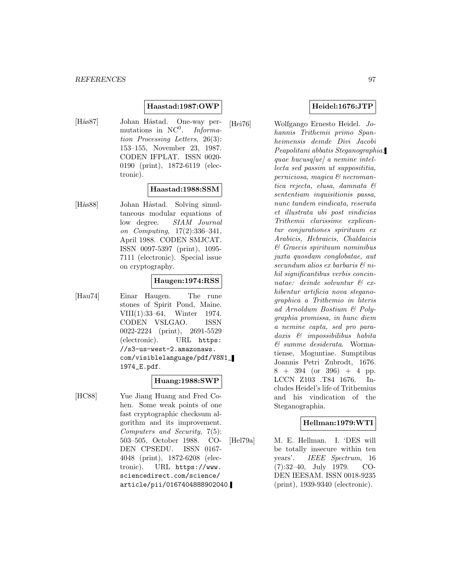### **Haastad:1987:OWP**

[Hås87] Johan Håstad. One-way permutations in  $NC^0$ . Information Processing Letters, 26(3): 153–155, November 23, 1987. CODEN IFPLAT. ISSN 0020- 0190 (print), 1872-6119 (electronic).

### **Haastad:1988:SSM**

[Hås88] Johan Håstad. Solving simultaneous modular equations of low degree. SIAM Journal on Computing, 17(2):336–341, April 1988. CODEN SMJCAT. ISSN 0097-5397 (print), 1095- 7111 (electronic). Special issue on cryptography.

## **Haugen:1974:RSS**

[Hau74] Einar Haugen. The rune stones of Spirit Pond, Maine. VIII(1):33–64, Winter 1974. CODEN VSLGAO. ISSN 0022-2224 (print), 2691-5529 (electronic). URL https: //s3-us-west-2.amazonaws. com/visiblelanguage/pdf/V8N1\_ 1974\_E.pdf.

### **Huang:1988:SWP**

[HC88] Yue Jiang Huang and Fred Cohen. Some weak points of one fast cryptographic checksum algorithm and its improvement. Computers and Security, 7(5): 503–505, October 1988. CO-DEN CPSEDU. ISSN 0167- 4048 (print), 1872-6208 (electronic). URL https://www. sciencedirect.com/science/ article/pii/0167404888902040.

#### **Heidel:1676:JTP**

[Hei76] Wolfgango Ernesto Heidel. Johannis Trithemii primo Spanheimensis deinde Divi Jacobi Peapolitani abbatis Steganographia: quae hucusq[ue] a nemine intellecta sed passim ut supposititia, perniciosa, magica & necromantica rejecta, elusa, damnata & sententiam inquisitionis passa, nunc tandem vindicata, reserata et illustrata ubi post vindicias Trithemii clarissime explicantur conjurationes spirituum ex Arabicis, Hebraicis, Chaldaicis & Graecis spirituum nominibus juxta quosdam conglobatae, aut secundum alios ex barbaris & nihil significantibus verbis concinnatae: deinde solvuntur & exhibentur artificia nova steganographica a Trithemio in literis ad Arnoldum Bostium & Polygraphia promissa, in hunc diem a nemine capta, sed pro paradoxis & impossibilibus habita & summe desiderata. Wormatiense, Moguntiae. Sumptibus Joannis Petri Zubrodt, 1676.  $8 + 394$  (or 396) + 4 pp. LCCN Z103 .T84 1676. Includes Heidel's life of Trithemius and his vindication of the Steganographia.

## **Hellman:1979:WTI**

[Hel79a] M. E. Hellman. I. 'DES will be totally insecure within ten years'. IEEE Spectrum, 16 (7):32–40, July 1979. CO-DEN IEESAM. ISSN 0018-9235 (print), 1939-9340 (electronic).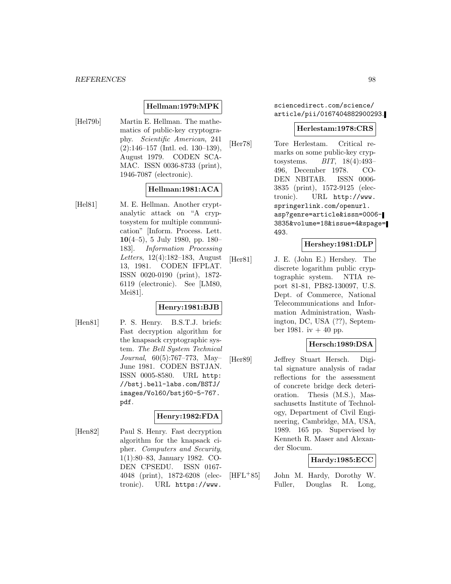## **Hellman:1979:MPK**

[Hel79b] Martin E. Hellman. The mathematics of public-key cryptography. Scientific American, 241 (2):146–157 (Intl. ed. 130–139), August 1979. CODEN SCA-MAC. ISSN 0036-8733 (print), 1946-7087 (electronic).

## **Hellman:1981:ACA**

[Hel81] M. E. Hellman. Another cryptanalytic attack on "A cryptosystem for multiple communication" [Inform. Process. Lett. **10**(4–5), 5 July 1980, pp. 180– 183]. Information Processing Letters, 12(4):182–183, August 13, 1981. CODEN IFPLAT. ISSN 0020-0190 (print), 1872- 6119 (electronic). See [LM80, Mei81].

# **Henry:1981:BJB**

[Hen81] P. S. Henry. B.S.T.J. briefs: Fast decryption algorithm for the knapsack cryptographic system. The Bell System Technical Journal, 60(5):767–773, May– June 1981. CODEN BSTJAN. ISSN 0005-8580. URL http: //bstj.bell-labs.com/BSTJ/ images/Vol60/bstj60-5-767. pdf.

### **Henry:1982:FDA**

[Hen82] Paul S. Henry. Fast decryption algorithm for the knapsack cipher. Computers and Security, 1(1):80–83, January 1982. CO-DEN CPSEDU. ISSN 0167- 4048 (print), 1872-6208 (electronic). URL https://www.

sciencedirect.com/science/ article/pii/0167404882900293.

#### **Herlestam:1978:CRS**

[Her78] Tore Herlestam. Critical remarks on some public-key cryptosystems. BIT, 18(4):493– 496, December 1978. CO-DEN NBITAB. ISSN 0006- 3835 (print), 1572-9125 (electronic). URL http://www. springerlink.com/openurl. asp?genre=article&issn=0006- 3835&volume=18&issue=4&spage= 493.

# **Hershey:1981:DLP**

[Her81] J. E. (John E.) Hershey. The discrete logarithm public cryptographic system. NTIA report 81-81, PB82-130097, U.S. Dept. of Commerce, National Telecommunications and Information Administration, Washington, DC, USA (??), September 1981. iv  $+40$  pp.

## **Hersch:1989:DSA**

[Her89] Jeffrey Stuart Hersch. Digital signature analysis of radar reflections for the assessment of concrete bridge deck deterioration. Thesis (M.S.), Massachusetts Institute of Technology, Department of Civil Engineering, Cambridge, MA, USA, 1989. 165 pp. Supervised by Kenneth R. Maser and Alexander Slocum.

## **Hardy:1985:ECC**

[HFL<sup>+</sup>85] John M. Hardy, Dorothy W. Fuller, Douglas R. Long,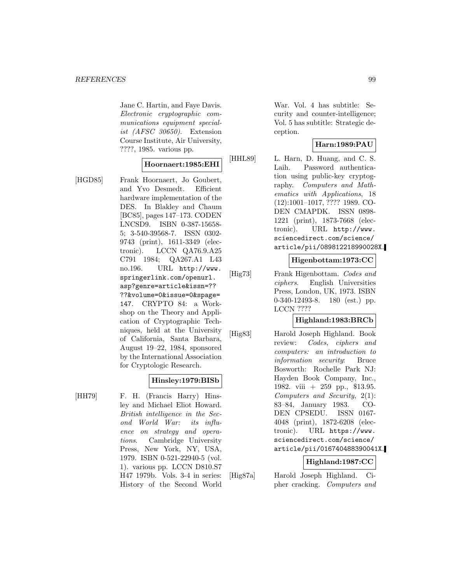Jane C. Hartin, and Faye Davis. Electronic cryptographic communications equipment specialist (AFSC 30650). Extension Course Institute, Air University, ????, 1985. various pp.

## **Hoornaert:1985:EHI**

[HGD85] Frank Hoornaert, Jo Goubert, and Yvo Desmedt. Efficient hardware implementation of the DES. In Blakley and Chaum [BC85], pages 147–173. CODEN LNCSD9. ISBN 0-387-15658- 5; 3-540-39568-7. ISSN 0302- 9743 (print), 1611-3349 (electronic). LCCN QA76.9.A25 C791 1984; QA267.A1 L43 no.196. URL http://www. springerlink.com/openurl. asp?genre=article&issn=?? ??&volume=0&issue=0&spage= 147. CRYPTO 84: a Workshop on the Theory and Application of Cryptographic Techniques, held at the University of California, Santa Barbara, August 19–22, 1984, sponsored by the International Association for Cryptologic Research.

### **Hinsley:1979:BISb**

[HH79] F. H. (Francis Harry) Hinsley and Michael Eliot Howard. British intelligence in the Second World War: its influence on strategy and operations. Cambridge University Press, New York, NY, USA, 1979. ISBN 0-521-22940-5 (vol. 1). various pp. LCCN D810.S7 H47 1979b. Vols. 3-4 in series: History of the Second World

War. Vol. 4 has subtitle: Security and counter-intelligence; Vol. 5 has subtitle: Strategic deception.

## **Harn:1989:PAU**

[HHL89] L. Harn, D. Huang, and C. S. Laih. Password authentication using public-key cryptography. Computers and Mathematics with Applications, 18 (12):1001–1017, ???? 1989. CO-DEN CMAPDK. ISSN 0898- 1221 (print), 1873-7668 (electronic). URL http://www. sciencedirect.com/science/ article/pii/089812218990028X.

#### **Higenbottam:1973:CC**

[Hig73] Frank Higenbottam. Codes and ciphers. English Universities Press, London, UK, 1973. ISBN 0-340-12493-8. 180 (est.) pp. LCCN ????

### **Highland:1983:BRCb**

[Hig83] Harold Joseph Highland. Book review: Codes, ciphers and computers: an introduction to information security: Bruce Bosworth: Rochelle Park NJ: Hayden Book Company, Inc., 1982. viii + 259 pp., \$13.95. Computers and Security, 2(1): 83–84, January 1983. CO-DEN CPSEDU. ISSN 0167- 4048 (print), 1872-6208 (electronic). URL https://www. sciencedirect.com/science/ article/pii/016740488390041X.

# **Highland:1987:CC**

[Hig87a] Harold Joseph Highland. Cipher cracking. Computers and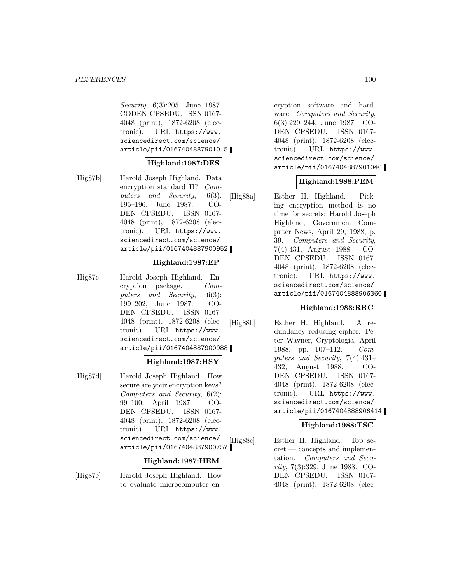Security, 6(3):205, June 1987. CODEN CPSEDU. ISSN 0167- 4048 (print), 1872-6208 (electronic). URL https://www. sciencedirect.com/science/ article/pii/0167404887901015.

## **Highland:1987:DES**

[Hig87b] Harold Joseph Highland. Data encryption standard II? Computers and Security, 6(3): 195–196, June 1987. CO-DEN CPSEDU. ISSN 0167- 4048 (print), 1872-6208 (electronic). URL https://www. sciencedirect.com/science/ article/pii/0167404887900952.

## **Highland:1987:EP**

[Hig87c] Harold Joseph Highland. Encryption package. Computers and Security, 6(3): 199–202, June 1987. CO-DEN CPSEDU. ISSN 0167- 4048 (print), 1872-6208 (electronic). URL https://www. sciencedirect.com/science/ article/pii/0167404887900988.

## **Highland:1987:HSY**

[Hig87d] Harold Joseph Highland. How secure are your encryption keys? Computers and Security, 6(2): 99–100, April 1987. CO-DEN CPSEDU. ISSN 0167- 4048 (print), 1872-6208 (electronic). URL https://www. sciencedirect.com/science/ article/pii/0167404887900757.

#### **Highland:1987:HEM**

[Hig87e] Harold Joseph Highland. How to evaluate microcomputer encryption software and hardware. Computers and Security, 6(3):229–244, June 1987. CO-DEN CPSEDU. ISSN 0167- 4048 (print), 1872-6208 (electronic). URL https://www. sciencedirect.com/science/ article/pii/0167404887901040.

## **Highland:1988:PEM**

[Hig88a] Esther H. Highland. Picking encryption method is no time for secrets: Harold Joseph Highland, Government Computer News, April 29, 1988, p. 39. Computers and Security, 7(4):431, August 1988. CO-DEN CPSEDU. ISSN 0167- 4048 (print), 1872-6208 (electronic). URL https://www. sciencedirect.com/science/ article/pii/0167404888906360.

### **Highland:1988:RRC**

[Hig88b] Esther H. Highland. A redundancy reducing cipher: Peter Wayner, Cryptologia, April 1988, pp. 107–112. Computers and Security, 7(4):431– 432, August 1988. CO-DEN CPSEDU. ISSN 0167- 4048 (print), 1872-6208 (electronic). URL https://www. sciencedirect.com/science/ article/pii/0167404888906414.

## **Highland:1988:TSC**

[Hig88c] Esther H. Highland. Top secret — concepts and implementation. Computers and Security, 7(3):329, June 1988. CO-DEN CPSEDU. ISSN 0167- 4048 (print), 1872-6208 (elec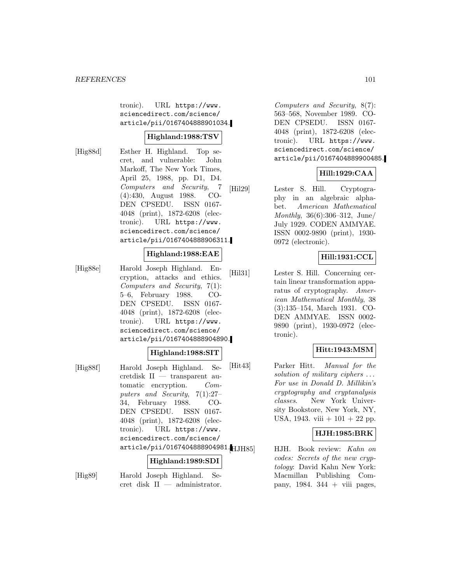tronic). URL https://www. sciencedirect.com/science/ article/pii/0167404888901034.

### **Highland:1988:TSV**

[Hig88d] Esther H. Highland. Top secret, and vulnerable: John Markoff, The New York Times, April 25, 1988, pp. D1, D4. Computers and Security, 7 (4):430, August 1988. CO-DEN CPSEDU. ISSN 0167- 4048 (print), 1872-6208 (electronic). URL https://www. sciencedirect.com/science/ article/pii/0167404888906311.

### **Highland:1988:EAE**

[Hig88e] Harold Joseph Highland. Encryption, attacks and ethics. Computers and Security, 7(1): 5–6, February 1988. CO-DEN CPSEDU. ISSN 0167- 4048 (print), 1872-6208 (electronic). URL https://www. sciencedirect.com/science/ article/pii/0167404888904890.

## **Highland:1988:SIT**

[Hig88f] Harold Joseph Highland. Secretdisk II — transparent automatic encryption. Computers and Security, 7(1):27– 34, February 1988. CO-DEN CPSEDU. ISSN 0167- 4048 (print), 1872-6208 (electronic). URL https://www. sciencedirect.com/science/ article/pii/0167404888904981. [[JH85]

### **Highland:1989:SDI**

[Hig89] Harold Joseph Highland. Secret disk II — administrator.

Computers and Security, 8(7): 563–568, November 1989. CO-DEN CPSEDU. ISSN 0167- 4048 (print), 1872-6208 (electronic). URL https://www. sciencedirect.com/science/ article/pii/0167404889900485.

## **Hill:1929:CAA**

[Hil29] Lester S. Hill. Cryptography in an algebraic alphabet. American Mathematical Monthly, 36(6):306–312, June/ July 1929. CODEN AMMYAE. ISSN 0002-9890 (print), 1930- 0972 (electronic).

## **Hill:1931:CCL**

[Hil31] Lester S. Hill. Concerning certain linear transformation apparatus of cryptography. American Mathematical Monthly, 38 (3):135–154, March 1931. CO-DEN AMMYAE. ISSN 0002- 9890 (print), 1930-0972 (electronic).

## **Hitt:1943:MSM**

[Hit43] Parker Hitt. Manual for the solution of military ciphers ... For use in Donald D. Millikin's cryptography and cryptanalysis classes. New York University Bookstore, New York, NY, USA, 1943. viii  $+101 + 22$  pp.

# **HJH:1985:BRK**

HJH. Book review: Kahn on codes: Secrets of the new cryptology: David Kahn New York: Macmillan Publishing Company, 1984.  $344 + \text{viii pages}$ ,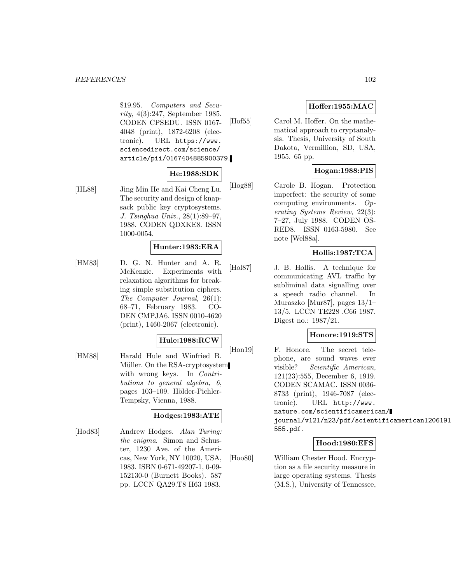#### *REFERENCES* 102

\$19.95. Computers and Security, 4(3):247, September 1985. CODEN CPSEDU. ISSN 0167- 4048 (print), 1872-6208 (electronic). URL https://www. sciencedirect.com/science/ article/pii/0167404885900379.

## **He:1988:SDK**

[HL88] Jing Min He and Kai Cheng Lu. The security and design of knapsack public key cryptosystems. J. Tsinghua Univ., 28(1):89–97, 1988. CODEN QDXKE8. ISSN 1000-0054.

## **Hunter:1983:ERA**

[HM83] D. G. N. Hunter and A. R. McKenzie. Experiments with relaxation algorithms for breaking simple substitution ciphers. The Computer Journal, 26(1): 68–71, February 1983. CO-DEN CMPJA6. ISSN 0010-4620 (print), 1460-2067 (electronic).

### **Hule:1988:RCW**

[HM88] Harald Hule and Winfried B. Müller. On the RSA-cryptosystem with wrong keys. In *Contri*butions to general algebra, 6, pages 103–109. Hölder-Pichler-Tempsky, Vienna, 1988.

### **Hodges:1983:ATE**

[Hod83] Andrew Hodges. Alan Turing: the enigma. Simon and Schuster, 1230 Ave. of the Americas, New York, NY 10020, USA, 1983. ISBN 0-671-49207-1, 0-09- 152130-0 (Burnett Books). 587 pp. LCCN QA29.T8 H63 1983.

# **Hoffer:1955:MAC**

[Hof55] Carol M. Hoffer. On the mathematical approach to cryptanalysis. Thesis, University of South Dakota, Vermillion, SD, USA, 1955. 65 pp.

## **Hogan:1988:PIS**

[Hog88] Carole B. Hogan. Protection imperfect: the security of some computing environments. Operating Systems Review, 22(3): 7–27, July 1988. CODEN OS-RED8. ISSN 0163-5980. See note [Wel88a].

## **Hollis:1987:TCA**

[Hol87] J. B. Hollis. A technique for communicating AVL traffic by subliminal data signalling over a speech radio channel. In Muraszko [Mur87], pages 13/1– 13/5. LCCN TE228 .C66 1987. Digest no.: 1987/21.

### **Honore:1919:STS**

[Hon19] F. Honore. The secret telephone, are sound waves ever visible? Scientific American, 121(23):555, December 6, 1919. CODEN SCAMAC. ISSN 0036- 8733 (print), 1946-7087 (electronic). URL http://www. nature.com/scientificamerican/ journal/v121/n23/pdf/scientificamerican1206191 555.pdf.

### **Hood:1980:EFS**

[Hoo80] William Chester Hood. Encryption as a file security measure in large operating systems. Thesis (M.S.), University of Tennessee,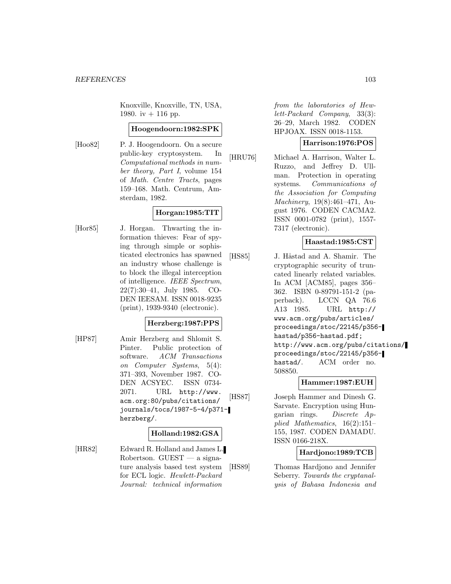Knoxville, Knoxville, TN, USA, 1980. iv  $+$  116 pp.

#### **Hoogendoorn:1982:SPK**

[Hoo82] P. J. Hoogendoorn. On a secure public-key cryptosystem. In Computational methods in number theory, Part I, volume 154 of Math. Centre Tracts, pages 159–168. Math. Centrum, Amsterdam, 1982.

## **Horgan:1985:TIT**

[Hor85] J. Horgan. Thwarting the information thieves: Fear of spying through simple or sophisticated electronics has spawned an industry whose challenge is to block the illegal interception of intelligence. IEEE Spectrum, 22(7):30–41, July 1985. CO-DEN IEESAM. ISSN 0018-9235 (print), 1939-9340 (electronic).

### **Herzberg:1987:PPS**

[HP87] Amir Herzberg and Shlomit S. Pinter. Public protection of software. ACM Transactions on Computer Systems, 5(4): 371–393, November 1987. CO-DEN ACSYEC. ISSN 0734- 2071. URL http://www. acm.org:80/pubs/citations/ journals/tocs/1987-5-4/p371 herzberg/.

### **Holland:1982:GSA**

[HR82] Edward R. Holland and James L. Robertson.  $GUEST - a$  signature analysis based test system for ECL logic. Hewlett-Packard Journal: technical information

from the laboratories of Hewlett-Packard Company, 33(3): 26–29, March 1982. CODEN HPJOAX. ISSN 0018-1153.

#### **Harrison:1976:POS**

[HRU76] Michael A. Harrison, Walter L. Ruzzo, and Jeffrey D. Ullman. Protection in operating systems. Communications of the Association for Computing Machinery, 19(8):461–471, August 1976. CODEN CACMA2. ISSN 0001-0782 (print), 1557- 7317 (electronic).

## **Haastad:1985:CST**

[HS85] J. Håstad and A. Shamir. The cryptographic security of truncated linearly related variables. In ACM [ACM85], pages 356– 362. ISBN 0-89791-151-2 (paperback). LCCN QA 76.6 A13 1985. URL http:// www.acm.org/pubs/articles/ proceedings/stoc/22145/p356 hastad/p356-hastad.pdf; http://www.acm.org/pubs/citations/ proceedings/stoc/22145/p356 hastad/. ACM order no. 508850.

### **Hammer:1987:EUH**

[HS87] Joseph Hammer and Dinesh G. Sarvate. Encryption using Hungarian rings. Discrete Applied Mathematics, 16(2):151– 155, 1987. CODEN DAMADU. ISSN 0166-218X.

## **Hardjono:1989:TCB**

[HS89] Thomas Hardjono and Jennifer Seberry. Towards the cryptanalysis of Bahasa Indonesia and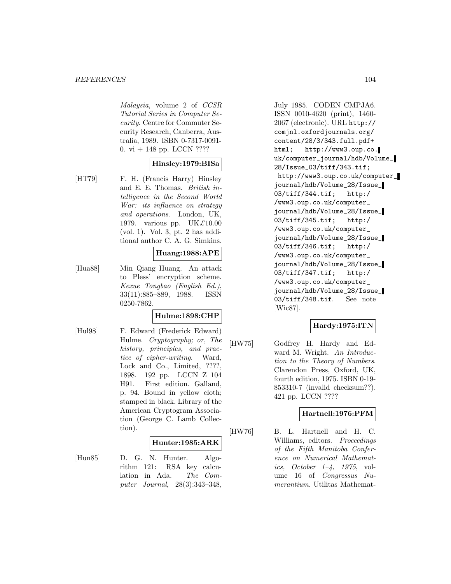Malaysia, volume 2 of CCSR Tutorial Series in Computer Security. Centre for Commuter Security Research, Canberra, Australia, 1989. ISBN 0-7317-0091- 0. vi + 148 pp. LCCN ????

### **Hinsley:1979:BISa**

[HT79] F. H. (Francis Harry) Hinsley and E. E. Thomas. British intelligence in the Second World War: its influence on strategy and operations. London, UK, 1979. various pp. UK£10.00 (vol. 1). Vol. 3, pt. 2 has additional author C. A. G. Simkins.

### **Huang:1988:APE**

[Hua88] Min Qiang Huang. An attack to Pless' encryption scheme. Kexue Tongbao (English Ed.), 33(11):885–889, 1988. ISSN 0250-7862.

## **Hulme:1898:CHP**

[Hul98] F. Edward (Frederick Edward) Hulme. Cryptography; or, The history, principles, and practice of cipher-writing. Ward, Lock and Co., Limited, ????, 1898. 192 pp. LCCN Z 104 H91. First edition. Galland, p. 94. Bound in yellow cloth; stamped in black. Library of the American Cryptogram Association (George C. Lamb Collection).

### **Hunter:1985:ARK**

[Hun85] D. G. N. Hunter. Algorithm 121: RSA key calculation in Ada. The Computer Journal, 28(3):343–348,

July 1985. CODEN CMPJA6. ISSN 0010-4620 (print), 1460- 2067 (electronic). URL http:// comjnl.oxfordjournals.org/ content/28/3/343.full.pdf+ html; http://www3.oup.co. uk/computer\_journal/hdb/Volume\_ 28/Issue\_03/tiff/343.tif; http://www3.oup.co.uk/computer\_ journal/hdb/Volume\_28/Issue\_ 03/tiff/344.tif; http:/ /www3.oup.co.uk/computer\_ journal/hdb/Volume\_28/Issue\_ 03/tiff/345.tif; http:/ /www3.oup.co.uk/computer\_ journal/hdb/Volume\_28/Issue\_ 03/tiff/346.tif; http:/ /www3.oup.co.uk/computer\_ journal/hdb/Volume\_28/Issue\_ 03/tiff/347.tif; http:/ /www3.oup.co.uk/computer\_ journal/hdb/Volume\_28/Issue\_ 03/tiff/348.tif. See note [Wic87].

## **Hardy:1975:ITN**

[HW75] Godfrey H. Hardy and Edward M. Wright. An Introduction to the Theory of Numbers. Clarendon Press, Oxford, UK, fourth edition, 1975. ISBN 0-19- 853310-7 (invalid checksum??). 421 pp. LCCN ????

## **Hartnell:1976:PFM**

[HW76] B. L. Hartnell and H. C. Williams, editors. Proceedings of the Fifth Manitoba Conference on Numerical Mathematics, October  $1-\frac{1}{4}$ , 1975, volume 16 of Congressus Numerantium. Utilitas Mathemat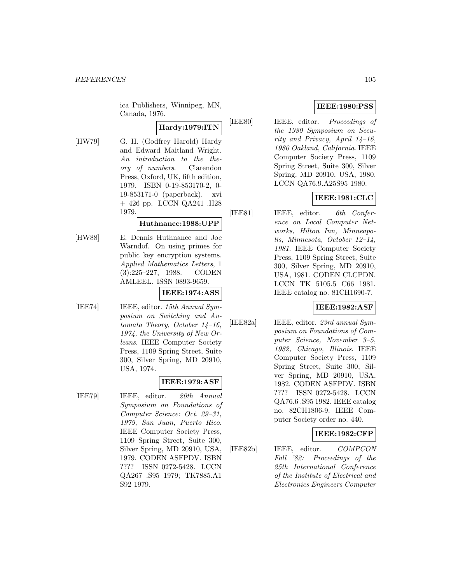ica Publishers, Winnipeg, MN, Canada, 1976.

# **Hardy:1979:ITN**

[HW79] G. H. (Godfrey Harold) Hardy and Edward Maitland Wright. An introduction to the theory of numbers. Clarendon Press, Oxford, UK, fifth edition, 1979. ISBN 0-19-853170-2, 0- 19-853171-0 (paperback). xvi + 426 pp. LCCN QA241 .H28 1979.

## **Huthnance:1988:UPP**

[HW88] E. Dennis Huthnance and Joe Warndof. On using primes for public key encryption systems. Applied Mathematics Letters, 1 (3):225–227, 1988. CODEN AMLEEL. ISSN 0893-9659.

### **IEEE:1974:ASS**

[IEE74] **IEEE**, editor. 15th Annual Symposium on Switching and Automata Theory, October 14–16, 1974, the University of New Orleans. IEEE Computer Society Press, 1109 Spring Street, Suite 300, Silver Spring, MD 20910, USA, 1974.

### **IEEE:1979:ASF**

[IEE79] IEEE, editor. 20th Annual Symposium on Foundations of Computer Science: Oct. 29–31, 1979, San Juan, Puerto Rico. IEEE Computer Society Press, 1109 Spring Street, Suite 300, Silver Spring, MD 20910, USA, 1979. CODEN ASFPDV. ISBN ???? ISSN 0272-5428. LCCN QA267 .S95 1979; TK7885.A1 S92 1979.

# **IEEE:1980:PSS**

[IEE80] IEEE, editor. Proceedings of the 1980 Symposium on Security and Privacy, April 14–16, 1980 Oakland, California. IEEE Computer Society Press, 1109 Spring Street, Suite 300, Silver Spring, MD 20910, USA, 1980. LCCN QA76.9.A25S95 1980.

# **IEEE:1981:CLC**

[IEE81] IEEE, editor. 6th Conference on Local Computer Networks, Hilton Inn, Minneapolis, Minnesota, October 12–14, 1981. IEEE Computer Society Press, 1109 Spring Street, Suite 300, Silver Spring, MD 20910, USA, 1981. CODEN CLCPDN. LCCN TK 5105.5 C66 1981. IEEE catalog no. 81CH1690-7.

## **IEEE:1982:ASF**

[IEE82a] IEEE, editor. 23rd annual Symposium on Foundations of Computer Science, November 3–5, 1982, Chicago, Illinois. IEEE Computer Society Press, 1109 Spring Street, Suite 300, Silver Spring, MD 20910, USA, 1982. CODEN ASFPDV. ISBN ???? ISSN 0272-5428. LCCN QA76.6 .S95 1982. IEEE catalog no. 82CH1806-9. IEEE Computer Society order no. 440.

## **IEEE:1982:CFP**

[IEE82b] IEEE, editor. COMPCON Fall '82: Proceedings of the 25th International Conference of the Institute of Electrical and Electronics Engineers Computer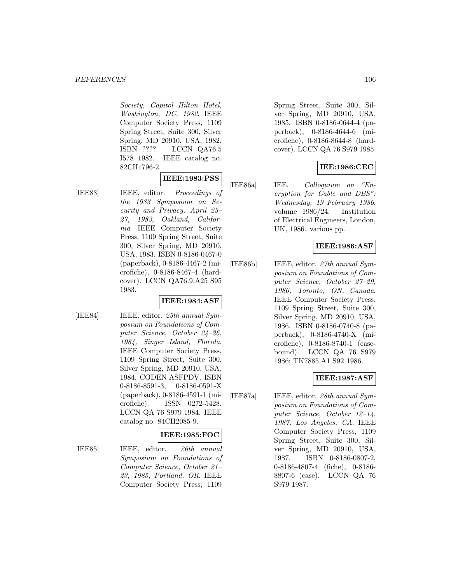Society, Capitol Hilton Hotel, Washington, DC, 1982. IEEE Computer Society Press, 1109 Spring Street, Suite 300, Silver Spring, MD 20910, USA, 1982. ISBN ???? LCCN QA76.5 I578 1982. IEEE catalog no. 82CH1796-2.

## **IEEE:1983:PSS**

[IEE83] IEEE, editor. Proceedings of the 1983 Symposium on Security and Privacy, April 25– 27, 1983, Oakland, California. IEEE Computer Society Press, 1109 Spring Street, Suite 300, Silver Spring, MD 20910, USA, 1983. ISBN 0-8186-0467-0 (paperback), 0-8186-4467-2 (microfiche), 0-8186-8467-4 (hardcover). LCCN QA76.9.A25 S95 1983.

### **IEEE:1984:ASF**

[IEE84] **IEEE**, editor. 25th annual Symposium on Foundations of Computer Science, October 24–26, 1984, Singer Island, Florida. IEEE Computer Society Press, 1109 Spring Street, Suite 300, Silver Spring, MD 20910, USA, 1984. CODEN ASFPDV. ISBN 0-8186-8591-3, 0-8186-0591-X (paperback), 0-8186-4591-1 (microfiche). ISSN 0272-5428. LCCN QA 76 S979 1984. IEEE catalog no. 84CH2085-9.

### **IEEE:1985:FOC**

[IEE85] IEEE, editor. 26th annual Symposium on Foundations of Computer Science, October 21– 23, 1985, Portland, OR. IEEE Computer Society Press, 1109

Spring Street, Suite 300, Silver Spring, MD 20910, USA, 1985. ISBN 0-8186-0644-4 (paperback), 0-8186-4644-6 (microfiche), 0-8186-8644-8 (hardcover). LCCN QA 76 S979 1985.

## **IEE:1986:CEC**

[IEE86a] IEE. Colloquium on "Encryption for Cable and DBS": Wednesday, 19 February 1986, volume 1986/24. Institution of Electrical Engineers, London, UK, 1986. various pp.

## **IEEE:1986:ASF**

[IEE86b] IEEE, editor. 27th annual Symposium on Foundations of Computer Science, October 27–29, 1986, Toronto, ON, Canada. IEEE Computer Society Press, 1109 Spring Street, Suite 300, Silver Spring, MD 20910, USA, 1986. ISBN 0-8186-0740-8 (paperback), 0-8186-4740-X (microfiche), 0-8186-8740-1 (casebound). LCCN QA 76 S979 1986; TK7885.A1 S92 1986.

## **IEEE:1987:ASF**

[IEE87a] IEEE, editor. 28th annual Symposium on Foundations of Computer Science, October 12–14, 1987, Los Angeles, CA. IEEE Computer Society Press, 1109 Spring Street, Suite 300, Silver Spring, MD 20910, USA, 1987. ISBN 0-8186-0807-2, 0-8186-4807-4 (fiche), 0-8186- 8807-6 (case). LCCN QA 76 S979 1987.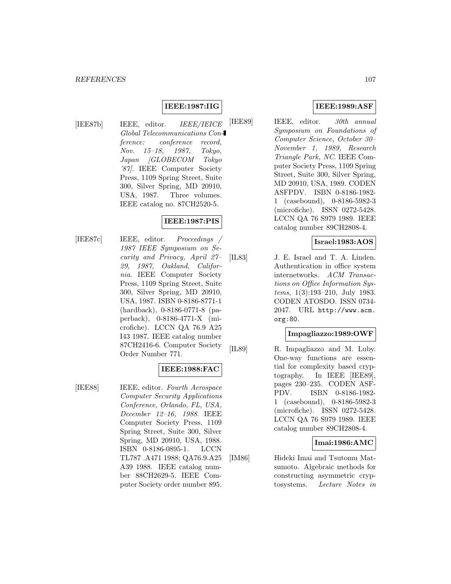## **IEEE:1987:IIG**

[IEE87b] IEEE, editor. IEEE/IEICE Global Telecommunications Conference: conference record, Nov. 15–18, 1987, Tokyo, Japan [GLOBECOM Tokyo '87]. IEEE Computer Society Press, 1109 Spring Street, Suite 300, Silver Spring, MD 20910, USA, 1987. Three volumes. IEEE catalog no. 87CH2520-5.

# **IEEE:1987:PIS**

[IEE87c] IEEE, editor. Proceedings / 1987 IEEE Symposium on Security and Privacy, April 27– 29, 1987, Oakland, California. IEEE Computer Society Press, 1109 Spring Street, Suite 300, Silver Spring, MD 20910, USA, 1987. ISBN 0-8186-8771-1 (hardback), 0-8186-0771-8 (paperback), 0-8186-4771-X (microfiche). LCCN QA 76.9 A25 I43 1987. IEEE catalog number 87CH2416-6. Computer Society Order Number 771.

### **IEEE:1988:FAC**

[IEE88] IEEE, editor. Fourth Aerospace Computer Security Applications Conference, Orlando, FL, USA, December 12–16, 1988. IEEE Computer Society Press, 1109 Spring Street, Suite 300, Silver Spring, MD 20910, USA, 1988. ISBN 0-8186-0895-1. LCCN TL787 .A471 1988; QA76.9.A25 A39 1988. IEEE catalog number 88CH2629-5. IEEE Computer Society order number 895.

## **IEEE:1989:ASF**

[IEE89] IEEE, editor. 30th annual Symposium on Foundations of Computer Science, October 30– November 1, 1989, Research Triangle Park, NC. IEEE Computer Society Press, 1109 Spring Street, Suite 300, Silver Spring, MD 20910, USA, 1989. CODEN ASFPDV. ISBN 0-8186-1982- 1 (casebound), 0-8186-5982-3 (microfiche). ISSN 0272-5428. LCCN QA 76 S979 1989. IEEE catalog number 89CH2808-4.

## **Israel:1983:AOS**

[IL83] J. E. Israel and T. A. Linden. Authentication in office system internetworks. ACM Transactions on Office Information Systems, 1(3):193–210, July 1983. CODEN ATOSDO. ISSN 0734- 2047. URL http://www.acm. org:80.

#### **Impagliazzo:1989:OWF**

[IL89] R. Impagliazzo and M. Luby. One-way functions are essential for complexity based cryptography. In IEEE [IEE89], pages 230–235. CODEN ASF-PDV. ISBN 0-8186-1982- 1 (casebound), 0-8186-5982-3 (microfiche). ISSN 0272-5428. LCCN QA 76 S979 1989. IEEE catalog number 89CH2808-4.

#### **Imai:1986:AMC**

[IM86] Hideki Imai and Tsutomu Matsumoto. Algebraic methods for constructing asymmetric cryptosystems. Lecture Notes in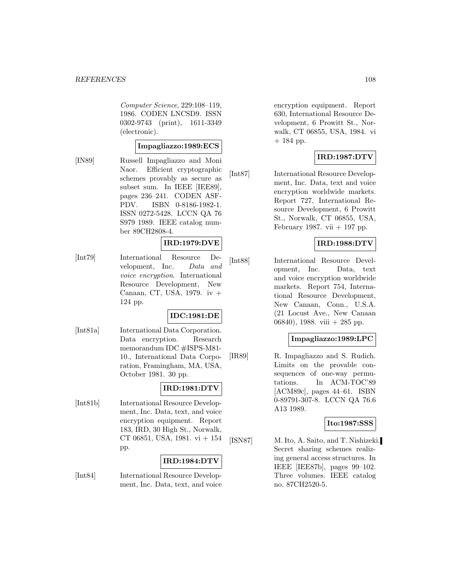Computer Science, 229:108–119, 1986. CODEN LNCSD9. ISSN 0302-9743 (print), 1611-3349 (electronic).

## **Impagliazzo:1989:ECS**

[IN89] Russell Impagliazzo and Moni Naor. Efficient cryptographic schemes provably as secure as subset sum. In IEEE [IEE89], pages 236–241. CODEN ASF-PDV. ISBN 0-8186-1982-1. ISSN 0272-5428. LCCN QA 76 S979 1989. IEEE catalog number 89CH2808-4.

## **IRD:1979:DVE**

[Int79] International Resource Development, Inc. Data and voice encryption. International Resource Development, New Canaan, CT, USA, 1979. iv + 124 pp.

## **IDC:1981:DE**

[Int81a] International Data Corporation. Data encryption. Research memorandum IDC #ISPS-M81- 10., International Data Corporation, Framingham, MA, USA, October 1981. 30 pp.

## **IRD:1981:DTV**

[Int81b] International Resource Development, Inc. Data, text, and voice encryption equipment. Report 183, IRD, 30 High St., Norwalk, CT 06851, USA, 1981. vi + 154 pp.

#### **IRD:1984:DTV**

[Int84] International Resource Development, Inc. Data, text, and voice encryption equipment. Report 630, International Resource Development, 6 Prowitt St., Norwalk, CT 06855, USA, 1984. vi  $+ 184$  pp.

# **IRD:1987:DTV**

[Int87] International Resource Development, Inc. Data, text and voice encryption worldwide markets. Report 727, International Resource Development, 6 Prowitt St., Norwalk, CT 06855, USA, February 1987. vii  $+$  197 pp.

## **IRD:1988:DTV**

[Int88] International Resource Development, Inc. Data, text and voice encryption worldwide markets. Report 754, International Resource Development, New Canaan, Conn., U.S.A. (21 Locust Ave., New Canaan 06840), 1988. viii + 285 pp.

### **Impagliazzo:1989:LPC**

[IR89] R. Impagliazzo and S. Rudich. Limits on the provable consequences of one-way permutations. In ACM-TOC'89 [ACM89c], pages 44–61. ISBN 0-89791-307-8. LCCN QA 76.6 A13 1989.

#### **Ito:1987:SSS**

[ISN87] M. Ito, A. Saito, and T. Nishizeki. Secret sharing schemes realizing general access structures. In IEEE [IEE87b], pages 99–102. Three volumes. IEEE catalog no. 87CH2520-5.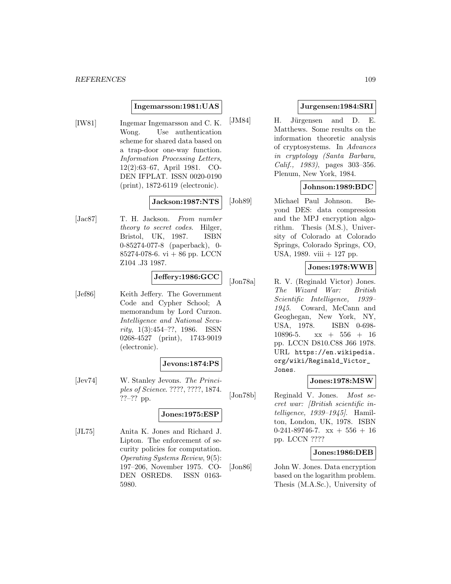#### **Ingemarsson:1981:UAS**

[IW81] Ingemar Ingemarsson and C. K. Wong. Use authentication scheme for shared data based on a trap-door one-way function. Information Processing Letters, 12(2):63–67, April 1981. CO-DEN IFPLAT. ISSN 0020-0190 (print), 1872-6119 (electronic).

#### **Jackson:1987:NTS**

[Jac87] T. H. Jackson. From number theory to secret codes. Hilger, Bristol, UK, 1987. ISBN 0-85274-077-8 (paperback), 0- 85274-078-6. vi  $+86$  pp. LCCN Z104 .J3 1987.

### **Jeffery:1986:GCC**

[Jef86] Keith Jeffery. The Government Code and Cypher School; A memorandum by Lord Curzon. Intelligence and National Security, 1(3):454–??, 1986. ISSN 0268-4527 (print), 1743-9019 (electronic).

#### **Jevons:1874:PS**

[Jev74] W. Stanley Jevons. The Principles of Science. ????, ????, 1874. ??–?? pp.

#### **Jones:1975:ESP**

[JL75] Anita K. Jones and Richard J. Lipton. The enforcement of security policies for computation. Operating Systems Review, 9(5): 197–206, November 1975. CO-DEN OSRED8. ISSN 0163- 5980.

## **Jurgensen:1984:SRI**

[JM84] H. Jürgensen and D. E. Matthews. Some results on the information theoretic analysis of cryptosystems. In Advances in cryptology (Santa Barbara, Calif., 1983), pages 303–356. Plenum, New York, 1984.

## **Johnson:1989:BDC**

[Joh89] Michael Paul Johnson. Beyond DES: data compression and the MPJ encryption algorithm. Thesis (M.S.), University of Colorado at Colorado Springs, Colorado Springs, CO, USA, 1989. viii + 127 pp.

## **Jones:1978:WWB**

[Jon78a] R. V. (Reginald Victor) Jones. The Wizard War: British Scientific Intelligence, 1939– 1945. Coward, McCann and Geoghegan, New York, NY, USA, 1978. ISBN 0-698- 10896-5.  $xx + 556 + 16$ pp. LCCN D810.C88 J66 1978. URL https://en.wikipedia. org/wiki/Reginald\_Victor\_ Jones.

#### **Jones:1978:MSW**

[Jon78b] Reginald V. Jones. Most secret war: [British scientific intelligence, 1939–1945]. Hamilton, London, UK, 1978. ISBN  $0-241-89746-7$ .  $xx + 556 + 16$ pp. LCCN ????

### **Jones:1986:DEB**

[Jon86] John W. Jones. Data encryption based on the logarithm problem. Thesis (M.A.Sc.), University of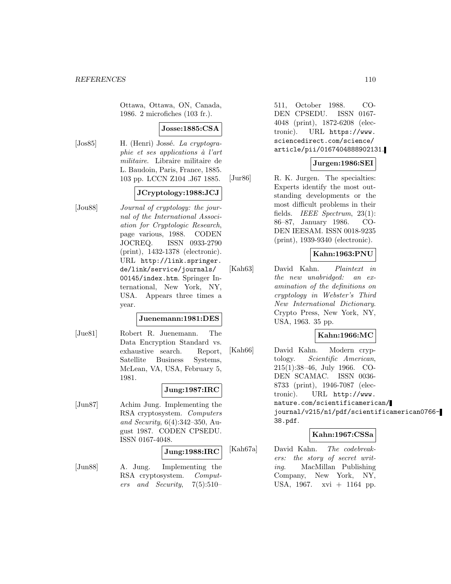Ottawa, Ottawa, ON, Canada, 1986. 2 microfiches (103 fr.).

#### **Josse:1885:CSA**

[ $Jos85$ ] H. (Henri) Jossé. La cryptographie et ses applications à l'art militaire. Libraire militaire de L. Baudoin, Paris, France, 1885. 103 pp. LCCN Z104 .J67 1885.

## **JCryptology:1988:JCJ**

[Jou88] Journal of cryptology: the journal of the International Association for Cryptologic Research, page various, 1988. CODEN JOCREQ. ISSN 0933-2790 (print), 1432-1378 (electronic). URL http://link.springer. de/link/service/journals/ 00145/index.htm. Springer International, New York, NY, USA. Appears three times a year.

#### **Juenemann:1981:DES**

[Jue81] Robert R. Juenemann. The Data Encryption Standard vs. exhaustive search. Report, Satellite Business Systems, McLean, VA, USA, February 5, 1981.

#### **Jung:1987:IRC**

[Jun87] Achim Jung. Implementing the RSA cryptosystem. Computers and Security, 6(4):342–350, August 1987. CODEN CPSEDU. ISSN 0167-4048.

#### **Jung:1988:IRC**

[Jun88] A. Jung. Implementing the RSA cryptosystem. Computers and Security, 7(5):510–

511, October 1988. CO-DEN CPSEDU. ISSN 0167- 4048 (print), 1872-6208 (electronic). URL https://www. sciencedirect.com/science/ article/pii/0167404888902131.

## **Jurgen:1986:SEI**

[Jur86] R. K. Jurgen. The specialties: Experts identify the most outstanding developments or the most difficult problems in their fields. IEEE Spectrum, 23(1): 86–87, January 1986. CO-DEN IEESAM. ISSN 0018-9235 (print), 1939-9340 (electronic).

#### **Kahn:1963:PNU**

[Kah63] David Kahn. Plaintext in the new unabridged: an examination of the definitions on cryptology in Webster's Third New International Dictionary. Crypto Press, New York, NY, USA, 1963. 35 pp.

#### **Kahn:1966:MC**

[Kah66] David Kahn. Modern cryptology. Scientific American, 215(1):38–46, July 1966. CO-DEN SCAMAC. ISSN 0036- 8733 (print), 1946-7087 (electronic). URL http://www. nature.com/scientificamerican/ journal/v215/n1/pdf/scientificamerican0766- 38.pdf.

#### **Kahn:1967:CSSa**

[Kah67a] David Kahn. The codebreakers: the story of secret writing. MacMillan Publishing Company, New York, NY, USA, 1967. xvi + 1164 pp.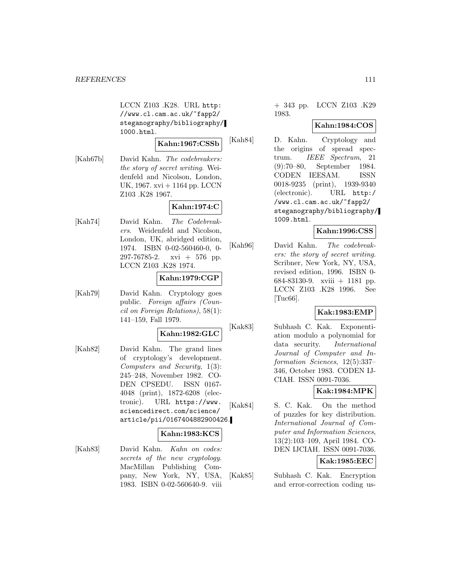LCCN Z103 .K28. URL http: //www.cl.cam.ac.uk/~fapp2/ steganography/bibliography/ 1000.html.

#### **Kahn:1967:CSSb**

[Kah67b] David Kahn. The codebreakers: the story of secret writing. Weidenfeld and Nicolson, London, UK, 1967. xvi + 1164 pp. LCCN Z103 .K28 1967.

# **Kahn:1974:C**

[Kah74] David Kahn. The Codebreakers. Weidenfeld and Nicolson, London, UK, abridged edition, 1974. ISBN 0-02-560460-0, 0-  $297-76785-2$ . xvi  $+ 576$  pp. LCCN Z103 .K28 1974.

## **Kahn:1979:CGP**

[Kah79] David Kahn. Cryptology goes public. Foreign affairs (Council on Foreign Relations), 58(1): 141–159, Fall 1979.

## **Kahn:1982:GLC**

[Kah82] David Kahn. The grand lines of cryptology's development. Computers and Security, 1(3): 245–248, November 1982. CO-DEN CPSEDU. ISSN 0167- 4048 (print), 1872-6208 (electronic). URL https://www. sciencedirect.com/science/ article/pii/0167404882900426.

#### **Kahn:1983:KCS**

[Kah83] David Kahn. Kahn on codes: secrets of the new cryptology. MacMillan Publishing Company, New York, NY, USA, 1983. ISBN 0-02-560640-9. viii

### + 343 pp. LCCN Z103 .K29 1983.

## **Kahn:1984:COS**

[Kah84] D. Kahn. Cryptology and the origins of spread spectrum. IEEE Spectrum, 21 (9):70–80, September 1984. CODEN IEESAM. ISSN 0018-9235 (print), 1939-9340 (electronic). URL http:/ /www.cl.cam.ac.uk/~fapp2/ steganography/bibliography/ 1009.html.

## **Kahn:1996:CSS**

[Kah96] David Kahn. The codebreakers: the story of secret writing. Scribner, New York, NY, USA, revised edition, 1996. ISBN 0- 684-83130-9. xviii + 1181 pp. LCCN Z103 .K28 1996. See [Tuc66].

## **Kak:1983:EMP**

[Kak83] Subhash C. Kak. Exponentiation modulo a polynomial for data security. International Journal of Computer and Information Sciences, 12(5):337– 346, October 1983. CODEN IJ-CIAH. ISSN 0091-7036.

## **Kak:1984:MPK**

[Kak84] S. C. Kak. On the method of puzzles for key distribution. International Journal of Computer and Information Sciences, 13(2):103–109, April 1984. CO-DEN IJCIAH. ISSN 0091-7036.

## **Kak:1985:EEC**

[Kak85] Subhash C. Kak. Encryption and error-correction coding us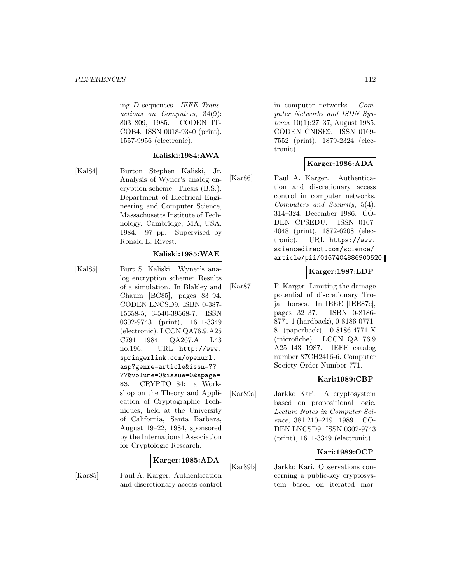ing D sequences. IEEE Transactions on Computers, 34(9): 803–809, 1985. CODEN IT-COB4. ISSN 0018-9340 (print), 1557-9956 (electronic).

#### **Kaliski:1984:AWA**

[Kal84] Burton Stephen Kaliski, Jr. Analysis of Wyner's analog encryption scheme. Thesis (B.S.), Department of Electrical Engineering and Computer Science, Massachusetts Institute of Technology, Cambridge, MA, USA, 1984. 97 pp. Supervised by Ronald L. Rivest.

#### **Kaliski:1985:WAE**

[Kal85] Burt S. Kaliski. Wyner's analog encryption scheme: Results of a simulation. In Blakley and Chaum [BC85], pages 83–94. CODEN LNCSD9. ISBN 0-387- 15658-5; 3-540-39568-7. ISSN 0302-9743 (print), 1611-3349 (electronic). LCCN QA76.9.A25 C791 1984; QA267.A1 L43 no.196. URL http://www. springerlink.com/openurl. asp?genre=article&issn=?? ??&volume=0&issue=0&spage= 83. CRYPTO 84: a Workshop on the Theory and Application of Cryptographic Techniques, held at the University of California, Santa Barbara, August 19–22, 1984, sponsored by the International Association for Cryptologic Research.

#### **Karger:1985:ADA**

[Kar85] Paul A. Karger. Authentication and discretionary access control

in computer networks. Computer Networks and ISDN Systems, 10(1):27–37, August 1985. CODEN CNISE9. ISSN 0169- 7552 (print), 1879-2324 (electronic).

#### **Karger:1986:ADA**

[Kar86] Paul A. Karger. Authentication and discretionary access control in computer networks. Computers and Security, 5(4): 314–324, December 1986. CO-DEN CPSEDU. ISSN 0167- 4048 (print), 1872-6208 (electronic). URL https://www. sciencedirect.com/science/ article/pii/0167404886900520.

#### **Karger:1987:LDP**

[Kar87] P. Karger. Limiting the damage potential of discretionary Trojan horses. In IEEE [IEE87c], pages 32–37. ISBN 0-8186- 8771-1 (hardback), 0-8186-0771- 8 (paperback), 0-8186-4771-X (microfiche). LCCN QA 76.9 A25 I43 1987. IEEE catalog number 87CH2416-6. Computer Society Order Number 771.

## **Kari:1989:CBP**

[Kar89a] Jarkko Kari. A cryptosystem based on propositional logic. Lecture Notes in Computer Science, 381:210–219, 1989. CO-DEN LNCSD9. ISSN 0302-9743 (print), 1611-3349 (electronic).

## **Kari:1989:OCP**

[Kar89b] Jarkko Kari. Observations concerning a public-key cryptosystem based on iterated mor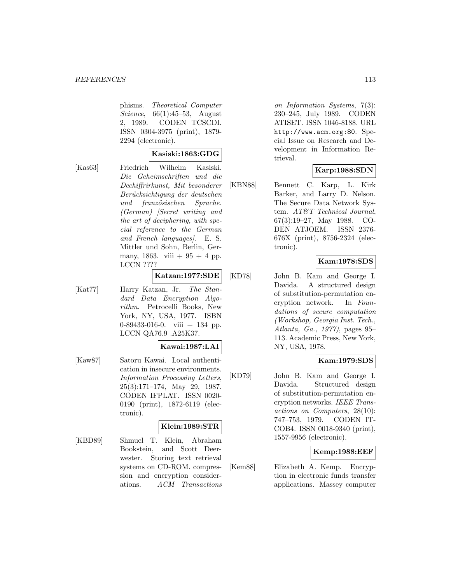phisms. Theoretical Computer Science, 66(1):45–53, August 2, 1989. CODEN TCSCDI. ISSN 0304-3975 (print), 1879- 2294 (electronic).

#### **Kasiski:1863:GDG**

[Kas63] Friedrich Wilhelm Kasiski. Die Geheimschriften und die Dechiffrirkunst, Mit besonderer Berücksichtigung der deutschen und französischen Sprache. (German) [Secret writing and the art of deciphering, with special reference to the German and French languages]. E. S. Mittler und Sohn, Berlin, Germany, 1863. viii  $+95 + 4$  pp. LCCN ????

## **Katzan:1977:SDE**

[Kat77] Harry Katzan, Jr. The Standard Data Encryption Algorithm. Petrocelli Books, New York, NY, USA, 1977. ISBN 0-89433-016-0. viii + 134 pp. LCCN QA76.9 .A25K37.

#### **Kawai:1987:LAI**

[Kaw87] Satoru Kawai. Local authentication in insecure environments. Information Processing Letters, 25(3):171–174, May 29, 1987. CODEN IFPLAT. ISSN 0020- 0190 (print), 1872-6119 (electronic).

### **Klein:1989:STR**

[KBD89] Shmuel T. Klein, Abraham Bookstein, and Scott Deerwester. Storing text retrieval systems on CD-ROM. compression and encryption considerations. ACM Transactions

on Information Systems, 7(3): 230–245, July 1989. CODEN ATISET. ISSN 1046-8188. URL http://www.acm.org:80. Special Issue on Research and Development in Information Retrieval.

## **Karp:1988:SDN**

[KBN88] Bennett C. Karp, L. Kirk Barker, and Larry D. Nelson. The Secure Data Network System. AT&T Technical Journal, 67(3):19–27, May 1988. CO-DEN ATJOEM. ISSN 2376- 676X (print), 8756-2324 (electronic).

## **Kam:1978:SDS**

[KD78] John B. Kam and George I. Davida. A structured design of substitution-permutation encryption network. In Foundations of secure computation (Workshop, Georgia Inst. Tech., Atlanta, Ga., 1977), pages 95– 113. Academic Press, New York, NY, USA, 1978.

## **Kam:1979:SDS**

[KD79] John B. Kam and George I. Davida. Structured design of substitution-permutation encryption networks. IEEE Transactions on Computers, 28(10): 747–753, 1979. CODEN IT-COB4. ISSN 0018-9340 (print), 1557-9956 (electronic).

## **Kemp:1988:EEF**

[Kem88] Elizabeth A. Kemp. Encryption in electronic funds transfer applications. Massey computer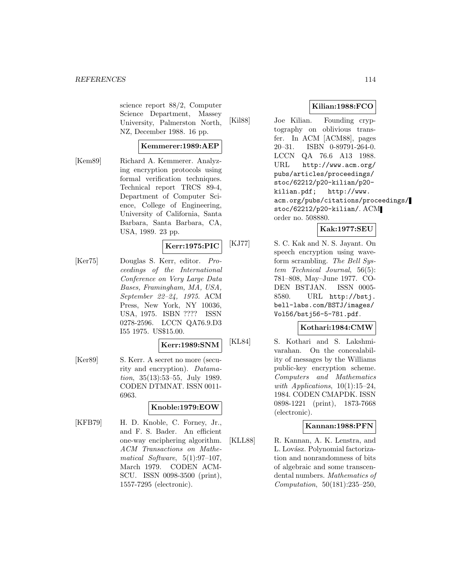science report 88/2, Computer Science Department, Massey University, Palmerston North, NZ, December 1988. 16 pp.

## **Kemmerer:1989:AEP**

[Kem89] Richard A. Kemmerer. Analyzing encryption protocols using formal verification techniques. Technical report TRCS 89-4, Department of Computer Science, College of Engineering, University of California, Santa Barbara, Santa Barbara, CA, USA, 1989. 23 pp.

## **Kerr:1975:PIC**

[Ker75] Douglas S. Kerr, editor. Proceedings of the International Conference on Very Large Data Bases, Framingham, MA, USA, September 22–24, 1975. ACM Press, New York, NY 10036, USA, 1975. ISBN ???? ISSN 0278-2596. LCCN QA76.9.D3 I55 1975. US\$15.00.

#### **Kerr:1989:SNM**

[Ker89] S. Kerr. A secret no more (security and encryption). Datamation, 35(13):53–55, July 1989. CODEN DTMNAT. ISSN 0011- 6963.

## **Knoble:1979:EOW**

[KFB79] H. D. Knoble, C. Forney, Jr., and F. S. Bader. An efficient one-way enciphering algorithm. ACM Transactions on Mathematical Software, 5(1):97–107, March 1979. CODEN ACM-SCU. ISSN 0098-3500 (print), 1557-7295 (electronic).

## **Kilian:1988:FCO**

[Kil88] Joe Kilian. Founding cryptography on oblivious transfer. In ACM [ACM88], pages 20–31. ISBN 0-89791-264-0. LCCN QA 76.6 A13 1988. URL http://www.acm.org/ pubs/articles/proceedings/ stoc/62212/p20-kilian/p20 kilian.pdf; http://www. acm.org/pubs/citations/proceedings/ stoc/62212/p20-kilian/. ACM order no. 508880.

## **Kak:1977:SEU**

[KJ77] S. C. Kak and N. S. Jayant. On speech encryption using waveform scrambling. The Bell System Technical Journal, 56(5): 781–808, May–June 1977. CO-DEN BSTJAN. ISSN 0005- 8580. URL http://bstj. bell-labs.com/BSTJ/images/ Vol56/bstj56-5-781.pdf.

## **Kothari:1984:CMW**

[KL84] S. Kothari and S. Lakshmivarahan. On the concealability of messages by the Williams public-key encryption scheme. Computers and Mathematics with Applications,  $10(1):15-24$ , 1984. CODEN CMAPDK. ISSN 0898-1221 (print), 1873-7668 (electronic).

### **Kannan:1988:PFN**

[KLL88] R. Kannan, A. K. Lenstra, and L. Lovász. Polynomial factorization and nonrandomness of bits of algebraic and some transcendental numbers. Mathematics of Computation, 50(181):235–250,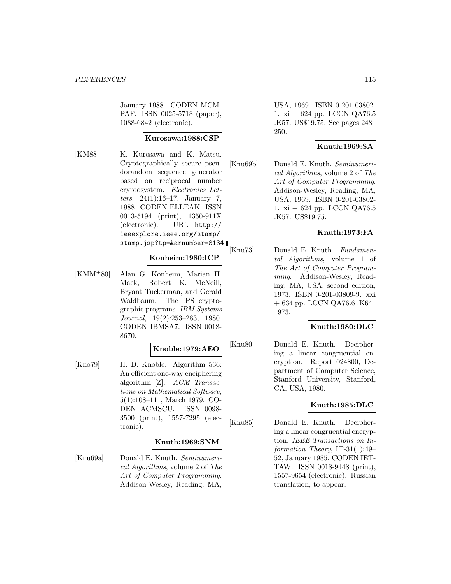January 1988. CODEN MCM-PAF. ISSN 0025-5718 (paper), 1088-6842 (electronic).

## **Kurosawa:1988:CSP**

[KM88] K. Kurosawa and K. Matsu. Cryptographically secure pseudorandom sequence generator based on reciprocal number cryptosystem. Electronics Letters,  $24(1):16-17$ , January 7, 1988. CODEN ELLEAK. ISSN 0013-5194 (print), 1350-911X (electronic). URL http:// ieeexplore.ieee.org/stamp/ stamp.jsp?tp=&arnumber=8134.

## **Konheim:1980:ICP**

[KMM<sup>+</sup>80] Alan G. Konheim, Marian H. Mack, Robert K. McNeill, Bryant Tuckerman, and Gerald Waldbaum. The IPS cryptographic programs. IBM Systems Journal, 19(2):253–283, 1980. CODEN IBMSA7. ISSN 0018- 8670.

## **Knoble:1979:AEO**

[Kno79] H. D. Knoble. Algorithm 536: An efficient one-way enciphering algorithm [Z]. ACM Transactions on Mathematical Software, 5(1):108–111, March 1979. CO-DEN ACMSCU. ISSN 0098- 3500 (print), 1557-7295 (electronic).

## **Knuth:1969:SNM**

[Knu69a] Donald E. Knuth. Seminumerical Algorithms, volume 2 of The Art of Computer Programming. Addison-Wesley, Reading, MA,

USA, 1969. ISBN 0-201-03802- 1. xi + 624 pp. LCCN QA76.5 .K57. US\$19.75. See pages 248– 250.

## **Knuth:1969:SA**

[Knu69b] Donald E. Knuth. Seminumerical Algorithms, volume 2 of The Art of Computer Programming. Addison-Wesley, Reading, MA, USA, 1969. ISBN 0-201-03802- 1. xi + 624 pp. LCCN QA76.5 .K57. US\$19.75.

## **Knuth:1973:FA**

[Knu73] Donald E. Knuth. Fundamental Algorithms, volume 1 of The Art of Computer Programming. Addison-Wesley, Reading, MA, USA, second edition, 1973. ISBN 0-201-03809-9. xxi + 634 pp. LCCN QA76.6 .K641 1973.

#### **Knuth:1980:DLC**

[Knu80] Donald E. Knuth. Deciphering a linear congruential encryption. Report 024800, Department of Computer Science, Stanford University, Stanford, CA, USA, 1980.

## **Knuth:1985:DLC**

[Knu85] Donald E. Knuth. Deciphering a linear congruential encryption. IEEE Transactions on Information Theory, IT-31(1):49– 52, January 1985. CODEN IET-TAW. ISSN 0018-9448 (print), 1557-9654 (electronic). Russian translation, to appear.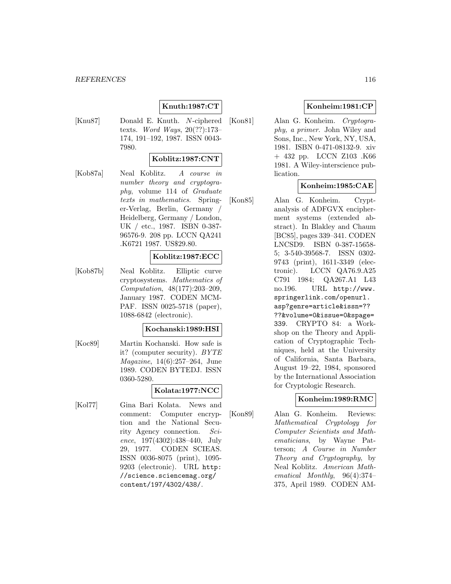## **Knuth:1987:CT**

[Knu87] Donald E. Knuth. N-ciphered texts. Word Ways, 20(??):173– 174, 191–192, 1987. ISSN 0043- 7980.

## **Koblitz:1987:CNT**

[Kob87a] Neal Koblitz. A course in number theory and cryptography, volume 114 of Graduate texts in mathematics. Springer-Verlag, Berlin, Germany / Heidelberg, Germany / London, UK / etc., 1987. ISBN 0-387- 96576-9. 208 pp. LCCN QA241 .K6721 1987. US\$29.80.

#### **Koblitz:1987:ECC**

[Kob87b] Neal Koblitz. Elliptic curve cryptosystems. Mathematics of Computation, 48(177):203–209, January 1987. CODEN MCM-PAF. ISSN 0025-5718 (paper), 1088-6842 (electronic).

#### **Kochanski:1989:HSI**

[Koc89] Martin Kochanski. How safe is it? (computer security). BYTE Magazine, 14(6):257–264, June 1989. CODEN BYTEDJ. ISSN 0360-5280.

[Kol77] Gina Bari Kolata. News and comment: Computer encryption and the National Security Agency connection. Science, 197(4302):438–440, July 29, 1977. CODEN SCIEAS. ISSN 0036-8075 (print), 1095- 9203 (electronic). URL http: //science.sciencemag.org/ content/197/4302/438/.

## **Konheim:1981:CP**

[Kon81] Alan G. Konheim. Cryptography, a primer. John Wiley and Sons, Inc., New York, NY, USA, 1981. ISBN 0-471-08132-9. xiv + 432 pp. LCCN Z103 .K66 1981. A Wiley-interscience publication.

## **Konheim:1985:CAE**

[Kon85] Alan G. Konheim. Cryptanalysis of ADFGVX encipherment systems (extended abstract). In Blakley and Chaum [BC85], pages 339–341. CODEN LNCSD9. ISBN 0-387-15658- 5; 3-540-39568-7. ISSN 0302- 9743 (print), 1611-3349 (electronic). LCCN QA76.9.A25 C791 1984; QA267.A1 L43 no.196. URL http://www. springerlink.com/openurl. asp?genre=article&issn=?? ??&volume=0&issue=0&spage= 339. CRYPTO 84: a Workshop on the Theory and Application of Cryptographic Techniques, held at the University of California, Santa Barbara, August 19–22, 1984, sponsored by the International Association for Cryptologic Research.

#### **Konheim:1989:RMC**

[Kon89] Alan G. Konheim. Reviews: Mathematical Cryptology for Computer Scientists and Mathematicians, by Wayne Patterson; A Course in Number Theory and Cryptography, by Neal Koblitz. American Mathematical Monthly, 96(4):374– 375, April 1989. CODEN AM-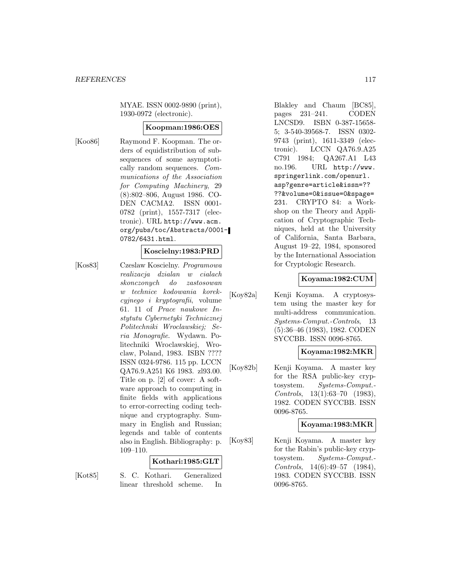MYAE. ISSN 0002-9890 (print), 1930-0972 (electronic).

#### **Koopman:1986:OES**

[Koo86] Raymond F. Koopman. The orders of equidistribution of subsequences of some asymptotically random sequences. Communications of the Association for Computing Machinery, 29 (8):802–806, August 1986. CO-DEN CACMA2. ISSN 0001- 0782 (print), 1557-7317 (electronic). URL http://www.acm. org/pubs/toc/Abstracts/0001- 0782/6431.html.

## **Koscielny:1983:PRD**

[Kos83] Czeslaw Koscielny. Programowa realizacja dzialan w cialach skonczonych do zastosowan w technice kodowania korekcyjnego i kryptografii, volume 61. 11 of Prace naukowe Instytutu Cybernetyki Technicznej Politechniki Wroclawskiej; Seria Monografie. Wydawn. Politechniki Wroclawskiej, Wroclaw, Poland, 1983. ISBN ???? ISSN 0324-9786. 115 pp. LCCN QA76.9.A251 K6 1983. zl93.00. Title on p. [2] of cover: A software approach to computing in finite fields with applications to error-correcting coding technique and cryptography. Summary in English and Russian; legends and table of contents also in English. Bibliography: p. 109–110.

#### **Kothari:1985:GLT**

[Kot85] S. C. Kothari. Generalized linear threshold scheme. In

Blakley and Chaum [BC85], pages 231–241. CODEN LNCSD9. ISBN 0-387-15658- 5; 3-540-39568-7. ISSN 0302- 9743 (print), 1611-3349 (electronic). LCCN QA76.9.A25 C791 1984; QA267.A1 L43 no.196. URL http://www. springerlink.com/openurl. asp?genre=article&issn=?? ??&volume=0&issue=0&spage= 231. CRYPTO 84: a Workshop on the Theory and Application of Cryptographic Techniques, held at the University of California, Santa Barbara, August 19–22, 1984, sponsored by the International Association for Cryptologic Research.

### **Koyama:1982:CUM**

[Koy82a] Kenji Koyama. A cryptosystem using the master key for multi-address communication. Systems-Comput.-Controls, 13 (5):36–46 (1983), 1982. CODEN SYCCBB. ISSN 0096-8765.

## **Koyama:1982:MKR**

[Koy82b] Kenji Koyama. A master key for the RSA public-key cryptosystem. Systems-Comput.- Controls, 13(1):63–70 (1983), 1982. CODEN SYCCBB. ISSN 0096-8765.

### **Koyama:1983:MKR**

[Koy83] Kenji Koyama. A master key for the Rabin's public-key cryptosystem. Systems-Comput.- Controls, 14(6):49–57 (1984), 1983. CODEN SYCCBB. ISSN 0096-8765.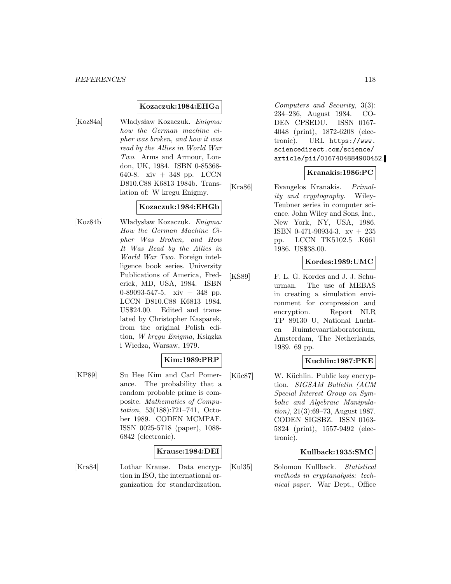#### **Kozaczuk:1984:EHGa**

[Koz84a] Władysław Kozaczuk. Enigma: how the German machine cipher was broken, and how it was read by the Allies in World War Two. Arms and Armour, London, UK, 1984. ISBN 0-85368- 640-8. xiv + 348 pp. LCCN D810.C88 K6813 1984b. Translation of: W kregu Enigmy.

## **Kozaczuk:1984:EHGb**

[Koz84b] Władysław Kozaczuk. *Enigma*: How the German Machine Cipher Was Broken, and How It Was Read by the Allies in World War Two. Foreign intelligence book series. University Publications of America, Frederick, MD, USA, 1984. ISBN 0-89093-547-5. xiv + 348 pp. LCCN D810.C88 K6813 1984. US\$24.00. Edited and translated by Christopher Kasparek, from the original Polish edition, W kręgu Enigma, Ksiązka i Wiedza, Warsaw, 1979.

## **Kim:1989:PRP**

[KP89] Su Hee Kim and Carl Pomerance. The probability that a random probable prime is composite. Mathematics of Computation, 53(188):721–741, October 1989. CODEN MCMPAF. ISSN 0025-5718 (paper), 1088- 6842 (electronic).

#### **Krause:1984:DEI**

[Kra84] Lothar Krause. Data encryption in ISO, the international organization for standardization.

Computers and Security, 3(3): 234–236, August 1984. CO-DEN CPSEDU. ISSN 0167- 4048 (print), 1872-6208 (electronic). URL https://www. sciencedirect.com/science/ article/pii/0167404884900452.

## **Kranakis:1986:PC**

[Kra86] Evangelos Kranakis. Primality and cryptography. Wiley-Teubner series in computer science. John Wiley and Sons, Inc., New York, NY, USA, 1986. ISBN 0-471-90934-3. xv + 235 pp. LCCN TK5102.5 .K661 1986. US\$38.00.

#### **Kordes:1989:UMC**

[KS89] F. L. G. Kordes and J. J. Schuurman. The use of MEBAS in creating a simulation environment for compression and encryption. Report NLR TP 89130 U, National Luchten Ruimtevaartlaboratorium, Amsterdam, The Netherlands, 1989. 69 pp.

## **Kuchlin:1987:PKE**

[Küc87] W. Küchlin. Public key encryption. SIGSAM Bulletin (ACM Special Interest Group on Symbolic and Algebraic Manipulation), 21(3):69–73, August 1987. CODEN SIGSBZ. ISSN 0163- 5824 (print), 1557-9492 (electronic).

### **Kullback:1935:SMC**

[Kul35] Solomon Kullback. Statistical methods in cryptanalysis: technical paper. War Dept., Office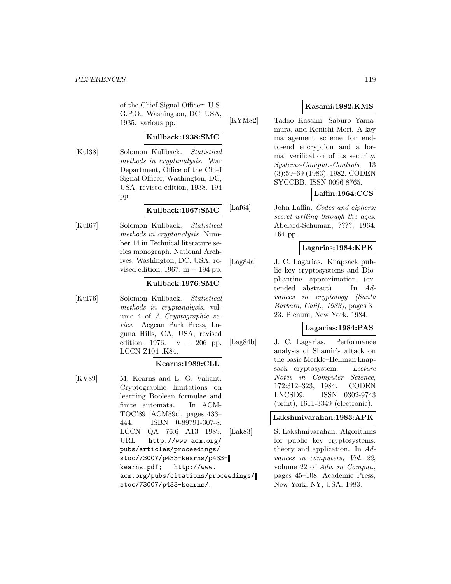of the Chief Signal Officer: U.S. G.P.O., Washington, DC, USA, 1935. various pp.

## **Kullback:1938:SMC**

[Kul38] Solomon Kullback. Statistical methods in cryptanalysis. War Department, Office of the Chief Signal Officer, Washington, DC, USA, revised edition, 1938. 194 pp.

## **Kullback:1967:SMC**

[Kul67] Solomon Kullback. Statistical methods in cryptanalysis. Number 14 in Technical literature series monograph. National Archives, Washington, DC, USA, revised edition, 1967. iii  $+$  194 pp.

### **Kullback:1976:SMC**

[Kul76] Solomon Kullback. Statistical methods in cryptanalysis, volume 4 of A Cryptographic series. Aegean Park Press, Laguna Hills, CA, USA, revised edition, 1976.  $v + 206$  pp. LCCN Z104 .K84.

#### **Kearns:1989:CLL**

[KV89] M. Kearns and L. G. Valiant. Cryptographic limitations on learning Boolean formulae and finite automata. In ACM-TOC'89 [ACM89c], pages 433– 444. ISBN 0-89791-307-8. LCCN QA 76.6 A13 1989. URL http://www.acm.org/ pubs/articles/proceedings/ stoc/73007/p433-kearns/p433 kearns.pdf; http://www. acm.org/pubs/citations/proceedings/ stoc/73007/p433-kearns/.

## **Kasami:1982:KMS**

[KYM82] Tadao Kasami, Saburo Yamamura, and Kenichi Mori. A key management scheme for endto-end encryption and a formal verification of its security. Systems-Comput.-Controls, 13 (3):59–69 (1983), 1982. CODEN SYCCBB. ISSN 0096-8765.

## **Laffin:1964:CCS**

[Laf64] John Laffin. *Codes and ciphers:* secret writing through the ages. Abelard-Schuman, ????, 1964. 164 pp.

### **Lagarias:1984:KPK**

[Lag84a] J. C. Lagarias. Knapsack public key cryptosystems and Diophantine approximation (extended abstract). In Advances in cryptology (Santa Barbara, Calif., 1983), pages 3– 23. Plenum, New York, 1984.

## **Lagarias:1984:PAS**

[Lag84b] J. C. Lagarias. Performance analysis of Shamir's attack on the basic Merkle–Hellman knapsack cryptosystem. Lecture Notes in Computer Science, 172:312–323, 1984. CODEN LNCSD9. ISSN 0302-9743 (print), 1611-3349 (electronic).

## **Lakshmivarahan:1983:APK**

[Lak83] S. Lakshmivarahan. Algorithms for public key cryptosystems: theory and application. In Advances in computers, Vol. 22, volume 22 of Adv. in Comput., pages 45–108. Academic Press, New York, NY, USA, 1983.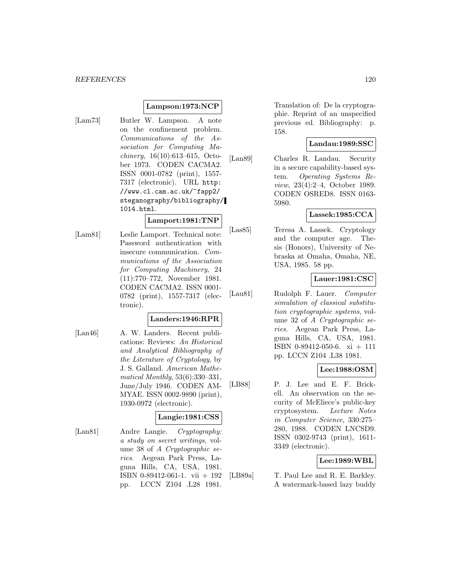### **Lampson:1973:NCP**

[Lam73] Butler W. Lampson. A note on the confinement problem. Communications of the Association for Computing Machinery, 16(10):613–615, October 1973. CODEN CACMA2. ISSN 0001-0782 (print), 1557- 7317 (electronic). URL http: //www.cl.cam.ac.uk/~fapp2/ steganography/bibliography/ 1014.html.

#### **Lamport:1981:TNP**

[Lam81] Leslie Lamport. Technical note: Password authentication with insecure communication. Communications of the Association for Computing Machinery, 24 (11):770–772, November 1981. CODEN CACMA2. ISSN 0001- 0782 (print), 1557-7317 (electronic).

#### **Landers:1946:RPR**

[Lan46] A. W. Landers. Recent publications: Reviews: An Historical and Analytical Bibliography of the Literature of Cryptology, by J. S. Galland. American Mathematical Monthly, 53(6):330–331, June/July 1946. CODEN AM-MYAE. ISSN 0002-9890 (print), 1930-0972 (electronic).

## **Langie:1981:CSS**

[Lan81] Andre Langie. Cryptography: a study on secret writings, volume 38 of A Cryptographic series. Aegean Park Press, Laguna Hills, CA, USA, 1981. ISBN 0-89412-061-1. vii + 192 pp. LCCN Z104 .L28 1981.

Translation of: De la cryptographie. Reprint of an unspecified previous ed. Bibliography: p. 158.

#### **Landau:1989:SSC**

[Lan89] Charles R. Landau. Security in a secure capability-based system. Operating Systems Review, 23(4):2–4, October 1989. CODEN OSRED8. ISSN 0163- 5980.

## **Lassek:1985:CCA**

[Las85] Teresa A. Lassek. Cryptology and the computer age. Thesis (Honors), University of Nebraska at Omaha, Omaha, NE, USA, 1985. 58 pp.

## **Lauer:1981:CSC**

[Lau81] Rudolph F. Lauer. Computer simulation of classical substitution cryptographic systems, volume 32 of A Cryptographic series. Aegean Park Press, Laguna Hills, CA, USA, 1981. ISBN 0-89412-050-6. xi + 111 pp. LCCN Z104 .L38 1981.

#### **Lee:1988:OSM**

[LB88] P. J. Lee and E. F. Brickell. An observation on the security of McEliece's public-key cryptosystem. Lecture Notes in Computer Science, 330:275– 280, 1988. CODEN LNCSD9. ISSN 0302-9743 (print), 1611- 3349 (electronic).

### **Lee:1989:WBL**

[LB89a] T. Paul Lee and R. E. Barkley. A watermark-based lazy buddy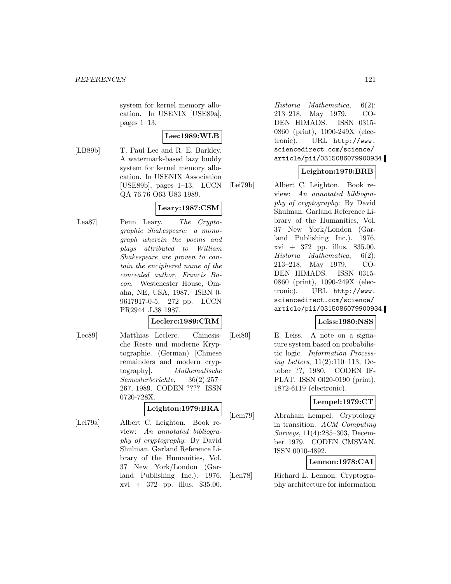system for kernel memory allocation. In USENIX [USE89a], pages 1–13.

## **Lee:1989:WLB**

[LB89b] T. Paul Lee and R. E. Barkley. A watermark-based lazy buddy system for kernel memory allocation. In USENIX Association [USE89b], pages 1–13. LCCN QA 76.76 O63 U83 1989.

## **Leary:1987:CSM**

[Lea87] Penn Leary. The Cryptographic Shakespeare: a monograph wherein the poems and plays attributed to William Shakespeare are proven to contain the enciphered name of the concealed author, Francis Bacon. Westchester House, Omaha, NE, USA, 1987. ISBN 0- 9617917-0-5. 272 pp. LCCN PR2944 .L38 1987.

#### **Leclerc:1989:CRM**

[Lec89] Matthias Leclerc. Chinesische Reste und moderne Kryptographie. (German) [Chinese remainders and modern cryptography]. Mathematische Semesterberichte, 36(2):257– 267, 1989. CODEN ???? ISSN 0720-728X.

## **Leighton:1979:BRA**

[Lei79a] Albert C. Leighton. Book review: An annotated bibliography of cryptography: By David Shulman. Garland Reference Library of the Humanities, Vol. 37 New York/London (Garland Publishing Inc.). 1976.  $xvi + 372$  pp. illus. \$35.00.

Historia Mathematica, 6(2): 213–218, May 1979. CO-DEN HIMADS. ISSN 0315- 0860 (print), 1090-249X (electronic). URL http://www. sciencedirect.com/science/ article/pii/0315086079900934.

## **Leighton:1979:BRB**

[Lei79b] Albert C. Leighton. Book review: An annotated bibliography of cryptography: By David Shulman. Garland Reference Library of the Humanities, Vol. 37 New York/London (Garland Publishing Inc.). 1976. xvi + 372 pp. illus. \$35.00. Historia Mathematica, 6(2): 213–218, May 1979. CO-DEN HIMADS. ISSN 0315- 0860 (print), 1090-249X (electronic). URL http://www. sciencedirect.com/science/ article/pii/0315086079900934.

## **Leiss:1980:NSS**

[Lei80] E. Leiss. A note on a signature system based on probabilistic logic. Information Processing Letters, 11(2):110–113, October ??, 1980. CODEN IF-PLAT. ISSN 0020-0190 (print), 1872-6119 (electronic).

## **Lempel:1979:CT**

[Lem79] Abraham Lempel. Cryptology in transition. ACM Computing Surveys, 11(4):285–303, December 1979. CODEN CMSVAN. ISSN 0010-4892.

## **Lennon:1978:CAI**

[Len78] Richard E. Lennon. Cryptography architecture for information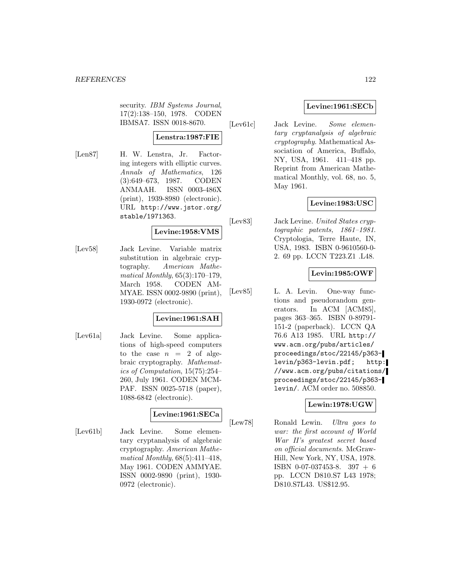security. IBM Systems Journal, 17(2):138–150, 1978. CODEN IBMSA7. ISSN 0018-8670.

## **Lenstra:1987:FIE**

[Len87] H. W. Lenstra, Jr. Factoring integers with elliptic curves. Annals of Mathematics, 126 (3):649–673, 1987. CODEN ANMAAH. ISSN 0003-486X (print), 1939-8980 (electronic). URL http://www.jstor.org/ stable/1971363.

## **Levine:1958:VMS**

[Lev58] Jack Levine. Variable matrix substitution in algebraic cryptography. American Mathematical Monthly, 65(3):170–179, March 1958. CODEN AM-MYAE. ISSN 0002-9890 (print), 1930-0972 (electronic).

## **Levine:1961:SAH**

[Lev61a] Jack Levine. Some applications of high-speed computers to the case  $n = 2$  of algebraic cryptography. Mathematics of Computation, 15(75):254– 260, July 1961. CODEN MCM-PAF. ISSN 0025-5718 (paper), 1088-6842 (electronic).

### **Levine:1961:SECa**

[Lev61b] Jack Levine. Some elementary cryptanalysis of algebraic cryptography. American Mathematical Monthly,  $68(5):411-418$ , May 1961. CODEN AMMYAE. ISSN 0002-9890 (print), 1930- 0972 (electronic).

## **Levine:1961:SECb**

[Lev61c] Jack Levine. Some elementary cryptanalysis of algebraic cryptography. Mathematical Association of America, Buffalo, NY, USA, 1961. 411–418 pp. Reprint from American Mathematical Monthly, vol. 68, no. 5, May 1961.

## **Levine:1983:USC**

[Lev83] Jack Levine. United States cryptographic patents, 1861–1981. Cryptologia, Terre Haute, IN, USA, 1983. ISBN 0-9610560-0- 2. 69 pp. LCCN T223.Z1 .L48.

## **Levin:1985:OWF**

[Lev85] L. A. Levin. One-way functions and pseudorandom generators. In ACM [ACM85], pages 363–365. ISBN 0-89791- 151-2 (paperback). LCCN QA 76.6 A13 1985. URL http:// www.acm.org/pubs/articles/ proceedings/stoc/22145/p363 levin/p363-levin.pdf; http: //www.acm.org/pubs/citations/ proceedings/stoc/22145/p363 levin/. ACM order no. 508850.

## **Lewin:1978:UGW**

[Lew78] Ronald Lewin. Ultra goes to war: the first account of World War II's greatest secret based on official documents. McGraw-Hill, New York, NY, USA, 1978. ISBN 0-07-037453-8. 397 + 6 pp. LCCN D810.S7 L43 1978; D810.S7L43. US\$12.95.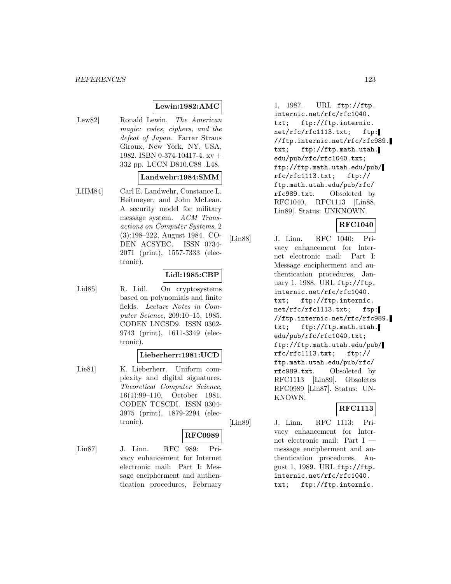#### *REFERENCES* 123

## **Lewin:1982:AMC**

[Lew82] Ronald Lewin. The American magic: codes, ciphers, and the defeat of Japan. Farrar Straus Giroux, New York, NY, USA, 1982. ISBN 0-374-10417-4. xv + 332 pp. LCCN D810.C88 .L48.

#### **Landwehr:1984:SMM**

[LHM84] Carl E. Landwehr, Constance L. Heitmeyer, and John McLean. A security model for military message system. ACM Transactions on Computer Systems, 2 (3):198–222, August 1984. CO-DEN ACSYEC. ISSN 0734- 2071 (print), 1557-7333 (electronic).

## **Lidl:1985:CBP**

[Lid85] R. Lidl. On cryptosystems based on polynomials and finite fields. Lecture Notes in Computer Science, 209:10–15, 1985. CODEN LNCSD9. ISSN 0302- 9743 (print), 1611-3349 (electronic).

#### **Lieberherr:1981:UCD**

[Lie81] K. Lieberherr. Uniform complexity and digital signatures. Theoretical Computer Science, 16(1):99–110, October 1981. CODEN TCSCDI. ISSN 0304- 3975 (print), 1879-2294 (electronic).

#### **RFC0989**

[Lin87] J. Linn. RFC 989: Privacy enhancement for Internet electronic mail: Part I: Message encipherment and authentication procedures, February

1, 1987. URL ftp://ftp. internic.net/rfc/rfc1040. txt; ftp://ftp.internic. net/rfc/rfc1113.txt; ftp: //ftp.internic.net/rfc/rfc989. txt; ftp://ftp.math.utah. edu/pub/rfc/rfc1040.txt; ftp://ftp.math.utah.edu/pub/ rfc/rfc1113.txt; ftp:// ftp.math.utah.edu/pub/rfc/ rfc989.txt. Obsoleted by RFC1040, RFC1113 [Lin88, Lin89]. Status: UNKNOWN.

## **RFC1040**

[Lin88] J. Linn. RFC 1040: Privacy enhancement for Internet electronic mail: Part I: Message encipherment and authentication procedures, January 1, 1988. URL ftp://ftp. internic.net/rfc/rfc1040. txt; ftp://ftp.internic. net/rfc/rfc1113.txt; ftp: //ftp.internic.net/rfc/rfc989. txt; ftp://ftp.math.utah. edu/pub/rfc/rfc1040.txt; ftp://ftp.math.utah.edu/pub/ rfc/rfc1113.txt; ftp:// ftp.math.utah.edu/pub/rfc/ rfc989.txt. Obsoleted by RFC1113 [Lin89]. Obsoletes RFC0989 [Lin87]. Status: UN-KNOWN.

## **RFC1113**

[Lin89] J. Linn. RFC 1113: Privacy enhancement for Internet electronic mail: Part I message encipherment and authentication procedures, August 1, 1989. URL ftp://ftp. internic.net/rfc/rfc1040. txt; ftp://ftp.internic.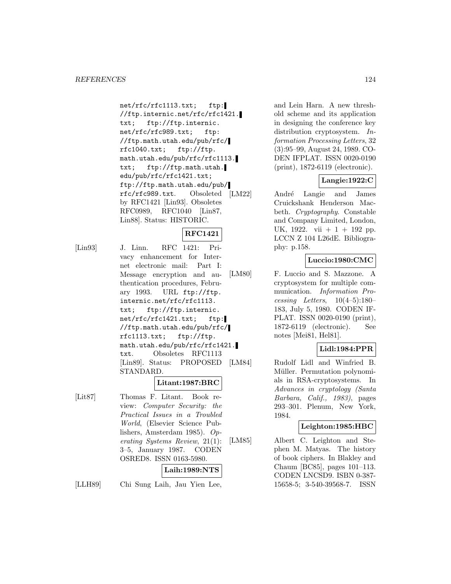net/rfc/rfc1113.txt; ftp: //ftp.internic.net/rfc/rfc1421. txt; ftp://ftp.internic. net/rfc/rfc989.txt; ftp: //ftp.math.utah.edu/pub/rfc/ rfc1040.txt; ftp://ftp. math.utah.edu/pub/rfc/rfc1113. txt; ftp://ftp.math.utah. edu/pub/rfc/rfc1421.txt; ftp://ftp.math.utah.edu/pub/ rfc/rfc989.txt. Obsoleted by RFC1421 [Lin93]. Obsoletes RFC0989, RFC1040 [Lin87, Lin88]. Status: HISTORIC.

# **RFC1421**

[Lin93] J. Linn. RFC 1421: Privacy enhancement for Internet electronic mail: Part I: Message encryption and authentication procedures, February 1993. URL ftp://ftp. internic.net/rfc/rfc1113. txt; ftp://ftp.internic. net/rfc/rfc1421.txt; ftp: //ftp.math.utah.edu/pub/rfc/ rfc1113.txt; ftp://ftp. math.utah.edu/pub/rfc/rfc1421. txt. Obsoletes RFC1113 [Lin89]. Status: PROPOSED STANDARD.

## **Litant:1987:BRC**

[Lit87] Thomas F. Litant. Book review: Computer Security: the Practical Issues in a Troubled World, (Elsevier Science Publishers, Amsterdam 1985). Operating Systems Review, 21(1): 3–5, January 1987. CODEN OSRED8. ISSN 0163-5980.

## **Laih:1989:NTS**

[LLH89] Chi Sung Laih, Jau Yien Lee,

and Lein Harn. A new threshold scheme and its application in designing the conference key distribution cryptosystem. Information Processing Letters, 32 (3):95–99, August 24, 1989. CO-DEN IFPLAT. ISSN 0020-0190 (print), 1872-6119 (electronic).

#### **Langie:1922:C**

André Langie and James Cruickshank Henderson Macbeth. Cryptography. Constable and Company Limited, London, UK, 1922. vii  $+1 + 192$  pp. LCCN Z 104 L26dE. Bibliography: p.158.

## **Luccio:1980:CMC**

[LM80] F. Luccio and S. Mazzone. A cryptosystem for multiple communication. Information Processing Letters, 10(4–5):180– 183, July 5, 1980. CODEN IF-PLAT. ISSN 0020-0190 (print), 1872-6119 (electronic). See notes [Mei81, Hel81].

## **Lidl:1984:PPR**

[LM84] Rudolf Lidl and Winfried B. Müller. Permutation polynomials in RSA-cryptosystems. In Advances in cryptology (Santa Barbara, Calif., 1983), pages 293–301. Plenum, New York, 1984.

### **Leighton:1985:HBC**

[LM85] Albert C. Leighton and Stephen M. Matyas. The history of book ciphers. In Blakley and Chaum [BC85], pages 101–113. CODEN LNCSD9. ISBN 0-387- 15658-5; 3-540-39568-7. ISSN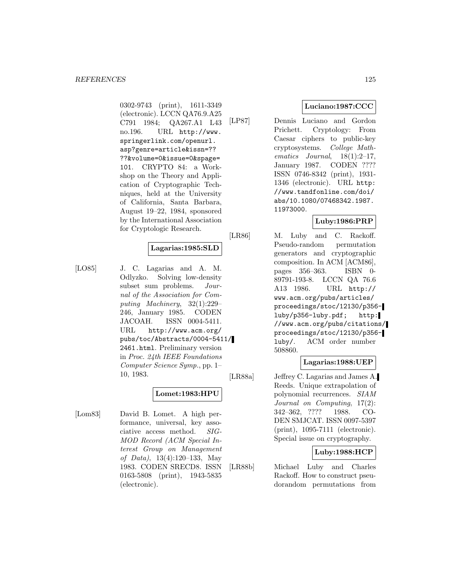0302-9743 (print), 1611-3349 (electronic). LCCN QA76.9.A25 C791 1984; QA267.A1 L43 no.196. URL http://www. springerlink.com/openurl. asp?genre=article&issn=?? ??&volume=0&issue=0&spage= 101. CRYPTO 84: a Workshop on the Theory and Application of Cryptographic Techniques, held at the University of California, Santa Barbara, August 19–22, 1984, sponsored by the International Association for Cryptologic Research.

#### **Lagarias:1985:SLD**

[LO85] J. C. Lagarias and A. M. Odlyzko. Solving low-density subset sum problems. Journal of the Association for Computing Machinery, 32(1):229– 246, January 1985. CODEN JACOAH. ISSN 0004-5411. URL http://www.acm.org/ pubs/toc/Abstracts/0004-5411/ 2461.html. Preliminary version in Proc. 24th IEEE Foundations Computer Science Symp., pp. 1– 10, 1983.

## **Lomet:1983:HPU**

[Lom83] David B. Lomet. A high performance, universal, key associative access method. SIG-MOD Record (ACM Special Interest Group on Management of Data), 13(4):120–133, May 1983. CODEN SRECD8. ISSN 0163-5808 (print), 1943-5835 (electronic).

## **Luciano:1987:CCC**

[LP87] Dennis Luciano and Gordon Prichett. Cryptology: From Caesar ciphers to public-key cryptosystems. College Mathematics Journal, 18(1):2–17, January 1987. CODEN ???? ISSN 0746-8342 (print), 1931- 1346 (electronic). URL http: //www.tandfonline.com/doi/ abs/10.1080/07468342.1987. 11973000.

## **Luby:1986:PRP**

[LR86] M. Luby and C. Rackoff. Pseudo-random permutation generators and cryptographic composition. In ACM [ACM86], pages 356–363. ISBN 0- 89791-193-8. LCCN QA 76.6 A13 1986. URL http:// www.acm.org/pubs/articles/ proceedings/stoc/12130/p356 luby/p356-luby.pdf; http: //www.acm.org/pubs/citations/ proceedings/stoc/12130/p356 luby/. ACM order number 508860.

### **Lagarias:1988:UEP**

[LR88a] Jeffrey C. Lagarias and James A. Reeds. Unique extrapolation of polynomial recurrences. SIAM Journal on Computing, 17(2): 342–362, ???? 1988. CO-DEN SMJCAT. ISSN 0097-5397 (print), 1095-7111 (electronic). Special issue on cryptography.

## **Luby:1988:HCP**

[LR88b] Michael Luby and Charles Rackoff. How to construct pseudorandom permutations from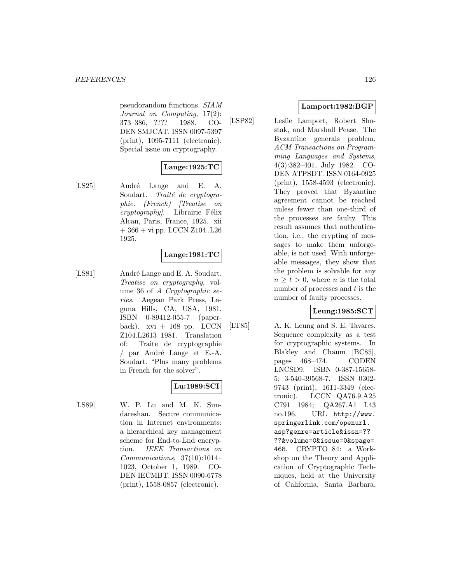pseudorandom functions. SIAM Journal on Computing, 17(2): 373–386, ???? 1988. CO-DEN SMJCAT. ISSN 0097-5397 (print), 1095-7111 (electronic). Special issue on cryptography.

## **Lange:1925:TC**

[LS25] André Lange and E. A. Soudart. Traité de cryptographie. (French) [Treatise on  $cryptography$ . Librairie Félix Alcan, Paris, France, 1925. xii  $+366 + vi$  pp. LCCN Z104 .L26 1925.

## **Lange:1981:TC**

[LS81] André Lange and E. A. Soudart. Treatise on cryptography, volume 36 of A Cryptographic series. Aegean Park Press, Laguna Hills, CA, USA, 1981. ISBN 0-89412-055-7 (paperback).  $xvi + 168$  pp. LCCN Z104.L2613 1981. Translation of: Traite de cryptographie  $\frac{1}{2}$  par André Lange et E.-A. Soudart. "Plus many problems in French for the solver".

## **Lu:1989:SCI**

[LS89] W. P. Lu and M. K. Sundareshan. Secure communication in Internet environments: a hierarchical key management scheme for End-to-End encryption. IEEE Transactions on Communications, 37(10):1014– 1023, October 1, 1989. CO-DEN IECMBT. ISSN 0090-6778 (print), 1558-0857 (electronic).

## **Lamport:1982:BGP**

[LSP82] Leslie Lamport, Robert Shostak, and Marshall Pease. The Byzantine generals problem. ACM Transactions on Programming Languages and Systems, 4(3):382–401, July 1982. CO-DEN ATPSDT. ISSN 0164-0925 (print), 1558-4593 (electronic). They proved that Byzantine agreement cannot be reached unless fewer than one-third of the processes are faulty. This result assumes that authentication, i.e., the crypting of messages to make them unforgeable, is not used. With unforgeable messages, they show that the problem is solvable for any  $n \geq t > 0$ , where *n* is the total number of processes and  $t$  is the number of faulty processes.

## **Leung:1985:SCT**

[LT85] A. K. Leung and S. E. Tavares. Sequence complexity as a test for cryptographic systems. In Blakley and Chaum [BC85], pages 468–474. CODEN LNCSD9. ISBN 0-387-15658- 5; 3-540-39568-7. ISSN 0302- 9743 (print), 1611-3349 (electronic). LCCN QA76.9.A25 C791 1984; QA267.A1 L43 no.196. URL http://www. springerlink.com/openurl. asp?genre=article&issn=?? ??&volume=0&issue=0&spage= 468. CRYPTO 84: a Workshop on the Theory and Application of Cryptographic Techniques, held at the University of California, Santa Barbara,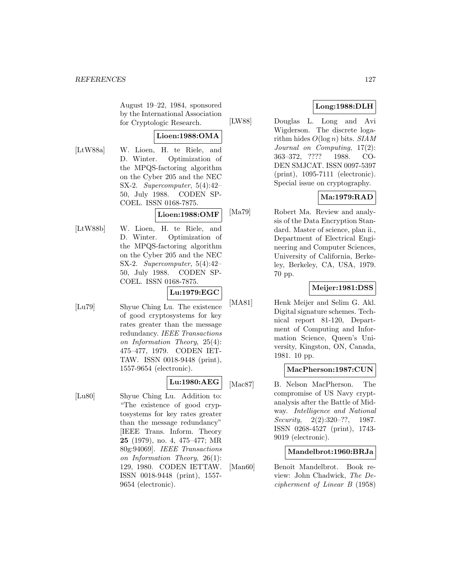August 19–22, 1984, sponsored by the International Association for Cryptologic Research.

#### **Lioen:1988:OMA**

[LtW88a] W. Lioen, H. te Riele, and D. Winter. Optimization of the MPQS-factoring algorithm on the Cyber 205 and the NEC SX-2. Supercomputer, 5(4):42– 50, July 1988. CODEN SP-COEL. ISSN 0168-7875.

## **Lioen:1988:OMF**

[LtW88b] W. Lioen, H. te Riele, and D. Winter. Optimization of the MPQS-factoring algorithm on the Cyber 205 and the NEC SX-2. Supercomputer, 5(4):42– 50, July 1988. CODEN SP-COEL. ISSN 0168-7875.

## **Lu:1979:EGC**

[Lu79] Shyue Ching Lu. The existence of good cryptosystems for key rates greater than the message redundancy. IEEE Transactions on Information Theory, 25(4): 475–477, 1979. CODEN IET-TAW. ISSN 0018-9448 (print), 1557-9654 (electronic).

## **Lu:1980:AEG**

- 
- [Lu80] Shyue Ching Lu. Addition to: "The existence of good cryptosystems for key rates greater than the message redundancy" [IEEE Trans. Inform. Theory **25** (1979), no. 4, 475–477; MR 80g:94069]. IEEE Transactions on Information Theory, 26(1): 129, 1980. CODEN IETTAW. ISSN 0018-9448 (print), 1557- 9654 (electronic).

## **Long:1988:DLH**

[LW88] Douglas L. Long and Avi Wigderson. The discrete logarithm hides  $O(\log n)$  bits. SIAM Journal on Computing, 17(2): 363–372, ???? 1988. CO-DEN SMJCAT. ISSN 0097-5397 (print), 1095-7111 (electronic). Special issue on cryptography.

## **Ma:1979:RAD**

[Ma79] Robert Ma. Review and analysis of the Data Encryption Standard. Master of science, plan ii., Department of Electrical Engineering and Computer Sciences, University of California, Berkeley, Berkeley, CA, USA, 1979. 70 pp.

## **Meijer:1981:DSS**

[MA81] Henk Meijer and Selim G. Akl. Digital signature schemes. Technical report 81-120, Department of Computing and Information Science, Queen's University, Kingston, ON, Canada, 1981. 10 pp.

#### **MacPherson:1987:CUN**

[Mac87] B. Nelson MacPherson. The compromise of US Navy cryptanalysis after the Battle of Midway. Intelligence and National Security, 2(2):320–??, 1987. ISSN 0268-4527 (print), 1743- 9019 (electronic).

### **Mandelbrot:1960:BRJa**

[Man60] Benoît Mandelbrot. Book review: John Chadwick, The Decipherment of Linear B (1958)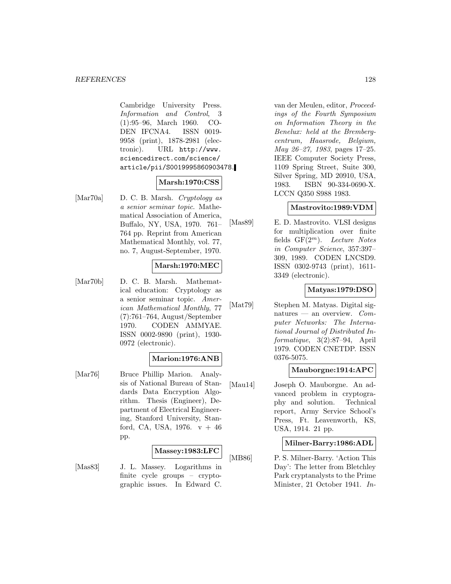#### *REFERENCES* 128

Cambridge University Press. Information and Control, 3 (1):95–96, March 1960. CO-DEN IFCNA4. ISSN 0019- 9958 (print), 1878-2981 (electronic). URL http://www. sciencedirect.com/science/ article/pii/S0019995860903478.

## **Marsh:1970:CSS**

[Mar70a] D. C. B. Marsh. Cryptology as a senior seminar topic. Mathematical Association of America, Buffalo, NY, USA, 1970. 761– 764 pp. Reprint from American Mathematical Monthly, vol. 77, no. 7, August-September, 1970.

## **Marsh:1970:MEC**

[Mar70b] D. C. B. Marsh. Mathematical education: Cryptology as a senior seminar topic. American Mathematical Monthly, 77 (7):761–764, August/September 1970. CODEN AMMYAE. ISSN 0002-9890 (print), 1930- 0972 (electronic).

#### **Marion:1976:ANB**

[Mar76] Bruce Phillip Marion. Analysis of National Bureau of Standards Data Encryption Algorithm. Thesis (Engineer), Department of Electrical Engineering, Stanford University, Stanford, CA, USA,  $1976. v + 46$ pp.

#### **Massey:1983:LFC**

[Mas83] J. L. Massey. Logarithms in finite cycle groups – cryptographic issues. In Edward C.

van der Meulen, editor, Proceedings of the Fourth Symposium on Information Theory in the Benelux: held at the Brembergcentrum, Haasrode, Belgium, May 26–27, 1983, pages 17–25. IEEE Computer Society Press, 1109 Spring Street, Suite 300, Silver Spring, MD 20910, USA, 1983. ISBN 90-334-0690-X. LCCN Q350 S988 1983.

#### **Mastrovito:1989:VDM**

[Mas89] E. D. Mastrovito. VLSI designs for multiplication over finite fields  $GF(2^m)$ . Lecture Notes in Computer Science, 357:397– 309, 1989. CODEN LNCSD9. ISSN 0302-9743 (print), 1611- 3349 (electronic).

## **Matyas:1979:DSO**

[Mat79] Stephen M. Matyas. Digital signatures — an overview.  $Com$ puter Networks: The International Journal of Distributed Informatique, 3(2):87–94, April 1979. CODEN CNETDP. ISSN 0376-5075.

### **Mauborgne:1914:APC**

[Mau14] Joseph O. Mauborgne. An advanced problem in cryptography and solution. Technical report, Army Service School's Press, Ft. Leavenworth, KS, USA, 1914. 21 pp.

### **Milner-Barry:1986:ADL**

[MB86] P. S. Milner-Barry. 'Action This Day': The letter from Bletchley Park cryptanalysts to the Prime Minister, 21 October 1941. In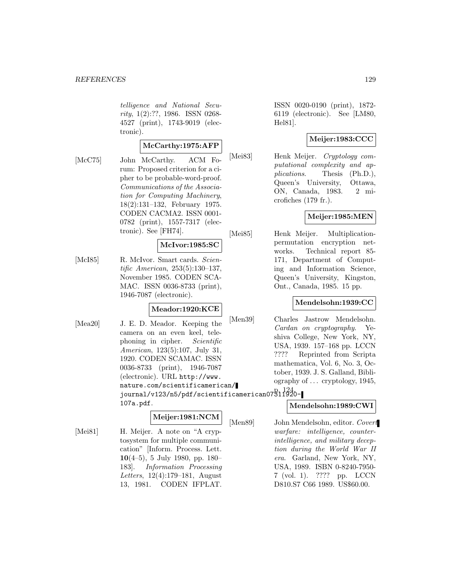telligence and National Security, 1(2):??, 1986. ISSN 0268- 4527 (print), 1743-9019 (electronic).

#### **McCarthy:1975:AFP**

[McC75] John McCarthy. ACM Forum: Proposed criterion for a cipher to be probable-word-proof. Communications of the Association for Computing Machinery, 18(2):131–132, February 1975. CODEN CACMA2. ISSN 0001- 0782 (print), 1557-7317 (electronic). See [FH74].

#### **McIvor:1985:SC**

[McI85] R. McIvor. Smart cards. Scientific American, 253(5):130–137, November 1985. CODEN SCA-MAC. ISSN 0036-8733 (print), 1946-7087 (electronic).

#### **Meador:1920:KCE**

[Mea20] J. E. D. Meador. Keeping the camera on an even keel, telephoning in cipher. Scientific American, 123(5):107, July 31, 1920. CODEN SCAMAC. ISSN 0036-8733 (print), 1946-7087 (electronic). URL http://www. nature.com/scientificamerican/ journal/v123/n5/pdf/scientificamerican07311920- p. 124. 107a.pdf.

### **Meijer:1981:NCM**

[Mei81] H. Meijer. A note on "A cryptosystem for multiple communication" [Inform. Process. Lett. **10**(4–5), 5 July 1980, pp. 180– 183]. Information Processing Letters, 12(4):179–181, August 13, 1981. CODEN IFPLAT.

ISSN 0020-0190 (print), 1872- 6119 (electronic). See [LM80, Hel81].

## **Meijer:1983:CCC**

[Mei83] Henk Meijer. Cryptology computational complexity and applications. Thesis (Ph.D.), Queen's University, Ottawa, ON, Canada, 1983. 2 microfiches (179 fr.).

## **Meijer:1985:MEN**

[Mei85] Henk Meijer. Multiplicationpermutation encryption networks. Technical report 85- 171, Department of Computing and Information Science, Queen's University, Kingston, Ont., Canada, 1985. 15 pp.

#### **Mendelsohn:1939:CC**

[Men39] Charles Jastrow Mendelsohn. Cardan on cryptography. Yeshiva College, New York, NY, USA, 1939. 157–168 pp. LCCN ???? Reprinted from Scripta mathematica, Vol. 6, No. 3, October, 1939. J. S. Galland, Bibliography of ... cryptology, 1945,

## **Mendelsohn:1989:CWI**

[Men89] John Mendelsohn, editor. Covert warfare: intelligence, counterintelligence, and military deception during the World War II era. Garland, New York, NY, USA, 1989. ISBN 0-8240-7950- 7 (vol. 1). ???? pp. LCCN D810.S7 C66 1989. US\$60.00.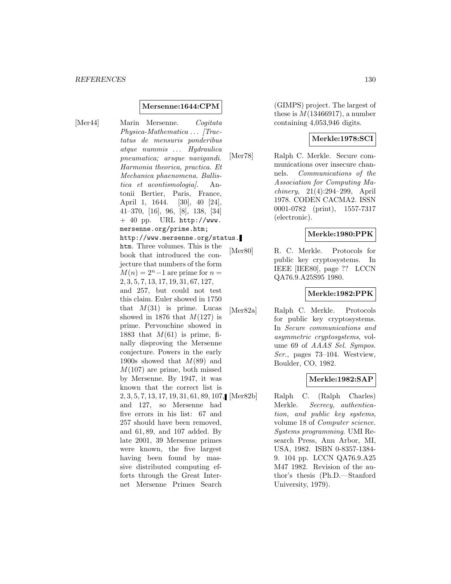#### **Mersenne:1644:CPM**

[Mer44] Marin Mersenne. Cogitata Physica-Mathematica ... [Tractatus de mensuris ponderibus atque nummis ... Hydraulica pneumatica; arsque navigandi. Harmonia theorica, practica. Et Mechanica phaenomena. Ballistica et acontismologia]. Antonii Bertier, Paris, France, April 1, 1644. [30], 40 [24], 41–370, [16], 96, [8], 138, [34]  $+$  40 pp. URL http://www. mersenne.org/prime.htm; http://www.mersenne.org/status. htm. Three volumes. This is the book that introduced the conjecture that numbers of the form  $M(n)=2<sup>n</sup>-1$  are prime for  $n =$ 2, 3, 5, 7, 13, 17, 19, 31, 67, 127, and 257, but could not test this claim. Euler showed in 1750 that  $M(31)$  is prime. Lucas showed in 1876 that  $M(127)$  is prime. Pervouchine showed in 1883 that  $M(61)$  is prime, finally disproving the Mersenne conjecture. Powers in the early 1900s showed that  $M(89)$  and  $M(107)$  are prime, both missed by Mersenne. By 1947, it was known that the correct list is 2, 3, 5, 7, 13, 17, 19, 31, 61, 89, 107, and 127, so Mersenne had five errors in his list: 67 and 257 should have been removed, and 61, 89, and 107 added. By late 2001, 39 Mersenne primes were known, the five largest having been found by massive distributed computing efforts through the Great Internet Mersenne Primes Search

(GIMPS) project. The largest of these is  $M(13466917)$ , a number containing 4,053,946 digits.

### **Merkle:1978:SCI**

[Mer78] Ralph C. Merkle. Secure communications over insecure channels. Communications of the Association for Computing Machinery, 21(4):294–299, April 1978. CODEN CACMA2. ISSN 0001-0782 (print), 1557-7317 (electronic).

#### **Merkle:1980:PPK**

[Mer80] R. C. Merkle. Protocols for public key cryptosystems. In IEEE [IEE80], page ?? LCCN QA76.9.A25S95 1980.

### **Merkle:1982:PPK**

[Mer82a] Ralph C. Merkle. Protocols for public key cryptosystems. In Secure communications and asymmetric cryptosystems, volume 69 of AAAS Sel. Sympos. Ser., pages 73–104. Westview, Boulder, CO, 1982.

## **Merkle:1982:SAP**

Ralph C. (Ralph Charles) Merkle. Secrecy, authentication, and public key systems, volume 18 of Computer science. Systems programming. UMI Research Press, Ann Arbor, MI, USA, 1982. ISBN 0-8357-1384- 9. 104 pp. LCCN QA76.9.A25 M47 1982. Revision of the author's thesis (Ph.D.—Stanford University, 1979).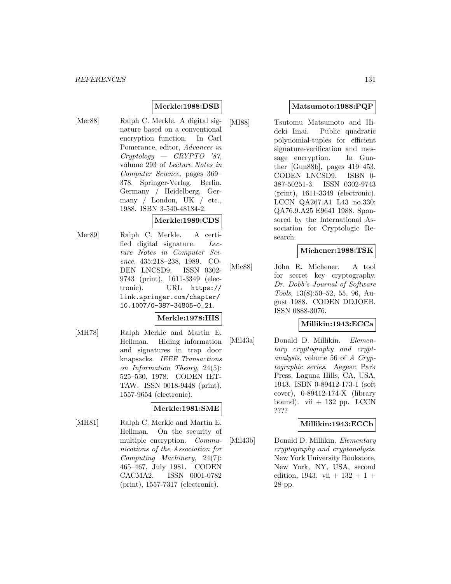## **Merkle:1988:DSB**

[Mer88] Ralph C. Merkle. A digital signature based on a conventional encryption function. In Carl Pomerance, editor, Advances in Cryptology — CRYPTO '87, volume 293 of Lecture Notes in Computer Science, pages 369– 378. Springer-Verlag, Berlin, Germany / Heidelberg, Germany / London, UK / etc., 1988. ISBN 3-540-48184-2.

## **Merkle:1989:CDS**

[Mer89] Ralph C. Merkle. A certified digital signature. Lecture Notes in Computer Science, 435:218–238, 1989. CO-DEN LNCSD9. ISSN 0302- 9743 (print), 1611-3349 (electronic). URL https:// link.springer.com/chapter/ 10.1007/0-387-34805-0\_21.

#### **Merkle:1978:HIS**

[MH78] Ralph Merkle and Martin E. Hellman. Hiding information and signatures in trap door knapsacks. IEEE Transactions on Information Theory, 24(5): 525–530, 1978. CODEN IET-TAW. ISSN 0018-9448 (print), 1557-9654 (electronic).

## **Merkle:1981:SME**

[MH81] Ralph C. Merkle and Martin E. Hellman. On the security of multiple encryption. Communications of the Association for Computing Machinery, 24(7): 465–467, July 1981. CODEN CACMA2. ISSN 0001-0782 (print), 1557-7317 (electronic).

## **Matsumoto:1988:PQP**

[MI88] Tsutomu Matsumoto and Hideki Imai. Public quadratic polynomial-tuples for efficient signature-verification and message encryption. In Gunther [Gun88b], pages 419–453. CODEN LNCSD9. ISBN 0- 387-50251-3. ISSN 0302-9743 (print), 1611-3349 (electronic). LCCN QA267.A1 L43 no.330; QA76.9.A25 E9641 1988. Sponsored by the International Association for Cryptologic Research.

### **Michener:1988:TSK**

[Mic88] John R. Michener. A tool for secret key cryptography. Dr. Dobb's Journal of Software Tools, 13(8):50–52, 55, 96, August 1988. CODEN DDJOEB. ISSN 0888-3076.

#### **Millikin:1943:ECCa**

[Mil43a] Donald D. Millikin. Elementary cryptography and cryptanalysis, volume 56 of A Cryptographic series. Aegean Park Press, Laguna Hills, CA, USA, 1943. ISBN 0-89412-173-1 (soft cover), 0-89412-174-X (library bound). vii  $+ 132$  pp. LCCN ????

#### **Millikin:1943:ECCb**

[Mil43b] Donald D. Millikin. Elementary cryptography and cryptanalysis. New York University Bookstore, New York, NY, USA, second edition, 1943. vii  $+$  132  $+$  1  $+$ 28 pp.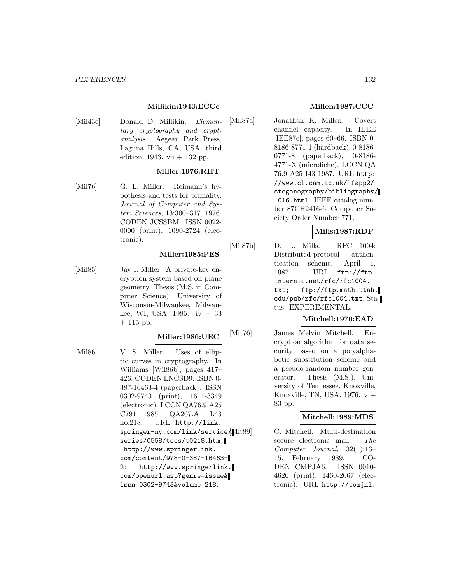#### *REFERENCES* 132

## **Millikin:1943:ECCc**

[Mil43c] Donald D. Millikin. Elementary cryptography and cryptanalysis. Aegean Park Press, Laguna Hills, CA, USA, third edition, 1943. vii  $+$  132 pp.

#### **Miller:1976:RHT**

[Mil76] G. L. Miller. Reimann's hypothesis and tests for primality. Journal of Computer and System Sciences, 13:300–317, 1976. CODEN JCSSBM. ISSN 0022- 0000 (print), 1090-2724 (electronic).

## **Miller:1985:PES**

[Mil85] Jay I. Miller. A private-key encryption system based on plane geometry. Thesis (M.S. in Computer Science), University of Wisconsin-Milwaukee, Milwaukee, WI, USA, 1985. iv  $+33$  $+ 115$  pp.

## **Miller:1986:UEC**

[Mil86] V. S. Miller. Uses of elliptic curves in cryptography. In Williams [Wil86b], pages 417– 426. CODEN LNCSD9. ISBN 0- 387-16463-4 (paperback). ISSN 0302-9743 (print), 1611-3349 (electronic). LCCN QA76.9.A25 C791 1985; QA267.A1 L43 no.218. URL http://link. springer-ny.com/link/service/ series/0558/tocs/t0218.htm; http://www.springerlink. com/content/978-0-387-16463- 2; http://www.springerlink. com/openurl.asp?genre=issue& issn=0302-9743&volume=218.

## **Millen:1987:CCC**

[Mil87a] Jonathan K. Millen. Covert channel capacity. In IEEE [IEE87c], pages 60–66. ISBN 0- 8186-8771-1 (hardback), 0-8186- 0771-8 (paperback), 0-8186- 4771-X (microfiche). LCCN QA 76.9 A25 I43 1987. URL http: //www.cl.cam.ac.uk/~fapp2/ steganography/bibliography/ 1016.html. IEEE catalog number 87CH2416-6. Computer Society Order Number 771.

## **Mills:1987:RDP**

[Mil87b] D. L. Mills. RFC 1004: Distributed-protocol authentication scheme, April 1, 1987. URL ftp://ftp. internic.net/rfc/rfc1004. txt; ftp://ftp.math.utah. edu/pub/rfc/rfc1004.txt. Status: EXPERIMENTAL.

#### **Mitchell:1976:EAD**

[Mit76] James Melvin Mitchell. Encryption algorithm for data security based on a polyalphabetic substitution scheme and a pseudo-random number generator. Thesis (M.S.), University of Tennessee, Knoxville, Knoxville, TN, USA,  $1976. v +$ 83 pp.

### **Mitchell:1989:MDS**

C. Mitchell. Multi-destination secure electronic mail. The Computer Journal, 32(1):13– 15, February 1989. CO-DEN CMPJA6. ISSN 0010- 4620 (print), 1460-2067 (electronic). URL http://comjnl.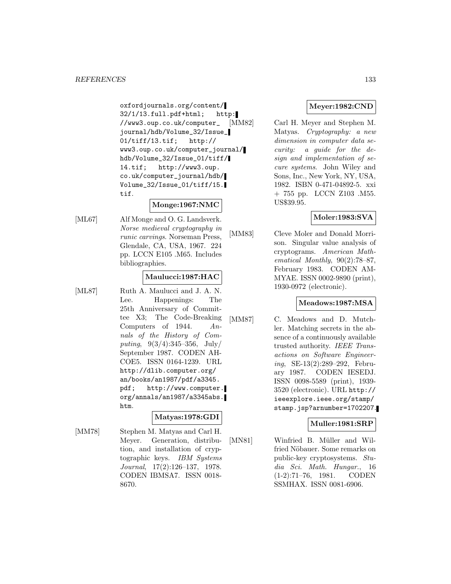oxfordjournals.org/content/ 32/1/13.full.pdf+html; http: //www3.oup.co.uk/computer\_ journal/hdb/Volume\_32/Issue\_ 01/tiff/13.tif; http:// www3.oup.co.uk/computer\_journal/ hdb/Volume\_32/Issue\_01/tiff/ 14.tif; http://www3.oup. co.uk/computer\_journal/hdb/ Volume\_32/Issue\_01/tiff/15. tif.

## **Monge:1967:NMC**

[ML67] Alf Monge and O. G. Landsverk. Norse medieval cryptography in runic carvings. Norseman Press, Glendale, CA, USA, 1967. 224 pp. LCCN E105 .M65. Includes bibliographies.

#### **Maulucci:1987:HAC**

[ML87] Ruth A. Maulucci and J. A. N. Lee. Happenings: The 25th Anniversary of Committee X3; The Code-Breaking Computers of 1944. Annals of the History of Computing,  $9(3/4):345-356$ , July/ September 1987. CODEN AH-COE5. ISSN 0164-1239. URL http://dlib.computer.org/ an/books/an1987/pdf/a3345. pdf; http://www.computer. org/annals/an1987/a3345abs. htm.

## **Matyas:1978:GDI**

[MM78] Stephen M. Matyas and Carl H. Meyer. Generation, distribution, and installation of cryptographic keys. IBM Systems Journal, 17(2):126–137, 1978. CODEN IBMSA7. ISSN 0018- 8670.

## **Meyer:1982:CND**

[MM82] Carl H. Meyer and Stephen M. Matyas. Cryptography: a new dimension in computer data security: a guide for the design and implementation of secure systems. John Wiley and Sons, Inc., New York, NY, USA, 1982. ISBN 0-471-04892-5. xxi + 755 pp. LCCN Z103 .M55. US\$39.95.

## **Moler:1983:SVA**

[MM83] Cleve Moler and Donald Morrison. Singular value analysis of cryptograms. American Mathematical Monthly, 90(2):78–87, February 1983. CODEN AM-MYAE. ISSN 0002-9890 (print), 1930-0972 (electronic).

#### **Meadows:1987:MSA**

[MM87] C. Meadows and D. Mutchler. Matching secrets in the absence of a continuously available trusted authority. IEEE Transactions on Software Engineering, SE-13(2):289–292, February 1987. CODEN IESEDJ. ISSN 0098-5589 (print), 1939- 3520 (electronic). URL http:// ieeexplore.ieee.org/stamp/ stamp.jsp?arnumber=1702207.

## **Muller:1981:SRP**

[MN81] Winfried B. Müller and Wilfried Nöbauer. Some remarks on public-key cryptosystems. Studia Sci. Math. Hungar., 16 (1-2):71–76, 1981. CODEN SSMHAX. ISSN 0081-6906.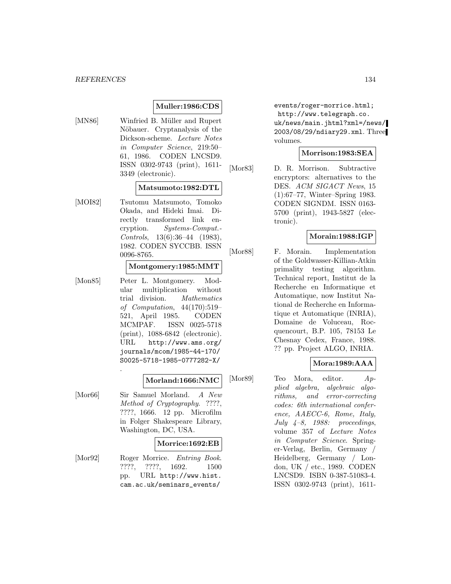## **Muller:1986:CDS**

[MN86] Winfried B. Müller and Rupert Nöbauer. Cryptanalysis of the Dickson-scheme. Lecture Notes in Computer Science, 219:50– 61, 1986. CODEN LNCSD9. ISSN 0302-9743 (print), 1611- 3349 (electronic).

#### **Matsumoto:1982:DTL**

[MOI82] Tsutomu Matsumoto, Tomoko Okada, and Hideki Imai. Directly transformed link encryption. Systems-Comput.- Controls, 13(6):36–44 (1983), 1982. CODEN SYCCBB. ISSN 0096-8765.

## **Montgomery:1985:MMT**

[Mon85] Peter L. Montgomery. Modular multiplication without trial division. Mathematics of Computation, 44(170):519– 521, April 1985. CODEN MCMPAF. ISSN 0025-5718 (print), 1088-6842 (electronic). URL http://www.ams.org/ journals/mcom/1985-44-170/ S0025-5718-1985-0777282-X/

#### **Morland:1666:NMC**

[Mor66] Sir Samuel Morland. A New Method of Cryptography. ????, ????, 1666. 12 pp. Microfilm in Folger Shakespeare Library, Washington, DC, USA.

.

#### **Morrice:1692:EB**

[Mor92] Roger Morrice. *Entring Book.* ????, ????, 1692. 1500 pp. URL http://www.hist. cam.ac.uk/seminars\_events/

events/roger-morrice.html; http://www.telegraph.co. uk/news/main.jhtml?xml=/news/ 2003/08/29/ndiary29.xml. Three volumes.

#### **Morrison:1983:SEA**

[Mor83] D. R. Morrison. Subtractive encryptors: alternatives to the DES. ACM SIGACT News, 15 (1):67–77, Winter–Spring 1983. CODEN SIGNDM. ISSN 0163- 5700 (print), 1943-5827 (electronic).

#### **Morain:1988:IGP**

[Mor88] F. Morain. Implementation of the Goldwasser-Killian-Atkin primality testing algorithm. Technical report, Institut de la Recherche en Informatique et Automatique, now Institut National de Recherche en Informatique et Automatique (INRIA), Domaine de Voluceau, Rocquencourt, B.P. 105, 78153 Le Chesnay Cedex, France, 1988. ?? pp. Project ALGO, INRIA.

#### **Mora:1989:AAA**

[Mor89] Teo Mora, editor. Applied algebra, algebraic algorithms, and error-correcting codes: 6th international conference, AAECC-6, Rome, Italy, July  $4-8$ , 1988: proceedings, volume 357 of Lecture Notes in Computer Science. Springer-Verlag, Berlin, Germany / Heidelberg, Germany / London, UK / etc., 1989. CODEN LNCSD9. ISBN 0-387-51083-4. ISSN 0302-9743 (print), 1611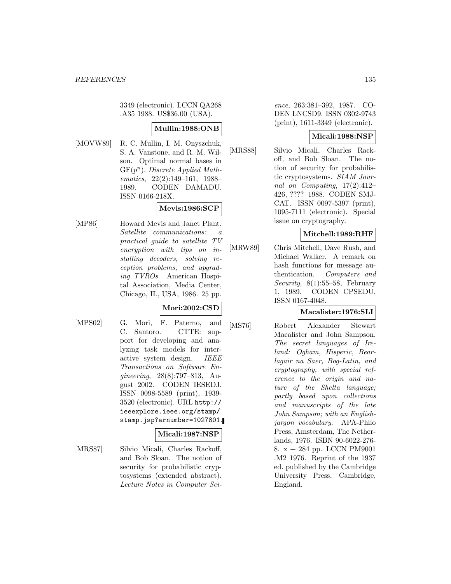3349 (electronic). LCCN QA268 .A35 1988. US\$36.00 (USA).

## **Mullin:1988:ONB**

[MOVW89] R. C. Mullin, I. M. Onyszchuk, S. A. Vanstone, and R. M. Wilson. Optimal normal bases in  $GF(p^n)$ . Discrete Applied Mathematics, 22(2):149–161, 1988– 1989. CODEN DAMADU. ISSN 0166-218X.

## **Mevis:1986:SCP**

[MP86] Howard Mevis and Janet Plant. Satellite communications: a practical guide to satellite TV encryption with tips on installing decoders, solving reception problems, and upgrading TVROs. American Hospital Association, Media Center, Chicago, IL, USA, 1986. 25 pp.

## **Mori:2002:CSD**

[MPS02] G. Mori, F. Paterno, and C. Santoro. CTTE: support for developing and analyzing task models for interactive system design. IEEE Transactions on Software Engineering, 28(8):797–813, August 2002. CODEN IESEDJ. ISSN 0098-5589 (print), 1939- 3520 (electronic). URL http:// ieeexplore.ieee.org/stamp/ stamp.jsp?arnumber=1027801.

#### **Micali:1987:NSP**

[MRS87] Silvio Micali, Charles Rackoff, and Bob Sloan. The notion of security for probabilistic cryptosystems (extended abstract). Lecture Notes in Computer Sci-

ence, 263:381–392, 1987. CO-DEN LNCSD9. ISSN 0302-9743 (print), 1611-3349 (electronic).

## **Micali:1988:NSP**

[MRS88] Silvio Micali, Charles Rackoff, and Bob Sloan. The notion of security for probabilistic cryptosystems. SIAM Journal on Computing, 17(2):412– 426, ???? 1988. CODEN SMJ-CAT. ISSN 0097-5397 (print), 1095-7111 (electronic). Special issue on cryptography.

## **Mitchell:1989:RHF**

[MRW89] Chris Mitchell, Dave Rush, and Michael Walker. A remark on hash functions for message authentication. Computers and Security, 8(1):55–58, February 1, 1989. CODEN CPSEDU. ISSN 0167-4048.

## **Macalister:1976:SLI**

[MS76] Robert Alexander Stewart Macalister and John Sampson. The secret languages of Ireland: Ogham, Hisperic, Bearlagair na Saer, Bog-Latin, and cryptography, with special reference to the origin and nature of the Shelta language; partly based upon collections and manuscripts of the late John Sampson; with an Englishjargon vocabulary. APA-Philo Press, Amsterdam, The Netherlands, 1976. ISBN 90-6022-276- 8. x + 284 pp. LCCN PM9001 .M2 1976. Reprint of the 1937 ed. published by the Cambridge University Press, Cambridge, England.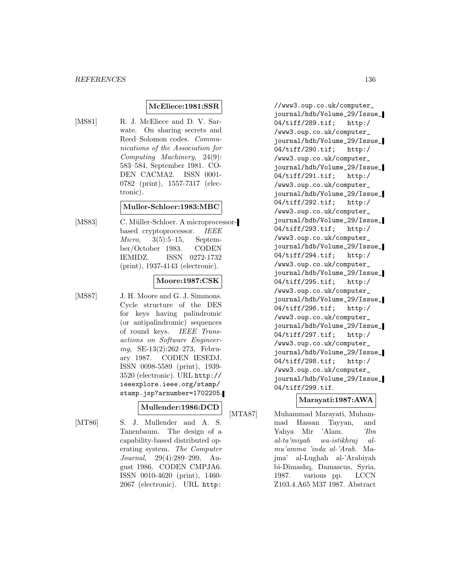### **McEliece:1981:SSR**

[MS81] R. J. McEliece and D. V. Sarwate. On sharing secrets and Reed–Solomon codes. Communications of the Association for Computing Machinery, 24(9): 583–584, September 1981. CO-DEN CACMA2. ISSN 0001- 0782 (print), 1557-7317 (electronic).

### **Muller-Schloer:1983:MBC**

[MS83] C. Müller-Schloer. A microprocessorbased cryptoprocessor. IEEE Micro, 3(5):5–15, September/October 1983. CODEN IEMIDZ. ISSN 0272-1732 (print), 1937-4143 (electronic).

## **Moore:1987:CSK**

[MS87] J. H. Moore and G. J. Simmons. Cycle structure of the DES for keys having palindromic (or antipalindromic) sequences of round keys. IEEE Transactions on Software Engineering, SE-13(2):262–273, February 1987. CODEN IESEDJ. ISSN 0098-5589 (print), 1939- 3520 (electronic). URL http:// ieeexplore.ieee.org/stamp/ stamp.jsp?arnumber=1702205.

## **Mullender:1986:DCD**

[MT86] S. J. Mullender and A. S. Tanenbaum. The design of a capability-based distributed operating system. The Computer Journal, 29(4):289–299, August 1986. CODEN CMPJA6. ISSN 0010-4620 (print), 1460- 2067 (electronic). URL http:

//www3.oup.co.uk/computer\_ journal/hdb/Volume\_29/Issue\_ 04/tiff/289.tif; http:/ /www3.oup.co.uk/computer\_ journal/hdb/Volume\_29/Issue\_ 04/tiff/290.tif; http:/ /www3.oup.co.uk/computer\_ journal/hdb/Volume\_29/Issue\_ 04/tiff/291.tif; http:/ /www3.oup.co.uk/computer\_ journal/hdb/Volume\_29/Issue\_ 04/tiff/292.tif; http:/ /www3.oup.co.uk/computer\_ journal/hdb/Volume\_29/Issue\_ 04/tiff/293.tif; http:/ /www3.oup.co.uk/computer\_ journal/hdb/Volume\_29/Issue\_ 04/tiff/294.tif; http:/ /www3.oup.co.uk/computer\_ journal/hdb/Volume\_29/Issue\_ 04/tiff/295.tif; http:/ /www3.oup.co.uk/computer\_ journal/hdb/Volume\_29/Issue\_ 04/tiff/296.tif; http:/ /www3.oup.co.uk/computer\_ journal/hdb/Volume\_29/Issue\_ 04/tiff/297.tif; http:/ /www3.oup.co.uk/computer\_ journal/hdb/Volume\_29/Issue\_ 04/tiff/298.tif; http:/ /www3.oup.co.uk/computer\_ journal/hdb/Volume\_29/Issue\_ 04/tiff/299.tif.

## **Marayati:1987:AWA**

[MTA87] Muhammad Marayati, Muhammad Hassan Tayyan, and Yahya Mir 'Alam. 'Ilm al-ta'miyah wa-istikhraj almu'amma 'inda al-'Arab. Majma' al-Lughah al-'Arabiyah bi-Dimashq, Damascus, Syria, 1987. various pp. LCCN Z103.4.A65 M37 1987. Abstract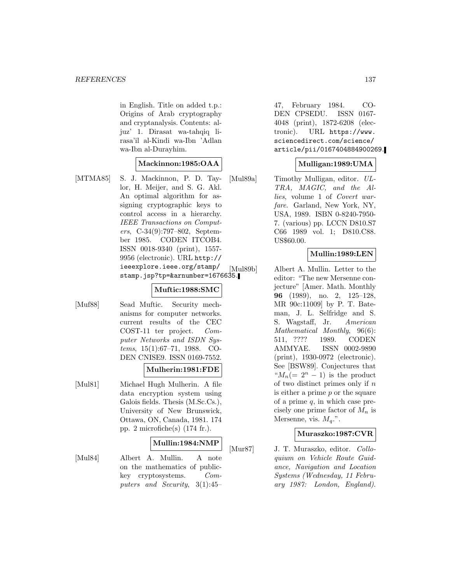in English. Title on added t.p.: Origins of Arab cryptography and cryptanalysis. Contents: aljuz' 1. Dirasat wa-tahqiq lirasa'il al-Kindi wa-Ibn 'Adlan wa-Ibn al-Durayhim.

#### **Mackinnon:1985:OAA**

[MTMA85] S. J. Mackinnon, P. D. Taylor, H. Meijer, and S. G. Akl. An optimal algorithm for assigning cryptographic keys to control access in a hierarchy. IEEE Transactions on Computers, C-34(9):797–802, September 1985. CODEN ITCOB4. ISSN 0018-9340 (print), 1557- 9956 (electronic). URL http:// ieeexplore.ieee.org/stamp/ stamp.jsp?tp=&arnumber=1676635.

#### **Muftic:1988:SMC**

[Muf88] Sead Muftic. Security mechanisms for computer networks. current results of the CEC COST-11 ter project. Computer Networks and ISDN Systems, 15(1):67–71, 1988. CO-DEN CNISE9. ISSN 0169-7552.

#### **Mulherin:1981:FDE**

[Mul81] Michael Hugh Mulherin. A file data encryption system using Galois fields. Thesis (M.Sc.Cs.), University of New Brunswick, Ottawa, ON, Canada, 1981. 174 pp. 2 microfiche(s) (174 fr.).

#### **Mullin:1984:NMP**

[Mul84] Albert A. Mullin. A note on the mathematics of publickey cryptosystems. Computers and Security, 3(1):45–

47, February 1984. CO-DEN CPSEDU. ISSN 0167- 4048 (print), 1872-6208 (electronic). URL https://www. sciencedirect.com/science/ article/pii/0167404884900269.

#### **Mulligan:1989:UMA**

[Mul89a] Timothy Mulligan, editor. UL-TRA, MAGIC, and the Allies, volume 1 of Covert warfare. Garland, New York, NY, USA, 1989. ISBN 0-8240-7950- 7. (various) pp. LCCN D810.S7 C66 1989 vol. 1; D810.C88. US\$60.00.

#### **Mullin:1989:LEN**

[Mul89b] Albert A. Mullin. Letter to the editor: "The new Mersenne conjecture" [Amer. Math. Monthly **96** (1989), no. 2, 125–128, MR 90c:11009] by P. T. Bateman, J. L. Selfridge and S. S. Wagstaff, Jr. American Mathematical Monthly, 96(6): 511, ???? 1989. CODEN AMMYAE. ISSN 0002-9890 (print), 1930-0972 (electronic). See [BSW89]. Conjectures that " $M_n(=2^n-1)$  is the product of two distinct primes only if  $n$ is either a prime  $p$  or the square of a prime  $q$ , in which case precisely one prime factor of  $M_n$  is Mersenne, vis.  $M_a$ .".

#### **Muraszko:1987:CVR**

[Mur87] J. T. Muraszko, editor. Colloquium on Vehicle Route Guidance, Navigation and Location Systems (Wednesday, 11 February 1987: London, England).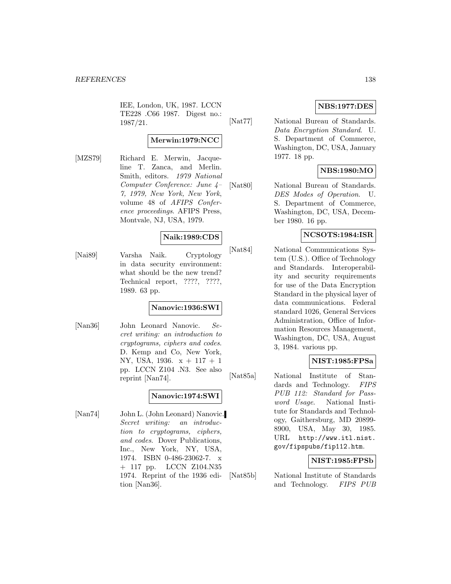IEE, London, UK, 1987. LCCN TE228 .C66 1987. Digest no.: 1987/21.

#### **Merwin:1979:NCC**

[MZS79] Richard E. Merwin, Jacqueline T. Zanca, and Merlin. Smith, editors. 1979 National Computer Conference: June 4– 7, 1979, New York, New York, volume 48 of AFIPS Conference proceedings. AFIPS Press, Montvale, NJ, USA, 1979.

#### **Naik:1989:CDS**

[Nai89] Varsha Naik. Cryptology in data security environment: what should be the new trend? Technical report, ????, ????, 1989. 63 pp.

### **Nanovic:1936:SWI**

[Nan36] John Leonard Nanovic. Secret writing: an introduction to cryptograms, ciphers and codes. D. Kemp and Co, New York, NY, USA, 1936. x + 117 + 1 pp. LCCN Z104 .N3. See also reprint [Nan74].

#### **Nanovic:1974:SWI**

[Nan74] John L. (John Leonard) Nanovic. Secret writing: an introduction to cryptograms, ciphers, and codes. Dover Publications, Inc., New York, NY, USA, 1974. ISBN 0-486-23062-7. x + 117 pp. LCCN Z104.N35 1974. Reprint of the 1936 edition [Nan36].

## **NBS:1977:DES**

[Nat77] National Bureau of Standards. Data Encryption Standard. U. S. Department of Commerce, Washington, DC, USA, January 1977. 18 pp.

## **NBS:1980:MO**

[Nat80] National Bureau of Standards. DES Modes of Operation. U. S. Department of Commerce, Washington, DC, USA, December 1980. 16 pp.

### **NCSOTS:1984:ISR**

[Nat84] National Communications System (U.S.). Office of Technology and Standards. Interoperability and security requirements for use of the Data Encryption Standard in the physical layer of data communications. Federal standard 1026, General Services Administration, Office of Information Resources Management, Washington, DC, USA, August 3, 1984. various pp.

## **NIST:1985:FPSa**

[Nat85a] National Institute of Standards and Technology. FIPS PUB 112: Standard for Password Usage. National Institute for Standards and Technology, Gaithersburg, MD 20899- 8900, USA, May 30, 1985. URL http://www.itl.nist. gov/fipspubs/fip112.htm.

#### **NIST:1985:FPSb**

[Nat85b] National Institute of Standards and Technology. FIPS PUB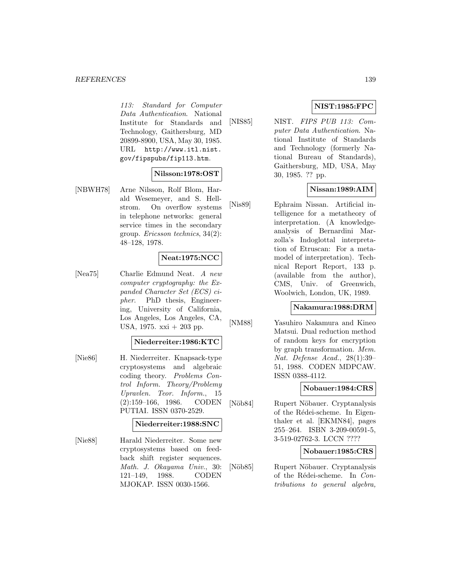#### *REFERENCES* 139

113: Standard for Computer Data Authentication. National Institute for Standards and Technology, Gaithersburg, MD 20899-8900, USA, May 30, 1985. URL http://www.itl.nist. gov/fipspubs/fip113.htm.

#### **Nilsson:1978:OST**

[NBWH78] Arne Nilsson, Rolf Blom, Harald Wesemeyer, and S. Hellstrom. On overflow systems in telephone networks: general service times in the secondary group. Ericsson technics, 34(2): 48–128, 1978.

## **Neat:1975:NCC**

[Nea75] Charlie Edmund Neat. A new computer cryptography: the Expanded Character Set (ECS) cipher. PhD thesis, Engineering, University of California, Los Angeles, Los Angeles, CA, USA, 1975. xxi + 203 pp.

### **Niederreiter:1986:KTC**

[Nie86] H. Niederreiter. Knapsack-type cryptosystems and algebraic coding theory. Problems Control Inform. Theory/Problemy Upravlen. Teor. Inform., 15 (2):159–166, 1986. CODEN PUTIAI. ISSN 0370-2529.

#### **Niederreiter:1988:SNC**

[Nie88] Harald Niederreiter. Some new cryptosystems based on feedback shift register sequences. Math. J. Okayama Univ., 30: 121–149, 1988. CODEN MJOKAP. ISSN 0030-1566.

## **NIST:1985:FPC**

[NIS85] NIST. FIPS PUB 113: Computer Data Authentication. National Institute of Standards and Technology (formerly National Bureau of Standards), Gaithersburg, MD, USA, May 30, 1985. ?? pp.

## **Nissan:1989:AIM**

[Nis89] Ephraim Nissan. Artificial intelligence for a metatheory of interpretation. (A knowledgeanalysis of Bernardini Marzolla's Indoglottal interpretation of Etruscan: For a metamodel of interpretation). Technical Report Report, 133 p. (available from the author), CMS, Univ. of Greenwich, Woolwich, London, UK, 1989.

#### **Nakamura:1988:DRM**

[NM88] Yasuhiro Nakamura and Kineo Matsui. Dual reduction method of random keys for encryption by graph transformation. Mem. Nat. Defense Acad., 28(1):39– 51, 1988. CODEN MDPCAW. ISSN 0388-4112.

### **Nobauer:1984:CRS**

[Nöb84] Rupert Nöbauer. Cryptanalysis of the Rédei-scheme. In Eigenthaler et al. [EKMN84], pages 255–264. ISBN 3-209-00591-5, 3-519-02762-3. LCCN ????

### **Nobauer:1985:CRS**

[Nöb85] Rupert Nöbauer. Cryptanalysis of the Rédei-scheme. In  $Con$ tributions to general algebra,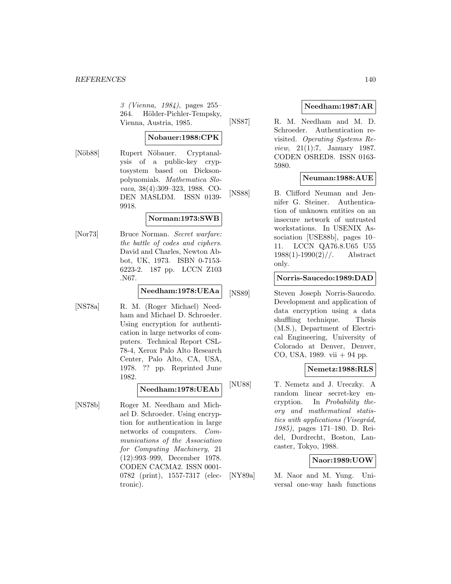3 (Vienna, 1984), pages 255– 264. Hölder-Pichler-Tempsky, Vienna, Austria, 1985.

## **Nobauer:1988:CPK**

[Nöb88] Rupert Nöbauer. Cryptanalysis of a public-key cryptosystem based on Dicksonpolynomials. Mathematica Slovaca, 38(4):309–323, 1988. CO-DEN MASLDM. ISSN 0139- 9918.

#### **Norman:1973:SWB**

[Nor73] Bruce Norman. Secret warfare: the battle of codes and ciphers. David and Charles, Newton Abbot, UK, 1973. ISBN 0-7153- 6223-2. 187 pp. LCCN Z103 .N67.

### **Needham:1978:UEAa**

[NS78a] R. M. (Roger Michael) Needham and Michael D. Schroeder. Using encryption for authentication in large networks of computers. Technical Report CSL-78-4, Xerox Palo Alto Research Center, Palo Alto, CA, USA, 1978. ?? pp. Reprinted June 1982.

## **Needham:1978:UEAb**

[NS78b] Roger M. Needham and Michael D. Schroeder. Using encryption for authentication in large networks of computers. Communications of the Association for Computing Machinery, 21 (12):993–999, December 1978. CODEN CACMA2. ISSN 0001- 0782 (print), 1557-7317 (electronic).

## **Needham:1987:AR**

[NS87] R. M. Needham and M. D. Schroeder. Authentication revisited. Operating Systems Review, 21(1):7, January 1987. CODEN OSRED8. ISSN 0163- 5980.

## **Neuman:1988:AUE**

[NS88] B. Clifford Neuman and Jennifer G. Steiner. Authentication of unknown entities on an insecure network of untrusted workstations. In USENIX Association [USE88b], pages 10– 11. LCCN QA76.8.U65 U55  $1988(1)$ -1990(2)//. Abstract only.

#### **Norris-Saucedo:1989:DAD**

[NS89] Steven Joseph Norris-Saucedo. Development and application of data encryption using a data shuffling technique. Thesis (M.S.), Department of Electrical Engineering, University of Colorado at Denver, Denver, CO, USA, 1989. vii + 94 pp.

## **Nemetz:1988:RLS**

[NU88] T. Nemetz and J. Ureczky. A random linear secret-key encryption. In Probability theory and mathematical statistics with applications (Visegrád, 1985), pages 171–180. D. Reidel, Dordrecht, Boston, Lancaster, Tokyo, 1988.

## **Naor:1989:UOW**

[NY89a] M. Naor and M. Yung. Universal one-way hash functions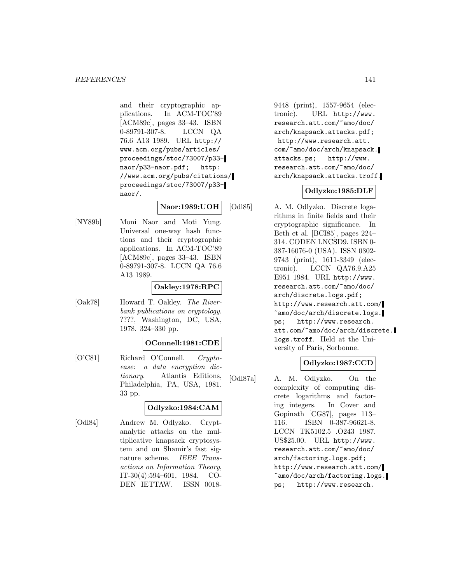and their cryptographic applications. In ACM-TOC'89 [ACM89c], pages 33–43. ISBN 0-89791-307-8. LCCN QA 76.6 A13 1989. URL http:// www.acm.org/pubs/articles/ proceedings/stoc/73007/p33 naor/p33-naor.pdf; http: //www.acm.org/pubs/citations/ proceedings/stoc/73007/p33 naor/.

## **Naor:1989:UOH**

[NY89b] Moni Naor and Moti Yung. Universal one-way hash functions and their cryptographic applications. In ACM-TOC'89 [ACM89c], pages 33–43. ISBN 0-89791-307-8. LCCN QA 76.6 A13 1989.

## **Oakley:1978:RPC**

[Oak78] Howard T. Oakley. The Riverbank publications on cryptology. ????, Washington, DC, USA, 1978. 324–330 pp.

## **OConnell:1981:CDE**

[O'C81] Richard O'Connell. Cryptoease: a data encryption dictionary. Atlantis Editions, Philadelphia, PA, USA, 1981. 33 pp.

## **Odlyzko:1984:CAM**

[Odl84] Andrew M. Odlyzko. Cryptanalytic attacks on the multiplicative knapsack cryptosystem and on Shamir's fast signature scheme. IEEE Transactions on Information Theory, IT-30(4):594–601, 1984. CO-DEN IETTAW. ISSN 00189448 (print), 1557-9654 (electronic). URL http://www. research.att.com/~amo/doc/ arch/knapsack.attacks.pdf; http://www.research.att. com/~amo/doc/arch/knapsack. attacks.ps; http://www. research.att.com/~amo/doc/ arch/knapsack.attacks.troff.

## **Odlyzko:1985:DLF**

[Odl85] A. M. Odlyzko. Discrete logarithms in finite fields and their cryptographic significance. In Beth et al. [BCI85], pages 224– 314. CODEN LNCSD9. ISBN 0- 387-16076-0 (USA). ISSN 0302- 9743 (print), 1611-3349 (electronic). LCCN QA76.9.A25 E951 1984. URL http://www. research.att.com/~amo/doc/ arch/discrete.logs.pdf; http://www.research.att.com/ ~amo/doc/arch/discrete.logs. ps; http://www.research. att.com/~amo/doc/arch/discrete. logs.troff. Held at the University of Paris, Sorbonne.

## **Odlyzko:1987:CCD**

[Odl87a] A. M. Odlyzko. On the complexity of computing discrete logarithms and factoring integers. In Cover and Gopinath [CG87], pages 113– 116. ISBN 0-387-96621-8. LCCN TK5102.5 .O243 1987. US\$25.00. URL http://www. research.att.com/~amo/doc/ arch/factoring.logs.pdf; http://www.research.att.com/ ~amo/doc/arch/factoring.logs. ps; http://www.research.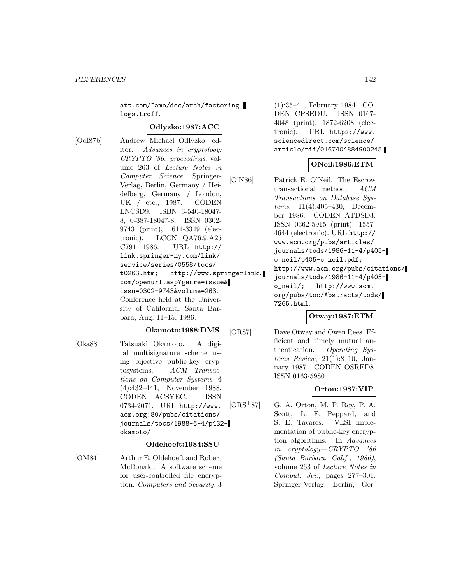att.com/~amo/doc/arch/factoring. logs.troff.

#### **Odlyzko:1987:ACC**

[Odl87b] Andrew Michael Odlyzko, editor. Advances in cryptology: CRYPTO '86: proceedings, volume 263 of Lecture Notes in Computer Science. Springer-Verlag, Berlin, Germany / Heidelberg, Germany / London, UK / etc., 1987. CODEN LNCSD9. ISBN 3-540-18047- 8, 0-387-18047-8. ISSN 0302- 9743 (print), 1611-3349 (electronic). LCCN QA76.9.A25 C791 1986. URL http:// link.springer-ny.com/link/ service/series/0558/tocs/ t0263.htm; http://www.springerlink. com/openurl.asp?genre=issue& issn=0302-9743&volume=263. Conference held at the University of California, Santa Barbara, Aug. 11–15, 1986.

#### **Okamoto:1988:DMS**

[Oka88] Tatsuaki Okamoto. A digital multisignature scheme using bijective public-key cryptosystems. ACM Transactions on Computer Systems, 6 (4):432–441, November 1988. CODEN ACSYEC. ISSN 0734-2071. URL http://www. acm.org:80/pubs/citations/ journals/tocs/1988-6-4/p432 okamoto/.

#### **Oldehoeft:1984:SSU**

[OM84] Arthur E. Oldehoeft and Robert McDonald. A software scheme for user-controlled file encryption. Computers and Security, 3

(1):35–41, February 1984. CO-DEN CPSEDU. ISSN 0167- 4048 (print), 1872-6208 (electronic). URL https://www. sciencedirect.com/science/ article/pii/0167404884900245.

### **ONeil:1986:ETM**

[O'N86] Patrick E. O'Neil. The Escrow transactional method. ACM Transactions on Database Systems, 11(4):405–430, December 1986. CODEN ATDSD3. ISSN 0362-5915 (print), 1557- 4644 (electronic). URL http:// www.acm.org/pubs/articles/ journals/tods/1986-11-4/p405 o\_neil/p405-o\_neil.pdf; http://www.acm.org/pubs/citations/ journals/tods/1986-11-4/p405 o\_neil/; http://www.acm. org/pubs/toc/Abstracts/tods/ 7265.html.

## **Otway:1987:ETM**

[OR87] Dave Otway and Owen Rees. Efficient and timely mutual authentication. Operating Systems Review, 21(1):8–10, January 1987. CODEN OSRED8. ISSN 0163-5980.

## **Orton:1987:VIP**

[ORS<sup>+</sup>87] G. A. Orton, M. P. Roy, P. A. Scott, L. E. Peppard, and S. E. Tavares. VLSI implementation of public-key encryption algorithms. In Advances in cryptology—CRYPTO '86 (Santa Barbara, Calif., 1986), volume 263 of Lecture Notes in Comput. Sci., pages 277–301. Springer-Verlag, Berlin, Ger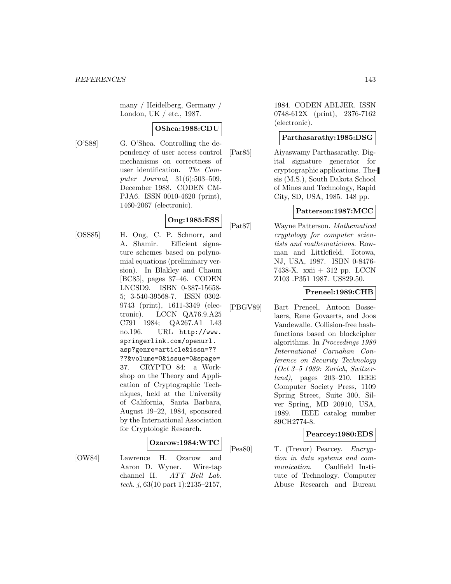many / Heidelberg, Germany / London, UK / etc., 1987.

## **OShea:1988:CDU**

[O'S88] G. O'Shea. Controlling the dependency of user access control mechanisms on correctness of user identification. The Computer Journal, 31(6):503–509, December 1988. CODEN CM-PJA6. ISSN 0010-4620 (print), 1460-2067 (electronic).

# **Ong:1985:ESS**

[OSS85] H. Ong, C. P. Schnorr, and A. Shamir. Efficient signature schemes based on polynomial equations (preliminary version). In Blakley and Chaum [BC85], pages 37–46. CODEN LNCSD9. ISBN 0-387-15658- 5; 3-540-39568-7. ISSN 0302- 9743 (print), 1611-3349 (electronic). LCCN QA76.9.A25 C791 1984; QA267.A1 L43 no.196. URL http://www. springerlink.com/openurl. asp?genre=article&issn=?? ??&volume=0&issue=0&spage= 37. CRYPTO 84: a Workshop on the Theory and Application of Cryptographic Techniques, held at the University of California, Santa Barbara, August 19–22, 1984, sponsored by the International Association for Cryptologic Research.

## **Ozarow:1984:WTC**

[OW84] Lawrence H. Ozarow and Aaron D. Wyner. Wire-tap channel II. ATT Bell Lab. tech. j,  $63(10$  part 1):2135-2157,

1984. CODEN ABLJER. ISSN 0748-612X (print), 2376-7162 (electronic).

#### **Parthasarathy:1985:DSG**

[Par85] Aiyaswamy Parthasarathy. Digital signature generator for cryptographic applications. Thesis (M.S.), South Dakota School of Mines and Technology, Rapid City, SD, USA, 1985. 148 pp.

## **Patterson:1987:MCC**

[Pat87] Wayne Patterson. Mathematical cryptology for computer scientists and mathematicians. Rowman and Littlefield, Totowa, NJ, USA, 1987. ISBN 0-8476- 7438-X. xxii + 312 pp. LCCN Z103 .P351 1987. US\$29.50.

## **Preneel:1989:CHB**

[PBGV89] Bart Preneel, Antoon Bosselaers, Rene Govaerts, and Joos Vandewalle. Collision-free hashfunctions based on blockcipher algorithms. In Proceedings 1989 International Carnahan Conference on Security Technology (Oct 3–5 1989: Zurich, Switzerland), pages 203–210. IEEE Computer Society Press, 1109 Spring Street, Suite 300, Silver Spring, MD 20910, USA, 1989. IEEE catalog number 89CH2774-8.

## **Pearcey:1980:EDS**

[Pea80] T. (Trevor) Pearcey. Encryption in data systems and communication. Caulfield Institute of Technology. Computer Abuse Research and Bureau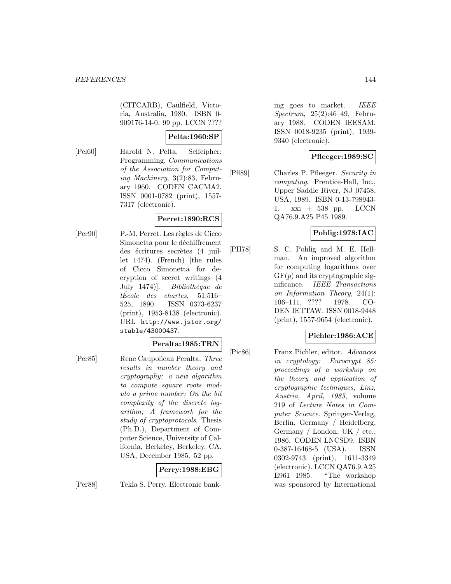(CITCARB), Caulfield, Victoria, Australia, 1980. ISBN 0- 909176-14-0. 99 pp. LCCN ????

## **Pelta:1960:SP**

[Pel60] Harold N. Pelta. Selfcipher:

Programming. Communications of the Association for Computing Machinery, 3(2):83, February 1960. CODEN CACMA2. ISSN 0001-0782 (print), 1557- 7317 (electronic).

## **Perret:1890:RCS**

[Per90] P.-M. Perret. Les règles de Cicco Simonetta pour le déchiffrement des écritures secrètes (4 juillet 1474). (French) [the rules of Cicco Simonetta for decryption of secret writings (4 July 1474)]. Bibliothèque de  $lÉcole$  des chartes, 51:516– 525, 1890. ISSN 0373-6237 (print), 1953-8138 (electronic). URL http://www.jstor.org/ stable/43000437.

#### **Peralta:1985:TRN**

[Per85] Rene Caupolican Peralta. Three results in number theory and cryptography: a new algorithm to compute square roots modulo a prime number; On the bit complexity of the discrete logarithm; A framework for the study of cryptoprotocols. Thesis (Ph.D.), Department of Computer Science, University of California, Berkeley, Berkeley, CA, USA, December 1985. 52 pp.

## **Perry:1988:EBG**

[Per88] Tekla S. Perry. Electronic bank-

ing goes to market. IEEE Spectrum, 25(2):46–49, February 1988. CODEN IEESAM. ISSN 0018-9235 (print), 1939- 9340 (electronic).

## **Pfleeger:1989:SC**

[Pfl89] Charles P. Pfleeger. Security in computing. Prentice-Hall, Inc., Upper Saddle River, NJ 07458, USA, 1989. ISBN 0-13-798943- 1. xxi + 538 pp. LCCN QA76.9.A25 P45 1989.

## **Pohlig:1978:IAC**

[PH78] S. C. Pohlig and M. E. Hellman. An improved algorithm for computing logarithms over  $GF(p)$  and its cryptographic significance. IEEE Transactions on Information Theory, 24(1): 106–111, ???? 1978. CO-DEN IETTAW. ISSN 0018-9448 (print), 1557-9654 (electronic).

## **Pichler:1986:ACE**

[Pic86] Franz Pichler, editor. Advances in cryptology: Eurocrypt 85: proceedings of a workshop on the theory and application of cryptographic techniques, Linz, Austria, April, 1985, volume 219 of Lecture Notes in Computer Science. Springer-Verlag, Berlin, Germany / Heidelberg, Germany / London, UK / etc., 1986. CODEN LNCSD9. ISBN 0-387-16468-5 (USA). ISSN 0302-9743 (print), 1611-3349 (electronic). LCCN QA76.9.A25 E961 1985. "The workshop was sponsored by International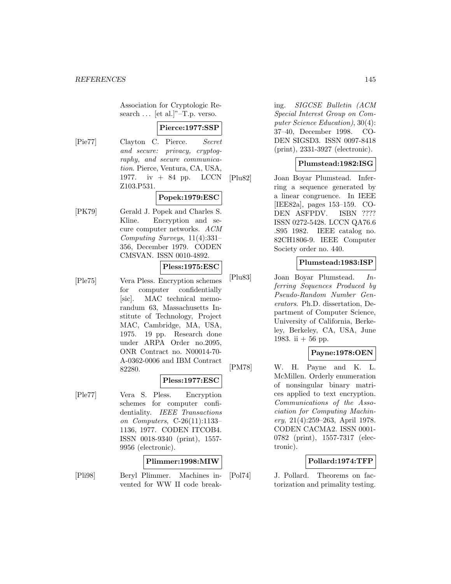Association for Cryptologic Research ... [et al.]"–T.p. verso.

## **Pierce:1977:SSP**

[Pie77] Clayton C. Pierce. Secret and secure: privacy, cryptography, and secure communication. Pierce, Ventura, CA, USA, 1977. iv + 84 pp. LCCN Z103.P531.

# **Popek:1979:ESC**

[PK79] Gerald J. Popek and Charles S. Kline. Encryption and secure computer networks. ACM Computing Surveys, 11(4):331– 356, December 1979. CODEN CMSVAN. ISSN 0010-4892.

# **Pless:1975:ESC**

[Ple75] Vera Pless. Encryption schemes for computer confidentially [sic]. MAC technical memorandum 63, Massachusetts Institute of Technology, Project MAC, Cambridge, MA, USA, 1975. 19 pp. Research done under ARPA Order no.2095, ONR Contract no. N00014-70- A-0362-0006 and IBM Contract 82280.

# **Pless:1977:ESC**

[Ple77] Vera S. Pless. Encryption schemes for computer confidentiality. IEEE Transactions on Computers, C-26(11):1133– 1136, 1977. CODEN ITCOB4. ISSN 0018-9340 (print), 1557- 9956 (electronic).

#### **Plimmer:1998:MIW**

[Pli98] Beryl Plimmer. Machines invented for WW II code breaking. SIGCSE Bulletin (ACM Special Interest Group on Computer Science Education), 30(4): 37–40, December 1998. CO-DEN SIGSD3. ISSN 0097-8418 (print), 2331-3927 (electronic).

#### **Plumstead:1982:ISG**

[Plu82] Joan Boyar Plumstead. Inferring a sequence generated by a linear congruence. In IEEE [IEE82a], pages 153–159. CO-DEN ASFPDV. ISBN ???? ISSN 0272-5428. LCCN QA76.6 .S95 1982. IEEE catalog no. 82CH1806-9. IEEE Computer Society order no. 440.

## **Plumstead:1983:ISP**

[Plu83] Joan Boyar Plumstead. Inferring Sequences Produced by Pseudo-Random Number Generators. Ph.D. dissertation, Department of Computer Science, University of California, Berkeley, Berkeley, CA, USA, June 1983. ii  $+56$  pp.

# **Payne:1978:OEN**

[PM78] W. H. Payne and K. L. McMillen. Orderly enumeration of nonsingular binary matrices applied to text encryption. Communications of the Association for Computing Machinery, 21(4):259–263, April 1978. CODEN CACMA2. ISSN 0001- 0782 (print), 1557-7317 (electronic).

# **Pollard:1974:TFP**

[Pol74] J. Pollard. Theorems on factorization and primality testing.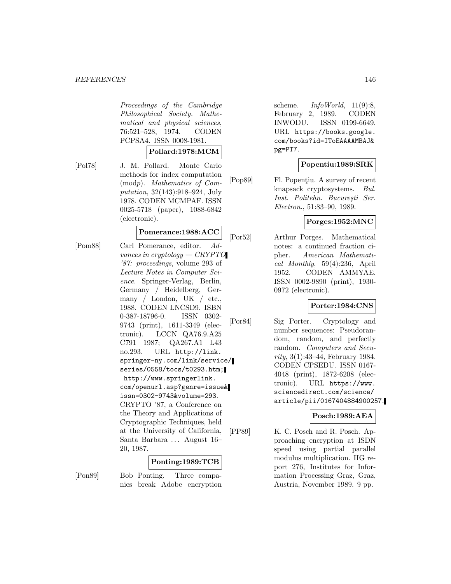Proceedings of the Cambridge Philosophical Society. Mathematical and physical sciences, 76:521–528, 1974. CODEN PCPSA4. ISSN 0008-1981.

#### **Pollard:1978:MCM**

[Pol78] J. M. Pollard. Monte Carlo methods for index computation (modp). Mathematics of Computation, 32(143):918–924, July 1978. CODEN MCMPAF. ISSN 0025-5718 (paper), 1088-6842 (electronic).

# **Pomerance:1988:ACC**

[Pom88] Carl Pomerance, editor. Advances in cryptology — CRYPTO '87: proceedings, volume 293 of Lecture Notes in Computer Science. Springer-Verlag, Berlin, Germany / Heidelberg, Germany / London, UK / etc., 1988. CODEN LNCSD9. ISBN 0-387-18796-0. ISSN 0302- 9743 (print), 1611-3349 (electronic). LCCN QA76.9.A25 C791 1987; QA267.A1 L43 no.293. URL http://link. springer-ny.com/link/service/ series/0558/tocs/t0293.htm; http://www.springerlink. com/openurl.asp?genre=issue& issn=0302-9743&volume=293. CRYPTO '87, a Conference on the Theory and Applications of Cryptographic Techniques, held at the University of California, Santa Barbara ... August 16– 20, 1987.

## **Ponting:1989:TCB**

[Pon89] Bob Ponting. Three companies break Adobe encryption scheme.  $InfoWorld$ , 11(9):8, February 2, 1989. CODEN INWODU. ISSN 0199-6649. URL https://books.google. com/books?id=IToEAAAAMBAJ& pg=PT7.

# **Popentiu:1989:SRK**

[Pop89] Fl. Popentiu. A survey of recent knapsack cryptosystems. Bul. Inst. Politehn. București Ser. Electron., 51:83–90, 1989.

# **Porges:1952:MNC**

[Por52] Arthur Porges. Mathematical notes: a continued fraction cipher. American Mathematical Monthly, 59(4):236, April 1952. CODEN AMMYAE. ISSN 0002-9890 (print), 1930- 0972 (electronic).

# **Porter:1984:CNS**

[Por84] Sig Porter. Cryptology and number sequences: Pseudorandom, random, and perfectly random. Computers and Security, 3(1):43–44, February 1984. CODEN CPSEDU. ISSN 0167- 4048 (print), 1872-6208 (electronic). URL https://www. sciencedirect.com/science/ article/pii/0167404884900257.

## **Posch:1989:AEA**

[PP89] K. C. Posch and R. Posch. Approaching encryption at ISDN speed using partial parallel modulus multiplication. IIG report 276, Institutes for Information Processing Graz, Graz, Austria, November 1989. 9 pp.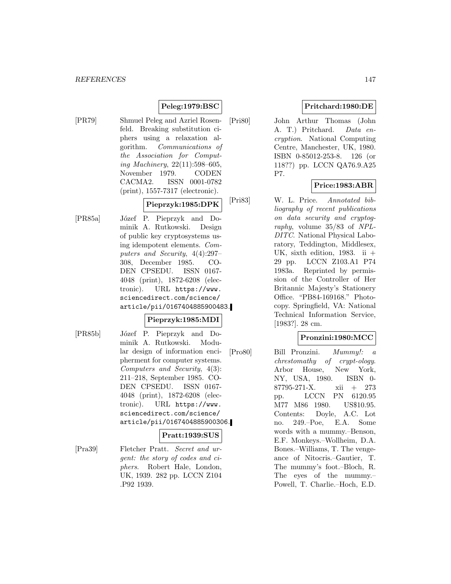# **Peleg:1979:BSC**

[PR79] Shmuel Peleg and Azriel Rosenfeld. Breaking substitution ciphers using a relaxation algorithm. Communications of the Association for Computing Machinery, 22(11):598–605, November 1979. CODEN CACMA2. ISSN 0001-0782 (print), 1557-7317 (electronic).

**Pieprzyk:1985:DPK**

[PR85a] Józef P. Pieprzyk and Dominik A. Rutkowski. Design of public key cryptosystems using idempotent elements. Computers and Security, 4(4):297– 308, December 1985. CO-DEN CPSEDU. ISSN 0167- 4048 (print), 1872-6208 (electronic). URL https://www. sciencedirect.com/science/ article/pii/0167404885900483.

# **Pieprzyk:1985:MDI**

[PR85b] J´ozef P. Pieprzyk and Dominik A. Rutkowski. Modular design of information encipherment for computer systems. Computers and Security, 4(3): 211–218, September 1985. CO-DEN CPSEDU. ISSN 0167- 4048 (print), 1872-6208 (electronic). URL https://www. sciencedirect.com/science/ article/pii/0167404885900306.

# **Pratt:1939:SUS**

[Pra39] Fletcher Pratt. Secret and urgent: the story of codes and ciphers. Robert Hale, London, UK, 1939. 282 pp. LCCN Z104 .P92 1939.

# **Pritchard:1980:DE**

[Pri80] John Arthur Thomas (John A. T.) Pritchard. Data encryption. National Computing Centre, Manchester, UK, 1980. ISBN 0-85012-253-8. 126 (or 118??) pp. LCCN QA76.9.A25 P7.

# **Price:1983:ABR**

[Pri83] W. L. Price. Annotated bibliography of recent publications on data security and cryptography, volume 35/83 of NPL-DITC. National Physical Laboratory, Teddington, Middlesex, UK, sixth edition, 1983. ii  $+$ 29 pp. LCCN Z103.A1 P74 1983a. Reprinted by permission of the Controller of Her Britannic Majesty's Stationery Office. "PB84-169168." Photocopy. Springfield, VA: National Technical Information Service, [1983?]. 28 cm.

# **Pronzini:1980:MCC**

[Pro80] Bill Pronzini. Mummy!: a chrestomathy of crypt-ology. Arbor House, New York, NY, USA, 1980. ISBN 0- 87795-271-X. xii + 273 pp. LCCN PN 6120.95 M77 M86 1980. US\$10.95. Contents: Doyle, A.C. Lot no. 249.–Poe, E.A. Some words with a mummy.–Benson, E.F. Monkeys.–Wollheim, D.A. Bones.–Williams, T. The vengeance of Nitocris.–Gautier, T. The mummy's foot.–Bloch, R. The eyes of the mummy.– Powell, T. Charlie.–Hoch, E.D.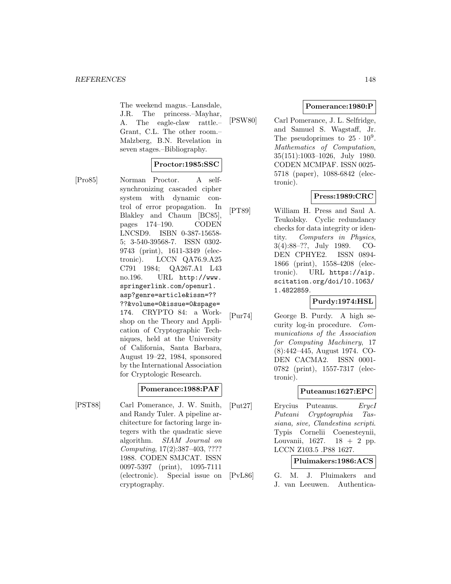The weekend magus.–Lansdale, J.R. The princess.–Mayhar, A. The eagle-claw rattle.– Grant, C.L. The other room.– Malzberg, B.N. Revelation in seven stages.–Bibliography.

# **Proctor:1985:SSC**

[Pro85] Norman Proctor. A selfsynchronizing cascaded cipher system with dynamic control of error propagation. In Blakley and Chaum [BC85], pages 174–190. CODEN LNCSD9. ISBN 0-387-15658- 5; 3-540-39568-7. ISSN 0302- 9743 (print), 1611-3349 (electronic). LCCN QA76.9.A25 C791 1984; QA267.A1 L43 no.196. URL http://www. springerlink.com/openurl. asp?genre=article&issn=?? ??&volume=0&issue=0&spage= 174. CRYPTO 84: a Workshop on the Theory and Application of Cryptographic Techniques, held at the University of California, Santa Barbara, August 19–22, 1984, sponsored by the International Association for Cryptologic Research.

# **Pomerance:1988:PAF**

[PST88] Carl Pomerance, J. W. Smith, and Randy Tuler. A pipeline architecture for factoring large integers with the quadratic sieve algorithm. SIAM Journal on Computing, 17(2):387–403, ???? 1988. CODEN SMJCAT. ISSN 0097-5397 (print), 1095-7111 (electronic). Special issue on cryptography.

# **Pomerance:1980:P**

[PSW80] Carl Pomerance, J. L. Selfridge, and Samuel S. Wagstaff, Jr. The pseudoprimes to  $25 \cdot 10^9$ . Mathematics of Computation, 35(151):1003–1026, July 1980. CODEN MCMPAF. ISSN 0025- 5718 (paper), 1088-6842 (electronic).

# **Press:1989:CRC**

[PT89] William H. Press and Saul A. Teukolsky. Cyclic redundancy checks for data integrity or identity. Computers in Physics, 3(4):88–??, July 1989. CO-DEN CPHYE2. ISSN 0894- 1866 (print), 1558-4208 (electronic). URL https://aip. scitation.org/doi/10.1063/ 1.4822859.

# **Purdy:1974:HSL**

[Pur74] George B. Purdy. A high security log-in procedure. Communications of the Association for Computing Machinery, 17 (8):442–445, August 1974. CO-DEN CACMA2. ISSN 0001- 0782 (print), 1557-7317 (electronic).

# **Puteanus:1627:EPC**

[Put27] Erycius Puteanus. ErycI Puteani Cryptographia Tassiana, sive, Clandestina scripti. Typis Cornelii Coenesteynii, Louvanii, 1627. 18 + 2 pp. LCCN Z103.5 .P88 1627.

# **Pluimakers:1986:ACS**

[PvL86] G. M. J. Pluimakers and J. van Leeuwen. Authentica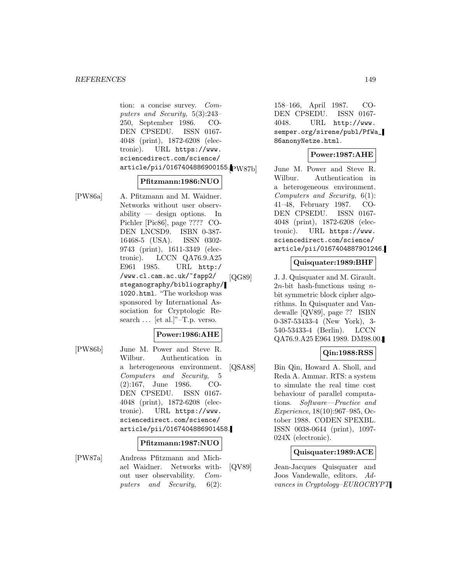tion: a concise survey. Computers and Security, 5(3):243– 250, September 1986. CO-DEN CPSEDU. ISSN 0167- 4048 (print), 1872-6208 (electronic). URL https://www. sciencedirect.com/science/ article/pii/0167404886900155.<br>PW87b

#### **Pfitzmann:1986:NUO**

[PW86a] A. Pfitzmann and M. Waidner. Networks without user observability — design options. In Pichler [Pic86], page ???? CO-DEN LNCSD9. ISBN 0-387- 16468-5 (USA). ISSN 0302- 9743 (print), 1611-3349 (electronic). LCCN QA76.9.A25 E961 1985. URL http:/ /www.cl.cam.ac.uk/~fapp2/ steganography/bibliography/ 1020.html. "The workshop was sponsored by International Association for Cryptologic Research ... [et al.]"–T.p. verso.

## **Power:1986:AHE**

[PW86b] June M. Power and Steve R. Wilbur. Authentication in a heterogeneous environment. Computers and Security, 5 (2):167, June 1986. CO-DEN CPSEDU. ISSN 0167- 4048 (print), 1872-6208 (electronic). URL https://www. sciencedirect.com/science/ article/pii/0167404886901458.

#### **Pfitzmann:1987:NUO**

[PW87a] Andreas Pfitzmann and Michael Waidner. Networks without user observability. Computers and Security, 6(2):

158–166, April 1987. CO-DEN CPSEDU. ISSN 0167- 4048. URL http://www. semper.org/sirene/publ/PfWa\_ 86anonyNetze.html.

# **Power:1987:AHE**

June M. Power and Steve R. Wilbur. Authentication in a heterogeneous environment. Computers and Security, 6(1): 41–48, February 1987. CO-DEN CPSEDU. ISSN 0167- 4048 (print), 1872-6208 (electronic). URL https://www. sciencedirect.com/science/ article/pii/0167404887901246.

## **Quisquater:1989:BHF**

[QG89] J. J. Quisquater and M. Girault. 2*n*-bit hash-functions using *n*bit symmetric block cipher algorithms. In Quisquater and Vandewalle [QV89], page ?? ISBN 0-387-53433-4 (New York), 3- 540-53433-4 (Berlin). LCCN QA76.9.A25 E964 1989. DM98.00.

# **Qin:1988:RSS**

[QSA88] Bin Qin, Howard A. Sholl, and Reda A. Ammar. RTS: a system to simulate the real time cost behaviour of parallel computations. Software—Practice and Experience, 18(10):967–985, October 1988. CODEN SPEXBL. ISSN 0038-0644 (print), 1097- 024X (electronic).

# **Quisquater:1989:ACE**

[QV89] Jean-Jacques Quisquater and Joos Vandewalle, editors. Advances in Cryptology–EUROCRYPT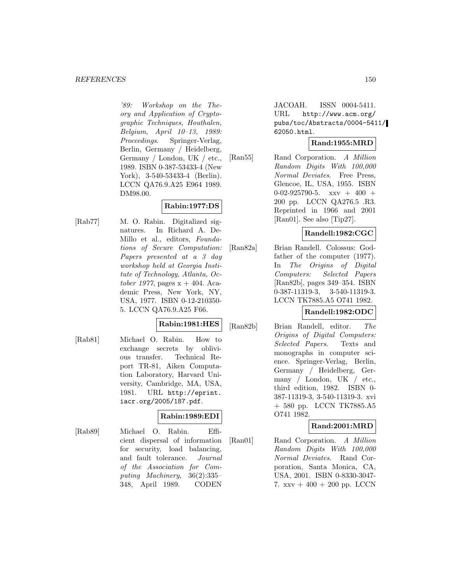'89: Workshop on the Theory and Application of Cryptographic Techniques, Houthalen, Belgium, April 10–13, 1989: Proceedings. Springer-Verlag, Berlin, Germany / Heidelberg, Germany / London, UK / etc., 1989. ISBN 0-387-53433-4 (New York), 3-540-53433-4 (Berlin). LCCN QA76.9.A25 E964 1989. DM98.00.

# **Rabin:1977:DS**

[Rab77] M. O. Rabin. Digitalized signatures. In Richard A. De-Millo et al., editors, Foundations of Secure Computation: Papers presented at a 3 day workshop held at Georgia Institute of Technology, Atlanta, October 1977, pages  $x + 404$ . Academic Press, New York, NY, USA, 1977. ISBN 0-12-210350- 5. LCCN QA76.9.A25 F66.

## **Rabin:1981:HES**

[Rab81] Michael O. Rabin. How to exchange secrets by oblivious transfer. Technical Report TR-81, Aiken Computation Laboratory, Harvard University, Cambridge, MA, USA, 1981. URL http://eprint. iacr.org/2005/187.pdf.

# **Rabin:1989:EDI**

[Rab89] Michael O. Rabin. Efficient dispersal of information for security, load balancing, and fault tolerance. Journal of the Association for Computing Machinery, 36(2):335– 348, April 1989. CODEN

JACOAH. ISSN 0004-5411. URL http://www.acm.org/ pubs/toc/Abstracts/0004-5411/ 62050.html.

# **Rand:1955:MRD**

[Ran55] Rand Corporation. A Million Random Digits With 100,000 Normal Deviates. Free Press, Glencoe, IL, USA, 1955. ISBN  $0-02-925790-5$ . xxv + 400 + 200 pp. LCCN QA276.5 .R3. Reprinted in 1966 and 2001 [Ran01]. See also [Tip27].

# **Randell:1982:CGC**

[Ran82a] Brian Randell. Colossus: Godfather of the computer (1977). In The Origins of Digital Computers: Selected Papers [Ran82b], pages 349–354. ISBN 0-387-11319-3, 3-540-11319-3. LCCN TK7885.A5 O741 1982.

# **Randell:1982:ODC**

[Ran82b] Brian Randell, editor. The Origins of Digital Computers: Selected Papers. Texts and monographs in computer science. Springer-Verlag, Berlin, Germany / Heidelberg, Germany / London, UK / etc., third edition, 1982. ISBN 0- 387-11319-3, 3-540-11319-3. xvi + 580 pp. LCCN TK7885.A5 O741 1982.

# **Rand:2001:MRD**

[Ran01] Rand Corporation. A Million Random Digits With 100,000 Normal Deviates. Rand Corporation, Santa Monica, CA, USA, 2001. ISBN 0-8330-3047- 7.  $xxv + 400 + 200$  pp. LCCN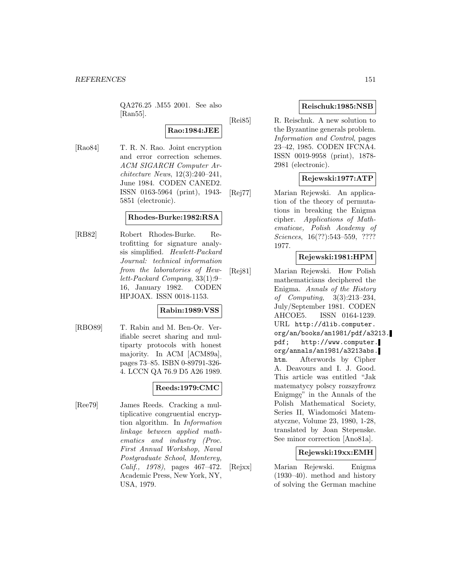QA276.25 .M55 2001. See also [Ran55].

**Rao:1984:JEE**

[Rao84] T. R. N. Rao. Joint encryption and error correction schemes. ACM SIGARCH Computer Architecture News, 12(3):240–241, June 1984. CODEN CANED2. ISSN 0163-5964 (print), 1943- 5851 (electronic).

## **Rhodes-Burke:1982:RSA**

[RB82] Robert Rhodes-Burke. Retrofitting for signature analysis simplified. Hewlett-Packard Journal: technical information from the laboratories of Hewlett-Packard Company, 33(1):9– 16, January 1982. CODEN HPJOAX. ISSN 0018-1153.

# **Rabin:1989:VSS**

[RBO89] T. Rabin and M. Ben-Or. Verifiable secret sharing and multiparty protocols with honest majority. In ACM [ACM89a], pages 73–85. ISBN 0-89791-326- 4. LCCN QA 76.9 D5 A26 1989.

# **Reeds:1979:CMC**

[Ree79] James Reeds. Cracking a multiplicative congruential encryption algorithm. In Information linkage between applied mathematics and industry (Proc. First Annual Workshop, Naval Postgraduate School, Monterey, Calif., 1978), pages 467–472. Academic Press, New York, NY, USA, 1979.

# **Reischuk:1985:NSB**

[Rei85] R. Reischuk. A new solution to the Byzantine generals problem. Information and Control, pages 23–42, 1985. CODEN IFCNA4. ISSN 0019-9958 (print), 1878- 2981 (electronic).

# **Rejewski:1977:ATP**

[Rej77] Marian Rejewski. An application of the theory of permutations in breaking the Enigma cipher. Applications of Mathematicae, Polish Academy of Sciences, 16(??):543–559, ???? 1977.

# **Rejewski:1981:HPM**

[Rej81] Marian Rejewski. How Polish mathematicians deciphered the Enigma. Annals of the History of Computing, 3(3):213–234, July/September 1981. CODEN AHCOE5. ISSN 0164-1239. URL http://dlib.computer. org/an/books/an1981/pdf/a3213. pdf; http://www.computer. org/annals/an1981/a3213abs. htm. Afterwords by Cipher A. Deavours and I. J. Good. This article was entitled "Jak matematycy polscy rozszyfrowz Enigmge" in the Annals of the Polish Mathematical Society, Series II, Wiadomości Matematyczne, Volume 23, 1980, 1-28, translated by Joan Stepenske. See minor correction [Ano81a].

# **Rejewski:19xx:EMH**

[Rejxx] Marian Rejewski. Enigma (1930–40). method and history of solving the German machine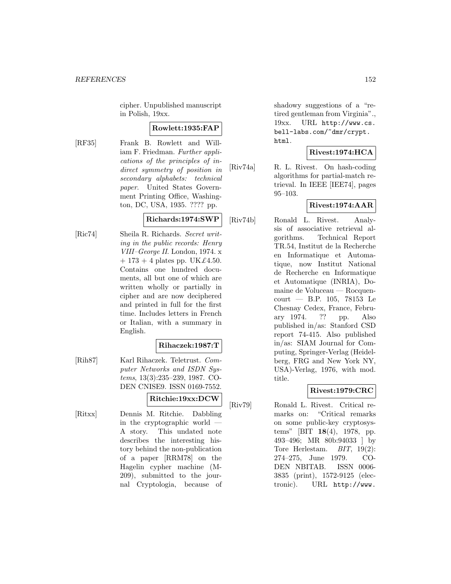cipher. Unpublished manuscript in Polish, 19xx.

## **Rowlett:1935:FAP**

[RF35] Frank B. Rowlett and William F. Friedman. Further applications of the principles of indirect symmetry of position in secondary alphabets: technical paper. United States Government Printing Office, Washington, DC, USA, 1935. ???? pp.

#### **Richards:1974:SWP**

[Ric74] Sheila R. Richards. Secret writing in the public records: Henry VIII–George II. London, 1974. x  $+ 173 + 4$  plates pp. UK£4.50. Contains one hundred documents, all but one of which are written wholly or partially in cipher and are now deciphered and printed in full for the first time. Includes letters in French or Italian, with a summary in English.

## **Rihaczek:1987:T**

[Rih87] Karl Rihaczek. Teletrust. Computer Networks and ISDN Systems, 13(3):235–239, 1987. CO-DEN CNISE9. ISSN 0169-7552.

# **Ritchie:19xx:DCW**

[Ritxx] Dennis M. Ritchie. Dabbling in the cryptographic world — A story. This undated note describes the interesting history behind the non-publication of a paper [RRM78] on the Hagelin cypher machine (M-209), submitted to the journal Cryptologia, because of shadowy suggestions of a "retired gentleman from Virginia"., 19xx. URL http://www.cs. bell-labs.com/~dmr/crypt. html.

## **Rivest:1974:HCA**

[Riv74a] R. L. Rivest. On hash-coding algorithms for partial-match retrieval. In IEEE [IEE74], pages 95–103.

# **Rivest:1974:AAR**

[Riv74b] Ronald L. Rivest. Analysis of associative retrieval algorithms. Technical Report TR.54, Institut de la Recherche en Informatique et Automatique, now Institut National de Recherche en Informatique et Automatique (INRIA), Domaine de Voluceau — Rocquencourt — B.P. 105, 78153 Le Chesnay Cedex, France, February 1974. ?? pp. Also published in/as: Stanford CSD report 74-415. Also published in/as: SIAM Journal for Computing, Springer-Verlag (Heidelberg, FRG and New York NY, USA)-Verlag, 1976, with mod. title.

# **Rivest:1979:CRC**

[Riv79] Ronald L. Rivest. Critical remarks on: "Critical remarks on some public-key cryptosystems" [BIT **18**(4), 1978, pp. 493–496; MR 80b:94033 ] by Tore Herlestam. BIT, 19(2): 274–275, June 1979. CO-DEN NBITAB. ISSN 0006- 3835 (print), 1572-9125 (electronic). URL http://www.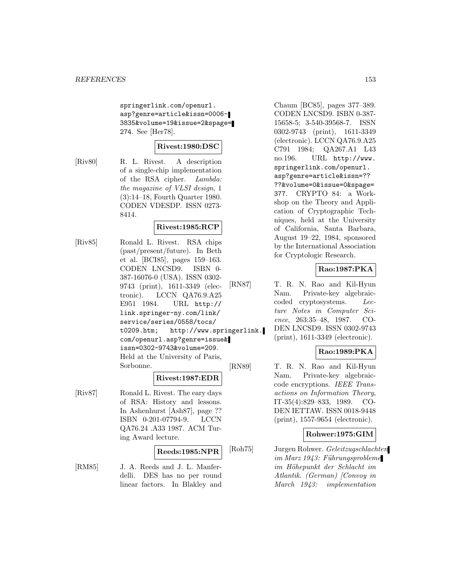springerlink.com/openurl. asp?genre=article&issn=0006- 3835&volume=19&issue=2&spage= 274. See [Her78].

# **Rivest:1980:DSC**

[Riv80] R. L. Rivest. A description of a single-chip implementation of the RSA cipher. Lambda: the magazine of VLSI design, 1 (3):14–18, Fourth Quarter 1980. CODEN VDESDP. ISSN 0273- 8414.

# **Rivest:1985:RCP**

[Riv85] Ronald L. Rivest. RSA chips (past/present/future). In Beth et al. [BCI85], pages 159–163. CODEN LNCSD9. ISBN 0- 387-16076-0 (USA). ISSN 0302- 9743 (print), 1611-3349 (electronic). LCCN QA76.9.A25 E951 1984. URL http:// link.springer-ny.com/link/ service/series/0558/tocs/ t0209.htm; http://www.springerlink. com/openurl.asp?genre=issue& issn=0302-9743&volume=209. Held at the University of Paris, Sorbonne.

## **Rivest:1987:EDR**

[Riv87] Ronald L. Rivest. The eary days of RSA: History and lessons. In Ashenhurst [Ash87], page ?? ISBN 0-201-07794-9. LCCN QA76.24 .A33 1987. ACM Turing Award lecture.

#### **Reeds:1985:NPR**

[RM85] J. A. Reeds and J. L. Manferdelli. DES has no per round linear factors. In Blakley and

Chaum [BC85], pages 377–389. CODEN LNCSD9. ISBN 0-387- 15658-5; 3-540-39568-7. ISSN 0302-9743 (print), 1611-3349 (electronic). LCCN QA76.9.A25 C791 1984; QA267.A1 L43 no.196. URL http://www. springerlink.com/openurl. asp?genre=article&issn=?? ??&volume=0&issue=0&spage= 377. CRYPTO 84: a Workshop on the Theory and Application of Cryptographic Techniques, held at the University of California, Santa Barbara, August 19–22, 1984, sponsored by the International Association for Cryptologic Research.

# **Rao:1987:PKA**

[RN87] T. R. N. Rao and Kil-Hyun Nam. Private-key algebraiccoded cryptosystems. Lecture Notes in Computer Science, 263:35–48, 1987. CO-DEN LNCSD9. ISSN 0302-9743 (print), 1611-3349 (electronic).

# **Rao:1989:PKA**

[RN89] T. R. N. Rao and Kil-Hyun Nam. Private-key algebraiccode encryptions. IEEE Transactions on Information Theory, IT-35(4):829–833, 1989. CO-DEN IETTAW. ISSN 0018-9448 (print), 1557-9654 (electronic).

## **Rohwer:1975:GIM**

[Roh75] Jurgen Rohwer. Geleitzugschlachten  $im$  Marz 1943: Führungsprobleme im Höhepunkt der Schlacht im Atlantik. (German) [Convoy in March 1943: implementation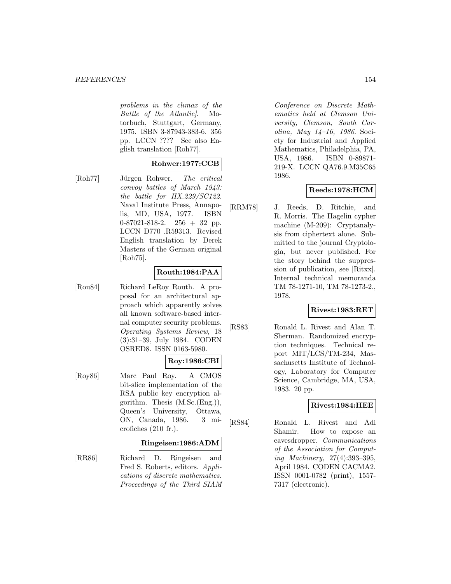#### *REFERENCES* 154

problems in the climax of the Battle of the Atlantic]. Motorbuch, Stuttgart, Germany, 1975. ISBN 3-87943-383-6. 356 pp. LCCN ???? See also English translation [Roh77].

# **Rohwer:1977:CCB**

[Roh77] Jürgen Rohwer. The critical convoy battles of March 1943: the battle for HX.229/SC122. Naval Institute Press, Annapolis, MD, USA, 1977. ISBN 0-87021-818-2. 256 + 32 pp. LCCN D770 .R59313. Revised English translation by Derek Masters of the German original [Roh75].

# **Routh:1984:PAA**

[Rou84] Richard LeRoy Routh. A proposal for an architectural approach which apparently solves all known software-based internal computer security problems. Operating Systems Review, 18 (3):31–39, July 1984. CODEN OSRED8. ISSN 0163-5980.

# **Roy:1986:CBI**

[Roy86] Marc Paul Roy. A CMOS bit-slice implementation of the RSA public key encryption algorithm. Thesis (M.Sc.(Eng.)), Queen's University, Ottawa, ON, Canada, 1986. 3 microfiches (210 fr.).

## **Ringeisen:1986:ADM**

[RR86] Richard D. Ringeisen and Fred S. Roberts, editors. Applications of discrete mathematics. Proceedings of the Third SIAM

Conference on Discrete Mathematics held at Clemson University, Clemson, South Carolina, May 14–16, 1986. Society for Industrial and Applied Mathematics, Philadelphia, PA, USA, 1986. ISBN 0-89871- 219-X. LCCN QA76.9.M35C65 1986.

# **Reeds:1978:HCM**

[RRM78] J. Reeds, D. Ritchie, and R. Morris. The Hagelin cypher machine (M-209): Cryptanalysis from ciphertext alone. Submitted to the journal Cryptologia, but never published. For the story behind the suppression of publication, see [Ritxx]. Internal technical memoranda TM 78-1271-10, TM 78-1273-2., 1978.

# **Rivest:1983:RET**

[RS83] Ronald L. Rivest and Alan T. Sherman. Randomized encryption techniques. Technical report MIT/LCS/TM-234, Massachusetts Institute of Technology, Laboratory for Computer Science, Cambridge, MA, USA, 1983. 20 pp.

# **Rivest:1984:HEE**

[RS84] Ronald L. Rivest and Adi Shamir. How to expose an eavesdropper. Communications of the Association for Computing Machinery, 27(4):393–395, April 1984. CODEN CACMA2. ISSN 0001-0782 (print), 1557- 7317 (electronic).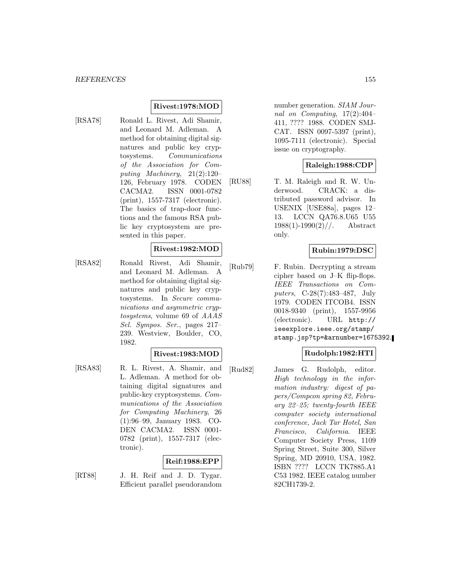# **Rivest:1978:MOD**

[RSA78] Ronald L. Rivest, Adi Shamir, and Leonard M. Adleman. A method for obtaining digital signatures and public key cryptosystems. Communications of the Association for Computing Machinery, 21(2):120– 126, February 1978. CODEN CACMA2. ISSN 0001-0782 (print), 1557-7317 (electronic). The basics of trap-door functions and the famous RSA public key cryptosystem are presented in this paper.

## **Rivest:1982:MOD**

[RSA82] Ronald Rivest, Adi Shamir, and Leonard M. Adleman. A method for obtaining digital signatures and public key cryptosystems. In Secure communications and asymmetric cryptosystems, volume 69 of AAAS Sel. Sympos. Ser., pages 217– 239. Westview, Boulder, CO, 1982.

# **Rivest:1983:MOD**

[RSA83] R. L. Rivest, A. Shamir, and L. Adleman. A method for obtaining digital signatures and public-key cryptosystems. Communications of the Association for Computing Machinery, 26 (1):96–99, January 1983. CO-DEN CACMA2. ISSN 0001- 0782 (print), 1557-7317 (electronic).

# **Reif:1988:EPP**

[RT88] J. H. Reif and J. D. Tygar. Efficient parallel pseudorandom number generation. SIAM Journal on Computing, 17(2):404– 411, ???? 1988. CODEN SMJ-CAT. ISSN 0097-5397 (print), 1095-7111 (electronic). Special issue on cryptography.

# **Raleigh:1988:CDP**

[RU88] T. M. Raleigh and R. W. Underwood. CRACK: a distributed password advisor. In USENIX [USE88a], pages 12– 13. LCCN QA76.8.U65 U55  $1988(1)$ -1990 $(2)$ //. Abstract only.

## **Rubin:1979:DSC**

[Rub79] F. Rubin. Decrypting a stream cipher based on J–K flip-flops. IEEE Transactions on Computers, C-28(7):483–487, July 1979. CODEN ITCOB4. ISSN 0018-9340 (print), 1557-9956 (electronic). URL http:// ieeexplore.ieee.org/stamp/ stamp.jsp?tp=&arnumber=1675392.

# **Rudolph:1982:HTI**

[Rud82] James G. Rudolph, editor. High technology in the information industry: digest of papers/Compcon spring 82, February 22–25; twenty-fourth IEEE computer society international conference, Jack Tar Hotel, San Francisco, California. IEEE Computer Society Press, 1109 Spring Street, Suite 300, Silver Spring, MD 20910, USA, 1982. ISBN ???? LCCN TK7885.A1 C53 1982. IEEE catalog number 82CH1739-2.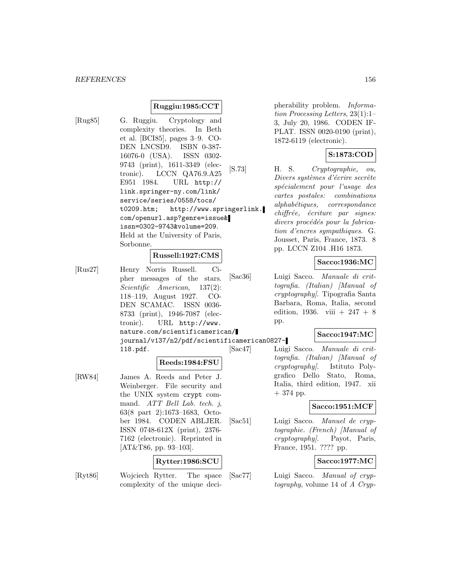# **Ruggiu:1985:CCT**

[Rug85] G. Ruggiu. Cryptology and complexity theories. In Beth et al. [BCI85], pages 3–9. CO-DEN LNCSD9. ISBN 0-387- 16076-0 (USA). ISSN 0302- 9743 (print), 1611-3349 (electronic). LCCN QA76.9.A25 E951 1984. URL http:// link.springer-ny.com/link/ service/series/0558/tocs/ t0209.htm; http://www.springerlink. com/openurl.asp?genre=issue& issn=0302-9743&volume=209. Held at the University of Paris, Sorbonne.

# **Russell:1927:CMS**

[Rus27] Henry Norris Russell. Cipher messages of the stars. Scientific American, 137(2): 118–119, August 1927. CO-DEN SCAMAC. ISSN 0036- 8733 (print), 1946-7087 (electronic). URL http://www. nature.com/scientificamerican/ journal/v137/n2/pdf/scientificamerican0827- 118.pdf.

## **Reeds:1984:FSU**

[RW84] James A. Reeds and Peter J. Weinberger. File security and the UNIX system crypt command. ATT Bell Lab. tech. j, 63(8 part 2):1673–1683, October 1984. CODEN ABLJER. ISSN 0748-612X (print), 2376- 7162 (electronic). Reprinted in [AT&T86, pp. 93–103].

## **Rytter:1986:SCU**

- 
- [Ryt86] Wojciech Rytter. The space complexity of the unique deci-

pherability problem. Information Processing Letters, 23(1):1– 3, July 20, 1986. CODEN IF-PLAT. ISSN 0020-0190 (print), 1872-6119 (electronic).

# **S:1873:COD**

[S.73] H. S. Cryptographie, ou, Divers systèmes d'écrire secrète sp´ecialement pour l'usage des cartes postales: combinations  $alpha between a$  correspondance  $chiffr\acute{e}e,$  écriture par signes: divers procédés pour la fabrication d'encres sympathiques. G. Jousset, Paris, France, 1873. 8 pp. LCCN Z104 .H16 1873.

# **Sacco:1936:MC**

[Sac36] Luigi Sacco. Manuale di crittografia. (Italian) [Manual of cryptography]. Tipografia Santa Barbara, Roma, Italia, second edition, 1936. viii + 247 + 8 pp.

## **Sacco:1947:MC**

[Sac47] Luigi Sacco. Manuale di crittografia. (Italian) [Manual of cryptography]. Istituto Polygrafico Dello Stato, Roma, Italia, third edition, 1947. xii + 374 pp.

#### **Sacco:1951:MCF**

[Sac51] Luigi Sacco. Manuel de cryptographie. (French) [Manual of cryptography]. Payot, Paris, France, 1951. ???? pp.

## **Sacco:1977:MC**

[Sac77] Luigi Sacco. Manual of cryptography, volume 14 of A Cryp-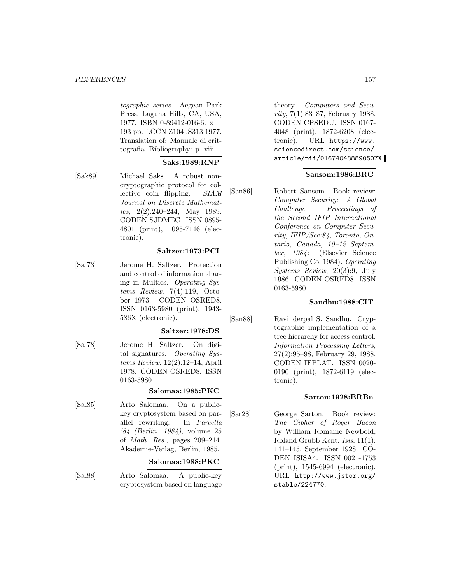#### *REFERENCES* 157

tographic series. Aegean Park Press, Laguna Hills, CA, USA, 1977. ISBN 0-89412-016-6. x + 193 pp. LCCN Z104 .S313 1977. Translation of: Manuale di crittografia. Bibliography: p. viii.

# **Saks:1989:RNP**

[Sak89] Michael Saks. A robust noncryptographic protocol for collective coin flipping. SIAM Journal on Discrete Mathematics,  $2(2):240-244$ , May 1989. CODEN SJDMEC. ISSN 0895- 4801 (print), 1095-7146 (electronic).

# **Saltzer:1973:PCI**

[Sal73] Jerome H. Saltzer. Protection and control of information sharing in Multics. Operating Systems Review, 7(4):119, October 1973. CODEN OSRED8. ISSN 0163-5980 (print), 1943- 586X (electronic).

#### **Saltzer:1978:DS**

[Sal78] Jerome H. Saltzer. On digital signatures. Operating Systems Review, 12(2):12–14, April 1978. CODEN OSRED8. ISSN 0163-5980.

#### **Salomaa:1985:PKC**

[Sal85] Arto Salomaa. On a publickey cryptosystem based on parallel rewriting. In Parcella '84 (Berlin, 1984), volume 25 of Math. Res., pages 209–214. Akademie-Verlag, Berlin, 1985.

## **Salomaa:1988:PKC**

[Sal88] Arto Salomaa. A public-key cryptosystem based on language

theory. Computers and Security, 7(1):83–87, February 1988. CODEN CPSEDU. ISSN 0167- 4048 (print), 1872-6208 (electronic). URL https://www. sciencedirect.com/science/ article/pii/016740488890507X.

# **Sansom:1986:BRC**

[San86] Robert Sansom. Book review: Computer Security: A Global Challenge — Proceedings of the Second IFIP International Conference on Computer Security, IFIP/Sec'84, Toronto, Ontario, Canada, 10–12 September, 1984: (Elsevier Science Publishing Co. 1984). Operating Systems Review, 20(3):9, July 1986. CODEN OSRED8. ISSN 0163-5980.

# **Sandhu:1988:CIT**

[San88] Ravinderpal S. Sandhu. Cryptographic implementation of a tree hierarchy for access control. Information Processing Letters, 27(2):95–98, February 29, 1988. CODEN IFPLAT. ISSN 0020- 0190 (print), 1872-6119 (electronic).

## **Sarton:1928:BRBn**

[Sar28] George Sarton. Book review: The Cipher of Roger Bacon by William Romaine Newbold; Roland Grubb Kent. Isis, 11(1): 141–145, September 1928. CO-DEN ISISA4. ISSN 0021-1753 (print), 1545-6994 (electronic). URL http://www.jstor.org/ stable/224770.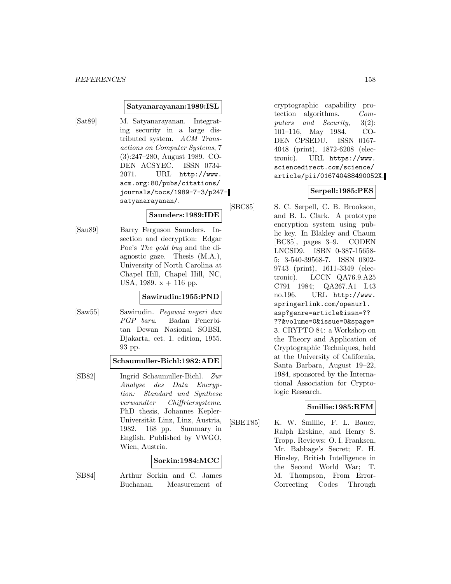#### **Satyanarayanan:1989:ISL**

- 
- [Sat89] M. Satyanarayanan. Integrating security in a large distributed system. ACM Transactions on Computer Systems, 7 (3):247–280, August 1989. CO-DEN ACSYEC. ISSN 0734- 2071. URL http://www. acm.org:80/pubs/citations/ journals/tocs/1989-7-3/p247 satyanarayanan/.

# **Saunders:1989:IDE**

[Sau89] Barry Ferguson Saunders. Insection and decryption: Edgar Poe's The gold bug and the diagnostic gaze. Thesis (M.A.), University of North Carolina at Chapel Hill, Chapel Hill, NC, USA, 1989.  $x + 116$  pp.

## **Sawirudin:1955:PND**

[Saw55] Sawirudin. Pegawai negeri dan PGP baru. Badan Penerbitan Dewan Nasional SOBSI, Djakarta, cet. 1. edition, 1955. 93 pp.

#### **Schaumuller-Bichl:1982:ADE**

[SB82] Ingrid Schaumuller-Bichl. Zur Analyse des Data Encryption: Standard und Synthese verwandter Chiffriersysteme. PhD thesis, Johannes Kepler-Universität Linz, Linz, Austria, 1982. 168 pp. Summary in English. Published by VWGO, Wien, Austria.

## **Sorkin:1984:MCC**

[SB84] Arthur Sorkin and C. James Buchanan. Measurement of cryptographic capability protection algorithms. Computers and Security, 3(2): 101–116, May 1984. CO-DEN CPSEDU. ISSN 0167- 4048 (print), 1872-6208 (electronic). URL https://www. sciencedirect.com/science/ article/pii/016740488490052X.

# **Serpell:1985:PES**

[SBC85] S. C. Serpell, C. B. Brookson, and B. L. Clark. A prototype encryption system using public key. In Blakley and Chaum [BC85], pages 3–9. CODEN LNCSD9. ISBN 0-387-15658- 5; 3-540-39568-7. ISSN 0302- 9743 (print), 1611-3349 (electronic). LCCN QA76.9.A25 C791 1984; QA267.A1 L43 no.196. URL http://www. springerlink.com/openurl. asp?genre=article&issn=?? ??&volume=0&issue=0&spage= 3. CRYPTO 84: a Workshop on the Theory and Application of Cryptographic Techniques, held at the University of California, Santa Barbara, August 19–22, 1984, sponsored by the International Association for Cryptologic Research.

## **Smillie:1985:RFM**

[SBET85] K. W. Smillie, F. L. Bauer, Ralph Erskine, and Henry S. Tropp. Reviews: O. I. Franksen, Mr. Babbage's Secret; F. H. Hinsley, British Intelligence in the Second World War; T. M. Thompson, From Error-Correcting Codes Through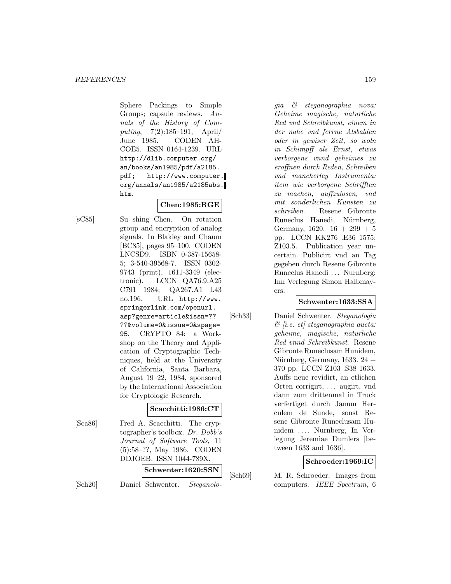Sphere Packings to Simple Groups; capsule reviews. Annals of the History of Computing, 7(2):185–191, April/ June 1985. CODEN AH-COE5. ISSN 0164-1239. URL http://dlib.computer.org/ an/books/an1985/pdf/a2185. pdf; http://www.computer. org/annals/an1985/a2185abs. htm.

# **Chen:1985:RGE**

[sC85] Su shing Chen. On rotation group and encryption of analog signals. In Blakley and Chaum [BC85], pages 95–100. CODEN LNCSD9. ISBN 0-387-15658- 5; 3-540-39568-7. ISSN 0302- 9743 (print), 1611-3349 (electronic). LCCN QA76.9.A25 C791 1984; QA267.A1 L43 no.196. URL http://www. springerlink.com/openurl. asp?genre=article&issn=?? ??&volume=0&issue=0&spage= 95. CRYPTO 84: a Workshop on the Theory and Application of Cryptographic Techniques, held at the University of California, Santa Barbara, August 19–22, 1984, sponsored by the International Association for Cryptologic Research.

# **Scacchitti:1986:CT**

[Sca86] Fred A. Scacchitti. The cryptographer's toolbox. Dr. Dobb's Journal of Software Tools, 11 (5):58–??, May 1986. CODEN DDJOEB. ISSN 1044-789X. **Schwenter:1620:SSN**

[Sch20] Daniel Schwenter. Steganolo-

gia & steganographia nova: Geheime magische, naturliche Red vnd Schreibkunst, einem in der nahe vnd ferrne Alsbalden oder in gewiser Zeit, so woln in Schimpff als Ernst, etwas verborgens vnnd geheimes zu eroffnen durch Reden, Schreiben vnd mancherley Instrumenta: item wie verborgene Schrifften zu machen, auffzulosen, vnd mit sonderlichen Kunsten zu schreiben. Resene Gibronte Runeclus Hanedi, Nürnberg, Germany,  $1620. 16 + 299 + 5$ pp. LCCN KK276 .E36 1575; Z103.5. Publication year uncertain. Publicirt vnd an Tag gegeben durch Resene Gibronte Runeclus Hanedi ... Nurnberg: Inn Verlegung Simon Halbmayers.

## **Schwenter:1633:SSA**

[Sch33] Daniel Schwenter. Steganologia  $\mathcal{B}$  [i.e. et] steganographia aucta: geheime, magische, naturliche Red vnnd Schreibkunst. Resene Gibronte Runeclusam Hunidem, Nürnberg, Germany, 1633.  $24 +$ 370 pp. LCCN Z103 .S38 1633. Auffs neue revidirt, an etlichen Orten corrigirt, ... augirt, vnd dann zum drittenmal in Truck verfertiget durch Janum Herculem de Sunde, sonst Resene Gibronte Runeclusam Hunidem ... . Nurnberg, In Verlegung Jeremiae Dumlers [between 1633 and 1636].

# **Schroeder:1969:IC**

[Sch69] M. R. Schroeder. Images from computers. IEEE Spectrum, 6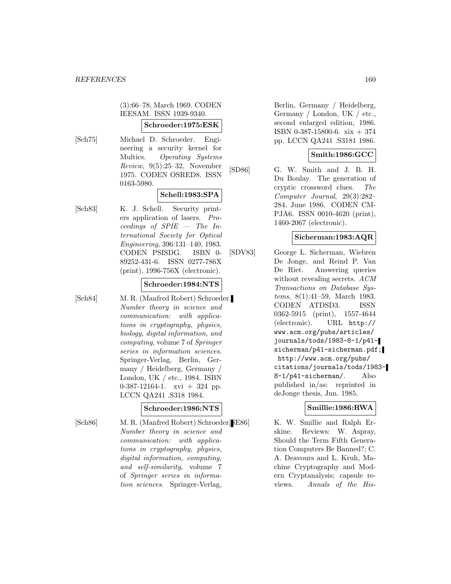(3):66–78, March 1969. CODEN IEESAM. ISSN 1939-9340.

# **Schroeder:1975:ESK**

[Sch75] Michael D. Schroeder. Engineering a security kernel for Multics. Operating Systems Review, 9(5):25–32, November 1975. CODEN OSRED8. ISSN 0163-5980.

# **Schell:1983:SPA**

[Sch83] K. J. Schell. Security printers application of lasers. Proceedings of SPIE — The International Society for Optical Engineering, 396:131–140, 1983. CODEN PSISDG. ISBN 0- 89252-431-6. ISSN 0277-786X (print), 1996-756X (electronic).

## **Schroeder:1984:NTS**

[Sch84] M. R. (Manfred Robert) Schroeder. Number theory in science and communication: with applications in cryptography, physics, biology, digital information, and computing, volume 7 of Springer series in information sciences. Springer-Verlag, Berlin, Germany / Heidelberg, Germany / London, UK / etc., 1984. ISBN 0-387-12164-1.  $xvi + 324$  pp. LCCN QA241 .S318 1984.

# **Schroeder:1986:NTS**

[Sch86] M. R. (Manfred Robert) Schroeder. [SE86] Number theory in science and communication: with applications in cryptography, physics, digital information, computing, and self-similarity, volume 7 of Springer series in information sciences. Springer-Verlag,

Berlin, Germany / Heidelberg, Germany / London, UK / etc., second enlarged edition, 1986. ISBN 0-387-15800-6. xix + 374 pp. LCCN QA241 .S3181 1986.

# **Smith:1986:GCC**

[SD86] G. W. Smith and J. B. H. Du Boulay. The generation of cryptic crossword clues. The Computer Journal, 29(3):282– 284, June 1986. CODEN CM-PJA6. ISSN 0010-4620 (print), 1460-2067 (electronic).

# **Sicherman:1983:AQR**

[SDV83] George L. Sicherman, Wiebren De Jonge, and Reind P. Van De Riet. Answering queries without revealing secrets. ACM Transactions on Database Systems, 8(1):41–59, March 1983. CODEN ATDSD3. ISSN 0362-5915 (print), 1557-4644 (electronic). URL http:// www.acm.org/pubs/articles/ journals/tods/1983-8-1/p41 sicherman/p41-sicherman.pdf; http://www.acm.org/pubs/ citations/journals/tods/1983- 8-1/p41-sicherman/. Also published in/as: reprinted in deJonge thesis, Jun. 1985.

# **Smillie:1986:RWA**

K. W. Smillie and Ralph Erskine. Reviews: W. Aspray, Should the Term Fifth Generation Computers Be Banned?; C. A. Deavours and L. Kruh, Machine Cryptography and Modern Cryptanalysis; capsule reviews. Annals of the His-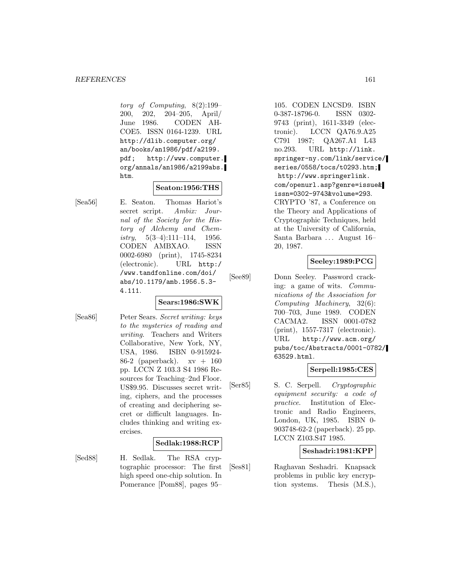tory of Computing, 8(2):199– 200, 202, 204–205, April/ June 1986. CODEN AH-COE5. ISSN 0164-1239. URL http://dlib.computer.org/ an/books/an1986/pdf/a2199. pdf; http://www.computer. org/annals/an1986/a2199abs. htm.

## **Seaton:1956:THS**

**Sears:1986:SWK**

[Sea56] E. Seaton. Thomas Hariot's secret script. Ambix: Journal of the Society for the History of Alchemy and Chemistry,  $5(3-4):111-114$ , 1956. CODEN AMBXAO. ISSN 0002-6980 (print), 1745-8234 (electronic). URL http:/ /www.tandfonline.com/doi/ abs/10.1179/amb.1956.5.3- 4.111.

[Sea86] Peter Sears. Secret writing: keys to the mysteries of reading and writing. Teachers and Writers Collaborative, New York, NY, USA, 1986. ISBN 0-915924- 86-2 (paperback).  $xy + 160$ pp. LCCN Z 103.3 S4 1986 Resources for Teaching–2nd Floor. US\$9.95. Discusses secret writing, ciphers, and the processes of creating and deciphering secret or difficult languages. Includes thinking and writing exercises.

## **Sedlak:1988:RCP**

[Sed88] H. Sedlak. The RSA cryptographic processor: The first high speed one-chip solution. In Pomerance [Pom88], pages 95–

105. CODEN LNCSD9. ISBN 0-387-18796-0. ISSN 0302- 9743 (print), 1611-3349 (electronic). LCCN QA76.9.A25 C791 1987; QA267.A1 L43 no.293. URL http://link. springer-ny.com/link/service/ series/0558/tocs/t0293.htm; http://www.springerlink. com/openurl.asp?genre=issue& issn=0302-9743&volume=293. CRYPTO '87, a Conference on the Theory and Applications of Cryptographic Techniques, held at the University of California, Santa Barbara ... August 16– 20, 1987.

# **Seeley:1989:PCG**

[See89] Donn Seeley. Password cracking: a game of wits. Communications of the Association for Computing Machinery, 32(6): 700–703, June 1989. CODEN CACMA2. ISSN 0001-0782 (print), 1557-7317 (electronic). URL http://www.acm.org/ pubs/toc/Abstracts/0001-0782/ 63529.html.

## **Serpell:1985:CES**

[Ser85] S. C. Serpell. Cryptographic equipment security: a code of practice. Institution of Electronic and Radio Engineers, London, UK, 1985. ISBN 0- 903748-62-2 (paperback). 25 pp. LCCN Z103.S47 1985.

# **Seshadri:1981:KPP**

[Ses81] Raghavan Seshadri. Knapsack problems in public key encryption systems. Thesis (M.S.),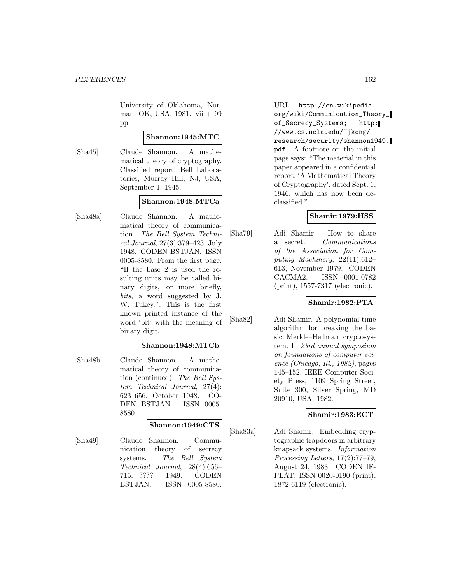University of Oklahoma, Norman, OK, USA, 1981. vii + 99 pp.

# **Shannon:1945:MTC**

[Sha45] Claude Shannon. A mathematical theory of cryptography. Classified report, Bell Laboratories, Murray Hill, NJ, USA, September 1, 1945.

# **Shannon:1948:MTCa**

[Sha48a] Claude Shannon. A mathematical theory of communication. The Bell System Technical Journal, 27(3):379–423, July 1948. CODEN BSTJAN. ISSN 0005-8580. From the first page: "If the base 2 is used the resulting units may be called binary digits, or more briefly, bits, a word suggested by J. W. Tukey.". This is the first known printed instance of the word 'bit' with the meaning of binary digit.

# **Shannon:1948:MTCb**

[Sha48b] Claude Shannon. A mathematical theory of communication (continued). The Bell System Technical Journal, 27(4): 623–656, October 1948. CO-DEN BSTJAN. ISSN 0005- 8580.

# **Shannon:1949:CTS**

[Sha49] Claude Shannon. Communication theory of secrecy systems. The Bell System Technical Journal, 28(4):656– 715, ???? 1949. CODEN BSTJAN. ISSN 0005-8580.

URL http://en.wikipedia. org/wiki/Communication\_Theory\_ of\_Secrecy\_Systems; http: //www.cs.ucla.edu/~jkong/ research/security/shannon1949. pdf. A footnote on the initial page says: "The material in this paper appeared in a confidential report, 'A Mathematical Theory of Cryptography', dated Sept. 1, 1946, which has now been declassified.".

# **Shamir:1979:HSS**

[Sha79] Adi Shamir. How to share a secret. Communications of the Association for Computing Machinery, 22(11):612– 613, November 1979. CODEN CACMA2. ISSN 0001-0782 (print), 1557-7317 (electronic).

# **Shamir:1982:PTA**

[Sha82] Adi Shamir. A polynomial time algorithm for breaking the basic Merkle–Hellman cryptosystem. In 23rd annual symposium on foundations of computer science (Chicago, Ill., 1982), pages 145–152. IEEE Computer Society Press, 1109 Spring Street, Suite 300, Silver Spring, MD 20910, USA, 1982.

# **Shamir:1983:ECT**

[Sha83a] Adi Shamir. Embedding cryptographic trapdoors in arbitrary knapsack systems. Information Processing Letters, 17(2):77–79, August 24, 1983. CODEN IF-PLAT. ISSN 0020-0190 (print), 1872-6119 (electronic).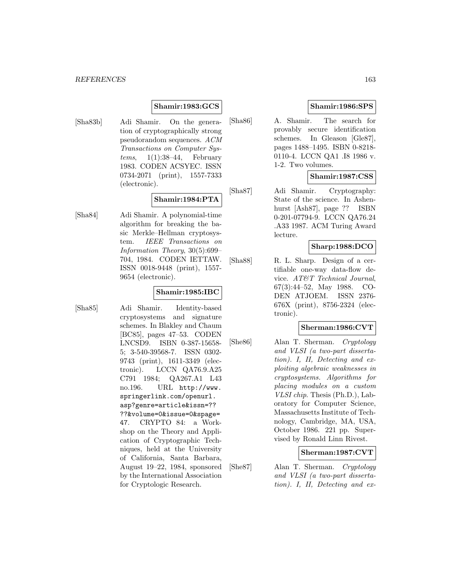# **Shamir:1983:GCS**

[Sha83b] Adi Shamir. On the generation of cryptographically strong pseudorandom sequences. ACM Transactions on Computer Systems,  $1(1):38-44$ , February 1983. CODEN ACSYEC. ISSN 0734-2071 (print), 1557-7333 (electronic).

# **Shamir:1984:PTA**

[Sha84] Adi Shamir. A polynomial-time algorithm for breaking the basic Merkle–Hellman cryptosystem. IEEE Transactions on Information Theory, 30(5):699– 704, 1984. CODEN IETTAW. ISSN 0018-9448 (print), 1557- 9654 (electronic).

# **Shamir:1985:IBC**

[Sha85] Adi Shamir. Identity-based cryptosystems and signature schemes. In Blakley and Chaum [BC85], pages 47–53. CODEN LNCSD9. ISBN 0-387-15658- 5; 3-540-39568-7. ISSN 0302- 9743 (print), 1611-3349 (electronic). LCCN QA76.9.A25 C791 1984; QA267.A1 L43 no.196. URL http://www. springerlink.com/openurl. asp?genre=article&issn=?? ??&volume=0&issue=0&spage= 47. CRYPTO 84: a Workshop on the Theory and Application of Cryptographic Techniques, held at the University of California, Santa Barbara, August 19–22, 1984, sponsored by the International Association for Cryptologic Research.

# **Shamir:1986:SPS**

[Sha86] A. Shamir. The search for provably secure identification schemes. In Gleason [Gle87], pages 1488–1495. ISBN 0-8218- 0110-4. LCCN QA1 .I8 1986 v. 1-2. Two volumes.

# **Shamir:1987:CSS**

[Sha87] Adi Shamir. Cryptography: State of the science. In Ashenhurst [Ash87], page ?? ISBN 0-201-07794-9. LCCN QA76.24 .A33 1987. ACM Turing Award lecture.

## **Sharp:1988:DCO**

[Sha88] R. L. Sharp. Design of a certifiable one-way data-flow device. AT&T Technical Journal, 67(3):44–52, May 1988. CO-DEN ATJOEM. ISSN 2376- 676X (print), 8756-2324 (electronic).

# **Sherman:1986:CVT**

[She86] Alan T. Sherman. Cryptology and VLSI (a two-part dissertation). I, II, Detecting and exploiting algebraic weaknesses in cryptosystems. Algorithms for placing modules on a custom VLSI chip. Thesis (Ph.D.), Laboratory for Computer Science, Massachusetts Institute of Technology, Cambridge, MA, USA, October 1986. 221 pp. Supervised by Ronald Linn Rivest.

## **Sherman:1987:CVT**

[She87] Alan T. Sherman. Cryptology and VLSI (a two-part dissertation). I, II, Detecting and ex-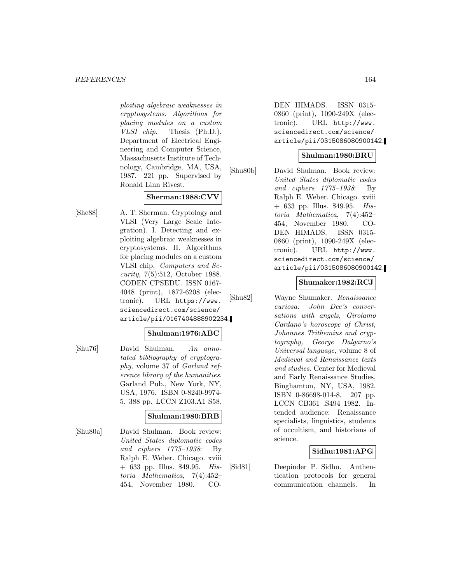#### *REFERENCES* 164

ploiting algebraic weaknesses in cryptosystems. Algorithms for placing modules on a custom VLSI chip. Thesis (Ph.D.), Department of Electrical Engineering and Computer Science, Massachusetts Institute of Technology, Cambridge, MA, USA, 1987. 221 pp. Supervised by Ronald Linn Rivest.

# **Sherman:1988:CVV**

[She88] A. T. Sherman. Cryptology and VLSI (Very Large Scale Integration). I. Detecting and exploiting algebraic weaknesses in cryptosystems. II. Algorithms for placing modules on a custom VLSI chip. Computers and Security, 7(5):512, October 1988. CODEN CPSEDU. ISSN 0167- 4048 (print), 1872-6208 (electronic). URL https://www. sciencedirect.com/science/ article/pii/0167404888902234.

## **Shulman:1976:ABC**

[Shu76] David Shulman. An annotated bibliography of cryptography, volume 37 of Garland reference library of the humanities. Garland Pub., New York, NY, USA, 1976. ISBN 0-8240-9974- 5. 388 pp. LCCN Z103.A1 S58.

## **Shulman:1980:BRB**

[Shu80a] David Shulman. Book review: United States diplomatic codes and ciphers 1775–1938: By Ralph E. Weber. Chicago. xviii + 633 pp. Illus. \$49.95. Historia Mathematica, 7(4):452– 454, November 1980. CO-

DEN HIMADS. ISSN 0315- 0860 (print), 1090-249X (electronic). URL http://www. sciencedirect.com/science/ article/pii/0315086080900142.

# **Shulman:1980:BRU**

[Shu80b] David Shulman. Book review: United States diplomatic codes and ciphers 1775–1938: By Ralph E. Weber. Chicago. xviii  $+ 633$  pp. Illus. \$49.95. Historia Mathematica, 7(4):452– 454, November 1980. CO-DEN HIMADS. ISSN 0315- 0860 (print), 1090-249X (electronic). URL http://www. sciencedirect.com/science/ article/pii/0315086080900142.

# **Shumaker:1982:RCJ**

[Shu82] Wayne Shumaker. Renaissance curiosa: John Dee's conversations with angels, Girolamo Cardano's horoscope of Christ, Johannes Trithemius and cryptography, George Dalgarno's Universal language, volume 8 of Medieval and Renaissance texts and studies. Center for Medieval and Early Renaissance Studies, Binghamton, NY, USA, 1982. ISBN 0-86698-014-8. 207 pp. LCCN CB361 .S494 1982. Intended audience: Renaissance specialists, linguistics, students of occultism, and historians of science.

## **Sidhu:1981:APG**

[Sid81] Deepinder P. Sidhu. Authentication protocols for general communication channels. In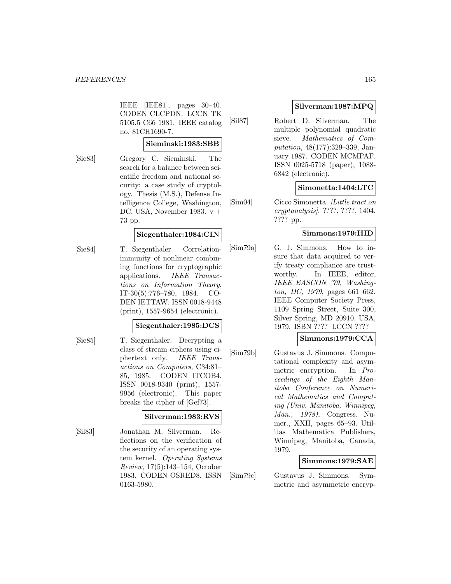IEEE [IEE81], pages 30–40. CODEN CLCPDN. LCCN TK 5105.5 C66 1981. IEEE catalog no. 81CH1690-7.

#### **Sieminski:1983:SBB**

[Sie83] Gregory C. Sieminski. The search for a balance between scientific freedom and national security: a case study of cryptology. Thesis (M.S.), Defense Intelligence College, Washington, DC, USA, November 1983.  $v +$ 73 pp.

# **Siegenthaler:1984:CIN**

[Sie84] T. Siegenthaler. Correlationimmunity of nonlinear combining functions for cryptographic applications. IEEE Transactions on Information Theory, IT-30(5):776–780, 1984. CO-DEN IETTAW. ISSN 0018-9448 (print), 1557-9654 (electronic).

## **Siegenthaler:1985:DCS**

[Sie85] T. Siegenthaler. Decrypting a class of stream ciphers using ciphertext only. IEEE Transactions on Computers, C34:81– 85, 1985. CODEN ITCOB4. ISSN 0018-9340 (print), 1557- 9956 (electronic). This paper breaks the cipher of [Gef73].

## **Silverman:1983:RVS**

[Sil83] Jonathan M. Silverman. Reflections on the verification of the security of an operating system kernel. Operating Systems Review, 17(5):143–154, October 1983. CODEN OSRED8. ISSN 0163-5980.

# **Silverman:1987:MPQ**

[Sil87] Robert D. Silverman. The multiple polynomial quadratic sieve. Mathematics of Computation, 48(177):329–339, January 1987. CODEN MCMPAF. ISSN 0025-5718 (paper), 1088- 6842 (electronic).

# **Simonetta:1404:LTC**

[Sim04] Cicco Simonetta. [Little tract on cryptanalysis]. ????, ????, 1404. ???? pp.

# **Simmons:1979:HID**

[Sim79a] G. J. Simmons. How to insure that data acquired to verify treaty compliance are trustworthy. In IEEE, editor, IEEE EASCON '79, Washington, DC, 1979, pages 661–662. IEEE Computer Society Press, 1109 Spring Street, Suite 300, Silver Spring, MD 20910, USA, 1979. ISBN ???? LCCN ????

# **Simmons:1979:CCA**

[Sim79b] Gustavus J. Simmons. Computational complexity and asymmetric encryption. In Proceedings of the Eighth Manitoba Conference on Numerical Mathematics and Computing (Univ. Manitoba, Winnipeg, Man., 1978), Congress. Numer., XXII, pages 65–93. Utilitas Mathematica Publishers, Winnipeg, Manitoba, Canada, 1979.

## **Simmons:1979:SAE**

[Sim79c] Gustavus J. Simmons. Symmetric and asymmetric encryp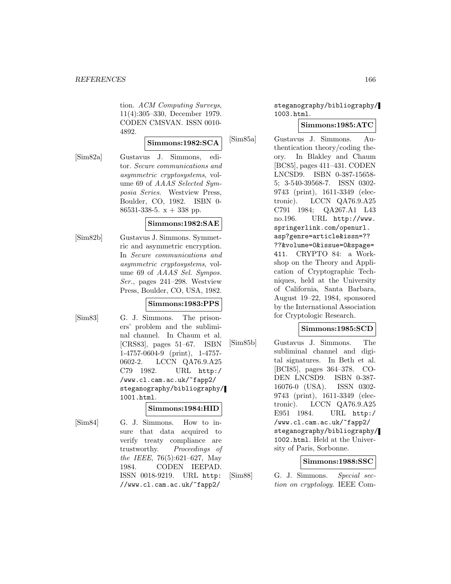tion. ACM Computing Surveys, 11(4):305–330, December 1979. CODEN CMSVAN. ISSN 0010- 4892.

#### **Simmons:1982:SCA**

[Sim82a] Gustavus J. Simmons, editor. Secure communications and asymmetric cryptosystems, volume 69 of AAAS Selected Symposia Series. Westview Press, Boulder, CO, 1982. ISBN 0- 86531-338-5.  $x + 338$  pp.

## **Simmons:1982:SAE**

[Sim82b] Gustavus J. Simmons. Symmetric and asymmetric encryption. In Secure communications and asymmetric cryptosystems, volume 69 of AAAS Sel. Sympos. Ser., pages 241–298. Westview Press, Boulder, CO, USA, 1982.

# **Simmons:1983:PPS**

[Sim83] G. J. Simmons. The prisoners' problem and the subliminal channel. In Chaum et al. [CRS83], pages 51–67. ISBN 1-4757-0604-9 (print), 1-4757- 0602-2. LCCN QA76.9.A25 C79 1982. URL http:/ /www.cl.cam.ac.uk/~fapp2/ steganography/bibliography/ 1001.html.

## **Simmons:1984:HID**

- 
- [Sim84] G. J. Simmons. How to insure that data acquired to verify treaty compliance are trustworthy. Proceedings of the IEEE, 76(5):621–627, May 1984. CODEN IEEPAD. ISSN 0018-9219. URL http: //www.cl.cam.ac.uk/~fapp2/

steganography/bibliography/ 1003.html.

# **Simmons:1985:ATC**

[Sim85a] Gustavus J. Simmons. Authentication theory/coding theory. In Blakley and Chaum [BC85], pages 411–431. CODEN LNCSD9. ISBN 0-387-15658- 5; 3-540-39568-7. ISSN 0302- 9743 (print), 1611-3349 (electronic). LCCN QA76.9.A25 C791 1984; QA267.A1 L43 no.196. URL http://www. springerlink.com/openurl. asp?genre=article&issn=?? ??&volume=0&issue=0&spage= 411. CRYPTO 84: a Workshop on the Theory and Application of Cryptographic Techniques, held at the University of California, Santa Barbara, August 19–22, 1984, sponsored by the International Association for Cryptologic Research.

# **Simmons:1985:SCD**

[Sim85b] Gustavus J. Simmons. The subliminal channel and digital signatures. In Beth et al. [BCI85], pages 364–378. CO-DEN LNCSD9. ISBN 0-387- 16076-0 (USA). ISSN 0302- 9743 (print), 1611-3349 (electronic). LCCN QA76.9.A25 E951 1984. URL http:/ /www.cl.cam.ac.uk/~fapp2/ steganography/bibliography/ 1002.html. Held at the University of Paris, Sorbonne.

## **Simmons:1988:SSC**

[Sim88] G. J. Simmons. Special section on cryptology. IEEE Com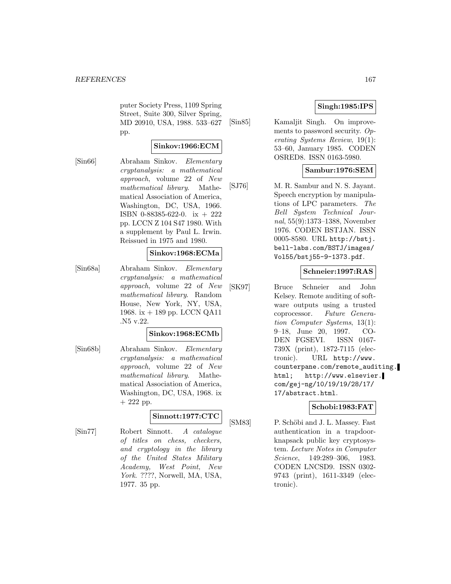puter Society Press, 1109 Spring Street, Suite 300, Silver Spring, MD 20910, USA, 1988. 533–627 pp.

# **Sinkov:1966:ECM**

[Sin66] Abraham Sinkov. Elementary cryptanalysis: a mathematical approach, volume 22 of New mathematical library. Mathematical Association of America, Washington, DC, USA, 1966. ISBN 0-88385-622-0. ix + 222 pp. LCCN Z 104 S47 1980. With a supplement by Paul L. Irwin. Reissued in 1975 and 1980.

#### **Sinkov:1968:ECMa**

[Sin68a] Abraham Sinkov. Elementary cryptanalysis: a mathematical approach, volume 22 of New mathematical library. Random House, New York, NY, USA, 1968. ix + 189 pp. LCCN QA11 .N5 v.22.

#### **Sinkov:1968:ECMb**

[Sin68b] Abraham Sinkov. Elementary cryptanalysis: a mathematical approach, volume 22 of New mathematical library. Mathematical Association of America, Washington, DC, USA, 1968. ix + 222 pp.

## **Sinnott:1977:CTC**

[Sin77] Robert Sinnott. A catalogue of titles on chess, checkers, and cryptology in the library of the United States Military Academy, West Point, New York. ????, Norwell, MA, USA, 1977. 35 pp.

# **Singh:1985:IPS**

[Sin85] Kamaljit Singh. On improvements to password security. Operating Systems Review, 19(1): 53–60, January 1985. CODEN OSRED8. ISSN 0163-5980.

# **Sambur:1976:SEM**

[SJ76] M. R. Sambur and N. S. Jayant. Speech encryption by manipulations of LPC parameters. The Bell System Technical Journal, 55(9):1373–1388, November 1976. CODEN BSTJAN. ISSN 0005-8580. URL http://bstj. bell-labs.com/BSTJ/images/ Vol55/bstj55-9-1373.pdf.

# **Schneier:1997:RAS**

[SK97] Bruce Schneier and John Kelsey. Remote auditing of software outputs using a trusted coprocessor. Future Generation Computer Systems, 13(1): 9–18, June 20, 1997. CO-DEN FGSEVI. ISSN 0167- 739X (print), 1872-7115 (electronic). URL http://www. counterpane.com/remote\_auditing. html; http://www.elsevier. com/gej-ng/10/19/19/28/17/ 17/abstract.html.

## **Schobi:1983:FAT**

[SM83] P. Schöbi and J. L. Massey. Fast authentication in a trapdoorknapsack public key cryptosystem. Lecture Notes in Computer Science, 149:289–306, 1983. CODEN LNCSD9. ISSN 0302- 9743 (print), 1611-3349 (electronic).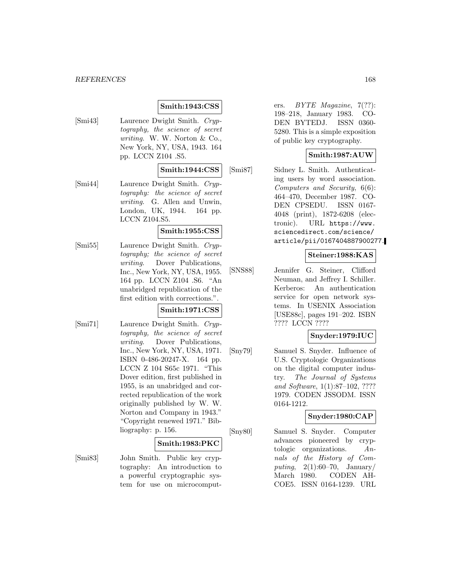#### *REFERENCES* 168

# **Smith:1943:CSS**

[Smi43] Laurence Dwight Smith. Cryptography, the science of secret writing. W. W. Norton & Co., New York, NY, USA, 1943. 164 pp. LCCN Z104 .S5.

**Smith:1944:CSS**

[Smi44] Laurence Dwight Smith. Cryptography: the science of secret writing. G. Allen and Unwin, London, UK, 1944. 164 pp. LCCN Z104.S5.

# **Smith:1955:CSS**

[Smi55] Laurence Dwight Smith. Cryptography; the science of secret writing. Dover Publications, Inc., New York, NY, USA, 1955. 164 pp. LCCN Z104 .S6. "An unabridged republication of the first edition with corrections.".

# **Smith:1971:CSS**

[Smi71] Laurence Dwight Smith. Cryptography, the science of secret writing. Dover Publications, Inc., New York, NY, USA, 1971. ISBN 0-486-20247-X. 164 pp. LCCN Z 104 S65c 1971. "This Dover edition, first published in 1955, is an unabridged and corrected republication of the work originally published by W. W. Norton and Company in 1943." "Copyright renewed 1971." Bibliography: p. 156.

#### **Smith:1983:PKC**

[Smi83] John Smith. Public key cryptography: An introduction to a powerful cryptographic system for use on microcomputers. BYTE Magazine, 7(??): 198–218, January 1983. CO-DEN BYTEDJ. ISSN 0360- 5280. This is a simple exposition of public key cryptography.

# **Smith:1987:AUW**

[Smi87] Sidney L. Smith. Authenticating users by word association. Computers and Security, 6(6): 464–470, December 1987. CO-DEN CPSEDU. ISSN 0167- 4048 (print), 1872-6208 (electronic). URL https://www. sciencedirect.com/science/ article/pii/0167404887900277.

# **Steiner:1988:KAS**

[SNS88] Jennifer G. Steiner, Clifford Neuman, and Jeffrey I. Schiller. Kerberos: An authentication service for open network systems. In USENIX Association [USE88c], pages 191–202. ISBN ???? LCCN ????

# **Snyder:1979:IUC**

[Sny79] Samuel S. Snyder. Influence of U.S. Cryptologic Organizations on the digital computer industry. The Journal of Systems and Software, 1(1):87–102, ???? 1979. CODEN JSSODM. ISSN 0164-1212.

## **Snyder:1980:CAP**

[Sny80] Samuel S. Snyder. Computer advances pioneered by cryptologic organizations.  $An$ nals of the History of Computing,  $2(1):60-70$ , January/ March 1980. CODEN AH-COE5. ISSN 0164-1239. URL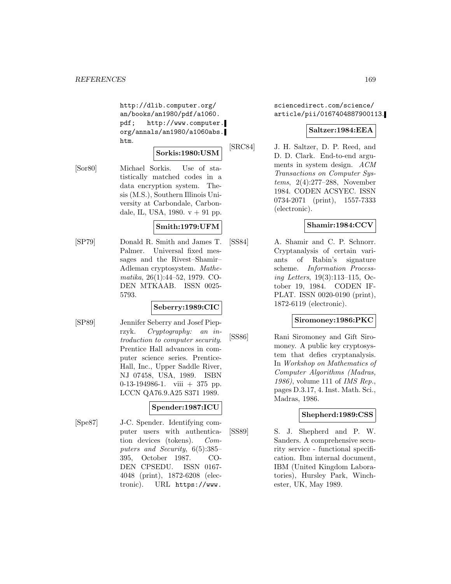http://dlib.computer.org/ an/books/an1980/pdf/a1060. pdf; http://www.computer. org/annals/an1980/a1060abs. htm.

# **Sorkis:1980:USM**

[Sor80] Michael Sorkis. Use of statistically matched codes in a data encryption system. Thesis (M.S.), Southern Illinois University at Carbondale, Carbondale, IL, USA, 1980.  $v + 91$  pp.

# **Smith:1979:UFM**

[SP79] Donald R. Smith and James T. Palmer. Universal fixed messages and the Rivest–Shamir– Adleman cryptosystem. Mathematika, 26(1):44–52, 1979. CO-DEN MTKAAB. ISSN 0025- 5793.

# **Seberry:1989:CIC**

[SP89] Jennifer Seberry and Josef Pieprzyk. Cryptography: an introduction to computer security. Prentice Hall advances in computer science series. Prentice-Hall, Inc., Upper Saddle River, NJ 07458, USA, 1989. ISBN 0-13-194986-1. viii + 375 pp. LCCN QA76.9.A25 S371 1989.

# **Spender:1987:ICU**

[Spe87] J-C. Spender. Identifying computer users with authentication devices (tokens). Computers and Security, 6(5):385– 395, October 1987. CO-DEN CPSEDU. ISSN 0167- 4048 (print), 1872-6208 (electronic). URL https://www.

sciencedirect.com/science/ article/pii/0167404887900113.

# **Saltzer:1984:EEA**

[SRC84] J. H. Saltzer, D. P. Reed, and D. D. Clark. End-to-end arguments in system design. ACM Transactions on Computer Systems, 2(4):277–288, November 1984. CODEN ACSYEC. ISSN 0734-2071 (print), 1557-7333 (electronic).

# **Shamir:1984:CCV**

[SS84] A. Shamir and C. P. Schnorr. Cryptanalysis of certain variants of Rabin's signature scheme. Information Processing Letters, 19(3):113–115, October 19, 1984. CODEN IF-PLAT. ISSN 0020-0190 (print), 1872-6119 (electronic).

# **Siromoney:1986:PKC**

[SS86] Rani Siromoney and Gift Siromoney. A public key cryptosystem that defies cryptanalysis. In Workshop on Mathematics of Computer Algorithms (Madras, 1986), volume 111 of IMS Rep., pages D.3.17, 4. Inst. Math. Sci., Madras, 1986.

# **Shepherd:1989:CSS**

[SS89] S. J. Shepherd and P. W. Sanders. A comprehensive security service - functional specification. Ibm internal document, IBM (United Kingdom Laboratories), Hursley Park, Winchester, UK, May 1989.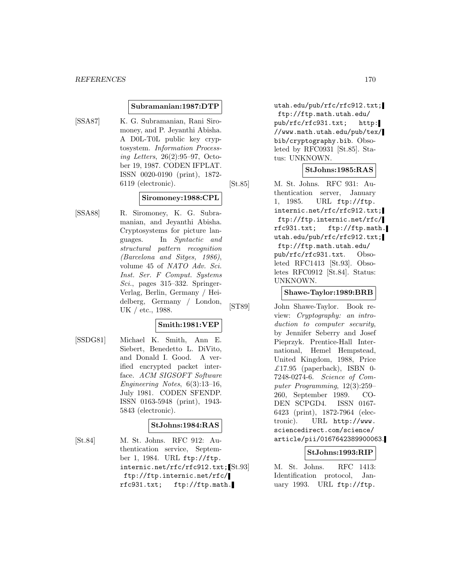#### **Subramanian:1987:DTP**

[SSA87] K. G. Subramanian, Rani Siromoney, and P. Jeyanthi Abisha. A D0L-T0L public key cryptosystem. Information Processing Letters, 26(2):95–97, October 19, 1987. CODEN IFPLAT. ISSN 0020-0190 (print), 1872- 6119 (electronic).

## **Siromoney:1988:CPL**

[SSA88] R. Siromoney, K. G. Subramanian, and Jeyanthi Abisha. Cryptosystems for picture languages. In Syntactic and structural pattern recognition (Barcelona and Sitges, 1986), volume 45 of NATO Adv. Sci. Inst. Ser. F Comput. Systems Sci., pages 315–332. Springer-Verlag, Berlin, Germany / Heidelberg, Germany / London, UK / etc., 1988.

# **Smith:1981:VEP**

[SSDG81] Michael K. Smith, Ann E. Siebert, Benedetto L. DiVito, and Donald I. Good. A verified encrypted packet interface. ACM SIGSOFT Software Engineering Notes, 6(3):13–16, July 1981. CODEN SFENDP. ISSN 0163-5948 (print), 1943- 5843 (electronic).

## **StJohns:1984:RAS**

[St.84] M. St. Johns. RFC 912: Authentication service, September 1, 1984. URL ftp://ftp. internic.net/rfc/rfc912.txt;<sup>[St.93]</sup> ftp://ftp.internic.net/rfc/ rfc931.txt; ftp://ftp.math.

utah.edu/pub/rfc/rfc912.txt; ftp://ftp.math.utah.edu/ pub/rfc/rfc931.txt; http: //www.math.utah.edu/pub/tex/ bib/cryptography.bib. Obsoleted by RFC0931 [St.85]. Status: UNKNOWN.

## **StJohns:1985:RAS**

[St.85] M. St. Johns. RFC 931: Authentication server, January 1, 1985. URL ftp://ftp. internic.net/rfc/rfc912.txt; ftp://ftp.internic.net/rfc/ rfc931.txt; ftp://ftp.math. utah.edu/pub/rfc/rfc912.txt; ftp://ftp.math.utah.edu/ pub/rfc/rfc931.txt. Obsoleted RFC1413 [St.93]. Obsoletes RFC0912 [St.84]. Status: UNKNOWN.

# **Shawe-Taylor:1989:BRB**

[ST89] John Shawe-Taylor. Book review: Cryptography: an introduction to computer security, by Jennifer Seberry and Josef Pieprzyk. Prentice-Hall International, Hemel Hempstead, United Kingdom, 1988, Price £17.95 (paperback), ISBN 0-7248-0274-6. Science of Computer Programming, 12(3):259– 260, September 1989. CO-DEN SCPGD4. ISSN 0167- 6423 (print), 1872-7964 (electronic). URL http://www. sciencedirect.com/science/ article/pii/0167642389900063.

## **StJohns:1993:RIP**

M. St. Johns. RFC 1413: Identification protocol, January 1993. URL ftp://ftp.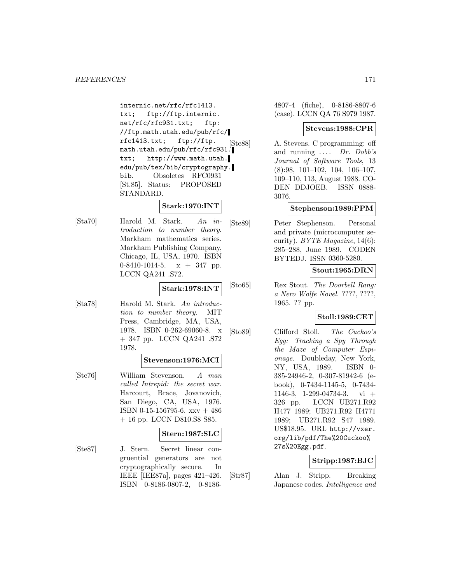internic.net/rfc/rfc1413. txt; ftp://ftp.internic. net/rfc/rfc931.txt; ftp: //ftp.math.utah.edu/pub/rfc/ rfc1413.txt; ftp://ftp. math.utah.edu/pub/rfc/rfc931. txt; http://www.math.utah. edu/pub/tex/bib/cryptography. bib. Obsoletes RFC0931 [St.85]. Status: PROPOSED STANDARD.

# **Stark:1970:INT**

[Sta70] Harold M. Stark. An introduction to number theory. Markham mathematics series. Markham Publishing Company, Chicago, IL, USA, 1970. ISBN 0-8410-1014-5.  $x + 347$  pp. LCCN QA241 .S72.

# **Stark:1978:INT**

[Sta78] Harold M. Stark. An introduction to number theory. MIT Press, Cambridge, MA, USA, 1978. ISBN 0-262-69060-8. x + 347 pp. LCCN QA241 .S72 1978.

## **Stevenson:1976:MCI**

[Ste76] William Stevenson. A man called Intrepid: the secret war. Harcourt, Brace, Jovanovich, San Diego, CA, USA, 1976. ISBN 0-15-156795-6. xxv + 486 + 16 pp. LCCN D810.S8 S85.

## **Stern:1987:SLC**

[Ste87] J. Stern. Secret linear congruential generators are not cryptographically secure. In IEEE [IEE87a], pages 421–426. ISBN 0-8186-0807-2, 0-81864807-4 (fiche), 0-8186-8807-6 (case). LCCN QA 76 S979 1987.

# **Stevens:1988:CPR**

[Ste88] A. Stevens. C programming: off and running  $\ldots$  Dr. Dobb's Journal of Software Tools, 13 (8):98, 101–102, 104, 106–107, 109–110, 113, August 1988. CO-DEN DDJOEB. ISSN 0888- 3076.

## **Stephenson:1989:PPM**

[Ste89] Peter Stephenson. Personal and private (microcomputer security). BYTE Magazine, 14(6): 285–288, June 1989. CODEN BYTEDJ. ISSN 0360-5280.

## **Stout:1965:DRN**

[Sto65] Rex Stout. The Doorbell Rang: a Nero Wolfe Novel. ????, ????, 1965. ?? pp.

# **Stoll:1989:CET**

[Sto89] Clifford Stoll. The Cuckoo's Egg: Tracking a Spy Through the Maze of Computer Espionage. Doubleday, New York, NY, USA, 1989. ISBN 0- 385-24946-2, 0-307-81942-6 (ebook), 0-7434-1145-5, 0-7434- 1146-3, 1-299-04734-3. vi + 326 pp. LCCN UB271.R92 H477 1989; UB271.R92 H4771 1989; UB271.R92 S47 1989. US\$18.95. URL http://vxer. org/lib/pdf/The%20Cuckoo% 27s%20Egg.pdf.

## **Stripp:1987:BJC**

[Str87] Alan J. Stripp. Breaking Japanese codes. Intelligence and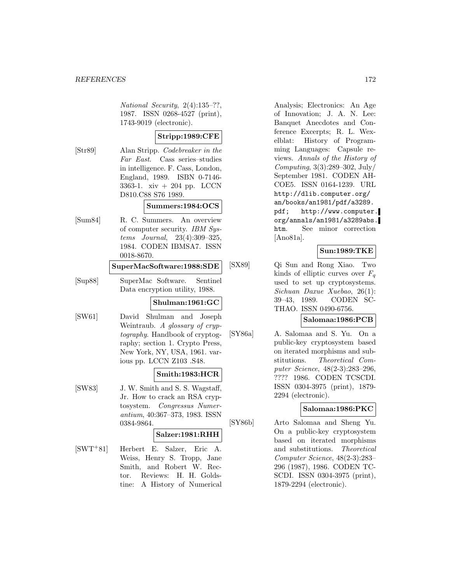National Security, 2(4):135–??, 1987. ISSN 0268-4527 (print), 1743-9019 (electronic).

# **Stripp:1989:CFE**

[Str89] Alan Stripp. Codebreaker in the Far East. Cass series–studies in intelligence. F. Cass, London, England, 1989. ISBN 0-7146- 3363-1. xiv + 204 pp. LCCN D810.C88 S76 1989.

# **Summers:1984:OCS**

[Sum84] R. C. Summers. An overview of computer security. IBM Systems Journal, 23(4):309–325, 1984. CODEN IBMSA7. ISSN 0018-8670.

## **SuperMacSoftware:1988:SDE**

[Sup88] SuperMac Software. Sentinel Data encryption utility, 1988.

#### **Shulman:1961:GC**

[SW61] David Shulman and Joseph Weintraub. A glossary of cryptography. Handbook of cryptography; section 1. Crypto Press, New York, NY, USA, 1961. various pp. LCCN Z103 .S48.

# **Smith:1983:HCR**

[SW83] J. W. Smith and S. S. Wagstaff, Jr. How to crack an RSA cryptosystem. Congressus Numerantium, 40:367–373, 1983. ISSN 0384-9864.

#### **Salzer:1981:RHH**

[SWT<sup>+</sup>81] Herbert E. Salzer, Eric A. Weiss, Henry S. Tropp, Jane Smith, and Robert W. Rector. Reviews: H. H. Goldstine: A History of Numerical

Analysis; Electronics: An Age of Innovation; J. A. N. Lee: Banquet Anecdotes and Conference Excerpts; R. L. Wexelblat: History of Programming Languages: Capsule reviews. Annals of the History of Computing, 3(3):289–302, July/ September 1981. CODEN AH-COE5. ISSN 0164-1239. URL http://dlib.computer.org/ an/books/an1981/pdf/a3289. pdf; http://www.computer. org/annals/an1981/a3289abs. htm. See minor correction [Ano81a].

#### **Sun:1989:TKE**

[SX89] Qi Sun and Rong Xiao. Two kinds of elliptic curves over  $F_q$ used to set up cryptosystems. Sichuan Daxue Xuebao, 26(1): 39–43, 1989. CODEN SC-THAO. ISSN 0490-6756.

# **Salomaa:1986:PCB**

[SY86a] A. Salomaa and S. Yu. On a public-key cryptosystem based on iterated morphisms and substitutions. Theoretical Computer Science, 48(2-3):283–296, ???? 1986. CODEN TCSCDI. ISSN 0304-3975 (print), 1879- 2294 (electronic).

# **Salomaa:1986:PKC**

[SY86b] Arto Salomaa and Sheng Yu. On a public-key cryptosystem based on iterated morphisms and substitutions. Theoretical Computer Science, 48(2-3):283– 296 (1987), 1986. CODEN TC-SCDI. ISSN 0304-3975 (print), 1879-2294 (electronic).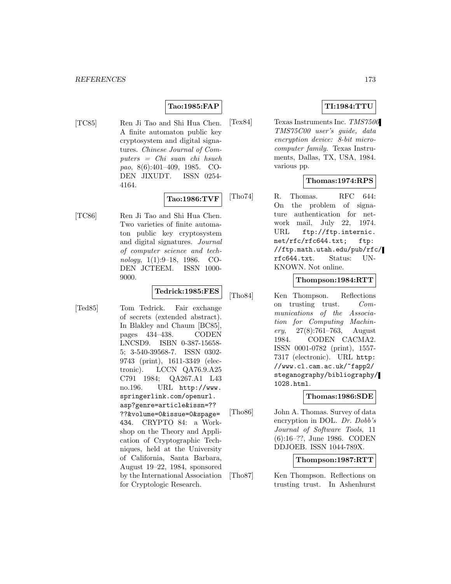# **Tao:1985:FAP**

[TC85] Ren Ji Tao and Shi Hua Chen. A finite automaton public key cryptosystem and digital signatures. Chinese Journal of Computers = Chi suan chi hsueh pao, 8(6):401–409, 1985. CO-DEN JIXUDT. ISSN 0254- 4164.

# **Tao:1986:TVF**

[TC86] Ren Ji Tao and Shi Hua Chen. Two varieties of finite automaton public key cryptosystem and digital signatures. Journal of computer science and technology, 1(1):9–18, 1986. CO-DEN JCTEEM. ISSN 1000- 9000.

| Tedrick:1985:FES |
|------------------|
|------------------|

[Ted85] Tom Tedrick. Fair exchange of secrets (extended abstract). In Blakley and Chaum [BC85], pages 434–438. CODEN LNCSD9. ISBN 0-387-15658- 5; 3-540-39568-7. ISSN 0302- 9743 (print), 1611-3349 (electronic). LCCN QA76.9.A25 C791 1984; QA267.A1 L43 no.196. URL http://www. springerlink.com/openurl. asp?genre=article&issn=?? ??&volume=0&issue=0&spage= 434. CRYPTO 84: a Workshop on the Theory and Application of Cryptographic Techniques, held at the University of California, Santa Barbara, August 19–22, 1984, sponsored by the International Association for Cryptologic Research.

# **TI:1984:TTU**

[Tex84] Texas Instruments Inc. TMS7500 TMS75C00 user's guide, data encryption device: 8-bit microcomputer family. Texas Instruments, Dallas, TX, USA, 1984. various pp.

# **Thomas:1974:RPS**

[Tho74] R. Thomas. RFC 644: On the problem of signature authentication for network mail, July 22, 1974. URL ftp://ftp.internic. net/rfc/rfc644.txt; ftp: //ftp.math.utah.edu/pub/rfc/ rfc644.txt. Status: UN-KNOWN. Not online.

# **Thompson:1984:RTT**

[Tho84] Ken Thompson. Reflections on trusting trust. Communications of the Association for Computing Machin $ery, 27(8):761-763, August$ 1984. CODEN CACMA2. ISSN 0001-0782 (print), 1557- 7317 (electronic). URL http: //www.cl.cam.ac.uk/~fapp2/ steganography/bibliography/ 1028.html.

## **Thomas:1986:SDE**

[Tho86] John A. Thomas. Survey of data encryption in DOL. Dr. Dobb's Journal of Software Tools, 11 (6):16–??, June 1986. CODEN DDJOEB. ISSN 1044-789X.

## **Thompson:1987:RTT**

[Tho87] Ken Thompson. Reflections on trusting trust. In Ashenhurst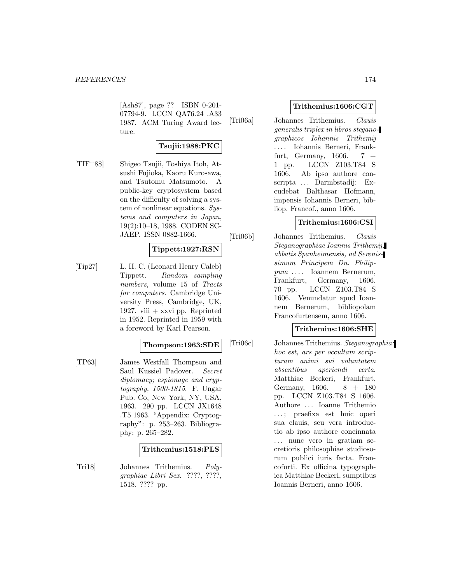[Ash87], page ?? ISBN 0-201- 07794-9. LCCN QA76.24 .A33 1987. ACM Turing Award lecture.

# **Tsujii:1988:PKC**

[TIF<sup>+</sup>88] Shigeo Tsujii, Toshiya Itoh, Atsushi Fujioka, Kaoru Kurosawa, and Tsutomu Matsumoto. A public-key cryptosystem based on the difficulty of solving a system of nonlinear equations. Systems and computers in Japan, 19(2):10–18, 1988. CODEN SC-JAEP. ISSN 0882-1666.

# **Tippett:1927:RSN**

[Tip27] L. H. C. (Leonard Henry Caleb) Tippett. Random sampling numbers, volume 15 of Tracts for computers. Cambridge University Press, Cambridge, UK, 1927. viii  $+$  xxvi pp. Reprinted in 1952. Reprinted in 1959 with a foreword by Karl Pearson.

## **Thompson:1963:SDE**

[TP63] James Westfall Thompson and Saul Kussiel Padover. Secret diplomacy; espionage and cryptography, 1500-1815. F. Ungar Pub. Co, New York, NY, USA, 1963. 290 pp. LCCN JX1648 .T5 1963. "Appendix: Cryptography": p. 253–263. Bibliography: p. 265–282.

## **Trithemius:1518:PLS**

[Tri18] Johannes Trithemius. Polygraphiae Libri Sex. ????, ????, 1518. ???? pp.

#### **Trithemius:1606:CGT**

[Tri06a] Johannes Trithemius. Clauis generalis triplex in libros steganographicos Iohannis Trithemij ... . Iohannis Berneri, Frankfurt, Germany,  $1606. 7 +$ 1 pp. LCCN Z103.T84 S 1606. Ab ipso authore conscripta ... Darmbstadij: Excudebat Balthasar Hofmann, impensis Iohannis Berneri, bibliop. Francof., anno 1606.

# **Trithemius:1606:CSI**

[Tri06b] Johannes Trithemius. Clauis Steganographiae Ioannis Trithemij, abbatis Spanheimensis, ad Serenissimum Principem Dn. Philippum ... . Ioannem Bernerum, Frankfurt, Germany, 1606. 70 pp. LCCN Z103.T84 S 1606. Venundatur apud Ioannem Bernerum, bibliopolam Francofurtensem, anno 1606.

# **Trithemius:1606:SHE**

[Tri06c] Johannes Trithemius. Steganographia: hoc est, ars per occultam scripturam animi sui voluntatem absentibus aperiendi certa. Matthiae Beckeri, Frankfurt, Germany, 1606. 8 + 180 pp. LCCN Z103.T84 S 1606. Authore ... Ioanne Trithemio ... ; praefixa est huic operi sua clauis, seu vera introductio ab ipso authore concinnata ... nunc vero in gratiam secretioris philosophiae studiosorum publici iuris facta. Francofurti. Ex officina typographica Matthiae Beckeri, sumptibus Ioannis Berneri, anno 1606.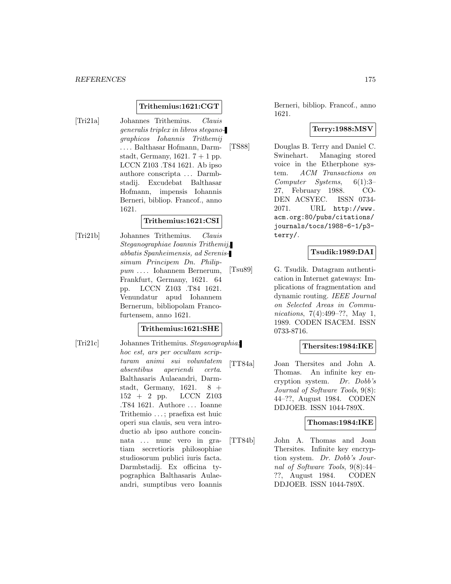## **Trithemius:1621:CGT**

[Tri21a] Johannes Trithemius. Clauis generalis triplex in libros steganographicos Iohannis Trithemij ... . Balthasar Hofmann, Darmstadt, Germany, 1621.  $7 + 1$  pp. LCCN Z103 .T84 1621. Ab ipso authore conscripta ... Darmbstadij. Excudebat Balthasar Hofmann, impensis Iohannis Berneri, bibliop. Francof., anno 1621.

## **Trithemius:1621:CSI**

[Tri21b] Johannes Trithemius. Clauis Steganographiae Ioannis Trithemij, abbatis Spanheimensis, ad Serenissimum Principem Dn. Philippum ... . Iohannem Bernerum, Frankfurt, Germany, 1621. 64 pp. LCCN Z103 .T84 1621. Venundatur apud Iohannem Bernerum, bibliopolam Francofurtensem, anno 1621.

# **Trithemius:1621:SHE**

[Tri21c] Johannes Trithemius. Steganographia: hoc est, ars per occultam scripturam animi sui voluntatem absentibus aperiendi certa. Balthasaris Aulaeandri, Darmstadt, Germany,  $1621.$  8 + 152 + 2 pp. LCCN Z103 .T84 1621. Authore ... Ioanne Trithemio ... ; praefixa est huic operi sua clauis, seu vera introductio ab ipso authore concinnata ... nunc vero in gratiam secretioris philosophiae studiosorum publici iuris facta. Darmbstadij. Ex officina typographica Balthasaris Aulaeandri, sumptibus vero Ioannis

Berneri, bibliop. Francof., anno 1621.

# **Terry:1988:MSV**

[TS88] Douglas B. Terry and Daniel C. Swinehart. Managing stored voice in the Etherphone system. ACM Transactions on Computer Systems, 6(1):3– 27, February 1988. CO-DEN ACSYEC. ISSN 0734- 2071. URL http://www. acm.org:80/pubs/citations/ journals/tocs/1988-6-1/p3 terry/.

# **Tsudik:1989:DAI**

[Tsu89] G. Tsudik. Datagram authentication in Internet gateways: Implications of fragmentation and dynamic routing. IEEE Journal on Selected Areas in Communications, 7(4):499–??, May 1, 1989. CODEN ISACEM. ISSN 0733-8716.

#### **Thersites:1984:IKE**

[TT84a] Joan Thersites and John A. Thomas. An infinite key encryption system. Dr. Dobb's Journal of Software Tools, 9(8): 44–??, August 1984. CODEN DDJOEB. ISSN 1044-789X.

#### **Thomas:1984:IKE**

[TT84b] John A. Thomas and Joan Thersites. Infinite key encryption system. Dr. Dobb's Journal of Software Tools, 9(8):44– ??, August 1984. CODEN DDJOEB. ISSN 1044-789X.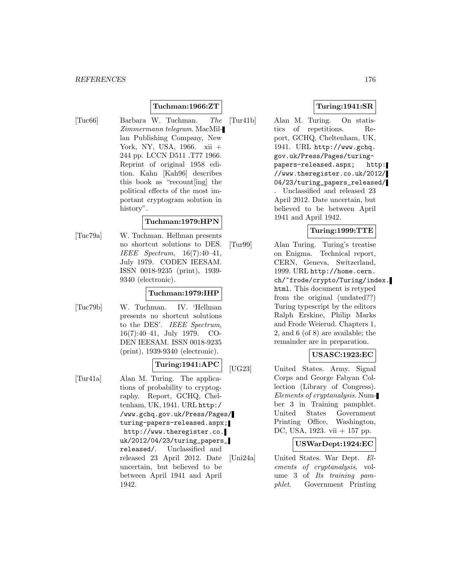# **Tuchman:1966:ZT**

[Tuc66] Barbara W. Tuchman. The Zimmermann telegram. MacMillan Publishing Company, New York, NY, USA, 1966. xii + 244 pp. LCCN D511 .T77 1966. Reprint of original 1958 edition. Kahn [Kah96] describes this book as "recount[ing] the political effects of the most important cryptogram solution in history".

#### **Tuchman:1979:HPN**

[Tuc79a] W. Tuchman. Hellman presents no shortcut solutions to DES. IEEE Spectrum, 16(7):40–41, July 1979. CODEN IEESAM. ISSN 0018-9235 (print), 1939- 9340 (electronic).

## **Tuchman:1979:IHP**

[Tuc79b] W. Tuchman. IV. 'Hellman presents no shortcut solutions to the DES'. IEEE Spectrum, 16(7):40–41, July 1979. CO-DEN IEESAM. ISSN 0018-9235 (print), 1939-9340 (electronic).

# **Turing:1941:APC**

[Tur41a] Alan M. Turing. The applications of probability to cryptography. Report, GCHQ, Cheltenham, UK, 1941. URL http:/ /www.gchq.gov.uk/Press/Pages/ turing-papers-released.aspx; http://www.theregister.co. uk/2012/04/23/turing\_papers\_ released/. Unclassified and released 23 April 2012. Date uncertain, but believed to be between April 1941 and April 1942.

# **Turing:1941:SR**

[Tur41b] Alan M. Turing. On statistics of repetitions. Report, GCHQ, Cheltenham, UK, 1941. URL http://www.gchq. gov.uk/Press/Pages/turingpapers-released.aspx; http: //www.theregister.co.uk/2012/ 04/23/turing\_papers\_released/ . Unclassified and released 23 April 2012. Date uncertain, but believed to be between April 1941 and April 1942.

# **Turing:1999:TTE**

[Tur99] Alan Turing. Turing's treatise on Enigma. Technical report, CERN, Geneva, Switzerland, 1999. URL http://home.cern. ch/~frode/crypto/Turing/index. html. This document is retyped from the original (undated??) Turing typescript by the editors Ralph Erskine, Philip Marks and Frode Weierud. Chapters 1, 2, and 6 (of 8) are available; the remainder are in preparation.

## **USASC:1923:EC**

[UG23] United States. Army. Signal Corps and George Fabyan Collection (Library of Congress). Elements of cryptanalysis. Number 3 in Training pamphlet. United States Government Printing Office, Washington, DC, USA, 1923. vii + 157 pp.

## **USWarDept:1924:EC**

[Uni24a] United States. War Dept. Elements of cryptanalysis, volume 3 of Its training pamphlet. Government Printing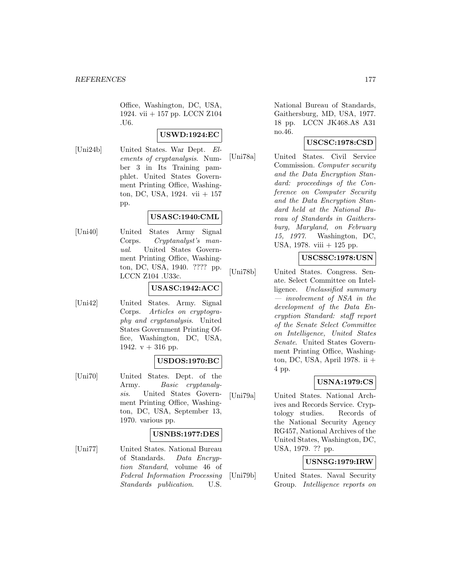Office, Washington, DC, USA, 1924. vii + 157 pp. LCCN Z104 .U6.

# **USWD:1924:EC**

[Uni24b] United States. War Dept. Elements of cryptanalysis. Number 3 in Its Training pamphlet. United States Government Printing Office, Washington, DC, USA, 1924. vii + 157 pp.

# **USASC:1940:CML**

[Uni40] United States Army Signal Corps. Cryptanalyst's manual. United States Government Printing Office, Washington, DC, USA, 1940. ???? pp. LCCN Z104 .U33c.

# **USASC:1942:ACC**

[Uni42] United States. Army. Signal Corps. Articles on cryptography and cryptanalysis. United States Government Printing Office, Washington, DC, USA, 1942.  $v + 316$  pp.

## **USDOS:1970:BC**

[Uni70] United States. Dept. of the Army. Basic cryptanalysis. United States Government Printing Office, Washington, DC, USA, September 13, 1970. various pp.

## **USNBS:1977:DES**

[Uni77] United States. National Bureau of Standards. Data Encryption Standard, volume 46 of Federal Information Processing Standards publication. U.S.

National Bureau of Standards, Gaithersburg, MD, USA, 1977. 18 pp. LCCN JK468.A8 A31 no.46.

# **USCSC:1978:CSD**

[Uni78a] United States. Civil Service Commission. Computer security and the Data Encryption Standard: proceedings of the Conference on Computer Security and the Data Encryption Standard held at the National Bureau of Standards in Gaithersburg, Maryland, on February 15, 1977. Washington, DC, USA, 1978. viii  $+$  125 pp.

## **USCSSC:1978:USN**

[Uni78b] United States. Congress. Senate. Select Committee on Intelligence. Unclassified summary — involvement of NSA in the development of the Data Encryption Standard: staff report of the Senate Select Committee on Intelligence, United States Senate. United States Government Printing Office, Washington, DC, USA, April 1978. ii + 4 pp.

## **USNA:1979:CS**

[Uni79a] United States. National Archives and Records Service. Cryptology studies. Records of the National Security Agency RG457, National Archives of the United States, Washington, DC, USA, 1979. ?? pp.

## **USNSG:1979:IRW**

[Uni79b] United States. Naval Security Group. Intelligence reports on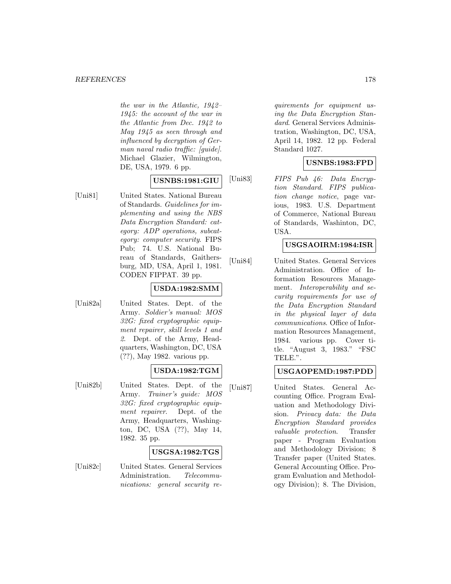the war in the Atlantic, 1942– 1945: the account of the war in the Atlantic from Dec. 1942 to May 1945 as seen through and influenced by decryption of German naval radio traffic: [guide]. Michael Glazier, Wilmington, DE, USA, 1979. 6 pp.

# **USNBS:1981:GIU**

[Uni81] United States. National Bureau of Standards. Guidelines for implementing and using the NBS Data Encryption Standard: category: ADP operations, subcategory: computer security. FIPS Pub; 74. U.S. National Bureau of Standards, Gaithersburg, MD, USA, April 1, 1981. CODEN FIPPAT. 39 pp.

# **USDA:1982:SMM**

[Uni82a] United States. Dept. of the Army. Soldier's manual: MOS 32G: fixed cryptographic equipment repairer, skill levels 1 and 2. Dept. of the Army, Headquarters, Washington, DC, USA (??), May 1982. various pp.

# **USDA:1982:TGM**

[Uni82b] United States. Dept. of the Army. Trainer's guide: MOS 32G: fixed cryptographic equipment repairer. Dept. of the Army, Headquarters, Washington, DC, USA (??), May 14, 1982. 35 pp.

## **USGSA:1982:TGS**

[Uni82c] United States. General Services Administration. Telecommunications: general security re-

quirements for equipment using the Data Encryption Standard. General Services Administration, Washington, DC, USA, April 14, 1982. 12 pp. Federal Standard 1027.

# **USNBS:1983:FPD**

[Uni83] FIPS Pub 46: Data Encryption Standard. FIPS publication change notice, page various, 1983. U.S. Department of Commerce, National Bureau of Standards, Washinton, DC, USA.

# **USGSAOIRM:1984:ISR**

[Uni84] United States. General Services Administration. Office of Information Resources Management. Interoperability and security requirements for use of the Data Encryption Standard in the physical layer of data communications. Office of Information Resources Management, 1984. various pp. Cover title. "August 3, 1983." "FSC TELE.".

# **USGAOPEMD:1987:PDD**

[Uni87] United States. General Accounting Office. Program Evaluation and Methodology Division. Privacy data: the Data Encryption Standard provides valuable protection. Transfer paper - Program Evaluation and Methodology Division; 8 Transfer paper (United States. General Accounting Office. Program Evaluation and Methodology Division); 8. The Division,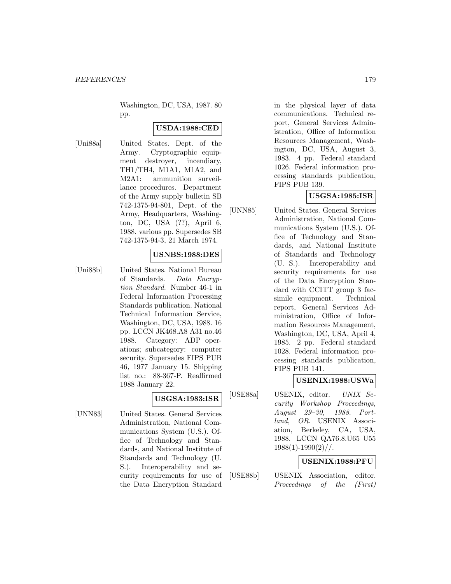Washington, DC, USA, 1987. 80 pp.

# **USDA:1988:CED**

[Uni88a] United States. Dept. of the Army. Cryptographic equipment destroyer, incendiary, TH1/TH4, M1A1, M1A2, and M2A1: ammunition surveillance procedures. Department of the Army supply bulletin SB 742-1375-94-801, Dept. of the Army, Headquarters, Washington, DC, USA (??), April 6, 1988. various pp. Supersedes SB 742-1375-94-3, 21 March 1974.

## **USNBS:1988:DES**

[Uni88b] United States. National Bureau of Standards. Data Encryption Standard. Number 46-1 in Federal Information Processing Standards publication. National Technical Information Service, Washington, DC, USA, 1988. 16 pp. LCCN JK468.A8 A31 no.46 1988. Category: ADP operations; subcategory: computer security. Supersedes FIPS PUB 46, 1977 January 15. Shipping list no.: 88-367-P. Reaffirmed 1988 January 22.

# **USGSA:1983:ISR**

[UNN83] United States. General Services Administration, National Communications System (U.S.). Office of Technology and Standards, and National Institute of Standards and Technology (U. S.). Interoperability and security requirements for use of the Data Encryption Standard

in the physical layer of data communications. Technical report, General Services Administration, Office of Information Resources Management, Washington, DC, USA, August 3, 1983. 4 pp. Federal standard 1026. Federal information processing standards publication, FIPS PUB 139.

# **USGSA:1985:ISR**

[UNN85] United States. General Services Administration, National Communications System (U.S.). Office of Technology and Standards, and National Institute of Standards and Technology (U. S.). Interoperability and security requirements for use of the Data Encryption Standard with CCITT group 3 facsimile equipment. Technical report, General Services Administration, Office of Information Resources Management, Washington, DC, USA, April 4, 1985. 2 pp. Federal standard 1028. Federal information processing standards publication, FIPS PUB 141.

## **USENIX:1988:USWa**

[USE88a] USENIX, editor. UNIX Security Workshop Proceedings, August 29–30, 1988. Portland, OR. USENIX Association, Berkeley, CA, USA, 1988. LCCN QA76.8.U65 U55  $1988(1)-1990(2)$ //.

# **USENIX:1988:PFU**

[USE88b] USENIX Association, editor. Proceedings of the (First)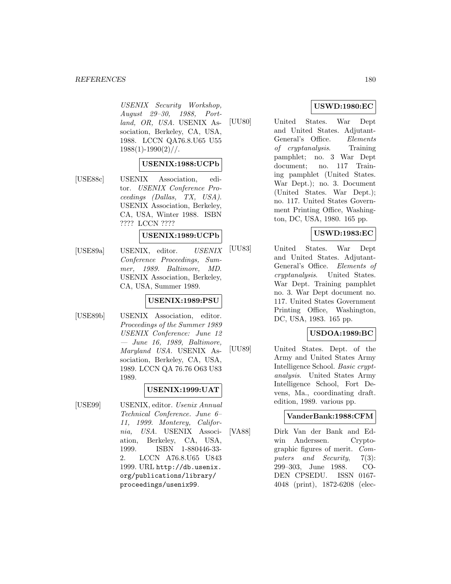#### *REFERENCES* 180

USENIX Security Workshop, August 29–30, 1988, Portland, OR, USA. USENIX Association, Berkeley, CA, USA, 1988. LCCN QA76.8.U65 U55  $1988(1) - 1990(2)$  / /.

## **USENIX:1988:UCPb**

[USE88c] USENIX Association, editor. USENIX Conference Proceedings (Dallas, TX, USA). USENIX Association, Berkeley, CA, USA, Winter 1988. ISBN ???? LCCN ????

# **USENIX:1989:UCPb**

[USE89a] USENIX, editor. USENIX Conference Proceedings, Summer, 1989. Baltimore, MD. USENIX Association, Berkeley, CA, USA, Summer 1989.

## **USENIX:1989:PSU**

[USE89b] USENIX Association, editor. Proceedings of the Summer 1989 USENIX Conference: June 12 — June 16, 1989, Baltimore, Maryland USA. USENIX Association, Berkeley, CA, USA, 1989. LCCN QA 76.76 O63 U83 1989.

# **USENIX:1999:UAT**

[USE99] USENIX, editor. Usenix Annual Technical Conference. June 6– 11, 1999. Monterey, California, USA. USENIX Association, Berkeley, CA, USA, 1999. ISBN 1-880446-33- 2. LCCN A76.8.U65 U843 1999. URL http://db.usenix. org/publications/library/ proceedings/usenix99.

# **USWD:1980:EC**

[UU80] United States. War Dept and United States. Adjutant-General's Office. Elements of cryptanalysis. Training pamphlet; no. 3 War Dept document; no. 117 Training pamphlet (United States. War Dept.); no. 3. Document (United States. War Dept.); no. 117. United States Government Printing Office, Washington, DC, USA, 1980. 165 pp.

# **USWD:1983:EC**

[UU83] United States. War Dept and United States. Adjutant-General's Office. Elements of cryptanalysis. United States. War Dept. Training pamphlet no. 3. War Dept document no. 117. United States Government Printing Office, Washington, DC, USA, 1983. 165 pp.

## **USDOA:1989:BC**

[UU89] United States. Dept. of the Army and United States Army Intelligence School. Basic cryptanalysis. United States Army Intelligence School, Fort Devens, Ma., coordinating draft. edition, 1989. various pp.

## **VanderBank:1988:CFM**

[VA88] Dirk Van der Bank and Edwin Anderssen. Cryptographic figures of merit. Computers and Security, 7(3): 299–303, June 1988. CO-DEN CPSEDU. ISSN 0167- 4048 (print), 1872-6208 (elec-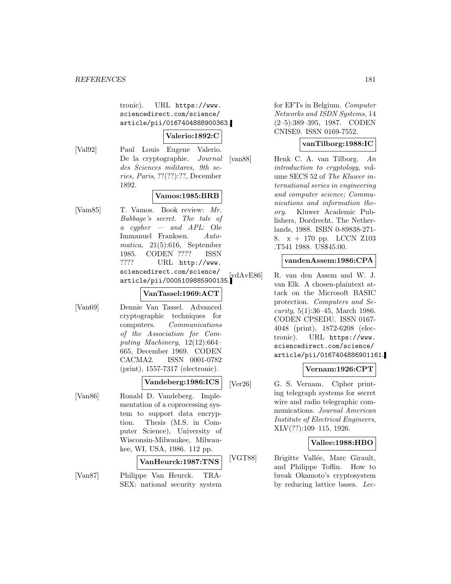tronic). URL https://www. sciencedirect.com/science/ article/pii/0167404888900363.

## **Valerio:1892:C**

[Val92] Paul Louis Eugene Valerio. De la cryptographie. Journal des Sciences militares, 9th series, Paris, ??(??):??, December 1892.

# **Vamos:1985:BRB**

[Vam85] T. Vamos. Book review: Mr. Babbage's secret. The tale of a cypher — and  $APL$ : Ole Immanuel Franksen. Automatica, 21(5):616, September 1985. CODEN ???? ISSN ???? URL http://www. sciencedirect.com/science/ article/pii/0005109885900135.

### **VanTassel:1969:ACT**

[Van69] Dennie Van Tassel. Advanced cryptographic techniques for computers. Communications of the Association for Computing Machinery, 12(12):664– 665, December 1969. CODEN CACMA2. ISSN 0001-0782 (print), 1557-7317 (electronic).

#### **Vandeberg:1986:ICS**

[Van86] Ronald D. Vandeberg. Implementation of a coprocessing system to support data encryption. Thesis (M.S. in Computer Science), University of Wisconsin-Milwaukee, Milwaukee, WI, USA, 1986. 112 pp.

### **VanHeurck:1987:TNS**

[Van87] Philippe Van Heurck. TRA-SEX: national security system

for EFTs in Belgium. Computer Networks and ISDN Systems, 14 (2–5):389–395, 1987. CODEN CNISE9. ISSN 0169-7552.

#### **vanTilborg:1988:IC**

[van88] Henk C. A. van Tilborg. An introduction to cryptology, volume SECS 52 of The Kluwer international series in engineering and computer science; Communications and information theory. Kluwer Academic Publishers, Dordrecht, The Netherlands, 1988. ISBN 0-89838-271- 8. x + 170 pp. LCCN Z103 .T541 1988. US\$45.00.

### **vandenAssem:1986:CPA**

R. van den Assem and W. J. van Elk. A chosen-plaintext attack on the Microsoft BASIC protection. Computers and Se*curity*,  $5(1):36-45$ , March 1986. CODEN CPSEDU. ISSN 0167- 4048 (print), 1872-6208 (electronic). URL https://www. sciencedirect.com/science/ article/pii/0167404886901161.

### **Vernam:1926:CPT**

[Ver26] G. S. Vernam. Cipher printing telegraph systems for secret wire and radio telegraphic communications. Journal American Institute of Electrical Engineers, XLV(??):109–115, 1926.

### **Vallee:1988:HBO**

[VGT88] Brigitte Vallée, Marc Girault, and Philippe Toffin. How to break Okamoto's cryptosystem by reducing lattice bases. Lec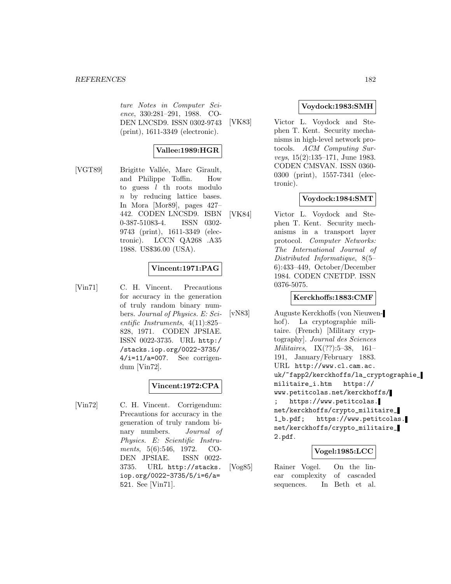ture Notes in Computer Science, 330:281–291, 1988. CO-DEN LNCSD9. ISSN 0302-9743 (print), 1611-3349 (electronic).

# **Vallee:1989:HGR**

[VGT89] Brigitte Vallée, Marc Girault, and Philippe Toffin. How to guess  $l$  th roots modulo n by reducing lattice bases. In Mora [Mor89], pages 427– 442. CODEN LNCSD9. ISBN 0-387-51083-4. ISSN 0302- 9743 (print), 1611-3349 (electronic). LCCN QA268 .A35 1988. US\$36.00 (USA).

# **Vincent:1971:PAG**

[Vin71] C. H. Vincent. Precautions for accuracy in the generation of truly random binary numbers. Journal of Physics. E: Scientific Instruments, 4(11):825– 828, 1971. CODEN JPSIAE. ISSN 0022-3735. URL http:/ /stacks.iop.org/0022-3735/ 4/i=11/a=007. See corrigendum [Vin72].

# **Vincent:1972:CPA**

[Vin72] C. H. Vincent. Corrigendum: Precautions for accuracy in the generation of truly random binary numbers. Journal of Physics. E: Scientific Instruments, 5(6):546, 1972. CO-DEN JPSIAE. ISSN 0022- 3735. URL http://stacks. iop.org/0022-3735/5/i=6/a= 521. See [Vin71].

## **Voydock:1983:SMH**

[VK83] Victor L. Voydock and Stephen T. Kent. Security mechanisms in high-level network protocols. ACM Computing Surveys, 15(2):135–171, June 1983. CODEN CMSVAN. ISSN 0360- 0300 (print), 1557-7341 (electronic).

## **Voydock:1984:SMT**

[VK84] Victor L. Voydock and Stephen T. Kent. Security mechanisms in a transport layer protocol. Computer Networks: The International Journal of Distributed Informatique, 8(5– 6):433–449, October/December 1984. CODEN CNETDP. ISSN 0376-5075.

### **Kerckhoffs:1883:CMF**

[vN83] Auguste Kerckhoffs (von Nieuwenhof). La cryptographie militaire. (French) [Military cryptography]. Journal des Sciences Militaires, IX(??):5–38, 161– 191, January/February 1883. URL http://www.cl.cam.ac. uk/~fapp2/kerckhoffs/la\_cryptographie\_ militaire\_i.htm https:// www.petitcolas.net/kerckhoffs/ https://www.petitcolas. net/kerckhoffs/crypto\_militaire\_ 1\_b.pdf; https://www.petitcolas. net/kerckhoffs/crypto\_militaire\_ 2.pdf.

### **Vogel:1985:LCC**

[Vog85] Rainer Vogel. On the linear complexity of cascaded sequences. In Beth et al.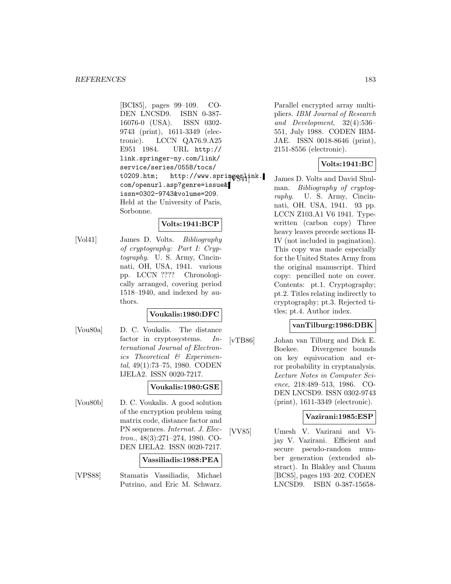[BCI85], pages 99–109. CO-DEN LNCSD9. ISBN 0-387- 16076-0 (USA). ISSN 0302- 9743 (print), 1611-3349 (electronic). LCCN QA76.9.A25 E951 1984. URL http:// link.springer-ny.com/link/ service/series/0558/tocs/ t0209.htm; http://www.springerlink. com/openurl.asp?genre=issue& issn=0302-9743&volume=209. Held at the University of Paris, Sorbonne.

# **Volts:1941:BCP**

[Vol41] James D. Volts. Bibliography of cryptography: Part I: Cryptography. U. S. Army, Cincinnati, OH, USA, 1941. various pp. LCCN ???? Chronologically arranged, covering period 1518–1940, and indexed by authors.

# **Voukalis:1980:DFC**

[Vou80a] D. C. Voukalis. The distance factor in cryptosystems. International Journal of Electronics Theoretical & Experimental, 49(1):73–75, 1980. CODEN IJELA2. ISSN 0020-7217.

### **Voukalis:1980:GSE**

[Vou80b] D. C. Voukalis. A good solution of the encryption problem using matrix code, distance factor and PN sequences. Internat. J. Electron., 48(3):271–274, 1980. CO-DEN IJELA2. ISSN 0020-7217.

#### **Vassiliadis:1988:PEA**

[VPS88] Stamatis Vassiliadis, Michael Putrino, and Eric M. Schwarz.

Parallel encrypted array multipliers. IBM Journal of Research and Development, 32(4):536– 551, July 1988. CODEN IBM-JAE. ISSN 0018-8646 (print), 2151-8556 (electronic).

### **Volts:1941:BC**

James D. Volts and David Shulman. Bibliography of cryptography. U. S. Army, Cincinnati, OH. USA, 1941. 93 pp. LCCN Z103.A1 V6 1941. Typewritten (carbon copy) Three heavy leaves precede sections II-IV (not included in pagination). This copy was made especially for the United States Army from the original manuscript. Third copy: pencilled note on cover. Contents: pt.1. Cryptography; pt.2. Titles relating indirectly to cryptography; pt.3. Rejected titles; pt.4. Author index.

### **vanTilburg:1986:DBK**

[vTB86] Johan van Tilburg and Dick E. Boekee. Divergence bounds on key equivocation and error probability in cryptanalysis. Lecture Notes in Computer Science, 218:489–513, 1986. CO-DEN LNCSD9. ISSN 0302-9743 (print), 1611-3349 (electronic).

### **Vazirani:1985:ESP**

[VV85] Umesh V. Vazirani and Vijay V. Vazirani. Efficient and secure pseudo-random number generation (extended abstract). In Blakley and Chaum [BC85], pages 193–202. CODEN LNCSD9. ISBN 0-387-15658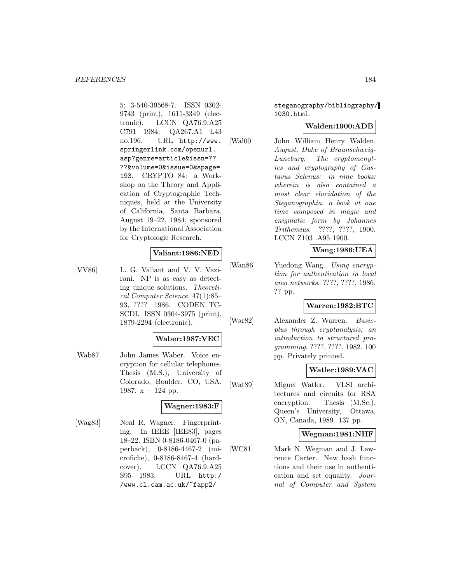5; 3-540-39568-7. ISSN 0302- 9743 (print), 1611-3349 (electronic). LCCN QA76.9.A25 C791 1984; QA267.A1 L43 no.196. URL http://www. springerlink.com/openurl. asp?genre=article&issn=?? ??&volume=0&issue=0&spage= 193. CRYPTO 84: a Workshop on the Theory and Application of Cryptographic Techniques, held at the University of California, Santa Barbara, August 19–22, 1984, sponsored by the International Association for Cryptologic Research.

### **Valiant:1986:NED**

[VV86] L. G. Valiant and V. V. Vazirani. NP is as easy as detecting unique solutions. Theoretical Computer Science, 47(1):85– 93, ???? 1986. CODEN TC-SCDI. ISSN 0304-3975 (print), 1879-2294 (electronic).

### **Waber:1987:VEC**

[Wab87] John James Waber. Voice encryption for cellular telephones. Thesis (M.S.), University of Colorado, Boulder, CO, USA, 1987.  $x + 124$  pp.

# **Wagner:1983:F**

[Wag83] Neal R. Wagner. Fingerprinting. In IEEE [IEE83], pages 18–22. ISBN 0-8186-0467-0 (paperback), 0-8186-4467-2 (microfiche), 0-8186-8467-4 (hardcover). LCCN QA76.9.A25 S95 1983. URL http:/ /www.cl.cam.ac.uk/~fapp2/

steganography/bibliography/ 1030.html.

### **Walden:1900:ADB**

[Wal00] John William Henry Walden. August, Duke of Braunschweig-Luneburg: The cryptomenytics and cryptography of Gustavus Selenus: in nine books: wherein is also contained a most clear elucidation of the Steganographia, a book at one time composed in magic and enigmatic form by Johannes Trithemius. ????, ????, 1900. LCCN Z103 .A95 1900.

### **Wang:1986:UEA**

[Wan86] Yuedong Wang. Using encryption for authentication in local area networks. ????, ????, 1986. ?? pp.

### **Warren:1982:BTC**

[War82] Alexander Z. Warren. Basicplus through cryptanalysis; an introduction to structured programming. ????, ????, 1982. 100 pp. Privately printed.

### **Watler:1989:VAC**

[Wat89] Miguel Watler. VLSI architectures and circuits for RSA encryption. Thesis  $(M.Sc.)$ , Queen's University, Ottawa, ON, Canada, 1989. 137 pp.

### **Wegman:1981:NHF**

[WC81] Mark N. Wegman and J. Lawrence Carter. New hash functions and their use in authentication and set equality. Journal of Computer and System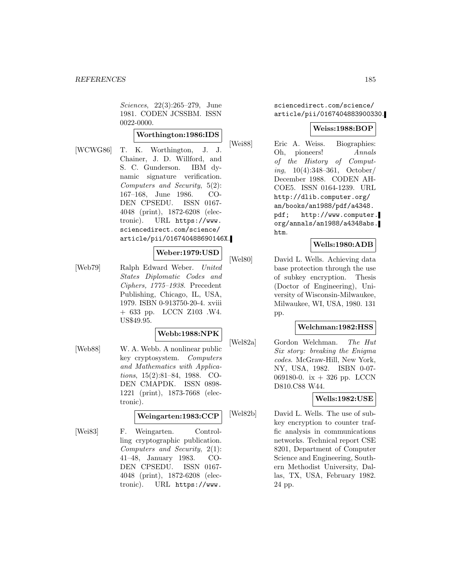Sciences, 22(3):265–279, June 1981. CODEN JCSSBM. ISSN 0022-0000.

# **Worthington:1986:IDS**

[WCWG86] T. K. Worthington, J. J. Chainer, J. D. Willford, and S. C. Gunderson. IBM dynamic signature verification. Computers and Security, 5(2): 167–168, June 1986. CO-DEN CPSEDU. ISSN 0167- 4048 (print), 1872-6208 (electronic). URL https://www. sciencedirect.com/science/ article/pii/016740488690146X.

### **Weber:1979:USD**

[Web79] Ralph Edward Weber. United States Diplomatic Codes and Ciphers, 1775–1938. Precedent Publishing, Chicago, IL, USA, 1979. ISBN 0-913750-20-4. xviii + 633 pp. LCCN Z103 .W4. US\$49.95.

### **Webb:1988:NPK**

[Web88] W. A. Webb. A nonlinear public key cryptosystem. Computers and Mathematics with Applications, 15(2):81–84, 1988. CO-DEN CMAPDK. ISSN 0898- 1221 (print), 1873-7668 (electronic).

### **Weingarten:1983:CCP**

[Wei83] F. Weingarten. Controlling cryptographic publication. Computers and Security, 2(1): 41–48, January 1983. CO-DEN CPSEDU. ISSN 0167- 4048 (print), 1872-6208 (electronic). URL https://www.

sciencedirect.com/science/ article/pii/0167404883900330.

## **Weiss:1988:BOP**

[Wei88] Eric A. Weiss. Biographies: Oh, pioneers! Annals of the History of Computing, 10(4):348–361, October/ December 1988. CODEN AH-COE5. ISSN 0164-1239. URL http://dlib.computer.org/ an/books/an1988/pdf/a4348. pdf; http://www.computer. org/annals/an1988/a4348abs. htm.

## **Wells:1980:ADB**

[Wel80] David L. Wells. Achieving data base protection through the use of subkey encryption. Thesis (Doctor of Engineering), University of Wisconsin-Milwaukee, Milwaukee, WI, USA, 1980. 131 pp.

### **Welchman:1982:HSS**

[Wel82a] Gordon Welchman. The Hut Six story: breaking the Enigma codes. McGraw-Hill, New York, NY, USA, 1982. ISBN 0-07- 069180-0. ix + 326 pp. LCCN D810.C88 W44.

# **Wells:1982:USE**

[Wel82b] David L. Wells. The use of subkey encryption to counter traffic analysis in communications networks. Technical report CSE 8201, Department of Computer Science and Engineering, Southern Methodist University, Dallas, TX, USA, February 1982. 24 pp.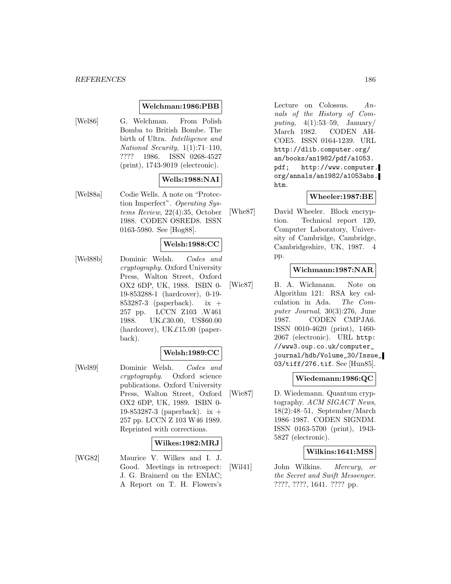#### *REFERENCES* 186

### **Welchman:1986:PBB**

[Wel86] G. Welchman. From Polish Bomba to British Bombe. The birth of Ultra. Intelligence and National Security, 1(1):71–110, ???? 1986. ISSN 0268-4527 (print), 1743-9019 (electronic).

### **Wells:1988:NAI**

[Wel88a] Codie Wells. A note on "Protection Imperfect". Operating Systems Review, 22(4):35, October 1988. CODEN OSRED8. ISSN 0163-5980. See [Hog88].

## **Welsh:1988:CC**

[Wel88b] Dominic Welsh. Codes and cryptography. Oxford University Press, Walton Street, Oxford OX2 6DP, UK, 1988. ISBN 0- 19-853288-1 (hardcover), 0-19- 853287-3 (paperback). ix + 257 pp. LCCN Z103 .W461 1988. UK£30.00, US\$60.00 (hardcover), UK $\pounds$ 15.00 (paperback).

# **Welsh:1989:CC**

[Wel89] Dominic Welsh. Codes and cryptography. Oxford science publications. Oxford University Press, Walton Street, Oxford OX2 6DP, UK, 1989. ISBN 0- 19-853287-3 (paperback). ix + 257 pp. LCCN Z 103 W46 1989. Reprinted with corrections.

### **Wilkes:1982:MRJ**

[WG82] Maurice V. Wilkes and I. J. Good. Meetings in retrospect: J. G. Brainerd on the ENIAC; A Report on T. H. Flowers's

Lecture on Colossus. Annals of the History of Computing,  $4(1):53-59$ , January/ March 1982. CODEN AH-COE5. ISSN 0164-1239. URL http://dlib.computer.org/ an/books/an1982/pdf/a1053. pdf; http://www.computer. org/annals/an1982/a1053abs. htm.

### **Wheeler:1987:BE**

[Whe87] David Wheeler. Block encryption. Technical report 120, Computer Laboratory, University of Cambridge, Cambridge, Cambridgeshire, UK, 1987. pp.

# **Wichmann:1987:NAR**

[Wic87] B. A. Wichmann. Note on Algorithm 121: RSA key calculation in Ada. The Computer Journal, 30(3):276, June 1987. CODEN CMPJA6. ISSN 0010-4620 (print), 1460- 2067 (electronic). URL http: //www3.oup.co.uk/computer\_ journal/hdb/Volume\_30/Issue\_ 03/tiff/276.tif. See [Hun85].

### **Wiedemann:1986:QC**

[Wie87] D. Wiedemann. Quantum cryptography. ACM SIGACT News, 18(2):48–51, September/March 1986–1987. CODEN SIGNDM. ISSN 0163-5700 (print), 1943- 5827 (electronic).

## **Wilkins:1641:MSS**

[Wil41] John Wilkins. Mercury, or the Secret and Swift Messenger. ????, ????, 1641. ???? pp.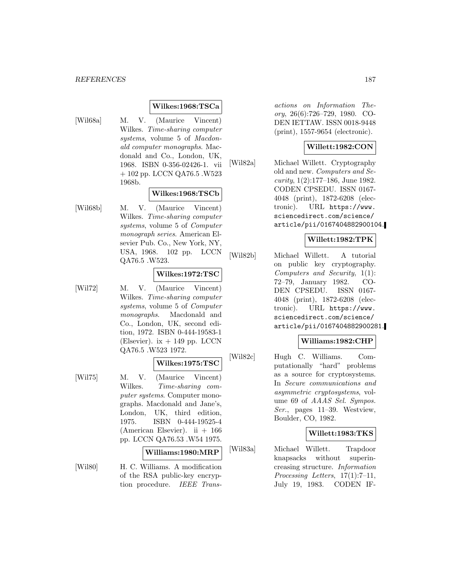#### *REFERENCES* 187

#### **Wilkes:1968:TSCa**

[Wil68a] M. V. (Maurice Vincent) Wilkes. Time-sharing computer systems, volume 5 of *Macdon*ald computer monographs. Macdonald and Co., London, UK, 1968. ISBN 0-356-02426-1. vii + 102 pp. LCCN QA76.5 .W523 1968b.

### **Wilkes:1968:TSCb**

[Wil68b] M. V. (Maurice Vincent) Wilkes. Time-sharing computer systems, volume 5 of Computer monograph series. American Elsevier Pub. Co., New York, NY, USA, 1968. 102 pp. LCCN QA76.5 .W523.

#### **Wilkes:1972:TSC**

[Wil72] M. V. (Maurice Vincent) Wilkes. Time-sharing computer systems, volume 5 of Computer monographs. Macdonald and Co., London, UK, second edition, 1972. ISBN 0-444-19583-1 (Elsevier).  $ix + 149$  pp. LCCN QA76.5 .W523 1972.

### **Wilkes:1975:TSC**

[Wil75] M. V. (Maurice Vincent) Wilkes. Time-sharing computer systems. Computer monographs. Macdonald and Jane's, London, UK, third edition, 1975. ISBN 0-444-19525-4 (American Elsevier). ii  $+166$ pp. LCCN QA76.53 .W54 1975.

#### **Williams:1980:MRP**

[Wil80] H. C. Williams. A modification of the RSA public-key encryption procedure. IEEE Trans-

actions on Information Theory, 26(6):726–729, 1980. CO-DEN IETTAW. ISSN 0018-9448 (print), 1557-9654 (electronic).

### **Willett:1982:CON**

[Wil82a] Michael Willett. Cryptography old and new. Computers and Se*curity*,  $1(2):177-186$ , June 1982. CODEN CPSEDU. ISSN 0167- 4048 (print), 1872-6208 (electronic). URL https://www. sciencedirect.com/science/ article/pii/0167404882900104.

### **Willett:1982:TPK**

[Wil82b] Michael Willett. A tutorial on public key cryptography. Computers and Security, 1(1): 72–79, January 1982. CO-DEN CPSEDU. ISSN 0167- 4048 (print), 1872-6208 (electronic). URL https://www. sciencedirect.com/science/ article/pii/0167404882900281.

### **Williams:1982:CHP**

[Wil82c] Hugh C. Williams. Computationally "hard" problems as a source for cryptosystems. In Secure communications and asymmetric cryptosystems, volume 69 of AAAS Sel. Sympos. Ser., pages 11–39. Westview, Boulder, CO, 1982.

### **Willett:1983:TKS**

[Wil83a] Michael Willett. Trapdoor knapsacks without superincreasing structure. Information Processing Letters, 17(1):7–11, July 19, 1983. CODEN IF-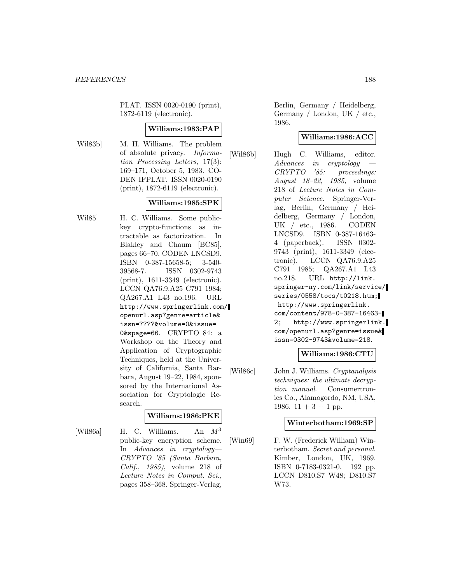PLAT. ISSN 0020-0190 (print), 1872-6119 (electronic).

### **Williams:1983:PAP**

[Wil83b] M. H. Williams. The problem of absolute privacy. Information Processing Letters, 17(3): 169–171, October 5, 1983. CO-DEN IFPLAT. ISSN 0020-0190 (print), 1872-6119 (electronic).

## **Williams:1985:SPK**

[Wil85] H. C. Williams. Some publickey crypto-functions as intractable as factorization. In Blakley and Chaum [BC85], pages 66–70. CODEN LNCSD9. ISBN 0-387-15658-5; 3-540- 39568-7. ISSN 0302-9743 (print), 1611-3349 (electronic). LCCN QA76.9.A25 C791 1984; QA267.A1 L43 no.196. URL http://www.springerlink.com/ openurl.asp?genre=article& issn=????&volume=0&issue= 0&spage=66. CRYPTO 84: a Workshop on the Theory and Application of Cryptographic Techniques, held at the University of California, Santa Barbara, August 19–22, 1984, sponsored by the International Association for Cryptologic Research.

### **Williams:1986:PKE**

[Wil86a] H. C. Williams. An  $M^3$ public-key encryption scheme. In Advances in cryptology— CRYPTO '85 (Santa Barbara, Calif., 1985), volume 218 of Lecture Notes in Comput. Sci., pages 358–368. Springer-Verlag,

Berlin, Germany / Heidelberg, Germany / London, UK / etc., 1986.

# **Williams:1986:ACC**

[Wil86b] Hugh C. Williams, editor. Advances in cryptology CRYPTO '85: proceedings: August 18–22, 1985, volume 218 of Lecture Notes in Computer Science. Springer-Verlag, Berlin, Germany / Heidelberg, Germany / London, UK / etc., 1986. CODEN LNCSD9. ISBN 0-387-16463- 4 (paperback). ISSN 0302- 9743 (print), 1611-3349 (electronic). LCCN QA76.9.A25 C791 1985; QA267.A1 L43 no.218. URL http://link. springer-ny.com/link/service/ series/0558/tocs/t0218.htm; http://www.springerlink. com/content/978-0-387-16463- 2; http://www.springerlink. com/openurl.asp?genre=issue& issn=0302-9743&volume=218.

### **Williams:1986:CTU**

[Wil86c] John J. Williams. Cryptanalysis techniques: the ultimate decryption manual. Consumertronics Co., Alamogordo, NM, USA, 1986.  $11 + 3 + 1$  pp.

#### **Winterbotham:1969:SP**

[Win69] F. W. (Frederick William) Winterbotham. Secret and personal. Kimber, London, UK, 1969. ISBN 0-7183-0321-0. 192 pp. LCCN D810.S7 W48; D810.S7 W73.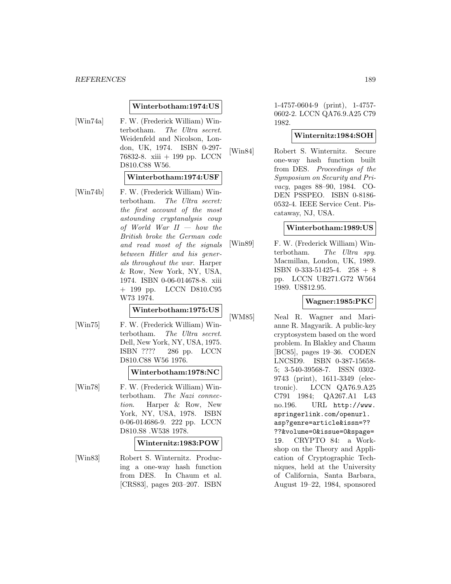### **Winterbotham:1974:US**

[Win74a] F. W. (Frederick William) Winterbotham. The Ultra secret. Weidenfeld and Nicolson, London, UK, 1974. ISBN 0-297- 76832-8. xiii + 199 pp. LCCN D810.C88 W56.

#### **Winterbotham:1974:USF**

[Win74b] F. W. (Frederick William) Winterbotham. The Ultra secret: the first account of the most astounding cryptanalysis coup of World War  $II - how$  the British broke the German code and read most of the signals between Hitler and his generals throughout the war. Harper & Row, New York, NY, USA, 1974. ISBN 0-06-014678-8. xiii + 199 pp. LCCN D810.C95 W73 1974.

#### **Winterbotham:1975:US**

[Win75] F. W. (Frederick William) Winterbotham. The Ultra secret. Dell, New York, NY, USA, 1975. ISBN ???? 286 pp. LCCN D810.C88 W56 1976.

#### **Winterbotham:1978:NC**

[Win78] F. W. (Frederick William) Winterbotham. The Nazi connection. Harper & Row, New York, NY, USA, 1978. ISBN 0-06-014686-9. 222 pp. LCCN D810.S8 .W538 1978.

### **Winternitz:1983:POW**

[Win83] Robert S. Winternitz. Producing a one-way hash function from DES. In Chaum et al. [CRS83], pages 203–207. ISBN

1-4757-0604-9 (print), 1-4757- 0602-2. LCCN QA76.9.A25 C79 1982.

### **Winternitz:1984:SOH**

[Win84] Robert S. Winternitz. Secure one-way hash function built from DES. Proceedings of the Symposium on Security and Privacy, pages 88–90, 1984. CO-DEN PSSPEO. ISBN 0-8186- 0532-4. IEEE Service Cent. Piscataway, NJ, USA.

### **Winterbotham:1989:US**

[Win89] F. W. (Frederick William) Winterbotham. The Ultra spy. Macmillan, London, UK, 1989. ISBN 0-333-51425-4.  $258 + 8$ pp. LCCN UB271.G72 W564 1989. US\$12.95.

### **Wagner:1985:PKC**

[WM85] Neal R. Wagner and Marianne R. Magyarik. A public-key cryptosystem based on the word problem. In Blakley and Chaum [BC85], pages 19–36. CODEN LNCSD9. ISBN 0-387-15658- 5; 3-540-39568-7. ISSN 0302- 9743 (print), 1611-3349 (electronic). LCCN QA76.9.A25 C791 1984; QA267.A1 L43 no.196. URL http://www. springerlink.com/openurl. asp?genre=article&issn=?? ??&volume=0&issue=0&spage= 19. CRYPTO 84: a Workshop on the Theory and Application of Cryptographic Techniques, held at the University of California, Santa Barbara, August 19–22, 1984, sponsored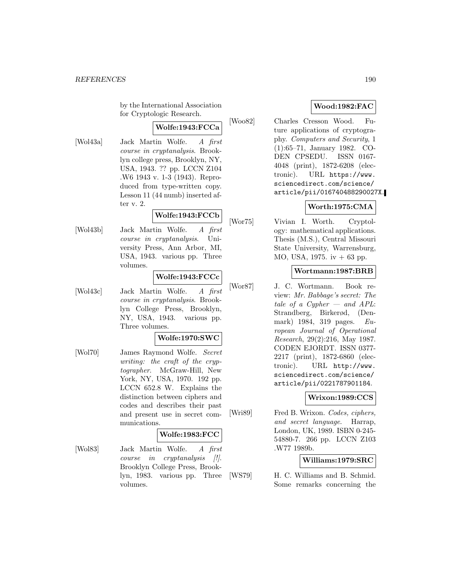by the International Association for Cryptologic Research.

# **Wolfe:1943:FCCa**

[Wol43a] Jack Martin Wolfe. A first course in cryptanalysis. Brooklyn college press, Brooklyn, NY, USA, 1943. ?? pp. LCCN Z104 .W6 1943 v. 1-3 (1943). Reproduced from type-written copy. Lesson 11 (44 numb) inserted after v. 2.

# **Wolfe:1943:FCCb**

[Wol43b] Jack Martin Wolfe. A first course in cryptanalysis. University Press, Ann Arbor, MI, USA, 1943. various pp. Three volumes.

#### **Wolfe:1943:FCCc**

[Wol43c] Jack Martin Wolfe. A first course in cryptanalysis. Brooklyn College Press, Brooklyn, NY, USA, 1943. various pp. Three volumes.

### **Wolfe:1970:SWC**

[Wol70] James Raymond Wolfe. Secret writing: the craft of the cryptographer. McGraw-Hill, New York, NY, USA, 1970. 192 pp. LCCN 652.8 W. Explains the distinction between ciphers and codes and describes their past and present use in secret communications.

#### **Wolfe:1983:FCC**

[Wol83] Jack Martin Wolfe. A first course in cryptanalysis [!]. Brooklyn College Press, Brooklyn, 1983. various pp. Three volumes.

# **Wood:1982:FAC**

[Woo82] Charles Cresson Wood. Future applications of cryptography. Computers and Security, 1 (1):65–71, January 1982. CO-DEN CPSEDU. ISSN 0167- 4048 (print), 1872-6208 (electronic). URL https://www. sciencedirect.com/science/ article/pii/016740488290027X.

# **Worth:1975:CMA**

[Wor75] Vivian I. Worth. Cryptology: mathematical applications. Thesis (M.S.), Central Missouri State University, Warrensburg, MO, USA, 1975. iv + 63 pp.

### **Wortmann:1987:BRB**

[Wor87] J. C. Wortmann. Book review: Mr. Babbage's secret: The tale of a Cypher  $-$  and APL: Strandberg, Birkerød, (Denmark) 1984, 319 pages. European Journal of Operational Research, 29(2):216, May 1987. CODEN EJORDT. ISSN 0377- 2217 (print), 1872-6860 (electronic). URL http://www. sciencedirect.com/science/ article/pii/0221787901184.

# **Wrixon:1989:CCS**

[Wri89] Fred B. Wrixon. Codes, ciphers, and secret language. Harrap, London, UK, 1989. ISBN 0-245- 54880-7. 266 pp. LCCN Z103 .W77 1989b.

### **Williams:1979:SRC**

[WS79] H. C. Williams and B. Schmid. Some remarks concerning the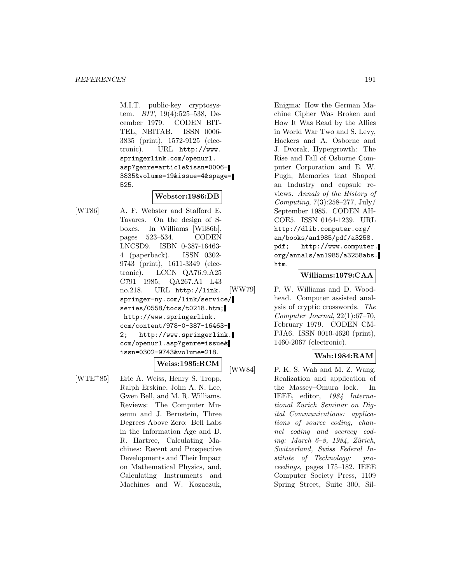M.I.T. public-key cryptosystem. BIT, 19(4):525–538, December 1979. CODEN BIT-TEL, NBITAB. ISSN 0006- 3835 (print), 1572-9125 (electronic). URL http://www. springerlink.com/openurl. asp?genre=article&issn=0006- 3835&volume=19&issue=4&spage= 525.

# **Webster:1986:DB**

[WT86] A. F. Webster and Stafford E. Tavares. On the design of Sboxes. In Williams [Wil86b], pages 523–534. CODEN LNCSD9. ISBN 0-387-16463- 4 (paperback). ISSN 0302- 9743 (print), 1611-3349 (electronic). LCCN QA76.9.A25 C791 1985; QA267.A1 L43 no.218. URL http://link. springer-ny.com/link/service/ series/0558/tocs/t0218.htm; http://www.springerlink. com/content/978-0-387-16463- 2; http://www.springerlink. com/openurl.asp?genre=issue& issn=0302-9743&volume=218.

**Weiss:1985:RCM**

[WTE<sup>+</sup>85] Eric A. Weiss, Henry S. Tropp, Ralph Erskine, John A. N. Lee, Gwen Bell, and M. R. Williams. Reviews: The Computer Museum and J. Bernstein, Three Degrees Above Zero: Bell Labs in the Information Age and D. R. Hartree, Calculating Machines: Recent and Prospective Developments and Their Impact on Mathematical Physics, and, Calculating Instruments and Machines and W. Kozaczuk,

Enigma: How the German Machine Cipher Was Broken and How It Was Read by the Allies in World War Two and S. Levy, Hackers and A. Osborne and J. Dvorak, Hypergrowth: The Rise and Fall of Osborne Computer Corporation and E. W. Pugh, Memories that Shaped an Industry and capsule reviews. Annals of the History of  $Computing, 7(3):258-277, July/$ September 1985. CODEN AH-COE5. ISSN 0164-1239. URL http://dlib.computer.org/ an/books/an1985/pdf/a3258. pdf; http://www.computer. org/annals/an1985/a3258abs. htm.

## **Williams:1979:CAA**

[WW79] P. W. Williams and D. Woodhead. Computer assisted analysis of cryptic crosswords. The Computer Journal, 22(1):67–70, February 1979. CODEN CM-PJA6. ISSN 0010-4620 (print), 1460-2067 (electronic).

# **Wah:1984:RAM**

[WW84] P. K. S. Wah and M. Z. Wang. Realization and application of the Massey–Omura lock. In IEEE, editor, 1984 International Zurich Seminar on Digital Communications: applications of source coding, channel coding and secrecy coding: March  $6-8$ , 1984, Zürich, Switzerland, Swiss Federal Institute of Technology: proceedings, pages 175–182. IEEE Computer Society Press, 1109 Spring Street, Suite 300, Sil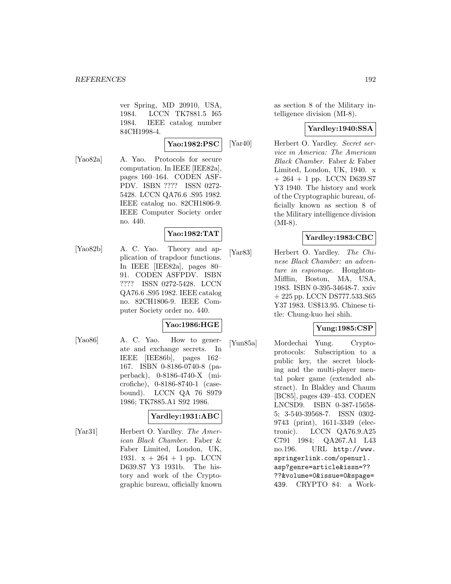ver Spring, MD 20910, USA, 1984. LCCN TK7881.5 I65 1984. IEEE catalog number 84CH1998-4.

**Yao:1982:PSC**

[Yao82a] A. Yao. Protocols for secure computation. In IEEE [IEE82a], pages 160–164. CODEN ASF-PDV. ISBN ???? ISSN 0272- 5428. LCCN QA76.6 .S95 1982. IEEE catalog no. 82CH1806-9. IEEE Computer Society order no. 440.

# **Yao:1982:TAT**

[Yao82b] A. C. Yao. Theory and application of trapdoor functions. In IEEE [IEE82a], pages 80– 91. CODEN ASFPDV. ISBN ???? ISSN 0272-5428. LCCN QA76.6 .S95 1982. IEEE catalog no. 82CH1806-9. IEEE Computer Society order no. 440.

# **Yao:1986:HGE**

[Yao86] A. C. Yao. How to generate and exchange secrets. In IEEE [IEE86b], pages 162– 167. ISBN 0-8186-0740-8 (paperback), 0-8186-4740-X (microfiche), 0-8186-8740-1 (casebound). LCCN QA 76 S979 1986; TK7885.A1 S92 1986.

# **Yardley:1931:ABC**

[Yar31] Herbert O. Yardley. The American Black Chamber. Faber & Faber Limited, London, UK, 1931.  $x + 264 + 1$  pp. LCCN D639.S7 Y3 1931b. The history and work of the Cryptographic bureau, officially known as section 8 of the Military intelligence division (MI-8).

## **Yardley:1940:SSA**

[Yar40] Herbert O. Yardley. Secret service in America: The American Black Chamber. Faber & Faber Limited, London, UK, 1940. x  $+ 264 + 1$  pp. LCCN D639.S7 Y3 1940. The history and work of the Cryptographic bureau, officially known as section 8 of the Military intelligence division (MI-8).

# **Yardley:1983:CBC**

[Yar83] Herbert O. Yardley. The Chinese Black Chamber: an adventure in espionage. Houghton-Mifflin, Boston, MA, USA, 1983. ISBN 0-395-34648-7. xxiv + 225 pp. LCCN DS777.533.S65 Y37 1983. US\$13.95. Chinese title: Chung-kuo hei shih.

# **Yung:1985:CSP**

[Yun85a] Mordechai Yung. Cryptoprotocols: Subscription to a public key, the secret blocking and the multi-player mental poker game (extended abstract). In Blakley and Chaum [BC85], pages 439–453. CODEN LNCSD9. ISBN 0-387-15658- 5; 3-540-39568-7. ISSN 0302- 9743 (print), 1611-3349 (electronic). LCCN QA76.9.A25 C791 1984; QA267.A1 L43 no.196. URL http://www. springerlink.com/openurl. asp?genre=article&issn=?? ??&volume=0&issue=0&spage= 439. CRYPTO 84: a Work